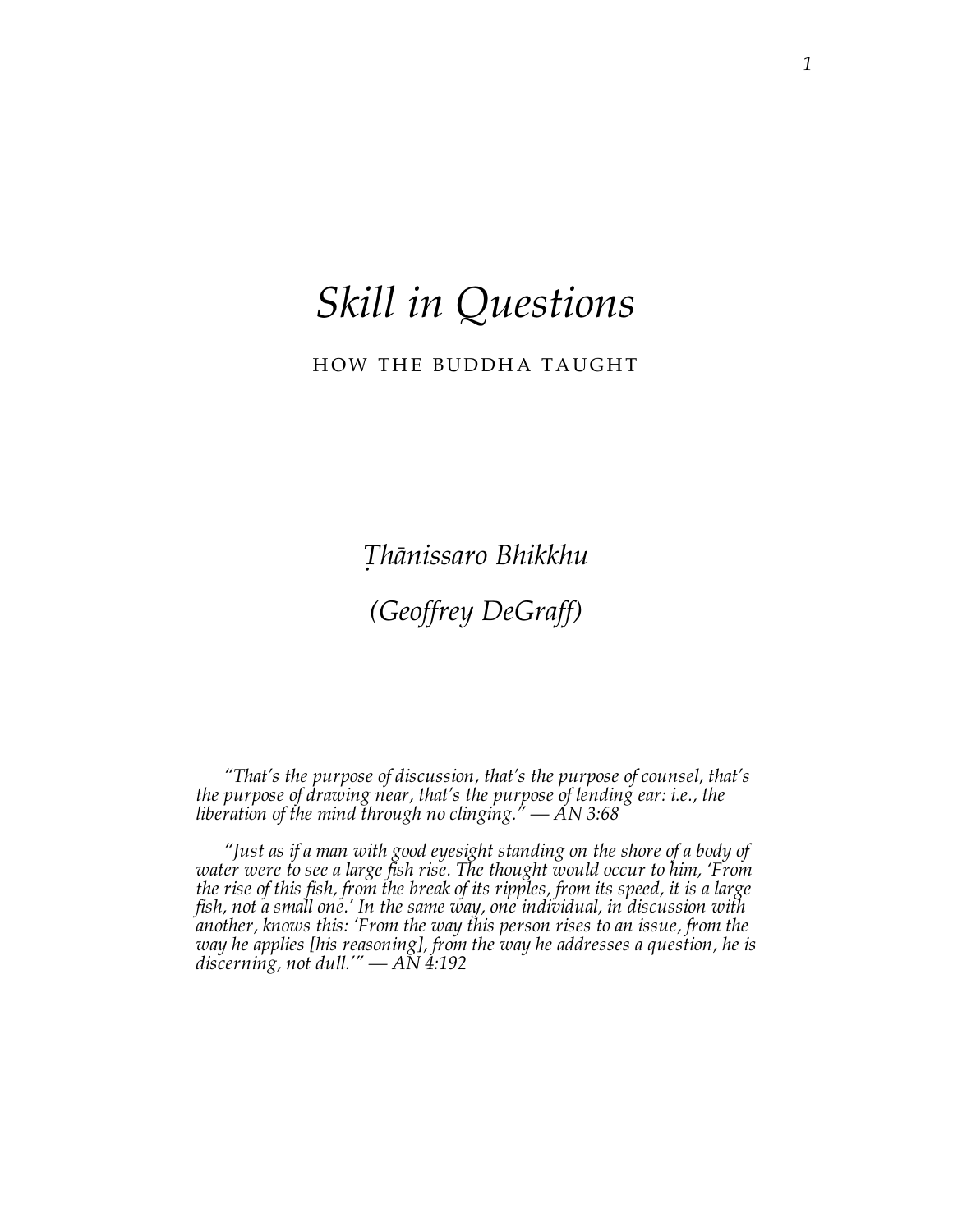# *Skill in Questions*

HOW THE BUDDHA TAUGHT

*≥h›nissaro Bhikkhu*

## *(Geoffrey DeGraff)*

*"That's the purpose of discussion, that's the purpose of counsel, that's the purpose of drawing near, that's the purpose of lending ear: i.e., the liberation of the mind through no clinging." — AN 3:68*

*"Just as if a man with good eyesight standing on the shore of a body of water were to see a large fish rise. The thought would occur to him, 'From the rise of this fish, from the break of its ripples, from its speed, it is a large fish, not a small one.' In the same way, one individual, in discussion with another, knows this: 'From the way this person rises to an issue, from the way he applies [his reasoning], from the way he addresses a question, he is discerning, not dull.'" — AN 4:192*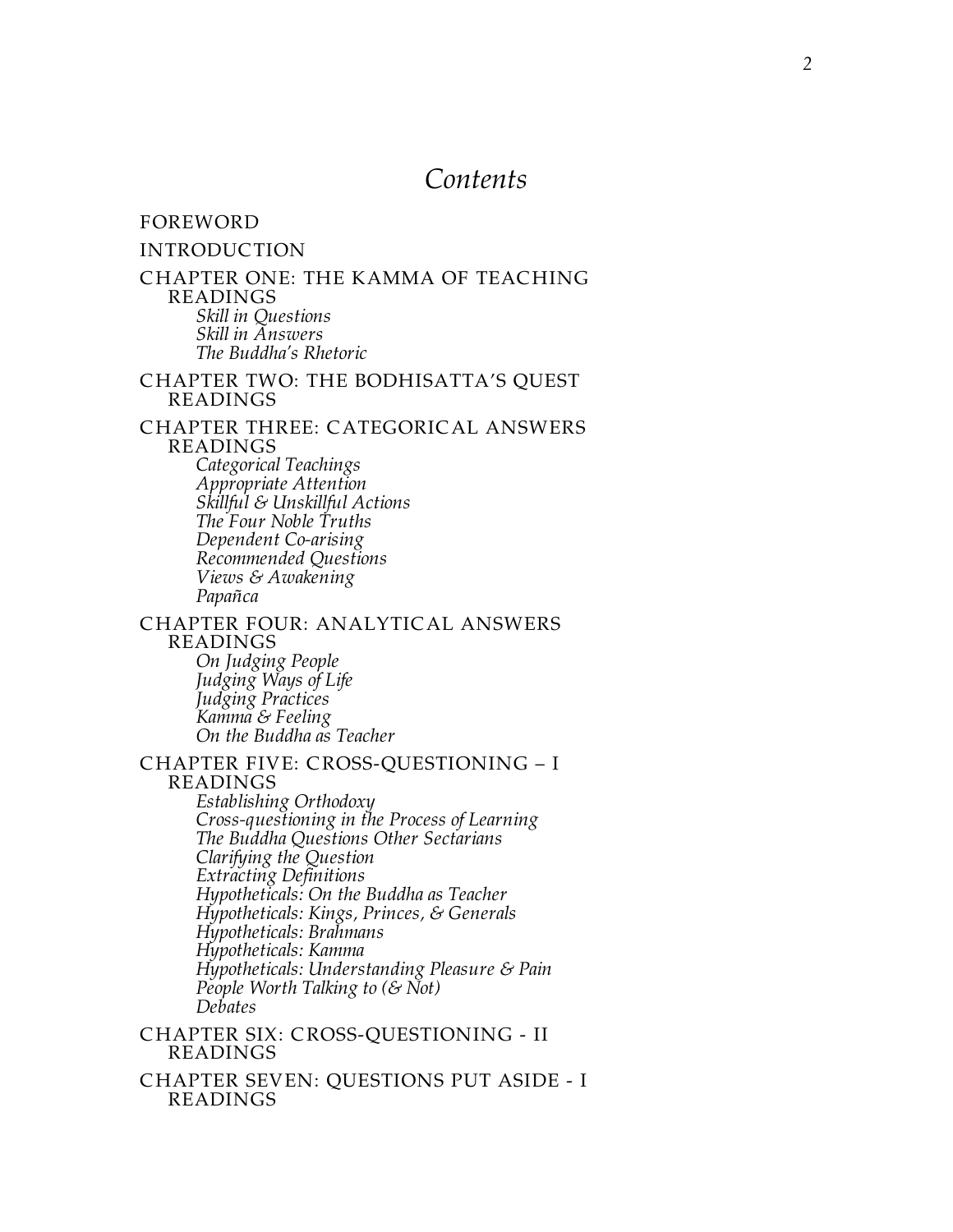### *Contents*

#### FOREWORD

#### INTRODUCTION

#### CHAPTER ONE: THE KAMMA OF TEACHING READINGS *Skill in Questions Skill in Answers The Buddha's Rhetoric*

#### CHAPTER TWO: THE BODHISATTA'S QUEST READINGS

CHAPTER THREE: CATEGORICAL ANSWERS READINGS *Categorical Teachings* 

*Appropriate Attention Skillful & Unskillful Actions The Four Noble Truths Dependent Co -arising Recommended Questions Views & Awakening Papañca* 

#### CHAPTER FOUR: ANALYTICAL ANSWERS READINGS *On Judging People Judging Ways of Life Judging Practices*

*Kamma & Feeling On the Buddha as Teacher* 

#### CHAPTER FIVE: CROSS -QUESTIONING – I

#### READINGS

*Establishing Orthodoxy Cross -questioning in the Process of Learning The Buddha Questions Other Sectarians Clarifying the Question Extracting Definitions Hypotheticals: On the Buddha as Teacher Hypotheticals: Kings, Princes, & Generals Hypotheticals: Brahmans Hypotheticals: Kamma Hypotheticals: Understanding Pleasure & Pain People Worth Talking to (& Not) Debates* 

CHAPTER SIX: CROSS -QUESTIONING - II READINGS

CHAPTER SEVEN: QUESTIONS PUT ASIDE - I READINGS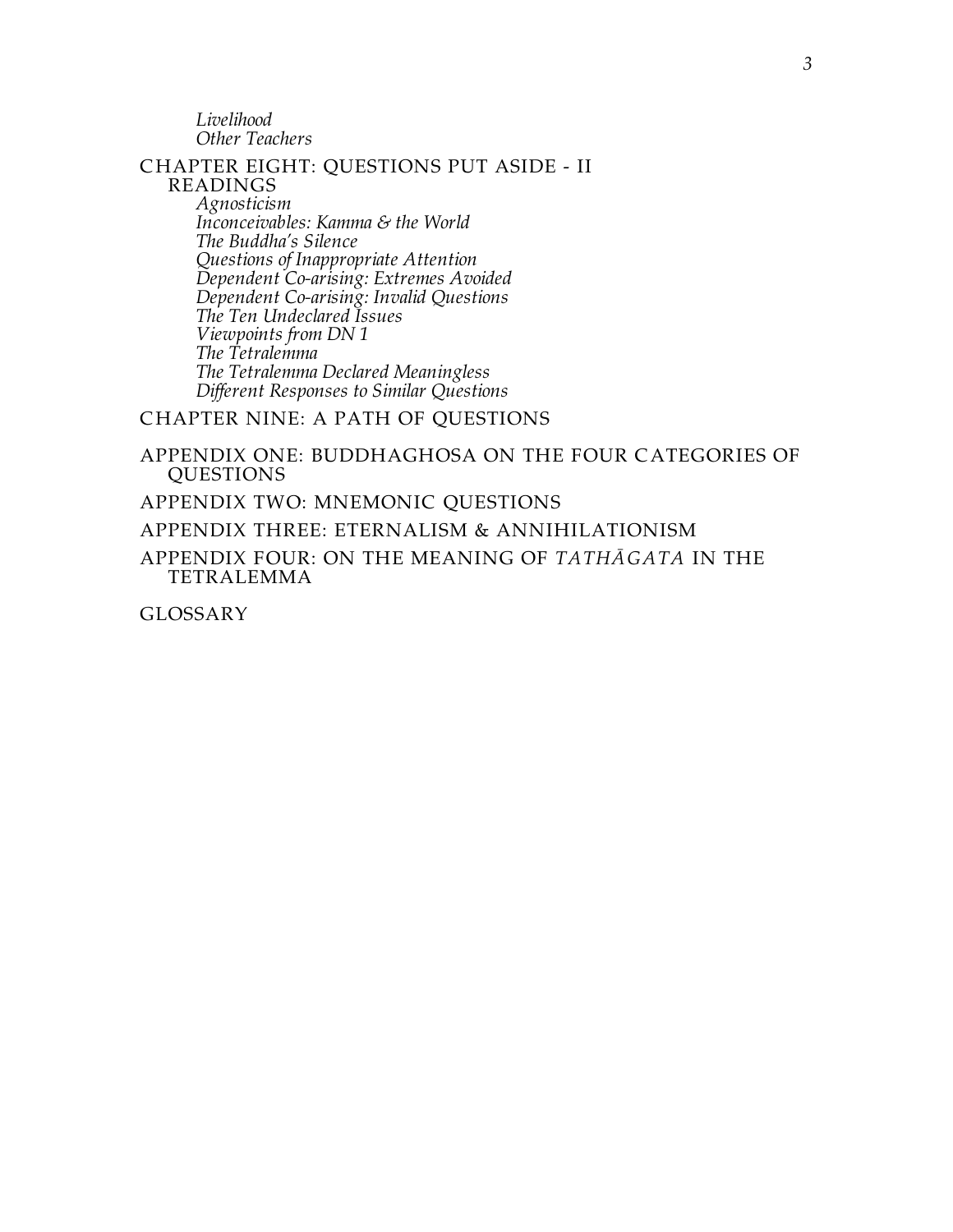*Livelihood Other Teachers* 

CHAPTER EIGHT: QUESTIONS PUT ASIDE - II READINGS *Agnosticism Inconceivables: Kamma & the World The Buddha's Silence Questions of Inappropriate Attention Dependent Co-arising: Extremes Avoided* 

*Dependent Co-arising: Invalid Questions The Ten Undeclared Issues Viewpoints from DN 1 The Tetralemma The Tetralemma Declared Meaningless Different Responses to Similar Questions* 

CHAPTER NINE: A PATH OF QUESTIONS

APPENDIX ONE: BUDDHAGHOSA ON THE FOUR CATEGORIES OF QUESTIONS

APPENDIX TWO: MNEMONIC QUESTIONS

APPENDIX THREE: ETERNALISM & ANNIHILATIONISM

APPENDIX FOUR: ON THE MEANING OF TATHĀGATA IN THE TETRALEMMA

GLOSSARY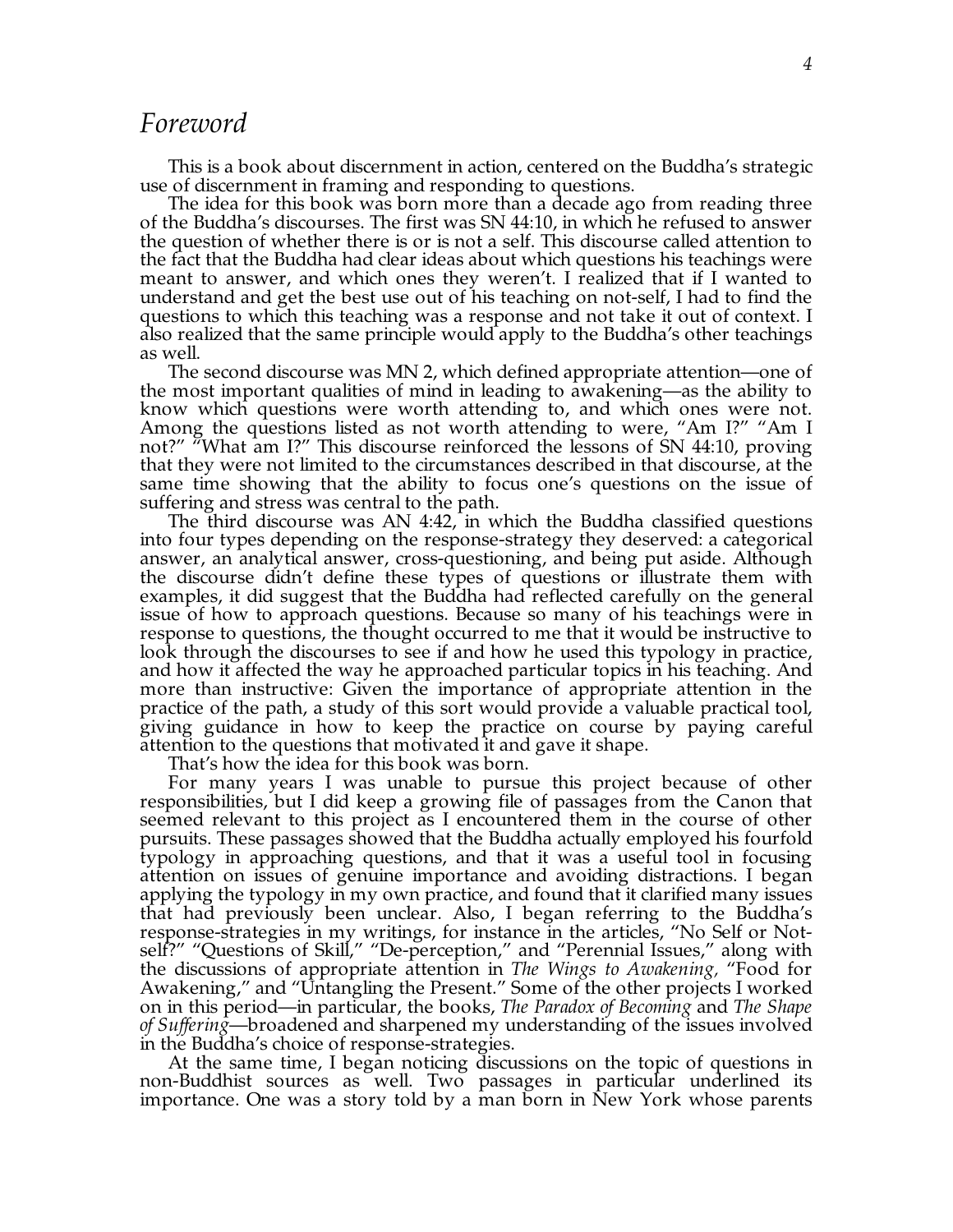## *Foreword*

This is a book about discernment in action, centered on the Buddha's strategic use of discernment in framing and responding to questions.

The idea for this book was born more than a decade ago from reading three of the Buddha's discourses. The first was SN 44:10, in which he refused to answer the question of whether there is or is not a self. This discourse called attention to the fact that the Buddha had clear ideas about which questions his teachings were meant to answer, and which ones they weren't. I realized that if I wanted to understand and get the best use out of his teaching on not-self, I had to find the questions to which this teaching was a response and not take it out of context. I also realized that the same principle would apply to the Buddha's other teachings as well.

The second discourse was MN 2, which defined appropriate attention—one of the most important qualities of mind in leading to awakening—as the ability to know which questions were worth attending to, and which ones were not. Among the questions listed as not worth attending to were, "Am I?" "Am I not?" "What am I?" This discourse reinforced the lessons of SN 44:10, proving that they were not limited to the circumstances described in that discourse, at the same time showing that the ability to focus one's questions on the issue of suffering and stress was central to the path.

The third discourse was AN 4:42, in which the Buddha classified questions into four types depending on the response-strategy they deserved: a categorical answer, an analytical answer, cross-questioning, and being put aside. Although the discourse didn't define these types of questions or illustrate them with examples, it did suggest that the Buddha had reflected carefully on the general issue of how to approach questions. Because so many of his teachings were in response to questions, the thought occurred to me that it would be instructive to look through the discourses to see if and how he used this typology in practice, and how it affected the way he approached particular topics in his teaching. And more than instructive: Given the importance of appropriate attention in the practice of the path, a study of this sort would provide a valuable practical tool, giving guidance in how to keep the practice on course by paying careful attention to the questions that motivated it and gave it shape.

That's how the idea for this book was born.

For many years I was unable to pursue this project because of other responsibilities, but I did keep a growing file of passages from the Canon that seemed relevant to this project as I encountered them in the course of other pursuits. These passages showed that the Buddha actually employed his fourfold typology in approaching questions, and that it was a useful tool in focusing attention on issues of genuine importance and avoiding distractions. I began applying the typology in my own practice, and found that it clarified many issues that had previously been unclear. Also, I began referring to the Buddha's response-strategies in my writings, for instance in the articles, "No Self or Notself?" "Questions of Skill," "De-perception," and "Perennial Issues," along with the discussions of appropriate attention in *The Wings to Awakening,* "Food for Awakening," and "Untangling the Present." Some of the other projects I worked on in this period—in particular, the books, *The Paradox of Becoming* and *The Shape of Suffering*—broadened and sharpened my understanding of the issues involved in the Buddha's choice of response-strategies.

At the same time, I began noticing discussions on the topic of questions in non-Buddhist sources as well. Two passages in particular underlined its importance. One was a story told by a man born in New York whose parents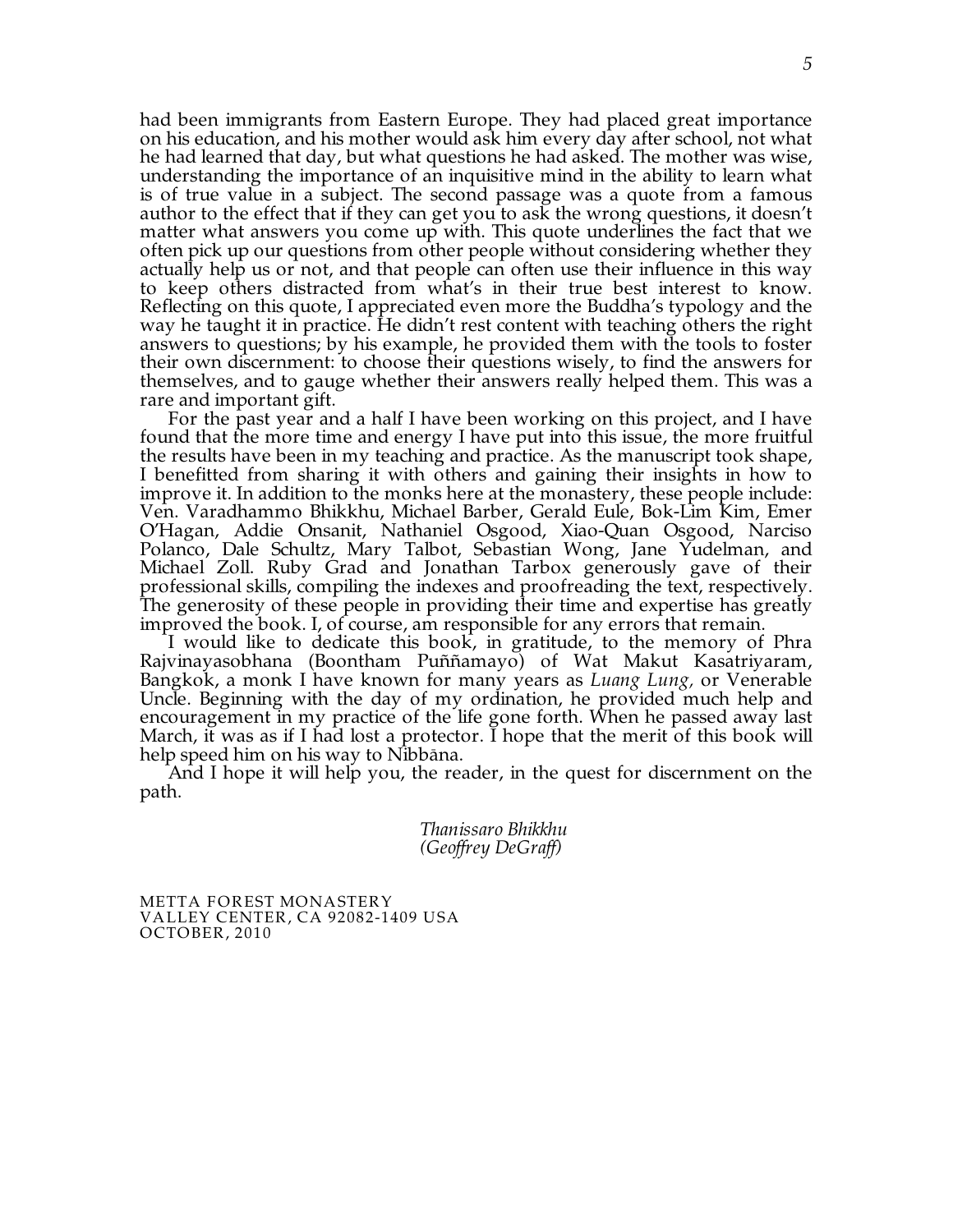had been immigrants from Eastern Europe. They had placed great importance on his education, and his mother would ask him every day after school, not what he had learned that day, but what questions he had asked. The mother was wise, understanding the importance of an inquisitive mind in the ability to learn what is of true value in a subject. The second passage was a quote from a famous author to the effect that if they can get you to ask the wrong questions, it doesn't matter what answers you come up with. This quote underlines the fact that we often pick up our questions from other people without considering whether they actually help us or not, and that people can often use their influence in this way to keep others distracted from what's in their true best interest to know. Reflecting on this quote, I appreciated even more the Buddha's typology and the way he taught it in practice. He didn't rest content with teaching others the right answers to questions; by his example, he provided them with the tools to foster their own discernment: to choose their questions wisely, to find the answers for themselves, and to gauge whether their answers really helped them. This was a rare and important gift.

For the past year and a half I have been working on this project, and I have found that the more time and energy I have put into this issue, the more fruitful the results have been in my teaching and practice. As the manuscript took shape, I benefitted from sharing it with others and gaining their insights in how to improve it. In addition to the monks here at the monastery, these people include: Ven. Varadhammo Bhikkhu, Michael Barber, Gerald Eule, Bok-Lim Kim, Emer O'Hagan, Addie Onsanit, Nathaniel Osgood, Xiao-Quan Osgood, Narciso Polanco, Dale Schultz, Mary Talbot, Sebastian Wong, Jane Yudelman, and Michael Zoll. Ruby Grad and Jonathan Tarbox generously gave of their professional skills, compiling the indexes and proofreading the text, respectively. The generosity of these people in providing their time and expertise has greatly improved the book. I, of course, am responsible for any errors that remain.

I would like to dedicate this book, in gratitude, to the memory of Phra Rajvinayasobhana (Boontham Puññamayo) of Wat Makut Kasatriyaram, Bangkok, a monk I have known for many years as *Luang Lung,* or Venerable Uncle. Beginning with the day of my ordination, he provided much help and encouragement in my practice of the life gone forth. When he passed away last March, it was as if I had lost a protector. I hope that the merit of this book will help speed him on his way to Nibbāna.

And I hope it will help you, the reader, in the quest for discernment on the path.

> *Thanissaro Bhikkhu (Geoffrey DeGraff)*

METTA FOREST MONASTERY VALLEY CENTER, CA 92082-1409 USA OCTOBER, 2010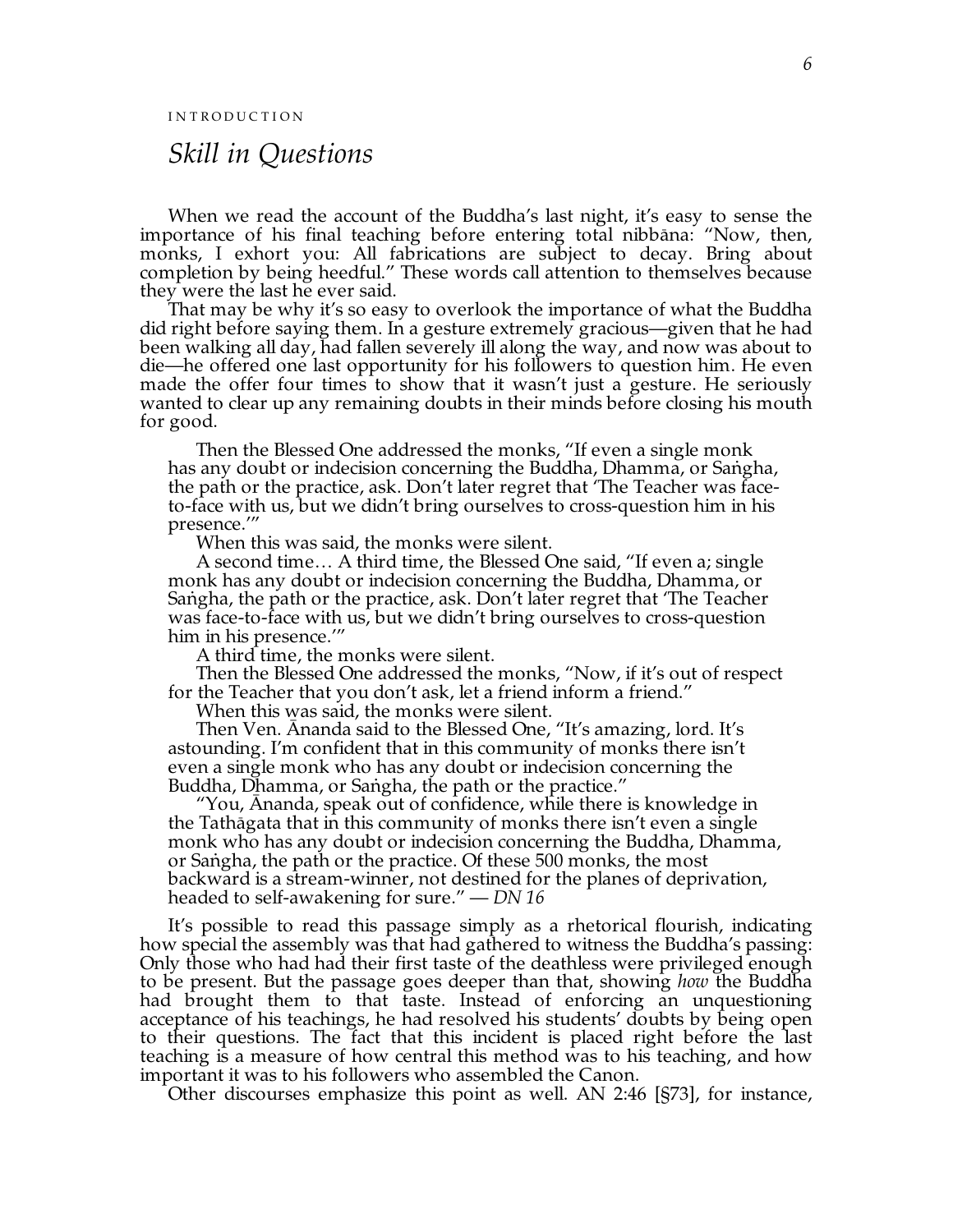## *Skill in Questions*

When we read the account of the Buddha's last night, it's easy to sense the importance of his final teaching before entering total nibbana: "Now, then, monks, I exhort you: All fabrications are subject to decay. Bring about completion by being heedful." These words call attention to themselves because they were the last he ever said.

That may be why it's so easy to overlook the importance of what the Buddha did right before saying them. In a gesture extremely gracious—given that he had been walking all day, had fallen severely ill along the way, and now was about to die—he offered one last opportunity for his followers to question him. He even made the offer four times to show that it wasn't just a gesture. He seriously wanted to clear up any remaining doubts in their minds before closing his mouth for good.

Then the Blessed One addressed the monks, "If even a single monk has any doubt or indecision concerning the Buddha, Dhamma, or Sangha, the path or the practice, ask. Don't later regret that 'The Teacher was faceto-face with us, but we didn't bring ourselves to cross-question him in his presence.'"

When this was said, the monks were silent.

A second time… A third time, the Blessed One said, "If even a; single monk has any doubt or indecision concerning the Buddha, Dhamma, or Sangha, the path or the practice, ask. Don't later regret that 'The Teacher' was face-to-face with us, but we didn't bring ourselves to cross-question him in his presence.'"

A third time, the monks were silent.

Then the Blessed One addressed the monks, "Now, if it's out of respect for the Teacher that you don't ask, let a friend inform a friend."

When this was said, the monks were silent.

Then Ven. Ananda said to the Blessed One, "It's amazing, lord. It's astounding. I'm confident that in this community of monks there isn't even a single monk who has any doubt or indecision concerning the Buddha, Dhamma, or Sangha, the path or the practice."

"You, Ananda, speak out of confidence, while there is knowledge in the Tathāgata that in this community of monks there isn't even a single monk who has any doubt or indecision concerning the Buddha, Dhamma, or Sangha, the path or the practice. Of these 500 monks, the most backward is a stream-winner, not destined for the planes of deprivation, headed to self-awakening for sure." — *DN 16*

It's possible to read this passage simply as a rhetorical flourish, indicating how special the assembly was that had gathered to witness the Buddha's passing: Only those who had had their first taste of the deathless were privileged enough to be present. But the passage goes deeper than that, showing *how* the Buddha had brought them to that taste. Instead of enforcing an unquestioning acceptance of his teachings, he had resolved his students' doubts by being open to their questions. The fact that this incident is placed right before the last teaching is a measure of how central this method was to his teaching, and how important it was to his followers who assembled the Canon.

Other discourses emphasize this point as well. AN 2:46 [§73], for instance,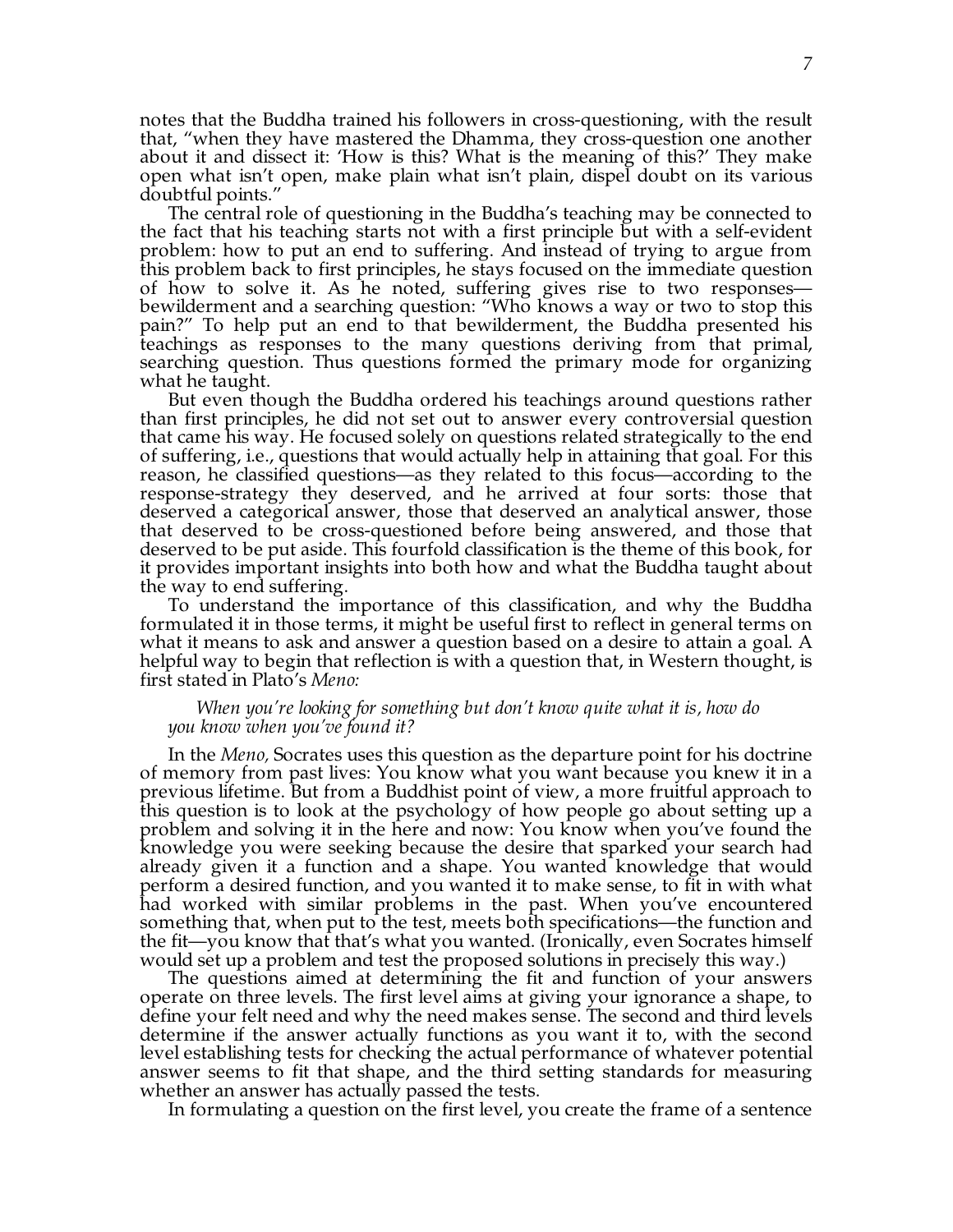notes that the Buddha trained his followers in cross-questioning, with the result that, "when they have mastered the Dhamma, they cross-question one another about it and dissect it: 'How is this? What is the meaning of this?' They make open what isn't open, make plain what isn't plain, dispel doubt on its various doubtful points."

The central role of questioning in the Buddha's teaching may be connected to the fact that his teaching starts not with a first principle but with a self-evident problem: how to put an end to suffering. And instead of trying to argue from this problem back to first principles, he stays focused on the immediate question of how to solve it. As he noted, suffering gives rise to two responses bewilderment and a searching question: "Who knows a way or two to stop this pain?" To help put an end to that bewilderment, the Buddha presented his teachings as responses to the many questions deriving from that primal, searching question. Thus questions formed the primary mode for organizing what he taught.

But even though the Buddha ordered his teachings around questions rather than first principles, he did not set out to answer every controversial question that came his way. He focused solely on questions related strategically to the end of suffering, i.e., questions that would actually help in attaining that goal. For this reason, he classified questions—as they related to this focus—according to the response-strategy they deserved, and he arrived at four sorts: those that deserved a categorical answer, those that deserved an analytical answer, those that deserved to be cross-questioned before being answered, and those that deserved to be put aside. This fourfold classification is the theme of this book, for it provides important insights into both how and what the Buddha taught about the way to end suffering.

To understand the importance of this classification, and why the Buddha formulated it in those terms, it might be useful first to reflect in general terms on what it means to ask and answer a question based on a desire to attain a goal. A helpful way to begin that reflection is with a question that, in Western thought, is first stated in Plato's *Meno:*

#### *When you're looking for something but don't know quite what it is, how do you know when you've found it?*

In the *Meno,* Socrates uses this question as the departure point for his doctrine of memory from past lives: You know what you want because you knew it in a previous lifetime. But from a Buddhist point of view, a more fruitful approach to this question is to look at the psychology of how people go about setting up a problem and solving it in the here and now: You know when you've found the knowledge you were seeking because the desire that sparked your search had already given it a function and a shape. You wanted knowledge that would perform a desired function, and you wanted it to make sense, to fit in with what had worked with similar problems in the past. When you've encountered something that, when put to the test, meets both specifications—the function and the fit—you know that that's what you wanted. (Ironically, even Socrates himself would set up a problem and test the proposed solutions in precisely this way.)

The questions aimed at determining the fit and function of your answers operate on three levels. The first level aims at giving your ignorance a shape, to define your felt need and why the need makes sense. The second and third levels determine if the answer actually functions as you want it to, with the second level establishing tests for checking the actual performance of whatever potential answer seems to fit that shape, and the third setting standards for measuring whether an answer has actually passed the tests.

In formulating a question on the first level, you create the frame of a sentence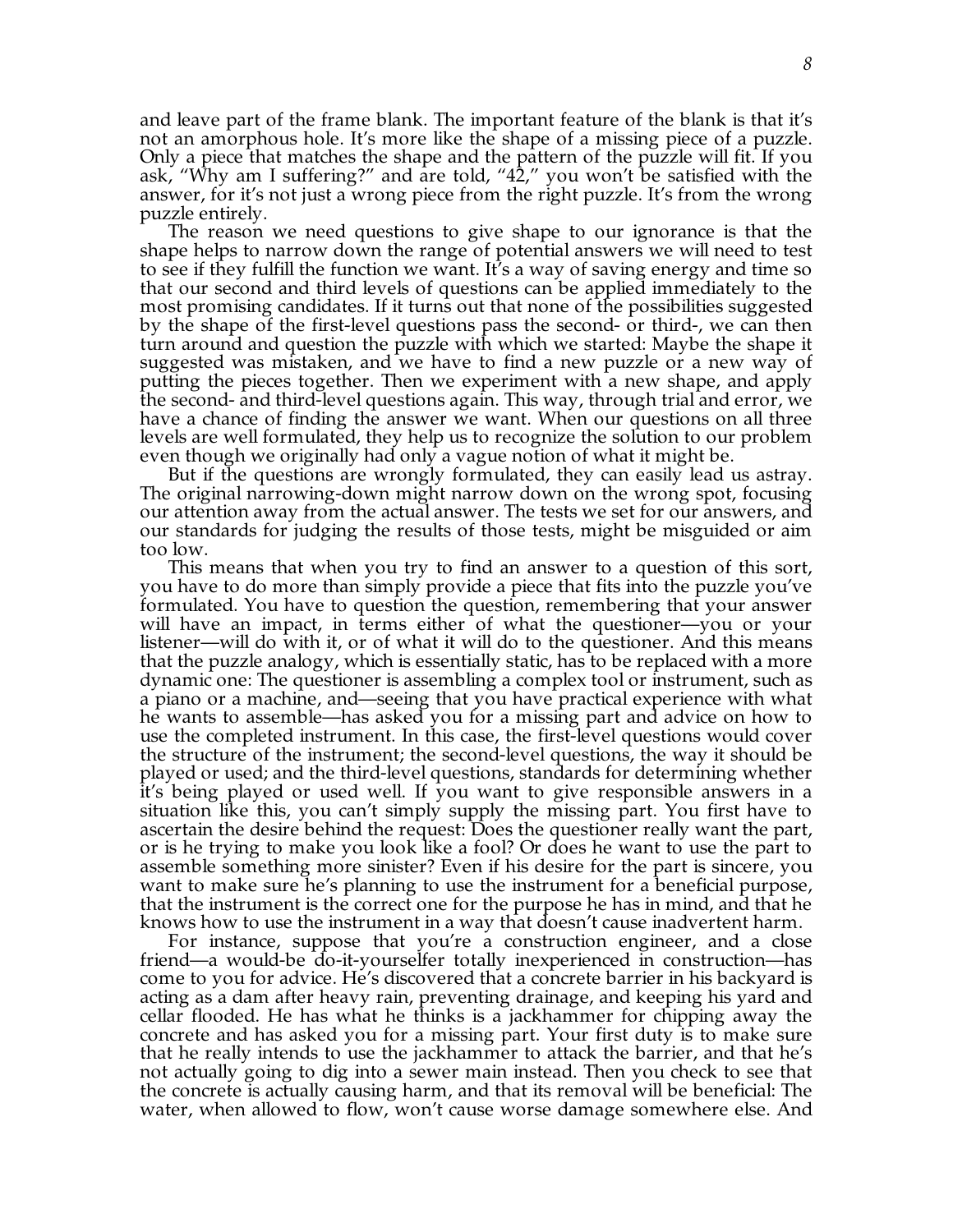and leave part of the frame blank. The important feature of the blank is that it's not an amorphous hole. It's more like the shape of a missing piece of a puzzle. Only a piece that matches the shape and the pattern of the puzzle will fit. If you ask, "Why am I suffering?" and are told, "42," you won't be satisfied with the answer, for it's not just a wrong piece from the right puzzle. It's from the wrong puzzle entirely.

The reason we need questions to give shape to our ignorance is that the shape helps to narrow down the range of potential answers we will need to test to see if they fulfill the function we want. It's a way of saving energy and time so that our second and third levels of questions can be applied immediately to the most promising candidates. If it turns out that none of the possibilities suggested by the shape of the first-level questions pass the second- or third-, we can then turn around and question the puzzle with which we started: Maybe the shape it suggested was mistaken, and we have to find a new puzzle or a new way of putting the pieces together. Then we experiment with a new shape, and apply the second- and third-level questions again. This way, through trial and error, we have a chance of finding the answer we want. When our questions on all three levels are well formulated, they help us to recognize the solution to our problem even though we originally had only a vague notion of what it might be.

But if the questions are wrongly formulated, they can easily lead us astray. The original narrowing-down might narrow down on the wrong spot, focusing our attention away from the actual answer. The tests we set for our answers, and our standards for judging the results of those tests, might be misguided or aim too low.

This means that when you try to find an answer to a question of this sort, you have to do more than simply provide a piece that fits into the puzzle you've formulated. You have to question the question, remembering that your answer will have an impact, in terms either of what the questioner—you or your listener—will do with it, or of what it will do to the questioner. And this means that the puzzle analogy, which is essentially static, has to be replaced with a more dynamic one: The questioner is assembling a complex tool or instrument, such as a piano or a machine, and—seeing that you have practical experience with what he wants to assemble—has asked you for a missing part and advice on how to use the completed instrument. In this case, the first-level questions would cover the structure of the instrument; the second-level questions, the way it should be played or used; and the third-level questions, standards for determining whether it's being played or used well. If you want to give responsible answers in a situation like this, you can't simply supply the missing part. You first have to ascertain the desire behind the request: Does the questioner really want the part, or is he trying to make you look like a fool? Or does he want to use the part to assemble something more sinister? Even if his desire for the part is sincere, you want to make sure he's planning to use the instrument for a beneficial purpose, that the instrument is the correct one for the purpose he has in mind, and that he knows how to use the instrument in a way that doesn't cause inadvertent harm.

For instance, suppose that you're a construction engineer, and a close friend—a would-be do-it-yourselfer totally inexperienced in construction—has come to you for advice. He's discovered that a concrete barrier in his backyard is acting as a dam after heavy rain, preventing drainage, and keeping his yard and cellar flooded. He has what he thinks is a jackhammer for chipping away the concrete and has asked you for a missing part. Your first duty is to make sure that he really intends to use the jackhammer to attack the barrier, and that he's not actually going to dig into a sewer main instead. Then you check to see that the concrete is actually causing harm, and that its removal will be beneficial: The water, when allowed to flow, won't cause worse damage somewhere else. And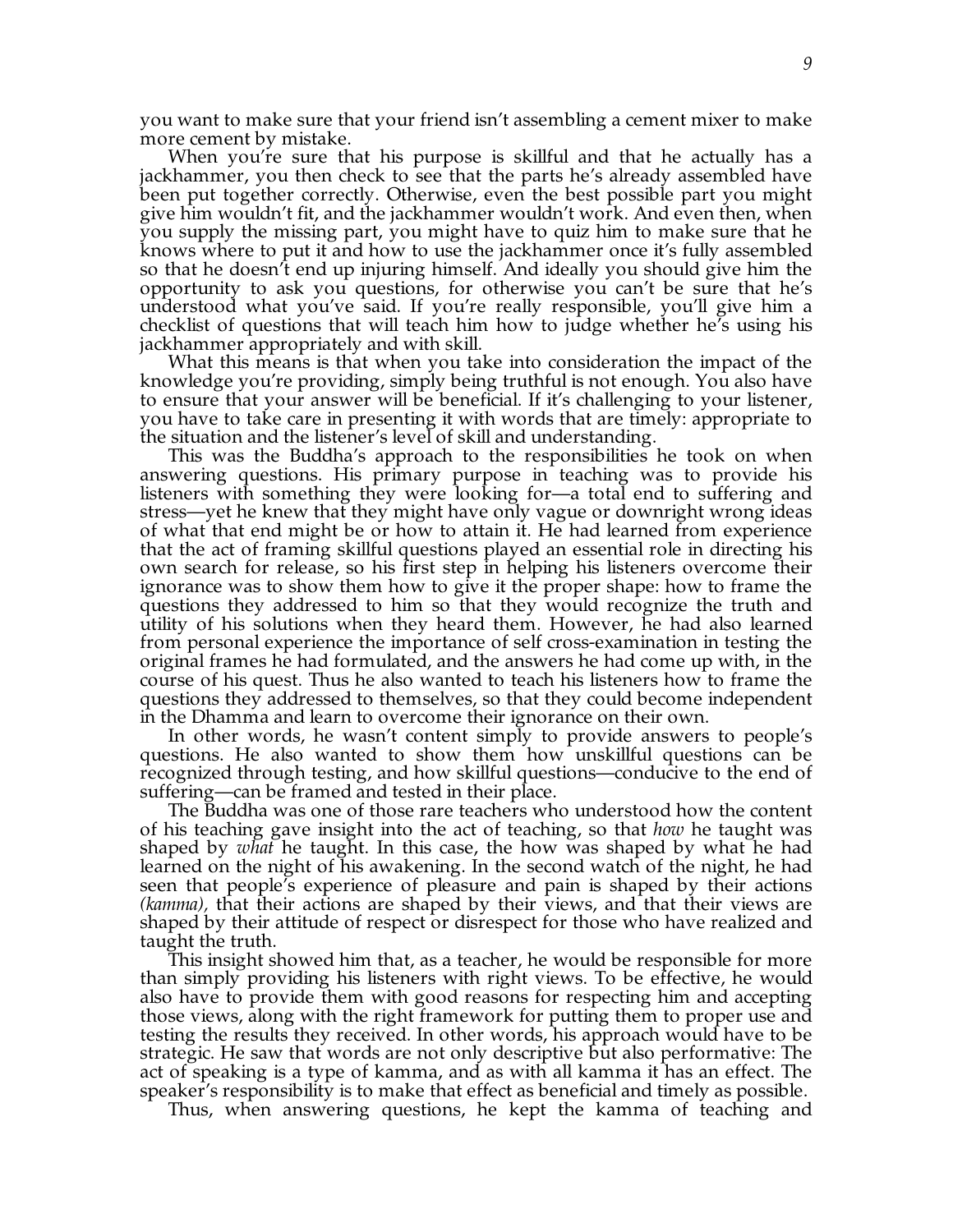you want to make sure that your friend isn't assembling a cement mixer to make more cement by mistake.

When you're sure that his purpose is skillful and that he actually has a jackhammer, you then check to see that the parts he's already assembled have been put together correctly. Otherwise, even the best possible part you might give him wouldn't fit, and the jackhammer wouldn't work. And even then, when you supply the missing part, you might have to quiz him to make sure that he knows where to put it and how to use the jackhammer once it's fully assembled so that he doesn't end up injuring himself. And ideally you should give him the opportunity to ask you questions, for otherwise you can't be sure that he's understood what you've said. If you're really responsible, you'll give him a checklist of questions that will teach him how to judge whether he's using his jackhammer appropriately and with skill.

What this means is that when you take into consideration the impact of the knowledge you're providing, simply being truthful is not enough. You also have to ensure that your answer will be beneficial. If it's challenging to your listener, you have to take care in presenting it with words that are timely: appropriate to the situation and the listener's level of skill and understanding.

This was the Buddha's approach to the responsibilities he took on when answering questions. His primary purpose in teaching was to provide his listeners with something they were looking for—a total end to suffering and stress—yet he knew that they might have only vague or downright wrong ideas of what that end might be or how to attain it. He had learned from experience that the act of framing skillful questions played an essential role in directing his own search for release, so his first step in helping his listeners overcome their ignorance was to show them how to give it the proper shape: how to frame the questions they addressed to him so that they would recognize the truth and utility of his solutions when they heard them. However, he had also learned from personal experience the importance of self cross-examination in testing the original frames he had formulated, and the answers he had come up with, in the course of his quest. Thus he also wanted to teach his listeners how to frame the questions they addressed to themselves, so that they could become independent in the Dhamma and learn to overcome their ignorance on their own.

In other words, he wasn't content simply to provide answers to people's questions. He also wanted to show them how unskillful questions can be recognized through testing, and how skillful questions—conducive to the end of suffering—can be framed and tested in their place.

The Buddha was one of those rare teachers who understood how the content of his teaching gave insight into the act of teaching, so that *how* he taught was shaped by *what* he taught. In this case, the how was shaped by what he had learned on the night of his awakening. In the second watch of the night, he had seen that people's experience of pleasure and pain is shaped by their actions *(kamma),* that their actions are shaped by their views, and that their views are shaped by their attitude of respect or disrespect for those who have realized and taught the truth.

This insight showed him that, as a teacher, he would be responsible for more than simply providing his listeners with right views. To be effective, he would also have to provide them with good reasons for respecting him and accepting those views, along with the right framework for putting them to proper use and testing the results they received. In other words, his approach would have to be strategic. He saw that words are not only descriptive but also performative: The act of speaking is a type of kamma, and as with all kamma it has an effect. The speaker's responsibility is to make that effect as beneficial and timely as possible.

Thus, when answering questions, he kept the kamma of teaching and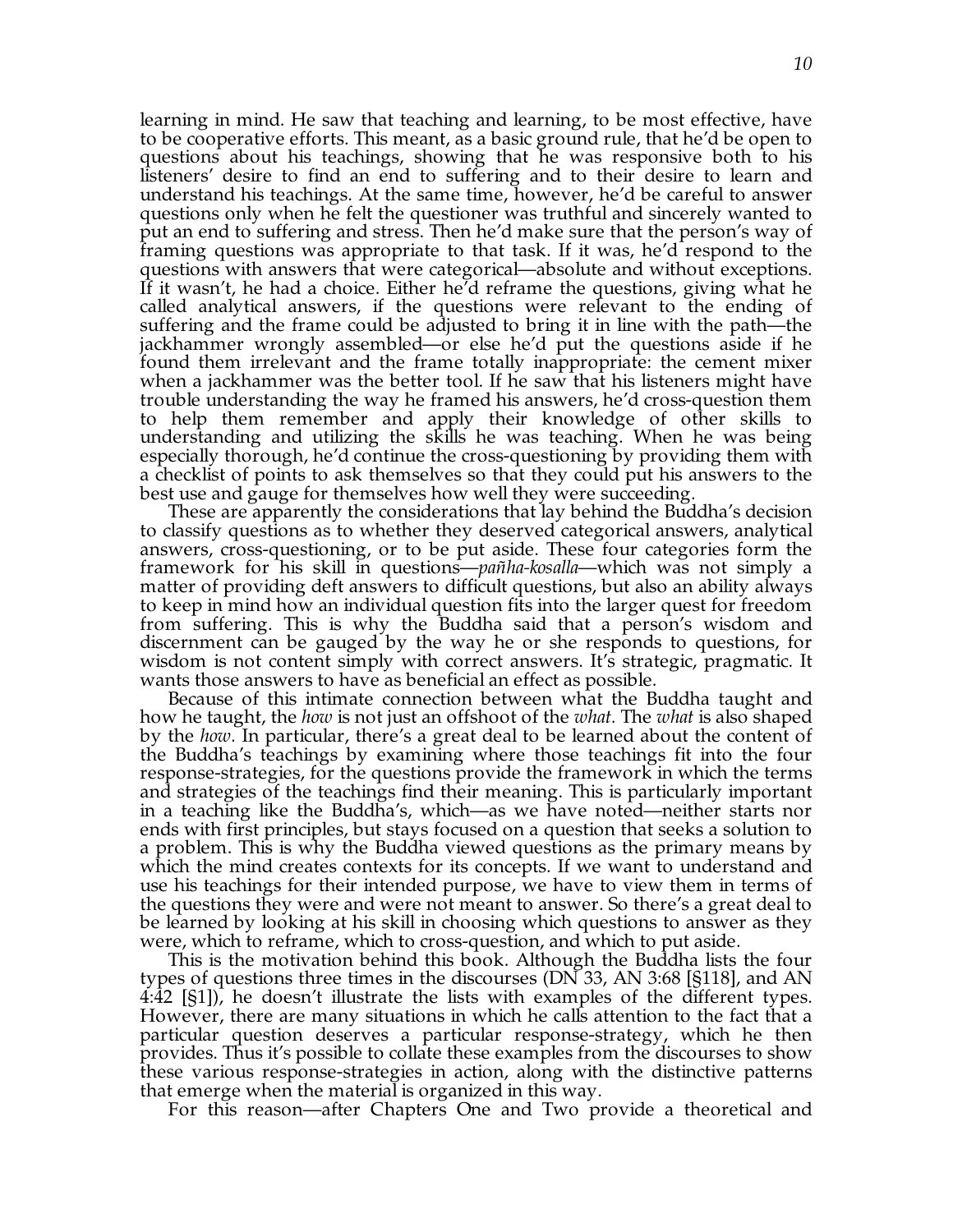learning in mind. He saw that teaching and learning, to be most effective, have to be cooperative efforts. This meant, as a basic ground rule, that he'd be open to questions about his teachings, showing that he was responsive both to his listeners' desire to find an end to suffering and to their desire to learn and understand his teachings. At the same time, however, he'd be careful to answer questions only when he felt the questioner was truthful and sincerely wanted to put an end to suffering and stress. Then he'd make sure that the person's way of framing questions was appropriate to that task. If it was, he'd respond to the questions with answers that were categorical—absolute and without exceptions. If it wasn't, he had a choice. Either he'd reframe the questions, giving what he called analytical answers, if the questions were relevant to the ending of suffering and the frame could be adjusted to bring it in line with the path—the jackhammer wrongly assembled—or else he'd put the questions aside if he found them irrelevant and the frame totally inappropriate: the cement mixer when a jackhammer was the better tool. If he saw that his listeners might have trouble understanding the way he framed his answers, he'd cross-question them to help them remember and apply their knowledge of other skills to understanding and utilizing the skills he was teaching. When he was being especially thorough, he'd continue the cross-questioning by providing them with a checklist of points to ask themselves so that they could put his answers to the best use and gauge for themselves how well they were succeeding.

These are apparently the considerations that lay behind the Buddha's decision to classify questions as to whether they deserved categorical answers, analytical answers, cross-questioning, or to be put aside. These four categories form the framework for his skill in questions—*pañha-kosalla*—which was not simply a matter of providing deft answers to difficult questions, but also an ability always to keep in mind how an individual question fits into the larger quest for freedom from suffering. This is why the Buddha said that a person's wisdom and discernment can be gauged by the way he or she responds to questions, for wisdom is not content simply with correct answers. It's strategic, pragmatic. It wants those answers to have as beneficial an effect as possible.

Because of this intimate connection between what the Buddha taught and how he taught, the *how* is not just an offshoot of the *what.* The *what* is also shaped by the *how.* In particular, there's a great deal to be learned about the content of the Buddha's teachings by examining where those teachings fit into the four response-strategies, for the questions provide the framework in which the terms and strategies of the teachings find their meaning. This is particularly important in a teaching like the Buddha's, which—as we have noted—neither starts nor ends with first principles, but stays focused on a question that seeks a solution to a problem. This is why the Buddha viewed questions as the primary means by which the mind creates contexts for its concepts. If we want to understand and use his teachings for their intended purpose, we have to view them in terms of the questions they were and were not meant to answer. So there's a great deal to be learned by looking at his skill in choosing which questions to answer as they were, which to reframe, which to cross-question, and which to put aside.

This is the motivation behind this book. Although the Buddha lists the four types of questions three times in the discourses (DN 33, AN 3:68 [§118], and AN 4:42 [§1]), he doesn't illustrate the lists with examples of the different types. However, there are many situations in which he calls attention to the fact that a particular question deserves a particular response-strategy, which he then provides. Thus it's possible to collate these examples from the discourses to show these various response-strategies in action, along with the distinctive patterns that emerge when the material is organized in this way.

For this reason—after Chapters One and Two provide a theoretical and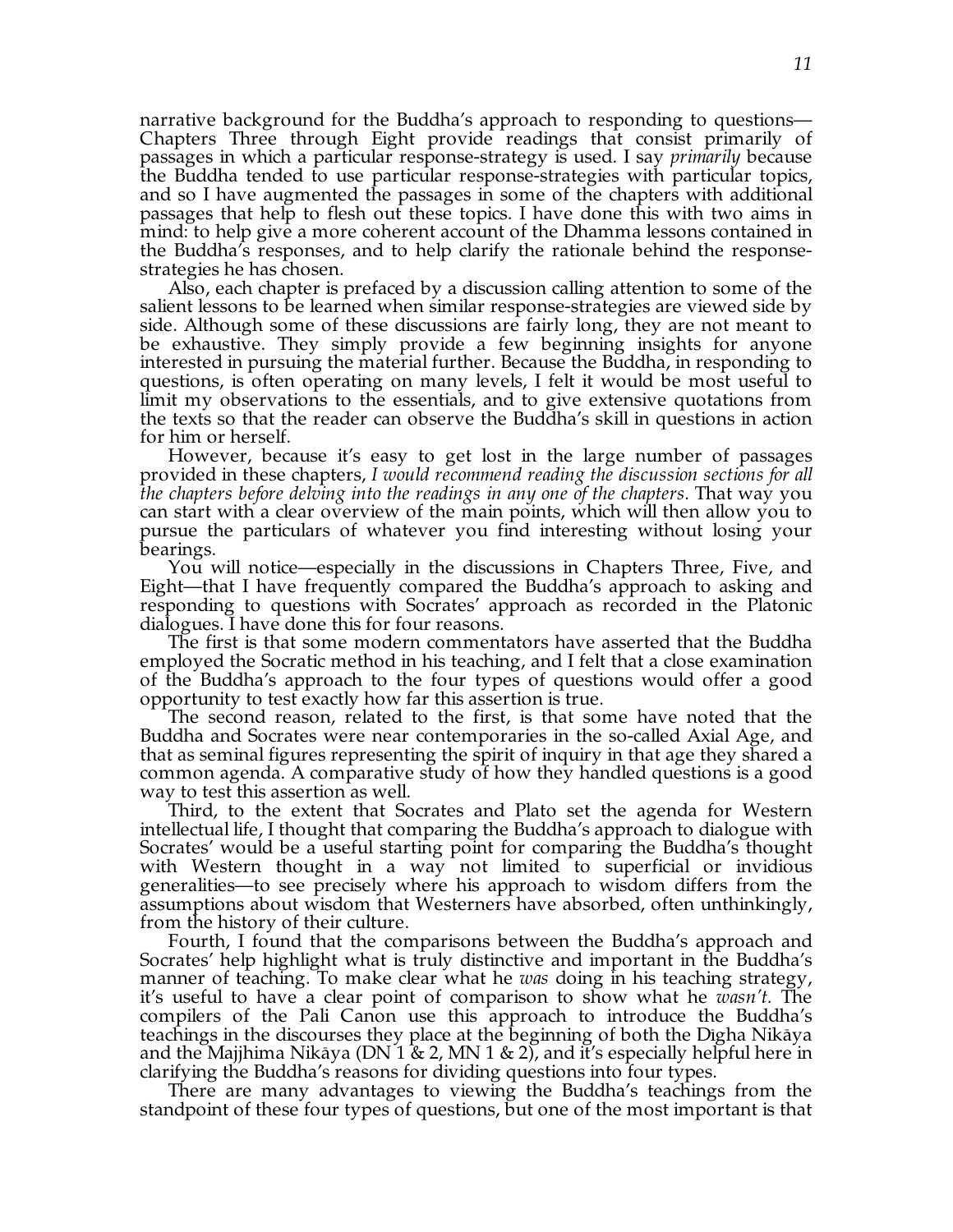narrative background for the Buddha's approach to responding to questions— Chapters Three through Eight provide readings that consist primarily of passages in which a particular response-strategy is used. I say *primarily* because the Buddha tended to use particular response-strategies with particular topics, and so I have augmented the passages in some of the chapters with additional passages that help to flesh out these topics. I have done this with two aims in mind: to help give a more coherent account of the Dhamma lessons contained in the Buddha's responses, and to help clarify the rationale behind the responsestrategies he has chosen.

Also, each chapter is prefaced by a discussion calling attention to some of the salient lessons to be learned when similar response-strategies are viewed side by side. Although some of these discussions are fairly long, they are not meant to be exhaustive. They simply provide a few beginning insights for anyone interested in pursuing the material further. Because the Buddha, in responding to questions, is often operating on many levels, I felt it would be most useful to limit my observations to the essentials, and to give extensive quotations from the texts so that the reader can observe the Buddha's skill in questions in action for him or herself.

However, because it's easy to get lost in the large number of passages provided in these chapters, *I would recommend reading the discussion sections for all the chapters before delving into the readings in any one of the chapters.* That way you can start with a clear overview of the main points, which will then allow you to pursue the particulars of whatever you find interesting without losing your bearings.

You will notice—especially in the discussions in Chapters Three, Five, and Eight—that I have frequently compared the Buddha's approach to asking and responding to questions with Socrates' approach as recorded in the Platonic dialogues. I have done this for four reasons.

The first is that some modern commentators have asserted that the Buddha employed the Socratic method in his teaching, and I felt that a close examination of the Buddha's approach to the four types of questions would offer a good opportunity to test exactly how far this assertion is true.

The second reason, related to the first, is that some have noted that the Buddha and Socrates were near contemporaries in the so-called Axial Age, and that as seminal figures representing the spirit of inquiry in that age they shared a common agenda. A comparative study of how they handled questions is a good way to test this assertion as well.

Third, to the extent that Socrates and Plato set the agenda for Western intellectual life, I thought that comparing the Buddha's approach to dialogue with Socrates' would be a useful starting point for comparing the Buddha's thought with Western thought in a way not limited to superficial or invidious generalities—to see precisely where his approach to wisdom differs from the assumptions about wisdom that Westerners have absorbed, often unthinkingly, from the history of their culture.

Fourth, I found that the comparisons between the Buddha's approach and Socrates' help highlight what is truly distinctive and important in the Buddha's manner of teaching. To make clear what he *was* doing in his teaching strategy, it's useful to have a clear point of comparison to show what he *wasn't.* The compilers of the Pali Canon use this approach to introduce the Buddha's teachings in the discourses they place at the beginning of both the Digha Nikāya and the Majjhima Nikāya (DN 1 & 2, MN 1 & 2), and it's especially helpful here in clarifying the Buddha's reasons for dividing questions into four types.

There are many advantages to viewing the Buddha's teachings from the standpoint of these four types of questions, but one of the most important is that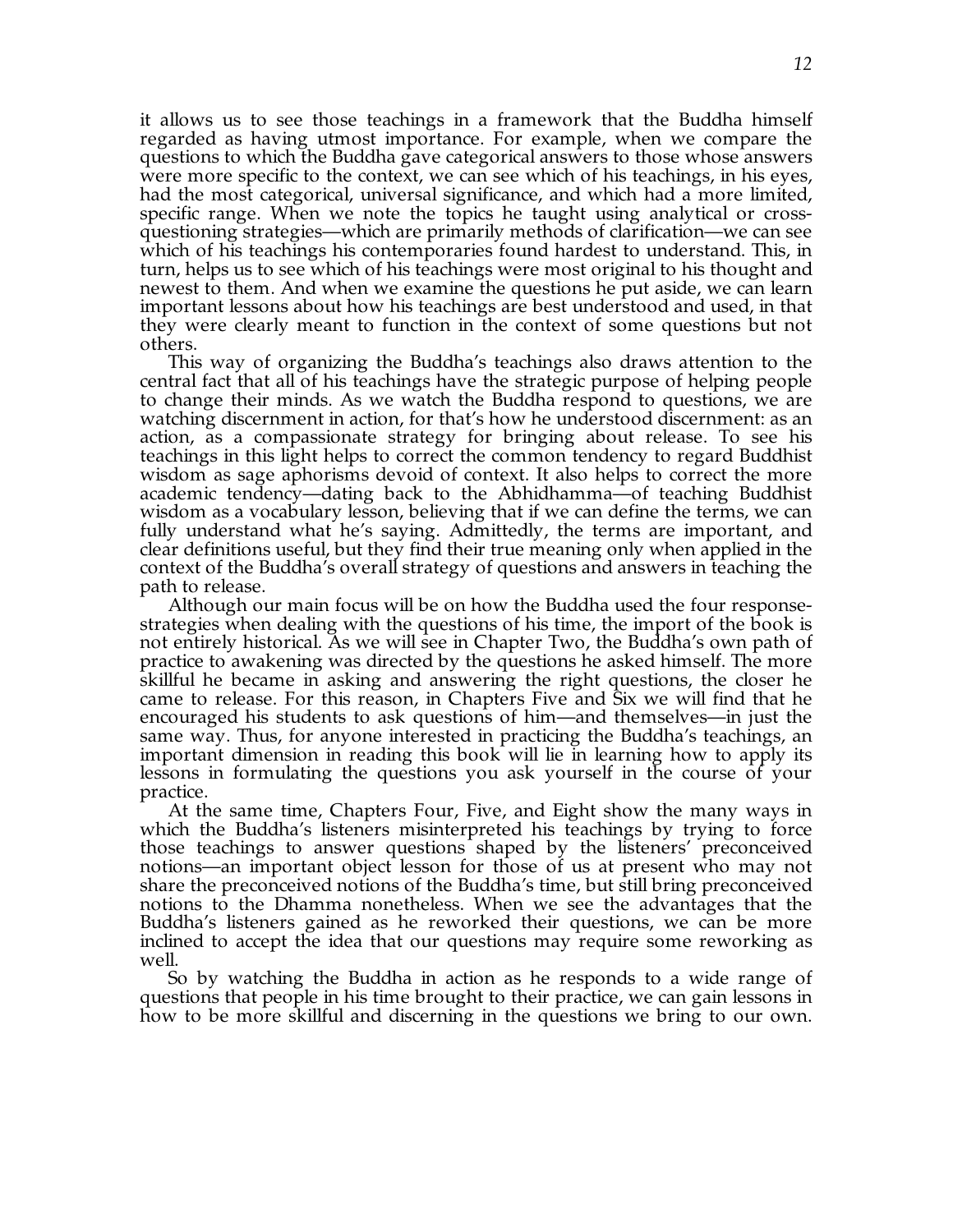it allows us to see those teachings in a framework that the Buddha himself regarded as having utmost importance. For example, when we compare the questions to which the Buddha gave categorical answers to those whose answers were more specific to the context, we can see which of his teachings, in his eyes, had the most categorical, universal significance, and which had a more limited, specific range. When we note the topics he taught using analytical or crossquestioning strategies—which are primarily methods of clarification—we can see which of his teachings his contemporaries found hardest to understand. This, in turn, helps us to see which of his teachings were most original to his thought and newest to them. And when we examine the questions he put aside, we can learn important lessons about how his teachings are best understood and used, in that they were clearly meant to function in the context of some questions but not others.

This way of organizing the Buddha's teachings also draws attention to the central fact that all of his teachings have the strategic purpose of helping people to change their minds. As we watch the Buddha respond to questions, we are watching discernment in action, for that's how he understood discernment: as an action, as a compassionate strategy for bringing about release. To see his teachings in this light helps to correct the common tendency to regard Buddhist wisdom as sage aphorisms devoid of context. It also helps to correct the more academic tendency—dating back to the Abhidhamma—of teaching Buddhist wisdom as a vocabulary lesson, believing that if we can define the terms, we can fully understand what he's saying. Admittedly, the terms are important, and clear definitions useful, but they find their true meaning only when applied in the context of the Buddha's overall strategy of questions and answers in teaching the path to release.

Although our main focus will be on how the Buddha used the four responsestrategies when dealing with the questions of his time, the import of the book is not entirely historical. As we will see in Chapter Two, the Buddha's own path of practice to awakening was directed by the questions he asked himself. The more skillful he became in asking and answering the right questions, the closer he came to release. For this reason, in Chapters Five and Six we will find that he encouraged his students to ask questions of him—and themselves—in just the same way. Thus, for anyone interested in practicing the Buddha's teachings, an important dimension in reading this book will lie in learning how to apply its lessons in formulating the questions you ask yourself in the course of your practice.

At the same time, Chapters Four, Five, and Eight show the many ways in which the Buddha's listeners misinterpreted his teachings by trying to force those teachings to answer questions shaped by the listeners' preconceived notions—an important object lesson for those of us at present who may not share the preconceived notions of the Buddha's time, but still bring preconceived notions to the Dhamma nonetheless. When we see the advantages that the Buddha's listeners gained as he reworked their questions, we can be more inclined to accept the idea that our questions may require some reworking as well.

So by watching the Buddha in action as he responds to a wide range of questions that people in his time brought to their practice, we can gain lessons in how to be more skillful and discerning in the questions we bring to our own.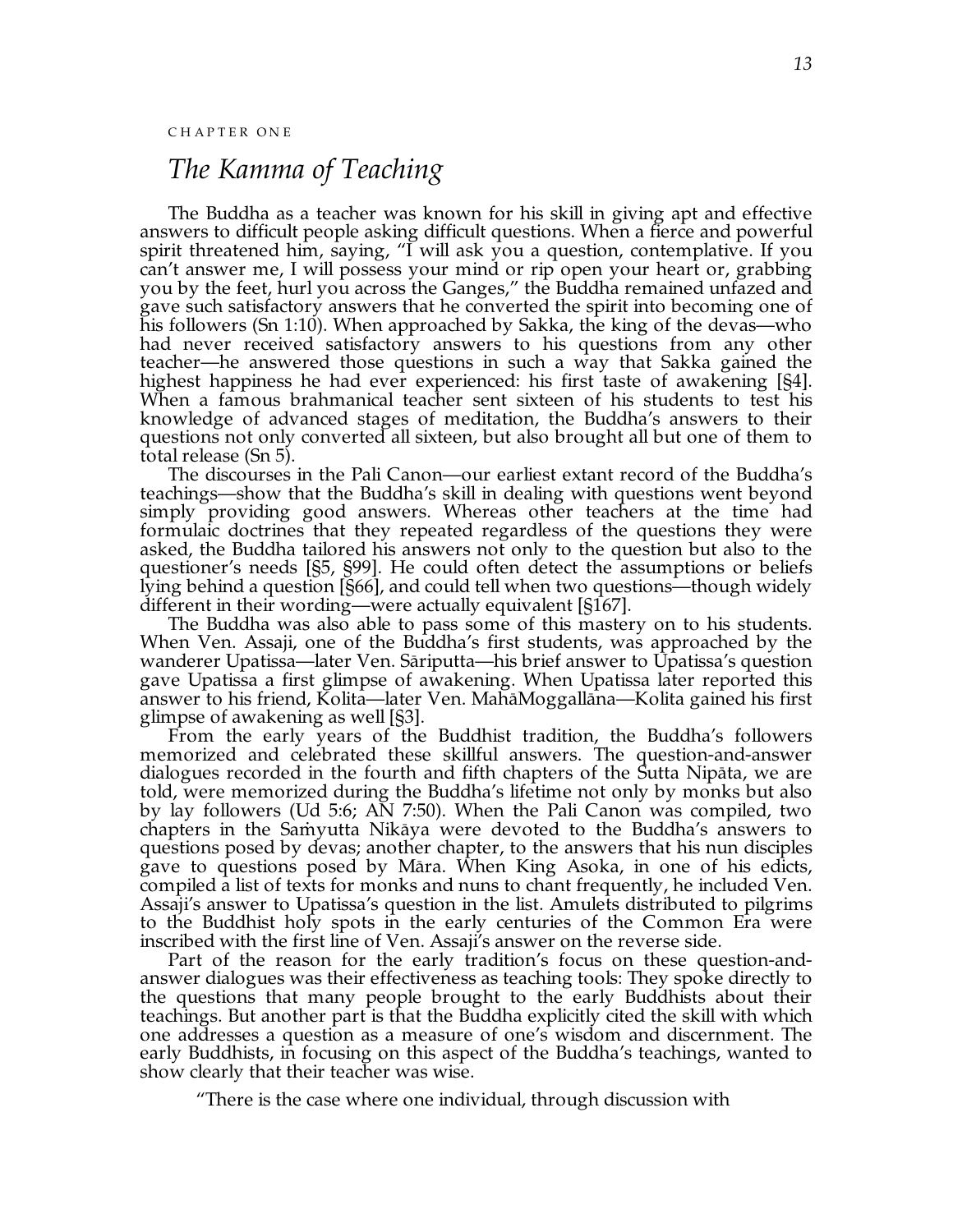## *The Kamma of Teaching*

The Buddha as a teacher was known for his skill in giving apt and effective answers to difficult people asking difficult questions. When a fierce and powerful spirit threatened him, saying, "I will ask you a question, contemplative. If you can't answer me, I will possess your mind or rip open your heart or, grabbing you by the feet, hurl you across the Ganges," the Buddha remained unfazed and gave such satisfactory answers that he converted the spirit into becoming one of his followers (Sn 1:10). When approached by Sakka, the king of the devas—who had never received satisfactory answers to his questions from any other teacher—he answered those questions in such a way that Sakka gained the highest happiness he had ever experienced: his first taste of awakening [§4]. When a famous brahmanical teacher sent sixteen of his students to test his knowledge of advanced stages of meditation, the Buddha's answers to their questions not only converted all sixteen, but also brought all but one of them to total release (Sn 5).

The discourses in the Pali Canon—our earliest extant record of the Buddha's teachings—show that the Buddha's skill in dealing with questions went beyond simply providing good answers. Whereas other teachers at the time had formulaic doctrines that they repeated regardless of the questions they were asked, the Buddha tailored his answers not only to the question but also to the questioner's needs [§5, §99]. He could often detect the assumptions or beliefs lying behind a question [§66], and could tell when two questions—though widely different in their wording—were actually equivalent [§167].

The Buddha was also able to pass some of this mastery on to his students. When Ven. Assaji, one of the Buddha's first students, was approached by the wanderer Upatissa—later Ven. Sāriputta—his brief answer to Upatissa's question gave Upatissa a first glimpse of awakening. When Upatissa later reported this answer to his friend, Kolita—later Ven. MahāMoggallāna—Kolita gained his first glimpse of awakening as well [§3].

From the early years of the Buddhist tradition, the Buddha's followers memorized and celebrated these skillful answers. The question-and-answer dialogues recorded in the fourth and fifth chapters of the Sutta Nipata, we are told, were memorized during the Buddha's lifetime not only by monks but also by lay followers (Ud 5:6; AN 7:50). When the Pali Canon was compiled, two chapters in the Samyutta Nikaya were devoted to the Buddha's answers to questions posed by devas; another chapter, to the answers that his nun disciples gave to questions posed by Māra. When King Asoka, in one of his edicts, compiled a list of texts for monks and nuns to chant frequently, he included Ven. Assaji's answer to Upatissa's question in the list. Amulets distributed to pilgrims to the Buddhist holy spots in the early centuries of the Common Era were inscribed with the first line of Ven. Assaji's answer on the reverse side.

Part of the reason for the early tradition's focus on these question-andanswer dialogues was their effectiveness as teaching tools: They spoke directly to the questions that many people brought to the early Buddhists about their teachings. But another part is that the Buddha explicitly cited the skill with which one addresses a question as a measure of one's wisdom and discernment. The early Buddhists, in focusing on this aspect of the Buddha's teachings, wanted to show clearly that their teacher was wise.

"There is the case where one individual, through discussion with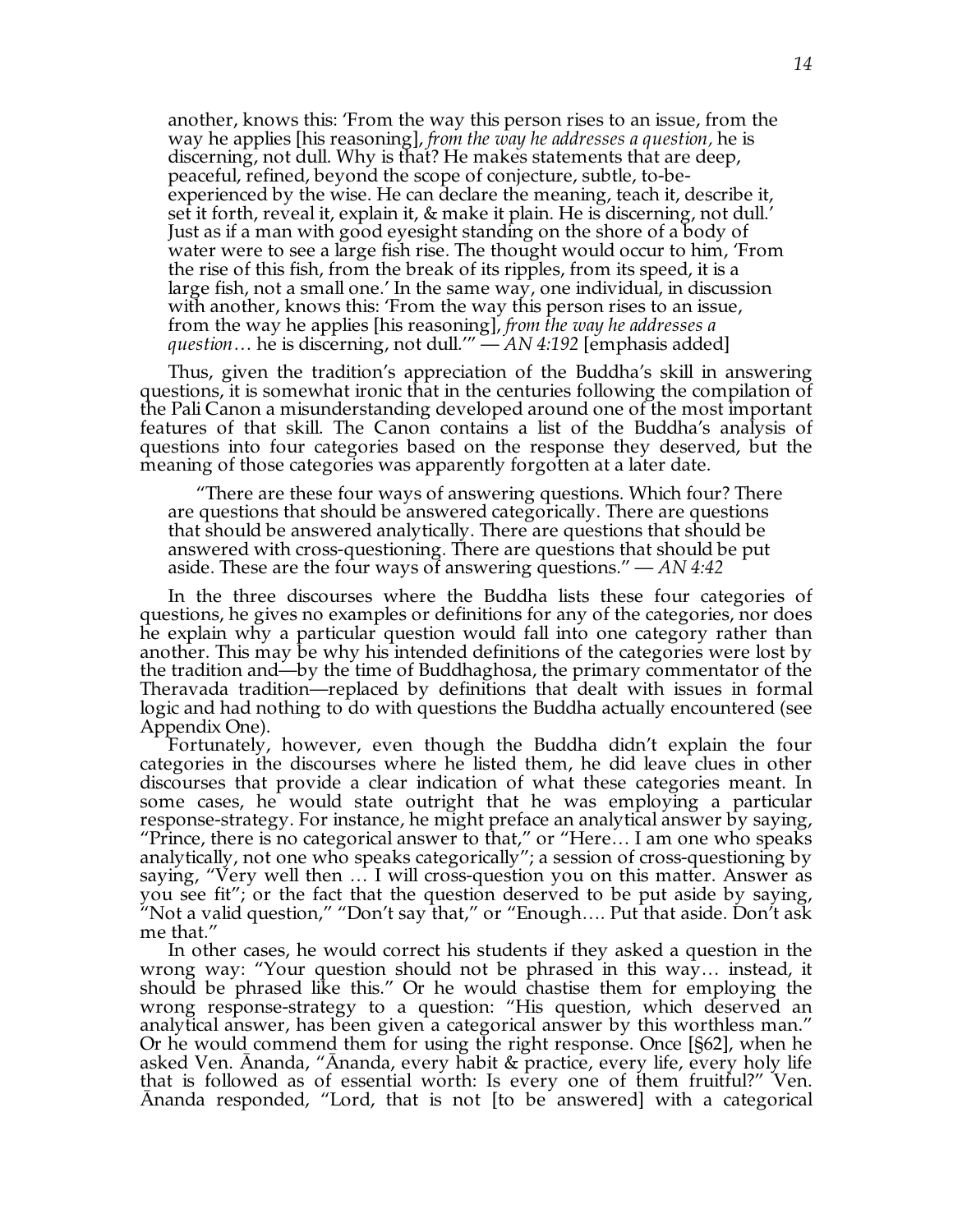another, knows this: 'From the way this person rises to an issue, from the way he applies [his reasoning], *from the way he addresses a question,* he is discerning, not dull. Why is that? He makes statements that are deep, peaceful, refined, beyond the scope of conjecture, subtle, to-beexperienced by the wise. He can declare the meaning, teach it, describe it, set it forth, reveal it, explain it, & make it plain. He is discerning, not dull.' Just as if a man with good eyesight standing on the shore of a body of water were to see a large fish rise. The thought would occur to him, 'From the rise of this fish, from the break of its ripples, from its speed, it is a large fish, not a small one.' In the same way, one individual, in discussion with another, knows this: 'From the way this person rises to an issue, from the way he applies [his reasoning], *from the way he addresses a question*… he is discerning, not dull.'" — *AN 4:192* [emphasis added]

Thus, given the tradition's appreciation of the Buddha's skill in answering questions, it is somewhat ironic that in the centuries following the compilation of the Pali Canon a misunderstanding developed around one of the most important features of that skill. The Canon contains a list of the Buddha's analysis of questions into four categories based on the response they deserved, but the meaning of those categories was apparently forgotten at a later date.

"There are these four ways of answering questions. Which four? There are questions that should be answered categorically. There are questions that should be answered analytically. There are questions that should be answered with cross-questioning. There are questions that should be put aside. These are the four ways of answering questions." — *AN 4:42*

In the three discourses where the Buddha lists these four categories of questions, he gives no examples or definitions for any of the categories, nor does he explain why a particular question would fall into one category rather than another. This may be why his intended definitions of the categories were lost by the tradition and—by the time of Buddhaghosa, the primary commentator of the Theravada tradition—replaced by definitions that dealt with issues in formal logic and had nothing to do with questions the Buddha actually encountered (see Appendix One).

Fortunately, however, even though the Buddha didn't explain the four categories in the discourses where he listed them, he did leave clues in other discourses that provide a clear indication of what these categories meant. In some cases, he would state outright that he was employing a particular response-strategy. For instance, he might preface an analytical answer by saying, "Prince, there is no categorical answer to that," or "Here… I am one who speaks analytically, not one who speaks categorically"; a session of cross-questioning by saying, "Very well then … I will cross-question you on this matter. Answer as you see fit"; or the fact that the question deserved to be put aside by saying, "Not a valid question," "Don't say that," or "Enough…. Put that aside. Don't ask me that."

In other cases, he would correct his students if they asked a question in the wrong way: "Your question should not be phrased in this way… instead, it should be phrased like this." Or he would chastise them for employing the wrong response-strategy to a question: "His question, which deserved an analytical answer, has been given a categorical answer by this worthless man." Or he would commend them for using the right response. Once [§62], when he asked Ven. Ananda, "Ananda, every habit & practice, every life, every holy life that is followed as of essential worth: Is every one of them fruitful?" Ven. Ananda responded, "Lord, that is not [to be answered] with a categorical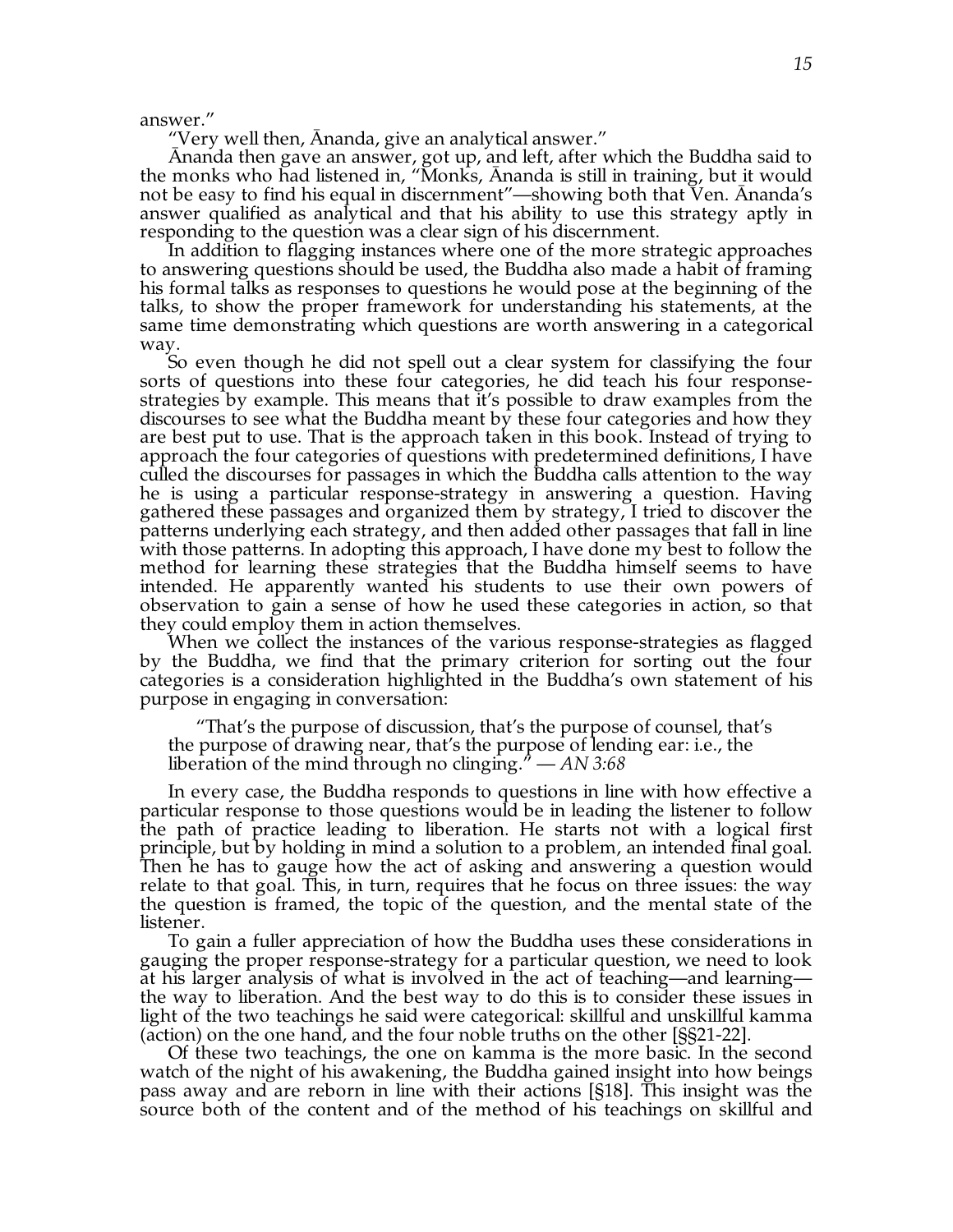answer."

"Very well then, Ananda, give an analytical answer."

Ananda then gave an answer, got up, and left, after which the Buddha said to the monks who had listened in, "Monks, finanda is still in training, but it would not be easy to find his equal in discernment"—showing both that Ven. Ananda's answer qualified as analytical and that his ability to use this strategy aptly in responding to the question was a clear sign of his discernment.

In addition to flagging instances where one of the more strategic approaches to answering questions should be used, the Buddha also made a habit of framing his formal talks as responses to questions he would pose at the beginning of the talks, to show the proper framework for understanding his statements, at the same time demonstrating which questions are worth answering in a categorical way.

So even though he did not spell out a clear system for classifying the four sorts of questions into these four categories, he did teach his four responsestrategies by example. This means that it's possible to draw examples from the discourses to see what the Buddha meant by these four categories and how they are best put to use. That is the approach taken in this book. Instead of trying to approach the four categories of questions with predetermined definitions, I have culled the discourses for passages in which the Buddha calls attention to the way he is using a particular response-strategy in answering a question. Having gathered these passages and organized them by strategy, I tried to discover the patterns underlying each strategy, and then added other passages that fall in line with those patterns. In adopting this approach, I have done my best to follow the method for learning these strategies that the Buddha himself seems to have intended. He apparently wanted his students to use their own powers of observation to gain a sense of how he used these categories in action, so that they could employ them in action themselves.

When we collect the instances of the various response-strategies as flagged by the Buddha, we find that the primary criterion for sorting out the four categories is a consideration highlighted in the Buddha's own statement of his purpose in engaging in conversation:

"That's the purpose of discussion, that's the purpose of counsel, that's the purpose of drawing near, that's the purpose of lending ear: i.e., the liberation of the mind through no clinging." — *AN 3:68*

In every case, the Buddha responds to questions in line with how effective a particular response to those questions would be in leading the listener to follow the path of practice leading to liberation. He starts not with a logical first principle, but by holding in mind a solution to a problem, an intended final goal. Then he has to gauge how the act of asking and answering a question would relate to that goal. This, in turn, requires that he focus on three issues: the way the question is framed, the topic of the question, and the mental state of the listener.

To gain a fuller appreciation of how the Buddha uses these considerations in gauging the proper response-strategy for a particular question, we need to look at his larger analysis of what is involved in the act of teaching—and learning the way to liberation. And the best way to do this is to consider these issues in light of the two teachings he said were categorical: skillful and unskillful kamma (action) on the one hand, and the four noble truths on the other [§§21-22].

Of these two teachings, the one on kamma is the more basic. In the second watch of the night of his awakening, the Buddha gained insight into how beings pass away and are reborn in line with their actions [§18]. This insight was the source both of the content and of the method of his teachings on skillful and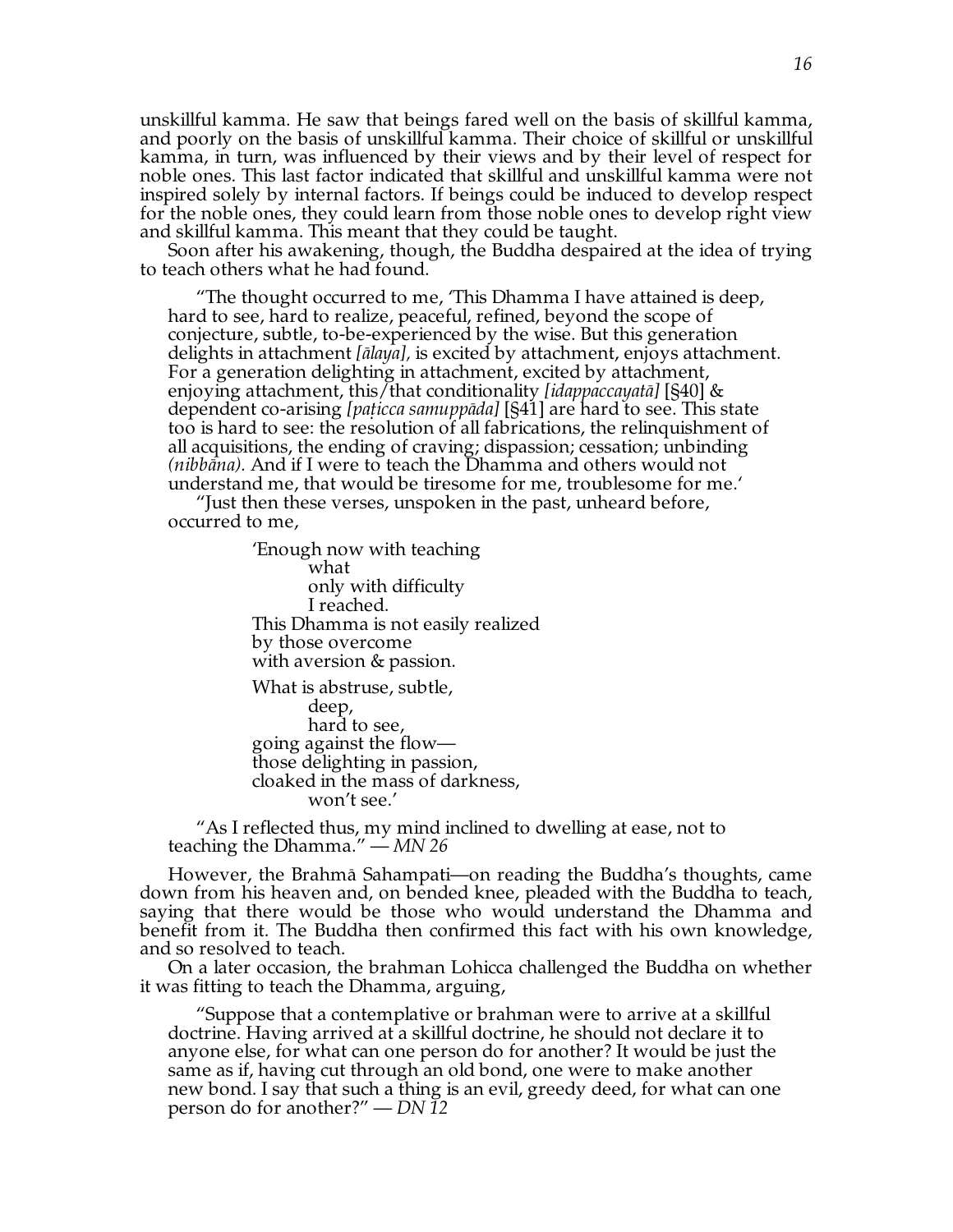unskillful kamma. He saw that beings fared well on the basis of skillful kamma, and poorly on the basis of unskillful kamma. Their choice of skillful or unskillful kamma, in turn, was influenced by their views and by their level of respect for noble ones. This last factor indicated that skillful and unskillful kamma were not inspired solely by internal factors. If beings could be induced to develop respect for the noble ones, they could learn from those noble ones to develop right view and skillful kamma. This meant that they could be taught.

Soon after his awakening, though, the Buddha despaired at the idea of trying to teach others what he had found.

"The thought occurred to me, 'This Dhamma I have attained is deep, hard to see, hard to realize, peaceful, refined, beyond the scope of conjecture, subtle, to-be-experienced by the wise. But this generation delights in attachment *[ālaya]*, is excited by attachment, enjoys attachment. For a generation delighting in attachment, excited by attachment, enjoying attachment, this/that conditionality *[idappaccayata*] [§40] & dependent co-arising *[paṭicca samuppāda]* [§41] are hard to see. This state too is hard to see: the resolution of all fabrications, the relinquishment of all acquisitions, the ending of craving; dispassion; cessation; unbinding *(nibbāna).* And if I were to teach the Dhamma and others would not understand me, that would be tiresome for me, troublesome for me.'

"Just then these verses, unspoken in the past, unheard before, occurred to me,

> 'Enough now with teaching what only with difficulty I reached. This Dhamma is not easily realized by those overcome with aversion & passion.

What is abstruse, subtle, deep, hard to see, going against the flow those delighting in passion, cloaked in the mass of darkness, won't see.'

"As I reflected thus, my mind inclined to dwelling at ease, not to teaching the Dhamma." — *MN 26*

However, the Brahma Sahampati—on reading the Buddha's thoughts, came down from his heaven and, on bended knee, pleaded with the Buddha to teach, saying that there would be those who would understand the Dhamma and benefit from it. The Buddha then confirmed this fact with his own knowledge, and so resolved to teach.

On a later occasion, the brahman Lohicca challenged the Buddha on whether it was fitting to teach the Dhamma, arguing,

"Suppose that a contemplative or brahman were to arrive at a skillful doctrine. Having arrived at a skillful doctrine, he should not declare it to anyone else, for what can one person do for another? It would be just the same as if, having cut through an old bond, one were to make another new bond. I say that such a thing is an evil, greedy deed, for what can one person do for another?" — *DN 12*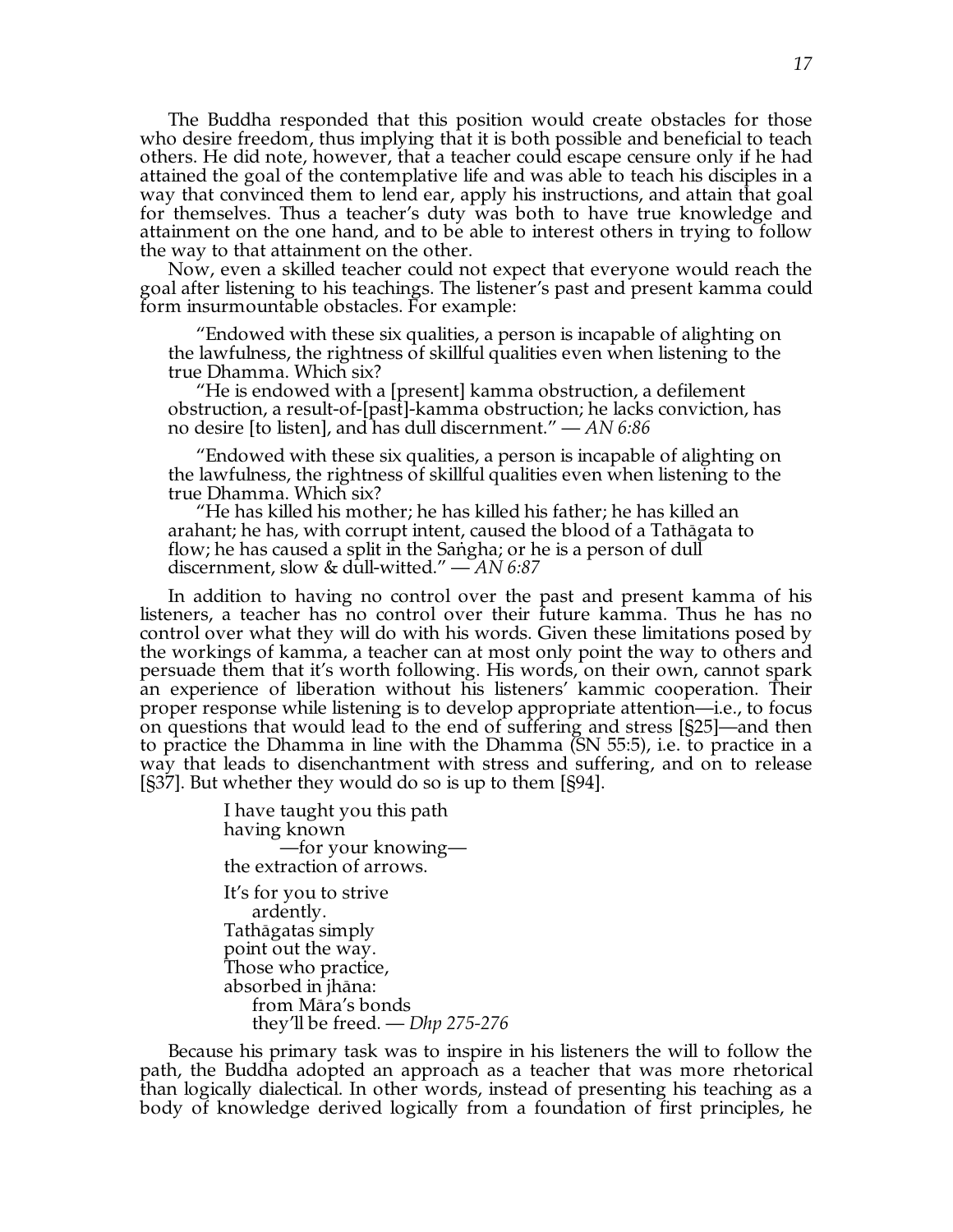The Buddha responded that this position would create obstacles for those who desire freedom, thus implying that it is both possible and beneficial to teach others. He did note, however, that a teacher could escape censure only if he had attained the goal of the contemplative life and was able to teach his disciples in a way that convinced them to lend ear, apply his instructions, and attain that goal for themselves. Thus a teacher's duty was both to have true knowledge and attainment on the one hand, and to be able to interest others in trying to follow the way to that attainment on the other.

Now, even a skilled teacher could not expect that everyone would reach the goal after listening to his teachings. The listener's past and present kamma could form insurmountable obstacles. For example:

"Endowed with these six qualities, a person is incapable of alighting on the lawfulness, the rightness of skillful qualities even when listening to the true Dhamma. Which six?

"He is endowed with a [present] kamma obstruction, a defilement obstruction, a result-of-[past]-kamma obstruction; he lacks conviction, has no desire [to listen], and has dull discernment." — *AN 6:86*

"Endowed with these six qualities, a person is incapable of alighting on the lawfulness, the rightness of skillful qualities even when listening to the true Dhamma. Which six?

"He has killed his mother; he has killed his father; he has killed an arahant; he has, with corrupt intent, caused the blood of a Tathagata to flow; he has caused a split in the Sangha; or he is a person of dull discernment, slow & dull-witted." — *AN 6:87*

In addition to having no control over the past and present kamma of his listeners, a teacher has no control over their future kamma. Thus he has no control over what they will do with his words. Given these limitations posed by the workings of kamma, a teacher can at most only point the way to others and persuade them that it's worth following. His words, on their own, cannot spark an experience of liberation without his listeners' kammic cooperation. Their proper response while listening is to develop appropriate attention—i.e., to focus on questions that would lead to the end of suffering and stress [§25]—and then to practice the Dhamma in line with the Dhamma (SN 55:5), i.e. to practice in a way that leads to disenchantment with stress and suffering, and on to release [§37]. But whether they would do so is up to them [§94].

> I have taught you this path having known —for your knowing the extraction of arrows. It's for you to strive ardently. Tathāgatas simply point out the way. Those who practice, absorbed in jhāna: from Māra's bonds they'll be freed. — *Dhp 275-276*

Because his primary task was to inspire in his listeners the will to follow the path, the Buddha adopted an approach as a teacher that was more rhetorical than logically dialectical. In other words, instead of presenting his teaching as a body of knowledge derived logically from a foundation of first principles, he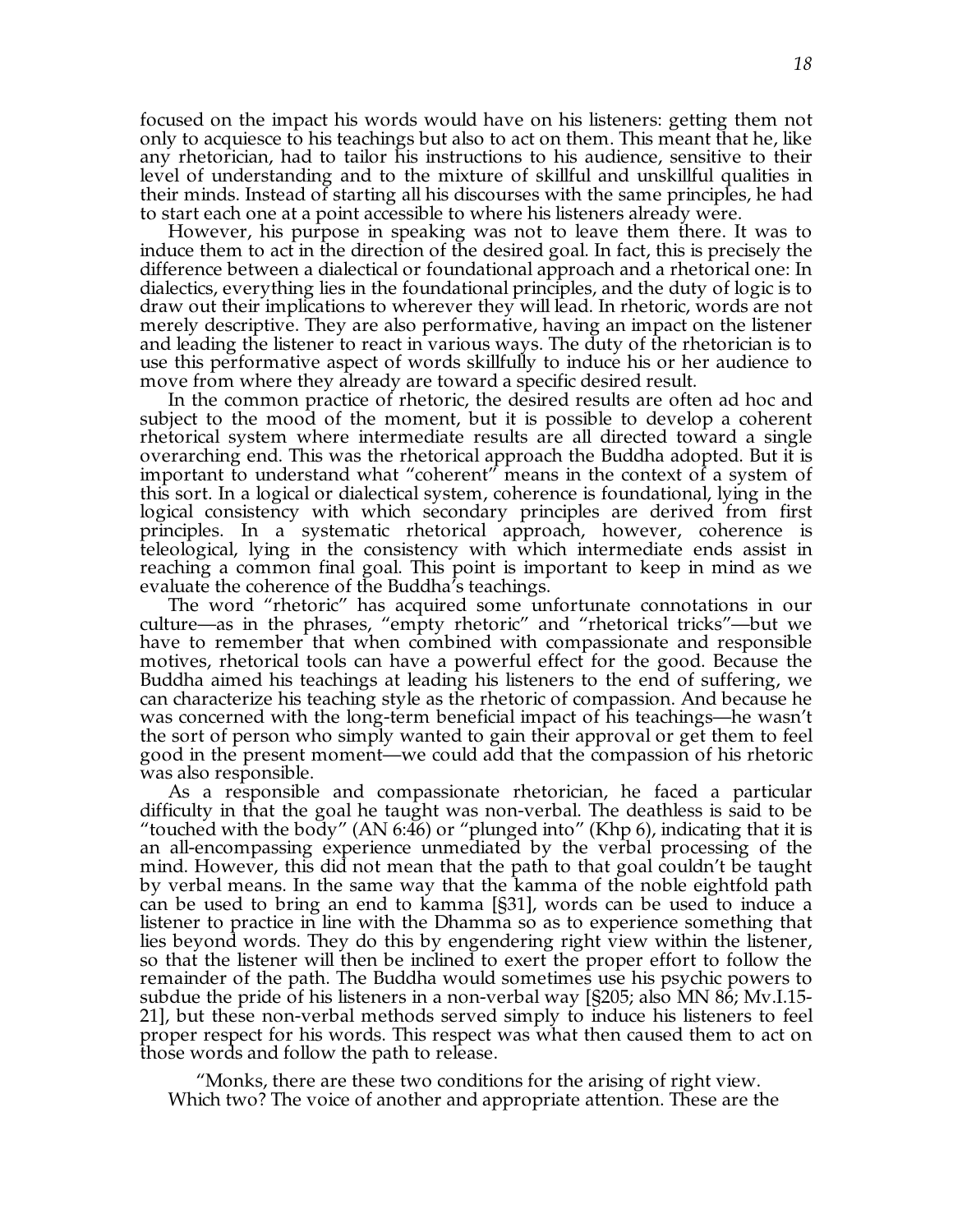focused on the impact his words would have on his listeners: getting them not only to acquiesce to his teachings but also to act on them. This meant that he, like any rhetorician, had to tailor his instructions to his audience, sensitive to their level of understanding and to the mixture of skillful and unskillful qualities in their minds. Instead of starting all his discourses with the same principles, he had to start each one at a point accessible to where his listeners already were.

However, his purpose in speaking was not to leave them there. It was to induce them to act in the direction of the desired goal. In fact, this is precisely the difference between a dialectical or foundational approach and a rhetorical one: In dialectics, everything lies in the foundational principles, and the duty of logic is to draw out their implications to wherever they will lead. In rhetoric, words are not merely descriptive. They are also performative, having an impact on the listener and leading the listener to react in various ways. The duty of the rhetorician is to use this performative aspect of words skillfully to induce his or her audience to move from where they already are toward a specific desired result.

In the common practice of rhetoric, the desired results are often ad hoc and subject to the mood of the moment, but it is possible to develop a coherent rhetorical system where intermediate results are all directed toward a single overarching end. This was the rhetorical approach the Buddha adopted. But it is important to understand what "coherent" means in the context of a system of this sort. In a logical or dialectical system, coherence is foundational, lying in the logical consistency with which secondary principles are derived from first principles. In a systematic rhetorical approach, however, coherence is teleological, lying in the consistency with which intermediate ends assist in reaching a common final goal. This point is important to keep in mind as we evaluate the coherence of the Buddha's teachings.

The word "rhetoric" has acquired some unfortunate connotations in our culture—as in the phrases, "empty rhetoric" and "rhetorical tricks"—but we have to remember that when combined with compassionate and responsible motives, rhetorical tools can have a powerful effect for the good. Because the Buddha aimed his teachings at leading his listeners to the end of suffering, we can characterize his teaching style as the rhetoric of compassion. And because he was concerned with the long-term beneficial impact of his teachings—he wasn't the sort of person who simply wanted to gain their approval or get them to feel good in the present moment—we could add that the compassion of his rhetoric was also responsible.

As a responsible and compassionate rhetorician, he faced a particular difficulty in that the goal he taught was non-verbal. The deathless is said to be "touched with the body" (AN 6:46) or "plunged into" (Khp 6), indicating that it is an all-encompassing experience unmediated by the verbal processing of the mind. However, this did not mean that the path to that goal couldn't be taught by verbal means. In the same way that the kamma of the noble eightfold path can be used to bring an end to kamma [§31], words can be used to induce a listener to practice in line with the Dhamma so as to experience something that lies beyond words. They do this by engendering right view within the listener, so that the listener will then be inclined to exert the proper effort to follow the remainder of the path. The Buddha would sometimes use his psychic powers to subdue the pride of his listeners in a non-verbal way [§205; also MN 86; Mv.I.15- 21], but these non-verbal methods served simply to induce his listeners to feel proper respect for his words. This respect was what then caused them to act on those words and follow the path to release.

"Monks, there are these two conditions for the arising of right view. Which two? The voice of another and appropriate attention. These are the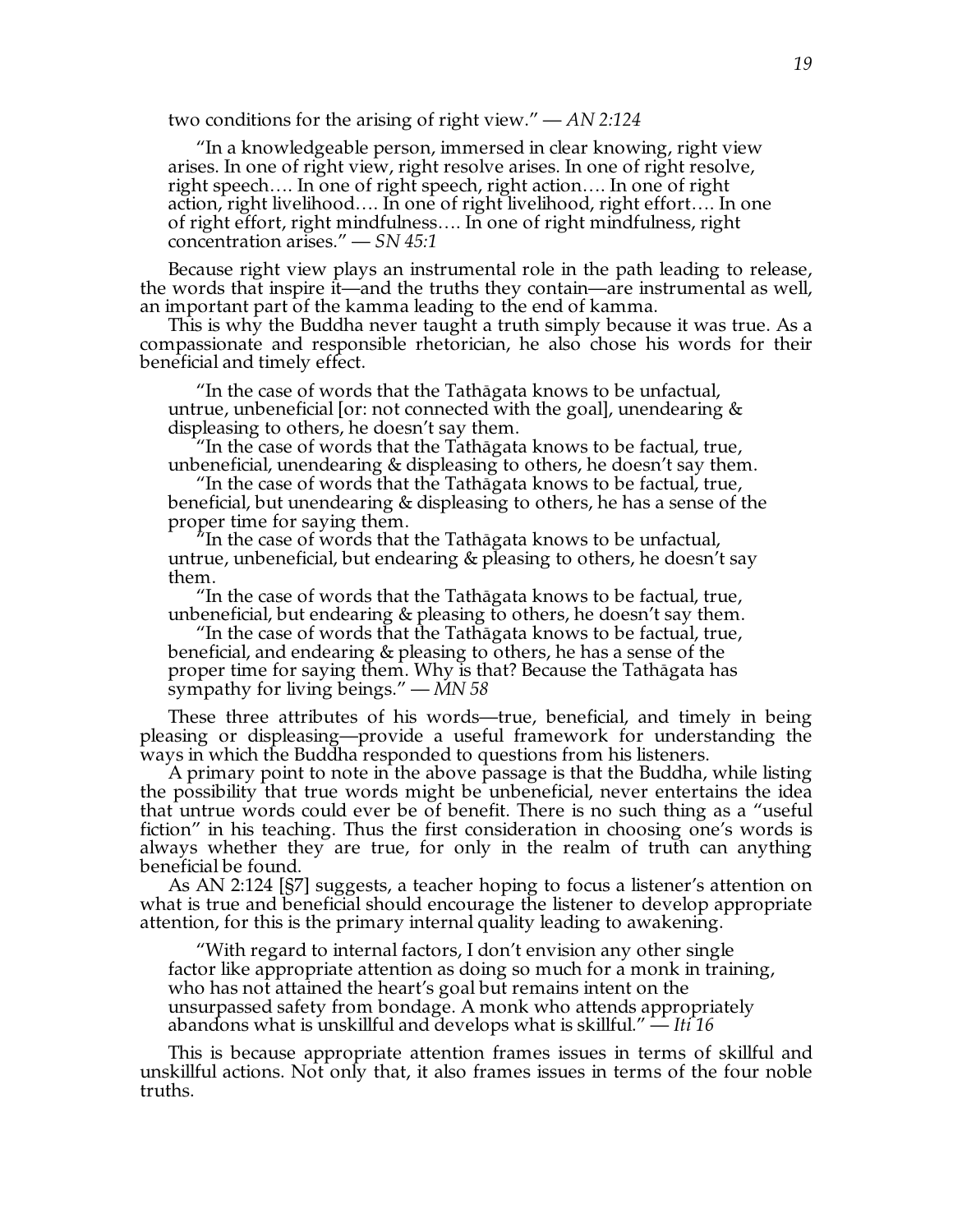two conditions for the arising of right view." — *AN 2:124*

"In a knowledgeable person, immersed in clear knowing, right view arises. In one of right view, right resolve arises. In one of right resolve, right speech…. In one of right speech, right action…. In one of right action, right livelihood…. In one of right livelihood, right effort…. In one of right effort, right mindfulness…. In one of right mindfulness, right concentration arises." — *SN 45:1*

Because right view plays an instrumental role in the path leading to release, the words that inspire it—and the truths they contain—are instrumental as well, an important part of the kamma leading to the end of kamma.

This is why the Buddha never taught a truth simply because it was true. As a compassionate and responsible rhetorician, he also chose his words for their beneficial and timely effect.

"In the case of words that the Tathagata knows to be unfactual, untrue, unbeneficial [or: not connected with the goal], unendearing  $&$ displeasing to others, he doesn't say them.

"In the case of words that the Tath $a$  at knows to be factual, true, unbeneficial, unendearing & displeasing to others, he doesn't say them.

"In the case of words that the Tath $a$  at knows to be factual, true, beneficial, but unendearing & displeasing to others, he has a sense of the proper time for saying them.

In the case of words that the Tathagata knows to be unfactual, untrue, unbeneficial, but endearing & pleasing to others, he doesn't say them.

"In the case of words that the Tath $a$  at knows to be factual, true, unbeneficial, but endearing & pleasing to others, he doesn't say them.

"In the case of words that the Tath $a$ gata knows to be factual, true, beneficial, and endearing & pleasing to others, he has a sense of the proper time for saying them. Why is that? Because the Tathagata has sympathy for living beings." — *MN 58*

These three attributes of his words—true, beneficial, and timely in being pleasing or displeasing—provide a useful framework for understanding the ways in which the Buddha responded to questions from his listeners.

A primary point to note in the above passage is that the Buddha, while listing the possibility that true words might be unbeneficial, never entertains the idea that untrue words could ever be of benefit. There is no such thing as a "useful fiction" in his teaching. Thus the first consideration in choosing one's words is always whether they are true, for only in the realm of truth can anything beneficial be found.

As AN 2:124 [§7] suggests, a teacher hoping to focus a listener's attention on what is true and beneficial should encourage the listener to develop appropriate attention, for this is the primary internal quality leading to awakening.

"With regard to internal factors, I don't envision any other single factor like appropriate attention as doing so much for a monk in training, who has not attained the heart's goal but remains intent on the unsurpassed safety from bondage. A monk who attends appropriately abandons what is unskillful and develops what is skillful." — *Iti 16* 

This is because appropriate attention frames issues in terms of skillful and unskillful actions. Not only that, it also frames issues in terms of the four noble truths.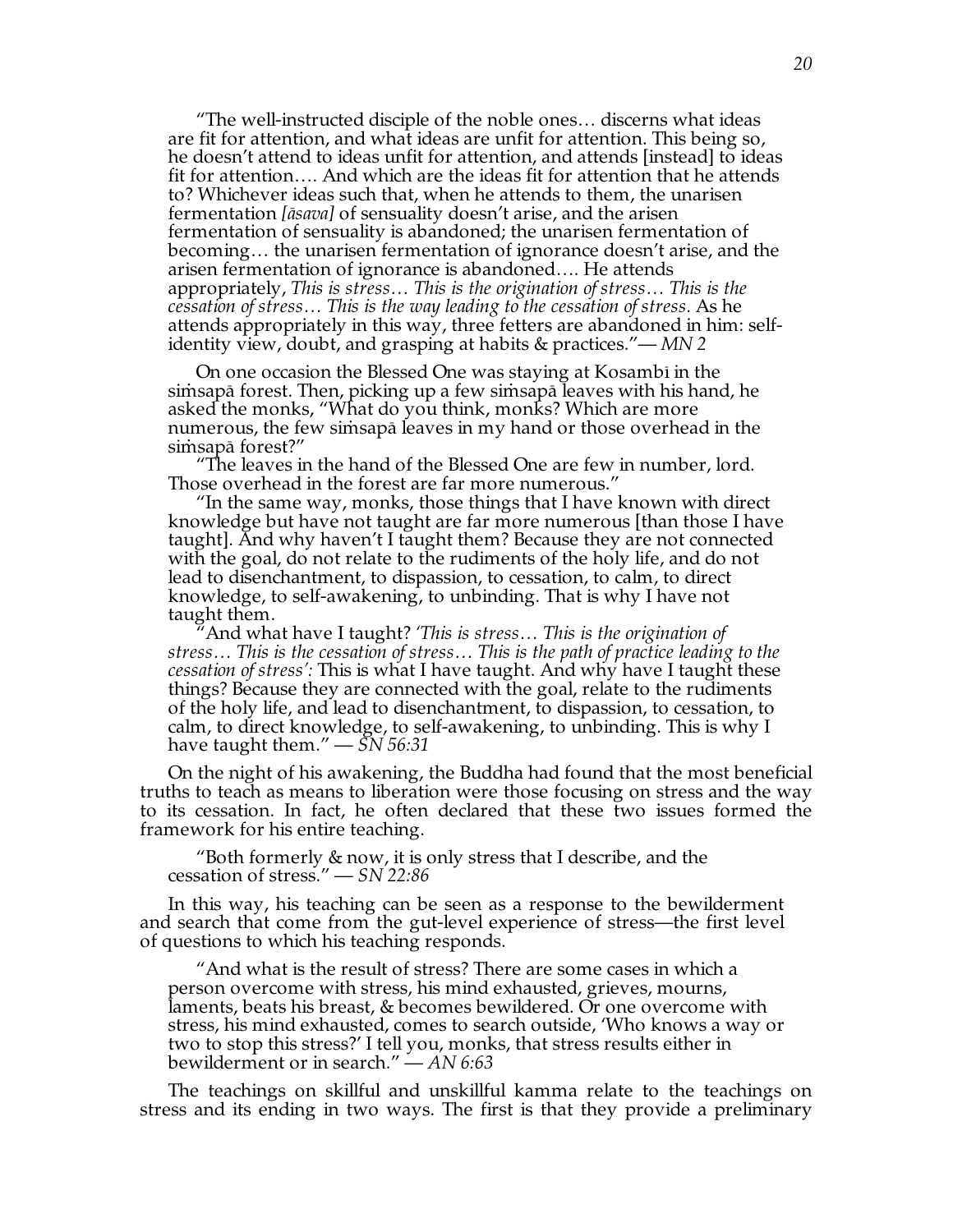"The well-instructed disciple of the noble ones… discerns what ideas are fit for attention, and what ideas are unfit for attention. This being so, he doesn't attend to ideas unfit for attention, and attends [instead] to ideas fit for attention…. And which are the ideas fit for attention that he attends to? Whichever ideas such that, when he attends to them, the unarisen fermentation *[āsava]* of sensuality doesn't arise, and the arisen fermentation of sensuality is abandoned; the unarisen fermentation of becoming… the unarisen fermentation of ignorance doesn't arise, and the arisen fermentation of ignorance is abandoned…. He attends appropriately, *This is stress… This is the origination of stress… This is the cessation of stress… This is the way leading to the cessation of stress.* As he attends appropriately in this way, three fetters are abandoned in him: selfidentity view, doubt, and grasping at habits & practices."— *MN 2*

On one occasion the Blessed One was staying at Kosambı in the simsapa forest. Then, picking up a few simsapa leaves with his hand, he asked the monks, "What do you think, monks? Which are more numerous, the few simsapa leaves in my hand or those overhead in the simsapā forest?"

"The leaves in the hand of the Blessed One are few in number, lord. Those overhead in the forest are far more numerous."

"In the same way, monks, those things that I have known with direct knowledge but have not taught are far more numerous [than those I have taught]. And why haven't I taught them? Because they are not connected with the goal, do not relate to the rudiments of the holy life, and do not lead to disenchantment, to dispassion, to cessation, to calm, to direct knowledge, to self-awakening, to unbinding. That is why I have not taught them.

"And what have I taught? *'This is stress… This is the origination of stress… This is the cessation of stress… This is the path of practice leading to the cessation of stress':* This is what I have taught. And why have I taught these things? Because they are connected with the goal, relate to the rudiments of the holy life, and lead to disenchantment, to dispassion, to cessation, to calm, to direct knowledge, to self-awakening, to unbinding. This is why I have taught them." — *SN 56:31*

On the night of his awakening, the Buddha had found that the most beneficial truths to teach as means to liberation were those focusing on stress and the way to its cessation. In fact, he often declared that these two issues formed the framework for his entire teaching.

"Both formerly & now, it is only stress that I describe, and the cessation of stress." — *SN 22:86*

In this way, his teaching can be seen as a response to the bewilderment and search that come from the gut-level experience of stress—the first level of questions to which his teaching responds.

"And what is the result of stress? There are some cases in which a person overcome with stress, his mind exhausted, grieves, mourns, laments, beats his breast, & becomes bewildered. Or one overcome with stress, his mind exhausted, comes to search outside, 'Who knows a way or two to stop this stress?' I tell you, monks, that stress results either in bewilderment or in search." — *AN 6:63*

The teachings on skillful and unskillful kamma relate to the teachings on stress and its ending in two ways. The first is that they provide a preliminary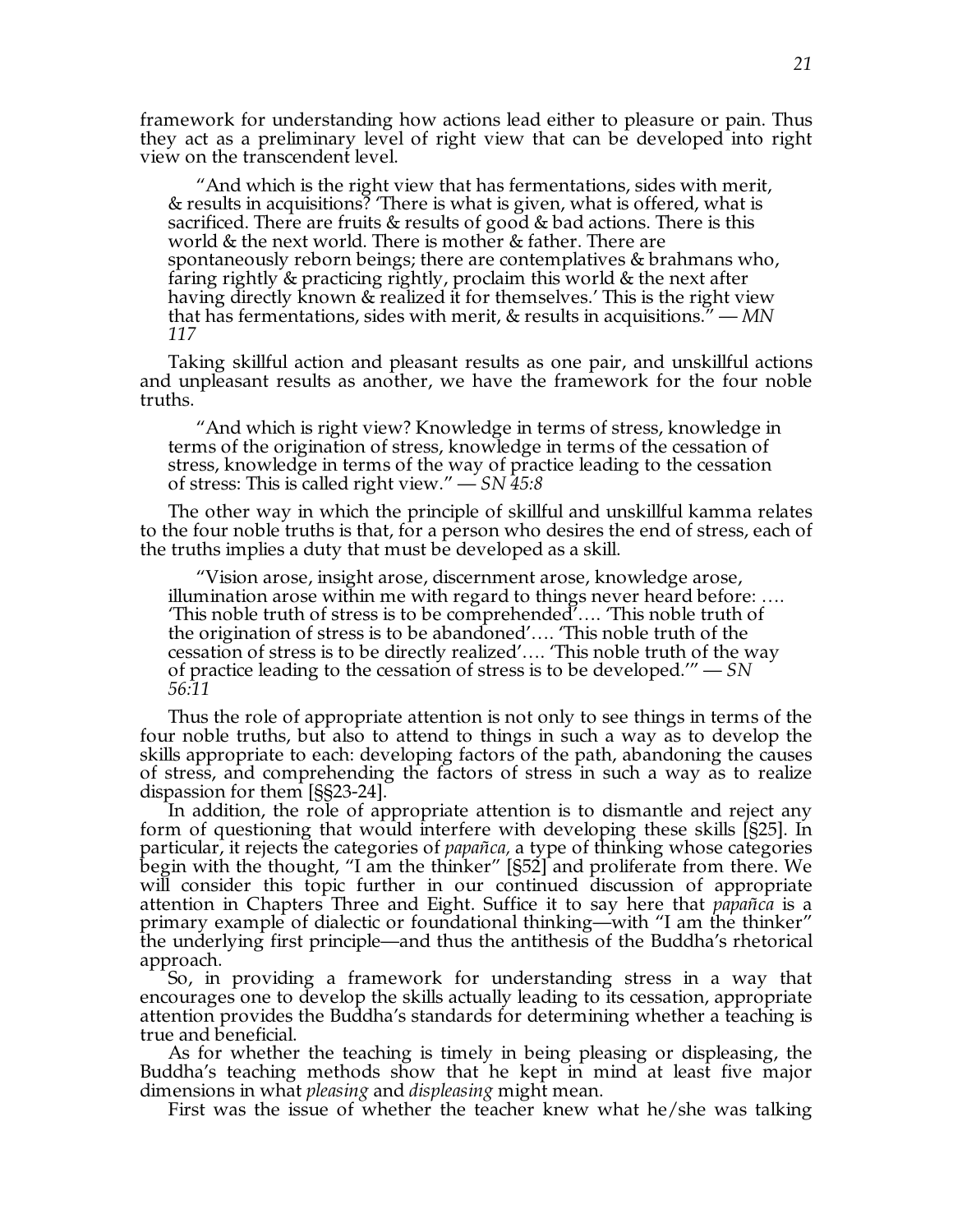framework for understanding how actions lead either to pleasure or pain. Thus they act as a preliminary level of right view that can be developed into right view on the transcendent level.

"And which is the right view that has fermentations, sides with merit, & results in acquisitions? 'There is what is given, what is offered, what is sacrificed. There are fruits & results of good & bad actions. There is this world & the next world. There is mother & father. There are spontaneously reborn beings; there are contemplatives & brahmans who, faring rightly & practicing rightly, proclaim this world & the next after having directly known & realized it for themselves.' This is the right view that has fermentations, sides with merit, & results in acquisitions." — *MN 117*

Taking skillful action and pleasant results as one pair, and unskillful actions and unpleasant results as another, we have the framework for the four noble truths.

"And which is right view? Knowledge in terms of stress, knowledge in terms of the origination of stress, knowledge in terms of the cessation of stress, knowledge in terms of the way of practice leading to the cessation of stress: This is called right view." — *SN 45:8*

The other way in which the principle of skillful and unskillful kamma relates to the four noble truths is that, for a person who desires the end of stress, each of the truths implies a duty that must be developed as a skill.

"Vision arose, insight arose, discernment arose, knowledge arose, illumination arose within me with regard to things never heard before: …. 'This noble truth of stress is to be comprehended'…. 'This noble truth of the origination of stress is to be abandoned'…. 'This noble truth of the cessation of stress is to be directly realized'…. 'This noble truth of the way of practice leading to the cessation of stress is to be developed.'" — *SN 56:11*

Thus the role of appropriate attention is not only to see things in terms of the four noble truths, but also to attend to things in such a way as to develop the skills appropriate to each: developing factors of the path, abandoning the causes of stress, and comprehending the factors of stress in such a way as to realize dispassion for them [§§23-24].

In addition, the role of appropriate attention is to dismantle and reject any form of questioning that would interfere with developing these skills [§25]. In particular, it rejects the categories of *papañca,* a type of thinking whose categories begin with the thought, "I am the thinker" [§52] and proliferate from there. We will consider this topic further in our continued discussion of appropriate attention in Chapters Three and Eight. Suffice it to say here that *papañca* is a primary example of dialectic or foundational thinking—with "I am the thinker" the underlying first principle—and thus the antithesis of the Buddha's rhetorical approach.

So, in providing a framework for understanding stress in a way that encourages one to develop the skills actually leading to its cessation, appropriate attention provides the Buddha's standards for determining whether a teaching is true and beneficial.

As for whether the teaching is timely in being pleasing or displeasing, the Buddha's teaching methods show that he kept in mind at least five major dimensions in what *pleasing* and *displeasing* might mean.

First was the issue of whether the teacher knew what he/she was talking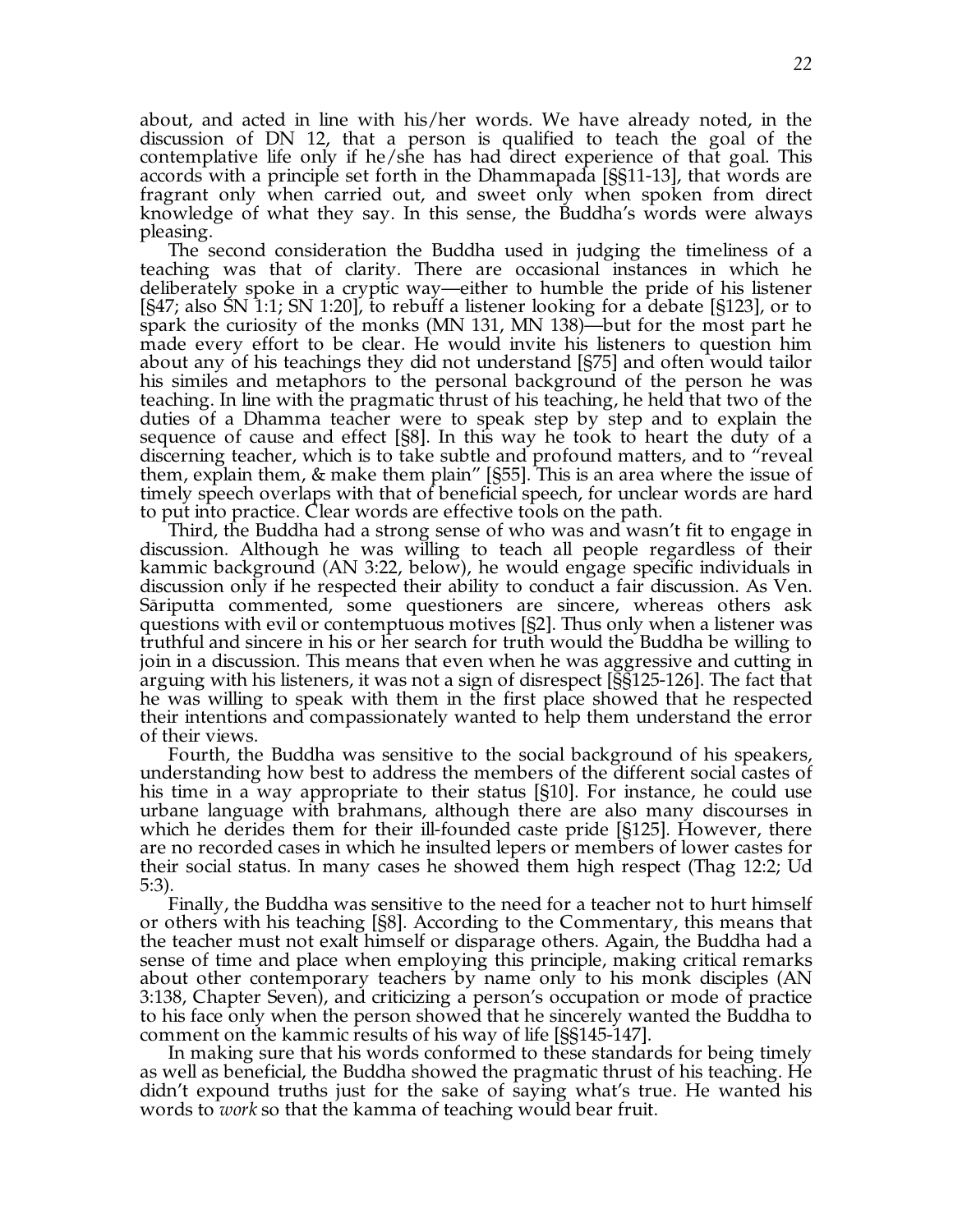about, and acted in line with his/her words. We have already noted, in the discussion of DN 12, that a person is qualified to teach the goal of the contemplative life only if he/she has had direct experience of that goal. This accords with a principle set forth in the Dhammapada [§§11-13], that words are fragrant only when carried out, and sweet only when spoken from direct knowledge of what they say. In this sense, the Buddha's words were always pleasing.

The second consideration the Buddha used in judging the timeliness of a teaching was that of clarity. There are occasional instances in which he deliberately spoke in a cryptic way—either to humble the pride of his listener [§47; also SN 1:1; SN 1:20], to rebuff a listener looking for a debate [§123], or to spark the curiosity of the monks (MN 131, MN 138)—but for the most part he made every effort to be clear. He would invite his listeners to question him about any of his teachings they did not understand [§75] and often would tailor his similes and metaphors to the personal background of the person he was teaching. In line with the pragmatic thrust of his teaching, he held that two of the duties of a Dhamma teacher were to speak step by step and to explain the sequence of cause and effect [§8]. In this way he took to heart the duty of a discerning teacher, which is to take subtle and profound matters, and to "reveal them, explain them, & make them plain" [§55]. This is an area where the issue of timely speech overlaps with that of beneficial speech, for unclear words are hard to put into practice. Clear words are effective tools on the path.

Third, the Buddha had a strong sense of who was and wasn't fit to engage in discussion. Although he was willing to teach all people regardless of their kammic background (AN 3:22, below), he would engage specific individuals in discussion only if he respected their ability to conduct a fair discussion. As Ven. Sariputta commented, some questioners are sincere, whereas others ask questions with evil or contemptuous motives [§2]. Thus only when a listener was truthful and sincere in his or her search for truth would the Buddha be willing to join in a discussion. This means that even when he was aggressive and cutting in arguing with his listeners, it was not a sign of disrespect [§§125-126]. The fact that he was willing to speak with them in the first place showed that he respected their intentions and compassionately wanted to help them understand the error of their views.

Fourth, the Buddha was sensitive to the social background of his speakers, understanding how best to address the members of the different social castes of his time in a way appropriate to their status [§10]. For instance, he could use urbane language with brahmans, although there are also many discourses in which he derides them for their ill-founded caste pride [§125]. However, there are no recorded cases in which he insulted lepers or members of lower castes for their social status. In many cases he showed them high respect (Thag 12:2; Ud 5:3).

Finally, the Buddha was sensitive to the need for a teacher not to hurt himself or others with his teaching [§8]. According to the Commentary, this means that the teacher must not exalt himself or disparage others. Again, the Buddha had a sense of time and place when employing this principle, making critical remarks about other contemporary teachers by name only to his monk disciples (AN 3:138, Chapter Seven), and criticizing a person's occupation or mode of practice to his face only when the person showed that he sincerely wanted the Buddha to comment on the kammic results of his way of life [§§145-147].

In making sure that his words conformed to these standards for being timely as well as beneficial, the Buddha showed the pragmatic thrust of his teaching. He didn't expound truths just for the sake of saying what's true. He wanted his words to *work* so that the kamma of teaching would bear fruit.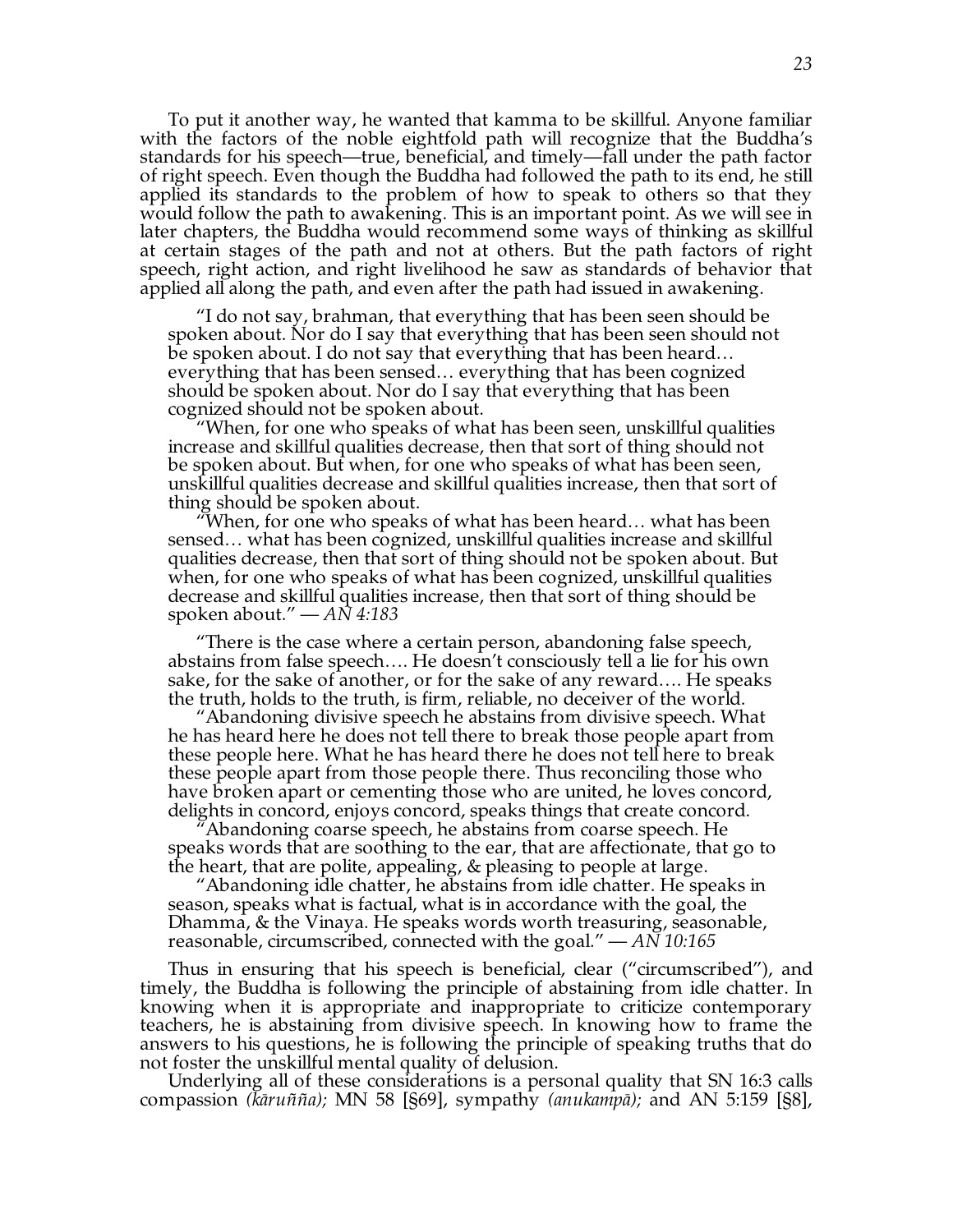To put it another way, he wanted that kamma to be skillful. Anyone familiar with the factors of the noble eightfold path will recognize that the Buddha's standards for his speech—true, beneficial, and timely—fall under the path factor of right speech. Even though the Buddha had followed the path to its end, he still applied its standards to the problem of how to speak to others so that they would follow the path to awakening. This is an important point. As we will see in later chapters, the Buddha would recommend some ways of thinking as skillful at certain stages of the path and not at others. But the path factors of right speech, right action, and right livelihood he saw as standards of behavior that applied all along the path, and even after the path had issued in awakening.

"I do not say, brahman, that everything that has been seen should be spoken about. Nor do I say that everything that has been seen should not be spoken about. I do not say that everything that has been heard… everything that has been sensed… everything that has been cognized should be spoken about. Nor do I say that everything that has been cognized should not be spoken about.

"When, for one who speaks of what has been seen, unskillful qualities increase and skillful qualities decrease, then that sort of thing should not be spoken about. But when, for one who speaks of what has been seen, unskillful qualities decrease and skillful qualities increase, then that sort of thing should be spoken about.

"When, for one who speaks of what has been heard… what has been sensed… what has been cognized, unskillful qualities increase and skillful qualities decrease, then that sort of thing should not be spoken about. But when, for one who speaks of what has been cognized, unskillful qualities decrease and skillful qualities increase, then that sort of thing should be spoken about." — *AN 4:183*

"There is the case where a certain person, abandoning false speech, abstains from false speech…. He doesn't consciously tell a lie for his own sake, for the sake of another, or for the sake of any reward…. He speaks the truth, holds to the truth, is firm, reliable, no deceiver of the world.

"Abandoning divisive speech he abstains from divisive speech. What he has heard here he does not tell there to break those people apart from these people here. What he has heard there he does not tell here to break these people apart from those people there. Thus reconciling those who have broken apart or cementing those who are united, he loves concord, delights in concord, enjoys concord, speaks things that create concord.

"Abandoning coarse speech, he abstains from coarse speech. He speaks words that are soothing to the ear, that are affectionate, that go to the heart, that are polite, appealing, & pleasing to people at large.

"Abandoning idle chatter, he abstains from idle chatter. He speaks in season, speaks what is factual, what is in accordance with the goal, the Dhamma, & the Vinaya. He speaks words worth treasuring, seasonable, reasonable, circumscribed, connected with the goal." — *AN 10:165*

Thus in ensuring that his speech is beneficial, clear ("circumscribed"), and timely, the Buddha is following the principle of abstaining from idle chatter. In knowing when it is appropriate and inappropriate to criticize contemporary teachers, he is abstaining from divisive speech. In knowing how to frame the answers to his questions, he is following the principle of speaking truths that do not foster the unskillful mental quality of delusion.

Underlying all of these considerations is a personal quality that SN 16:3 calls compassion *(kāruñña);* MN 58 [§69], sympathy *(anukampā);* and AN 5:159 [§8],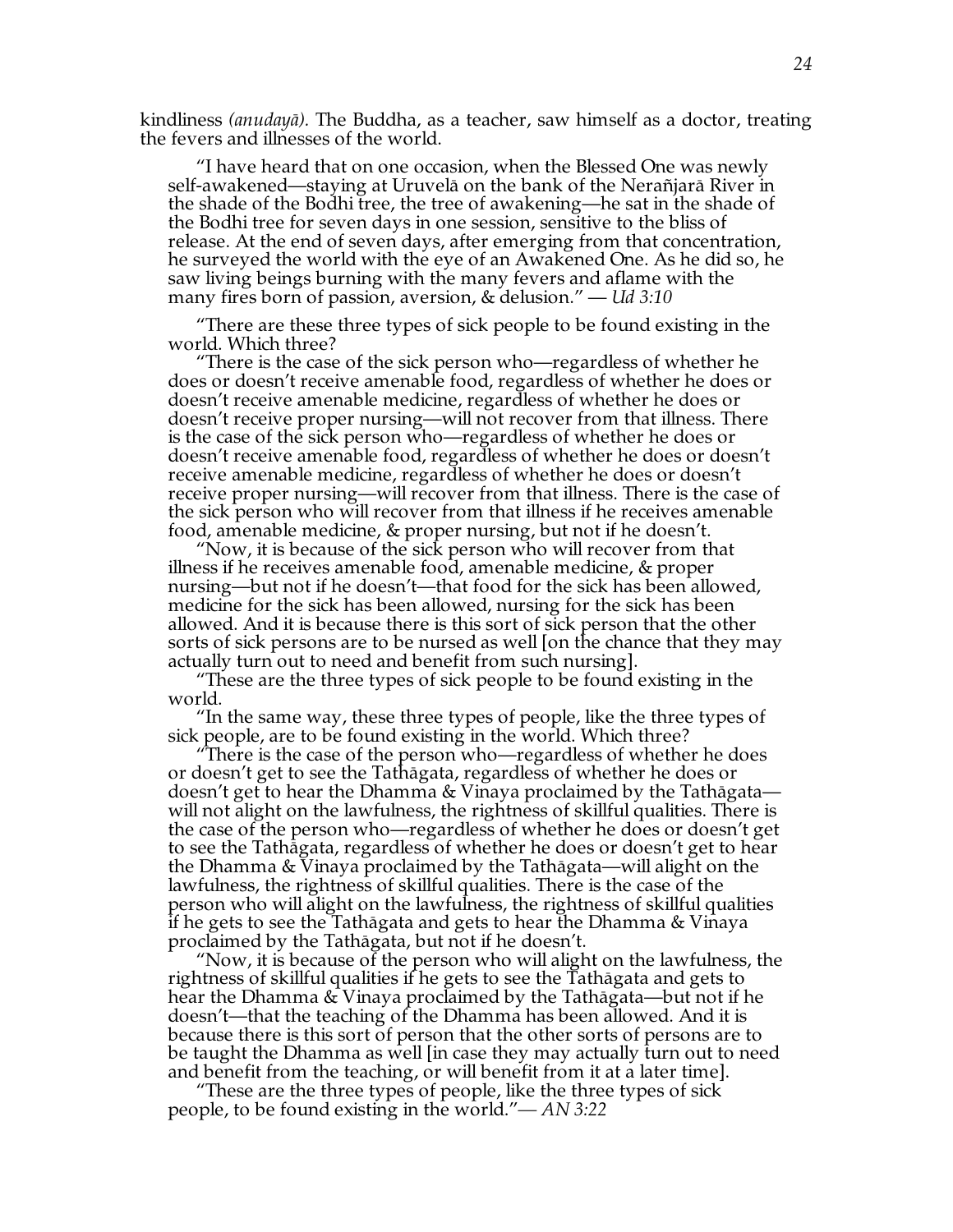kindliness *(anudayā)*. The Buddha, as a teacher, saw himself as a doctor, treating the fevers and illnesses of the world.

"I have heard that on one occasion, when the Blessed One was newly self-awakened—staying at Uruvelā on the bank of the Nerañjarā River in the shade of the Bodhi tree, the tree of awakening—he sat in the shade of the Bodhi tree for seven days in one session, sensitive to the bliss of release. At the end of seven days, after emerging from that concentration, he surveyed the world with the eye of an Awakened One. As he did so, he saw living beings burning with the many fevers and aflame with the many fires born of passion, aversion, & delusion." — *Ud 3:10*

"There are these three types of sick people to be found existing in the world. Which three?

"There is the case of the sick person who—regardless of whether he does or doesn't receive amenable food, regardless of whether he does or doesn't receive amenable medicine, regardless of whether he does or doesn't receive proper nursing—will not recover from that illness. There is the case of the sick person who—regardless of whether he does or doesn't receive amenable food, regardless of whether he does or doesn't receive amenable medicine, regardless of whether he does or doesn't receive proper nursing—will recover from that illness. There is the case of the sick person who will recover from that illness if he receives amenable food, amenable medicine, & proper nursing, but not if he doesn't.

"Now, it is because of the sick person who will recover from that illness if he receives amenable food, amenable medicine, & proper nursing—but not if he doesn't—that food for the sick has been allowed, medicine for the sick has been allowed, nursing for the sick has been allowed. And it is because there is this sort of sick person that the other sorts of sick persons are to be nursed as well [on the chance that they may actually turn out to need and benefit from such nursing].

"These are the three types of sick people to be found existing in the world.

"In the same way, these three types of people, like the three types of sick people, are to be found existing in the world. Which three?

There is the case of the person who—regardless of whether he does or doesn't get to see the Tathagata, regardless of whether he does or doesn't get to hear the Dhamma & Vinaya proclaimed by the Tathāgata will not alight on the lawfulness, the rightness of skillful qualities. There is the case of the person who—regardless of whether he does or doesn't get to see the Tathāgata, regardless of whether he does or doesn't get to hear the Dhamma & Vinaya proclaimed by the Tath $a$ gata—will alight on the lawfulness, the rightness of skillful qualities. There is the case of the person who will alight on the lawfulness, the rightness of skillful qualities if he gets to see the Tathagata and gets to hear the Dhamma  $\&$  Vinaya proclaimed by the Tathagata, but not if he doesn't.

"Now, it is because of the person who will alight on the lawfulness, the rightness of skillful qualities if he gets to see the Tathagata and gets to hear the Dhamma & Vinaya proclaimed by the Tathāgata—but not if he doesn't—that the teaching of the Dhamma has been allowed. And it is because there is this sort of person that the other sorts of persons are to be taught the Dhamma as well [in case they may actually turn out to need and benefit from the teaching, or will benefit from it at a later time].

"These are the three types of people, like the three types of sick people, to be found existing in the world."*— AN 3:22*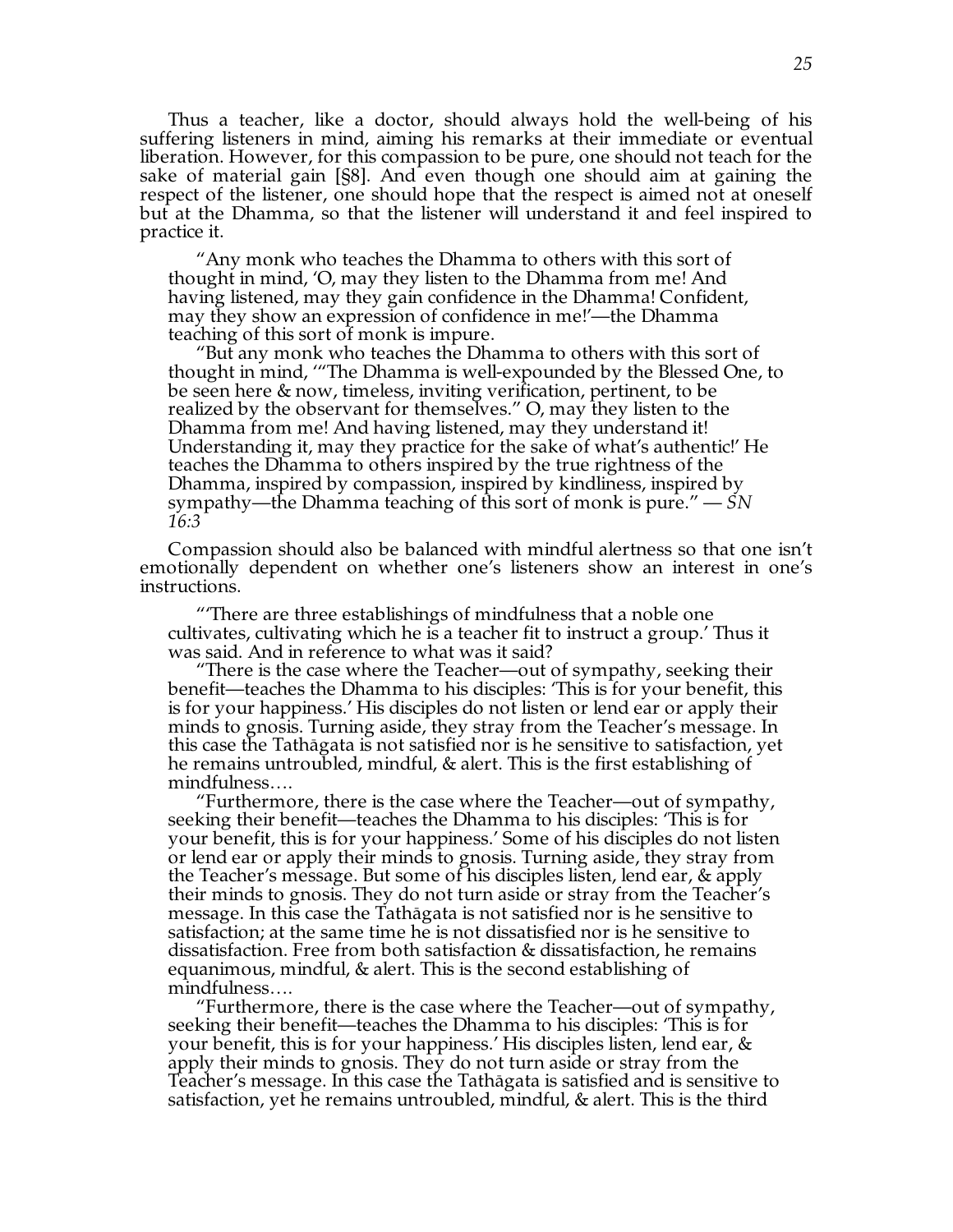Thus a teacher, like a doctor, should always hold the well-being of his suffering listeners in mind, aiming his remarks at their immediate or eventual liberation. However, for this compassion to be pure, one should not teach for the sake of material gain [§8]. And even though one should aim at gaining the respect of the listener, one should hope that the respect is aimed not at oneself but at the Dhamma, so that the listener will understand it and feel inspired to practice it.

"Any monk who teaches the Dhamma to others with this sort of thought in mind, 'O, may they listen to the Dhamma from me! And having listened, may they gain confidence in the Dhamma! Confident, may they show an expression of confidence in me!'—the Dhamma teaching of this sort of monk is impure.

"But any monk who teaches the Dhamma to others with this sort of thought in mind, '"The Dhamma is well-expounded by the Blessed One, to be seen here & now, timeless, inviting verification, pertinent, to be realized by the observant for themselves." O, may they listen to the Dhamma from me! And having listened, may they understand it! Understanding it, may they practice for the sake of what's authentic!' He teaches the Dhamma to others inspired by the true rightness of the Dhamma, inspired by compassion, inspired by kindliness, inspired by sympathy—the Dhamma teaching of this sort of monk is pure." — *SN 16:3* 

Compassion should also be balanced with mindful alertness so that one isn't emotionally dependent on whether one's listeners show an interest in one's instructions.

"'There are three establishings of mindfulness that a noble one cultivates, cultivating which he is a teacher fit to instruct a group.' Thus it was said. And in reference to what was it said?

"There is the case where the Teacher—out of sympathy, seeking their benefit—teaches the Dhamma to his disciples: 'This is for your benefit, this is for your happiness.' His disciples do not listen or lend ear or apply their minds to gnosis. Turning aside, they stray from the Teacher's message. In this case the Tathagata is not satisfied nor is he sensitive to satisfaction, yet he remains untroubled, mindful, & alert. This is the first establishing of mindfulness….

"Furthermore, there is the case where the Teacher—out of sympathy, seeking their benefit—teaches the Dhamma to his disciples: 'This is for your benefit, this is for your happiness.' Some of his disciples do not listen or lend ear or apply their minds to gnosis. Turning aside, they stray from the Teacher's message. But some of his disciples listen, lend ear, & apply their minds to gnosis. They do not turn aside or stray from the Teacher's message. In this case the Tathāgata is not satisfied nor is he sensitive to satisfaction; at the same time he is not dissatisfied nor is he sensitive to dissatisfaction. Free from both satisfaction & dissatisfaction, he remains equanimous, mindful, & alert. This is the second establishing of mindfulness….

"Furthermore, there is the case where the Teacher—out of sympathy, seeking their benefit—teaches the Dhamma to his disciples: 'This is for your benefit, this is for your happiness.' His disciples listen, lend ear,  $\&$ apply their minds to gnosis. They do not turn aside or stray from the Teacher's message. In this case the Tathagata is satisfied and is sensitive to satisfaction, yet he remains untroubled, mindful, & alert. This is the third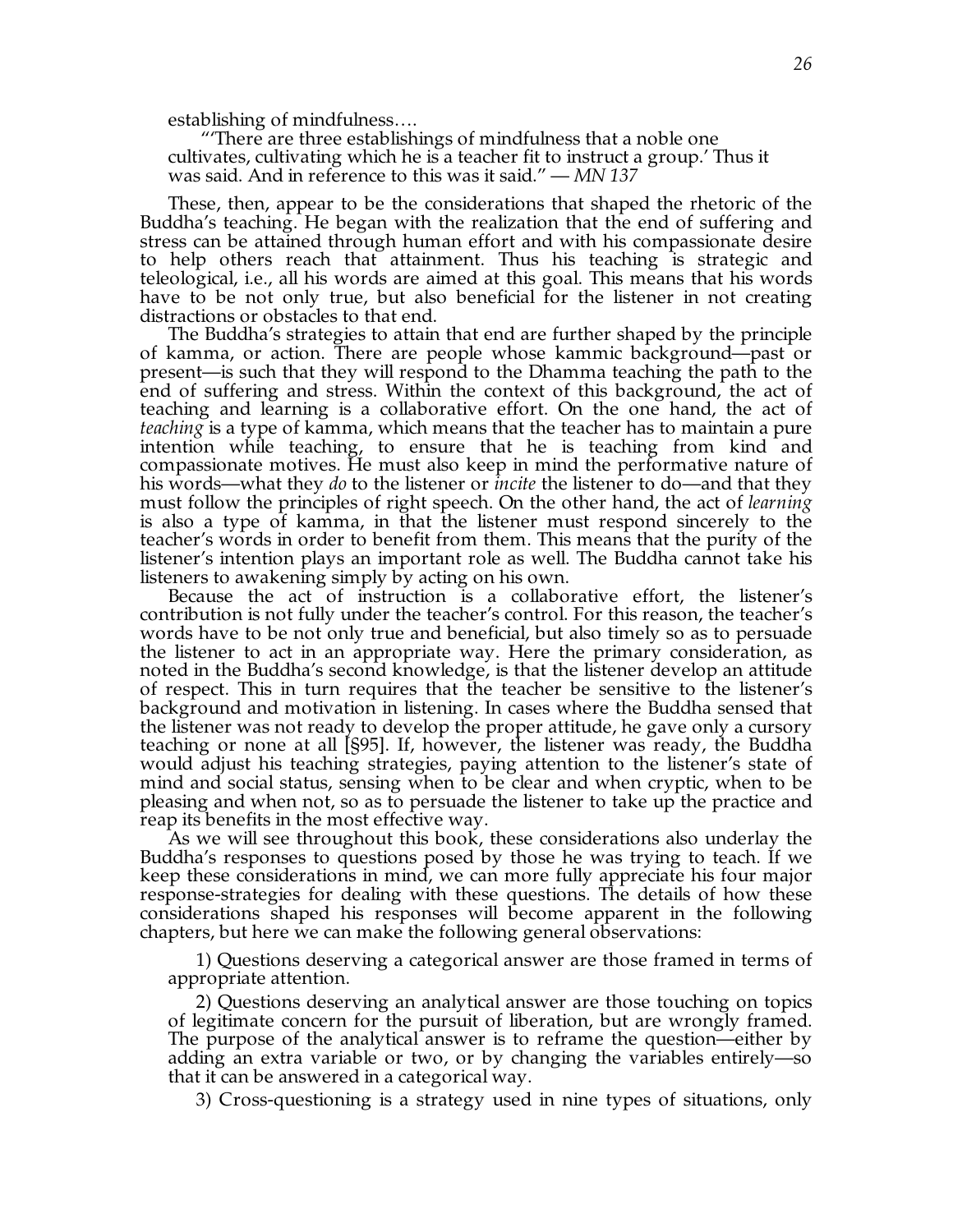establishing of mindfulness….

 "'There are three establishings of mindfulness that a noble one cultivates, cultivating which he is a teacher fit to instruct a group.' Thus it was said. And in reference to this was it said." — *MN 137*

These, then, appear to be the considerations that shaped the rhetoric of the Buddha's teaching. He began with the realization that the end of suffering and stress can be attained through human effort and with his compassionate desire to help others reach that attainment. Thus his teaching is strategic and teleological, i.e., all his words are aimed at this goal. This means that his words have to be not only true, but also beneficial for the listener in not creating distractions or obstacles to that end.

The Buddha's strategies to attain that end are further shaped by the principle of kamma, or action. There are people whose kammic background—past or present—is such that they will respond to the Dhamma teaching the path to the end of suffering and stress. Within the context of this background, the act of teaching and learning is a collaborative effort. On the one hand, the act of *teaching* is a type of kamma, which means that the teacher has to maintain a pure intention while teaching, to ensure that he is teaching from kind and compassionate motives. He must also keep in mind the performative nature of his words—what they *do* to the listener or *incite* the listener to do—and that they must follow the principles of right speech. On the other hand, the act of *learning* is also a type of kamma, in that the listener must respond sincerely to the teacher's words in order to benefit from them. This means that the purity of the listener's intention plays an important role as well. The Buddha cannot take his listeners to awakening simply by acting on his own.

Because the act of instruction is a collaborative effort, the listener's contribution is not fully under the teacher's control. For this reason, the teacher's words have to be not only true and beneficial, but also timely so as to persuade the listener to act in an appropriate way. Here the primary consideration, as noted in the Buddha's second knowledge, is that the listener develop an attitude of respect. This in turn requires that the teacher be sensitive to the listener's background and motivation in listening. In cases where the Buddha sensed that the listener was not ready to develop the proper attitude, he gave only a cursory teaching or none at all [§95]. If, however, the listener was ready, the Buddha would adjust his teaching strategies, paying attention to the listener's state of mind and social status, sensing when to be clear and when cryptic, when to be pleasing and when not, so as to persuade the listener to take up the practice and reap its benefits in the most effective way.

As we will see throughout this book, these considerations also underlay the Buddha's responses to questions posed by those he was trying to teach. If we keep these considerations in mind, we can more fully appreciate his four major response-strategies for dealing with these questions. The details of how these considerations shaped his responses will become apparent in the following chapters, but here we can make the following general observations:

1) Questions deserving a categorical answer are those framed in terms of appropriate attention.

2) Questions deserving an analytical answer are those touching on topics of legitimate concern for the pursuit of liberation, but are wrongly framed. The purpose of the analytical answer is to reframe the question—either by adding an extra variable or two, or by changing the variables entirely—so that it can be answered in a categorical way.

3) Cross-questioning is a strategy used in nine types of situations, only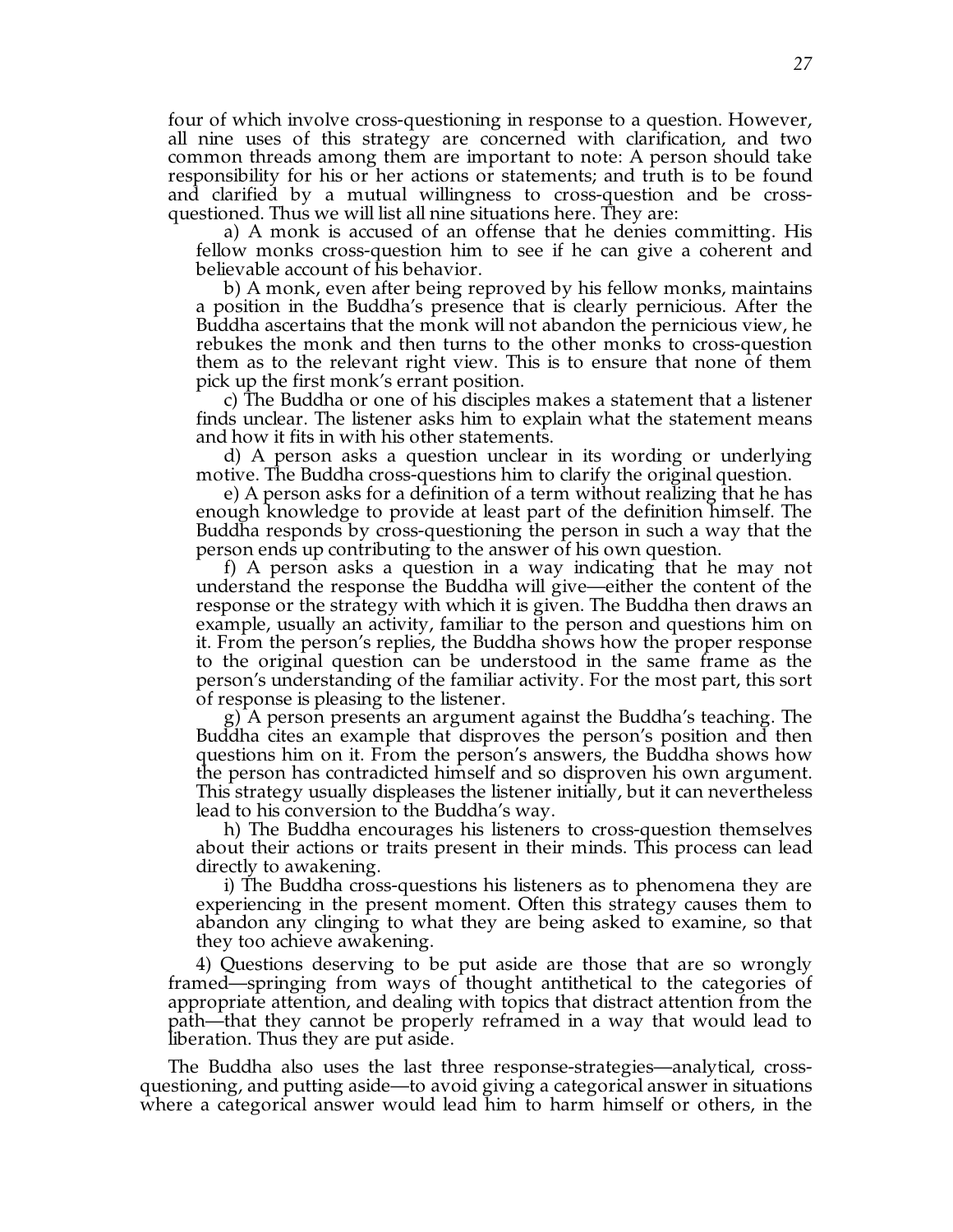four of which involve cross-questioning in response to a question. However, all nine uses of this strategy are concerned with clarification, and two common threads among them are important to note: A person should take responsibility for his or her actions or statements; and truth is to be found and clarified by a mutual willingness to cross-question and be crossquestioned. Thus we will list all nine situations here. They are:

a) A monk is accused of an offense that he denies committing. His fellow monks cross-question him to see if he can give a coherent and believable account of his behavior.

b) A monk, even after being reproved by his fellow monks, maintains a position in the Buddha's presence that is clearly pernicious. After the Buddha ascertains that the monk will not abandon the pernicious view, he rebukes the monk and then turns to the other monks to cross-question them as to the relevant right view. This is to ensure that none of them pick up the first monk's errant position.

c) The Buddha or one of his disciples makes a statement that a listener finds unclear. The listener asks him to explain what the statement means and how it fits in with his other statements.

d) A person asks a question unclear in its wording or underlying motive. The Buddha cross-questions him to clarify the original question.

e) A person asks for a definition of a term without realizing that he has enough knowledge to provide at least part of the definition himself. The Buddha responds by cross-questioning the person in such a way that the person ends up contributing to the answer of his own question.

f) A person asks a question in a way indicating that he may not understand the response the Buddha will give—either the content of the response or the strategy with which it is given. The Buddha then draws an example, usually an activity, familiar to the person and questions him on it. From the person's replies, the Buddha shows how the proper response to the original question can be understood in the same frame as the person's understanding of the familiar activity. For the most part, this sort of response is pleasing to the listener.

g) A person presents an argument against the Buddha's teaching. The Buddha cites an example that disproves the person's position and then questions him on it. From the person's answers, the Buddha shows how the person has contradicted himself and so disproven his own argument. This strategy usually displeases the listener initially, but it can nevertheless lead to his conversion to the Buddha's way.

h) The Buddha encourages his listeners to cross-question themselves about their actions or traits present in their minds. This process can lead directly to awakening.

i) The Buddha cross-questions his listeners as to phenomena they are experiencing in the present moment. Often this strategy causes them to abandon any clinging to what they are being asked to examine, so that they too achieve awakening.

4) Questions deserving to be put aside are those that are so wrongly framed—springing from ways of thought antithetical to the categories of appropriate attention, and dealing with topics that distract attention from the path—that they cannot be properly reframed in a way that would lead to liberation. Thus they are put aside.

The Buddha also uses the last three response-strategies—analytical, cross- questioning, and putting aside—to avoid giving a categorical answer in situations where a categorical answer would lead him to harm himself or others, in the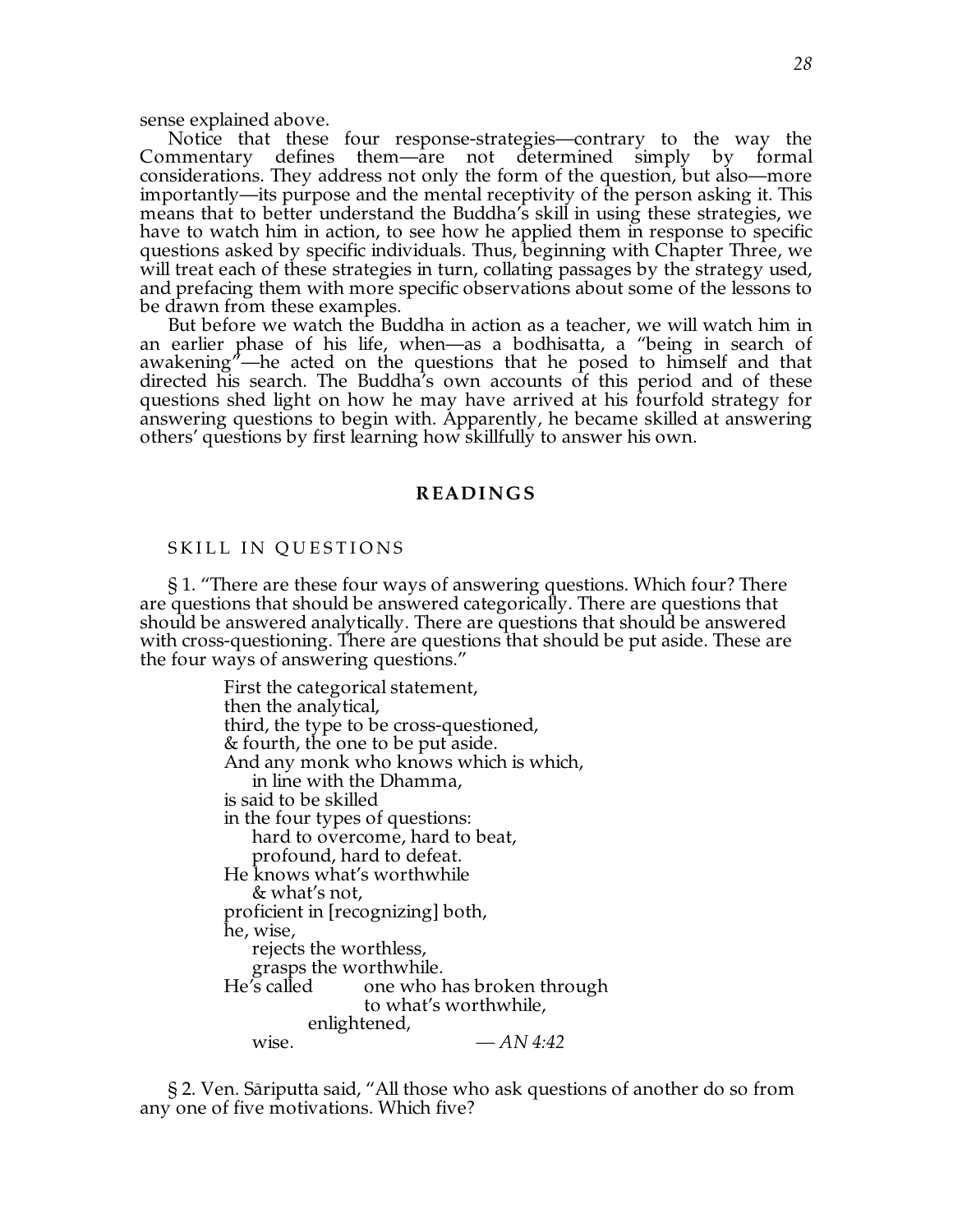sense explained above.

Notice that these four response-strategies—contrary to the way the Commentary defines them—are not determined simply by formal considerations. They address not only the form of the question, but also—more importantly—its purpose and the mental receptivity of the person asking it. This means that to better understand the Buddha's skill in using these strategies, we have to watch him in action, to see how he applied them in response to specific questions asked by specific individuals. Thus, beginning with Chapter Three, we will treat each of these strategies in turn, collating passages by the strategy used, and prefacing them with more specific observations about some of the lessons to be drawn from these examples.

But before we watch the Buddha in action as a teacher, we will watch him in an earlier phase of his life, when—as a bodhisatta, a "being in search of awakening"—he acted on the questions that he posed to himself and that directed his search. The Buddha's own accounts of this period and of these questions shed light on how he may have arrived at his fourfold strategy for answering questions to begin with. Apparently, he became skilled at answering others' questions by first learning how skillfully to answer his own.

#### **R EADI NGS**

#### SKILL IN QUESTIONS

§ 1. "There are these four ways of answering questions. Which four? There are questions that should be answered categorically. There are questions that should be answered analytically. There are questions that should be answered with cross-questioning. There are questions that should be put aside. These are the four ways of answering questions."

> First the categorical statement, then the analytical, third, the type to be cross-questioned, & fourth, the one to be put aside. And any monk who knows which is which, in line with the Dhamma, is said to be skilled in the four types of questions: hard to overcome, hard to beat, profound, hard to defeat. He knows what's worthwhile & what's not, proficient in [recognizing] both, he, wise, rejects the worthless, grasps the worthwhile.<br>He's called one who l one who has broken through to what's worthwhile, enlightened, wise.  $-AN 4:42$

§ 2. Ven. Sāriputta said, "All those who ask questions of another do so from any one of five motivations. Which five?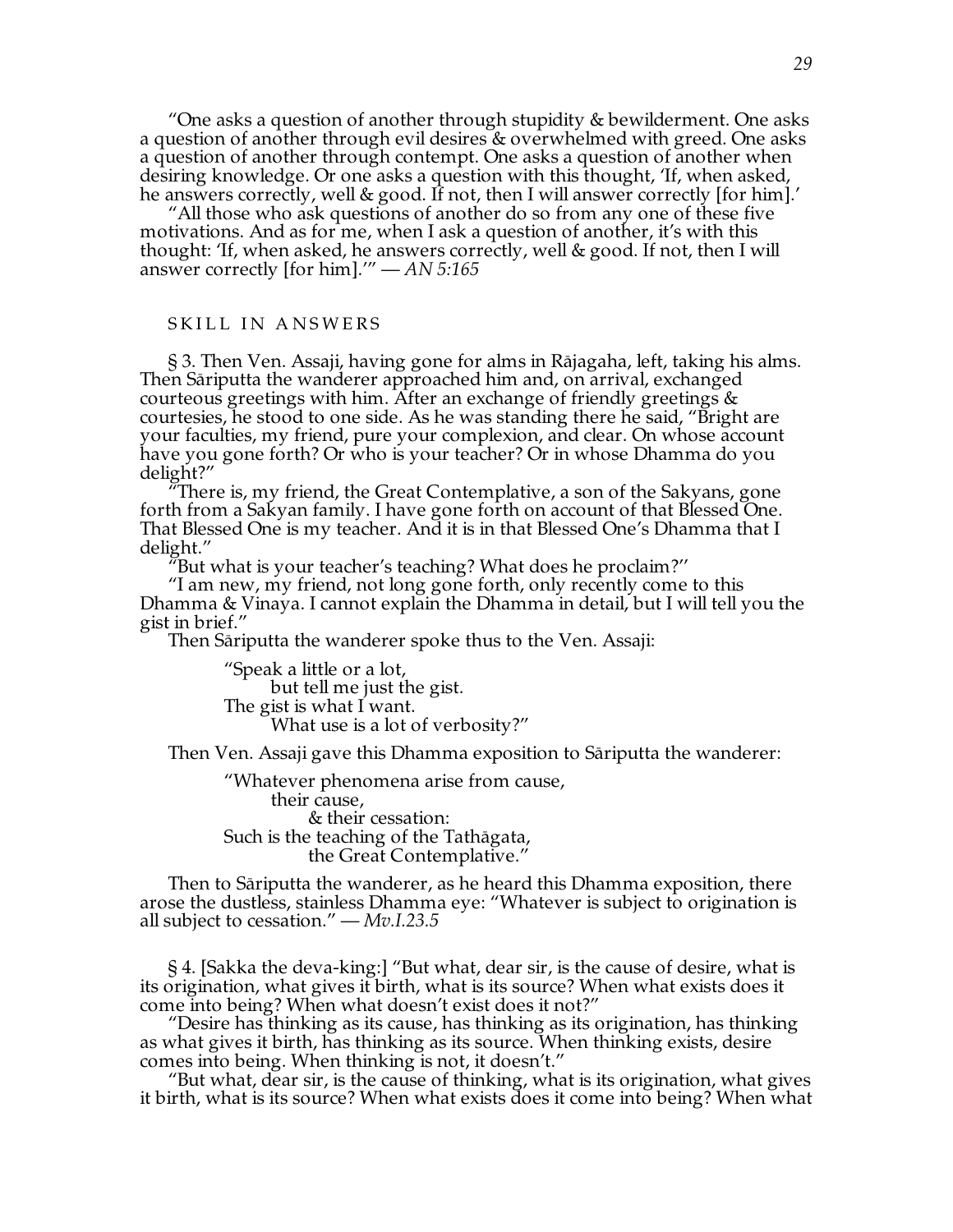"One asks a question of another through stupidity & bewilderment. One asks a question of another through evil desires & overwhelmed with greed. One asks a question of another through contempt. One asks a question of another when desiring knowledge. Or one asks a question with this thought, 'If, when asked, he answers correctly, well & good. If not, then I will answer correctly [for him].'

"All those who ask questions of another do so from any one of these five motivations. And as for me, when I ask a question of another, it's with this thought: 'If, when asked, he answers correctly, well & good. If not, then I will answer correctly [for him].'" — *AN 5:165*

#### SKILL IN ANSWERS

§ 3. Then Ven. Assaji, having gone for alms in Rājagaha, left, taking his alms. Then Sariputta the wanderer approached him and, on arrival, exchanged courteous greetings with him. After an exchange of friendly greetings  $\&$ courtesies, he stood to one side. As he was standing there he said, "Bright are your faculties, my friend, pure your complexion, and clear. On whose account have you gone forth? Or who is your teacher? Or in whose Dhamma do you delight?"

"There is, my friend, the Great Contemplative, a son of the Sakyans, gone forth from a Sakyan family. I have gone forth on account of that Blessed One. That Blessed One is my teacher. And it is in that Blessed One's Dhamma that I delight."

"But what is your teacher's teaching? What does he proclaim?''

"I am new, my friend, not long gone forth, only recently come to this Dhamma & Vinaya. I cannot explain the Dhamma in detail, but I will tell you the gist in brief."

Then Sariputta the wanderer spoke thus to the Ven. Assaji:

"Speak a little or a lot, but tell me just the gist. The gist is what I want. What use is a lot of verbosity?"

Then Ven. Assaji gave this Dhamma exposition to Sariputta the wanderer:

"Whatever phenomena arise from cause, their cause, & their cessation: Such is the teaching of the Tathagata, the Great Contemplative."

Then to Sāriputta the wanderer, as he heard this Dhamma exposition, there arose the dustless, stainless Dhamma eye: "Whatever is subject to origination is all subject to cessation." — *Mv.I.23.5*

§ 4. [Sakka the deva-king:] "But what, dear sir, is the cause of desire, what is its origination, what gives it birth, what is its source? When what exists does it come into being? When what doesn't exist does it not?"

"Desire has thinking as its cause, has thinking as its origination, has thinking as what gives it birth, has thinking as its source. When thinking exists, desire comes into being. When thinking is not, it doesn't."

"But what, dear sir, is the cause of thinking, what is its origination, what gives it birth, what is its source? When what exists does it come into being? When what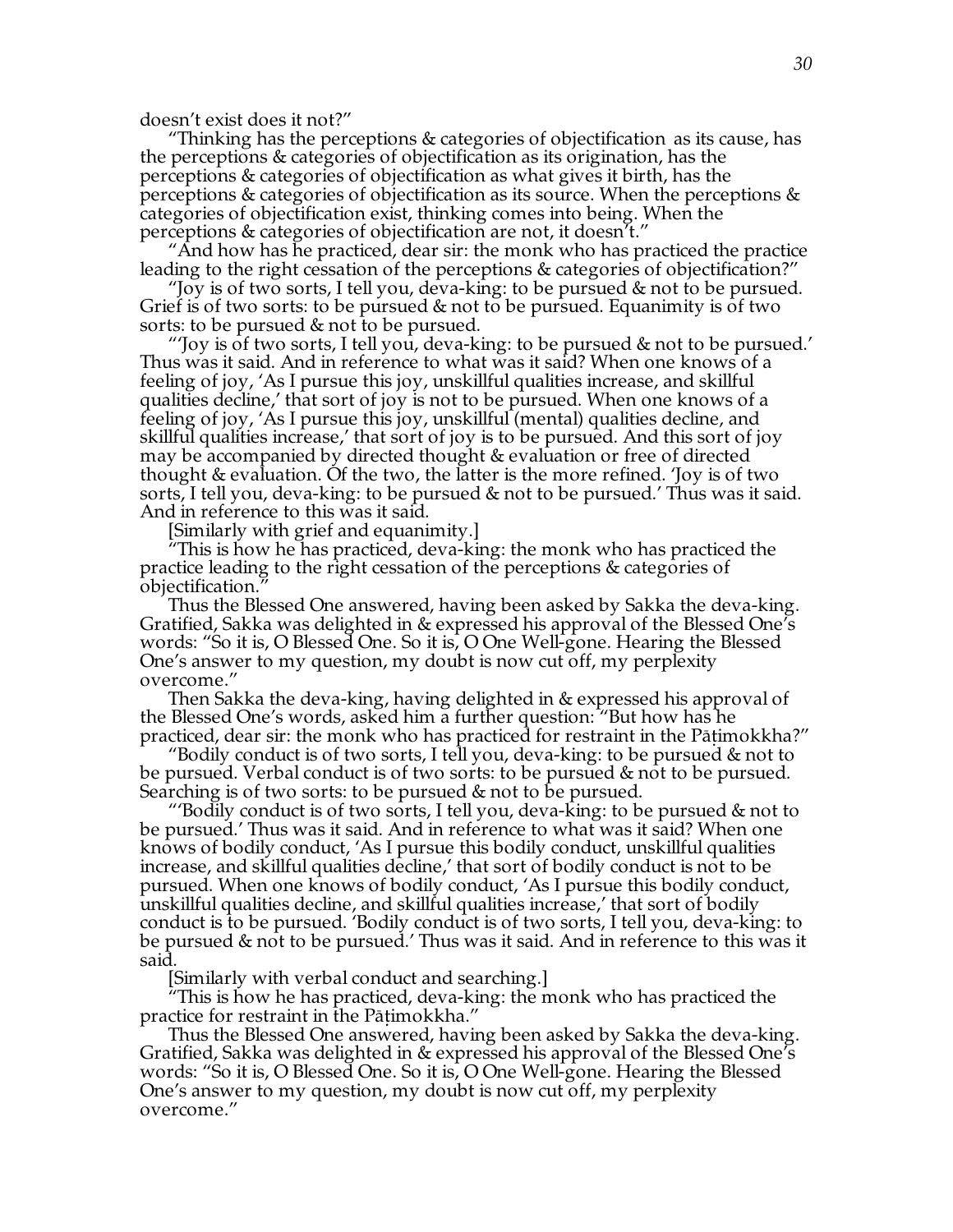doesn't exist does it not?"

"Thinking has the perceptions & categories of objectification as its cause, has the perceptions & categories of objectification as its origination, has the perceptions & categories of objectification as what gives it birth, has the perceptions & categories of objectification as its source. When the perceptions & categories of objectification exist, thinking comes into being. When the perceptions & categories of objectification are not, it doesn't."

"And how has he practiced, dear sir: the monk who has practiced the practice leading to the right cessation of the perceptions & categories of objectification?"

"Joy is of two sorts, I tell you, deva-king: to be pursued & not to be pursued. Grief is of two sorts: to be pursued & not to be pursued. Equanimity is of two sorts: to be pursued & not to be pursued.

"Toy is of two sorts, I tell you, deva-king: to be pursued  $\&$  not to be pursued." Thus was it said. And in reference to what was it said? When one knows of a feeling of joy, 'As I pursue this joy, unskillful qualities increase, and skillful qualities decline,' that sort of joy is not to be pursued. When one knows of a feeling of joy, 'As I pursue this joy, unskillful (mental) qualities decline, and skillful qualities increase,' that sort of joy is to be pursued. And this sort of joy may be accompanied by directed thought & evaluation or free of directed thought & evaluation. Of the two, the latter is the more refined. 'Joy is of two sorts, I tell you, deva-king: to be pursued & not to be pursued.' Thus was it said. And in reference to this was it said.

[Similarly with grief and equanimity.]

"This is how he has practiced, deva-king: the monk who has practiced the practice leading to the right cessation of the perceptions & categories of objectification."

Thus the Blessed One answered, having been asked by Sakka the deva-king. Gratified, Sakka was delighted in & expressed his approval of the Blessed One's words: "So it is, O Blessed One. So it is, O One Well-gone. Hearing the Blessed One's answer to my question, my doubt is now cut off, my perplexity overcome."

Then Sakka the deva-king, having delighted in & expressed his approval of the Blessed One's words, asked him a further question: "But how has he practiced, dear sir: the monk who has practiced for restraint in the Pātimokkha?"

"Bodily conduct is of two sorts, I tell you, deva-king: to be pursued & not to be pursued. Verbal conduct is of two sorts: to be pursued & not to be pursued. Searching is of two sorts: to be pursued & not to be pursued.

"Bodily conduct is of two sorts, I tell you, deva-king: to be pursued  $\&$  not to be pursued.' Thus was it said. And in reference to what was it said? When one knows of bodily conduct, 'As I pursue this bodily conduct, unskillful qualities increase, and skillful qualities decline,' that sort of bodily conduct is not to be pursued. When one knows of bodily conduct, 'As I pursue this bodily conduct, unskillful qualities decline, and skillful qualities increase,' that sort of bodily conduct is to be pursued. 'Bodily conduct is of two sorts, I tell you, deva-king: to be pursued & not to be pursued.' Thus was it said. And in reference to this was it said.

[Similarly with verbal conduct and searching.]

This is how he has practiced, deva-king: the monk who has practiced the practice for restraint in the Pātimokkha."

Thus the Blessed One answered, having been asked by Sakka the deva-king. Gratified, Sakka was delighted in & expressed his approval of the Blessed One's words: "So it is, O Blessed One. So it is, O One Well-gone. Hearing the Blessed One's answer to my question, my doubt is now cut off, my perplexity overcome."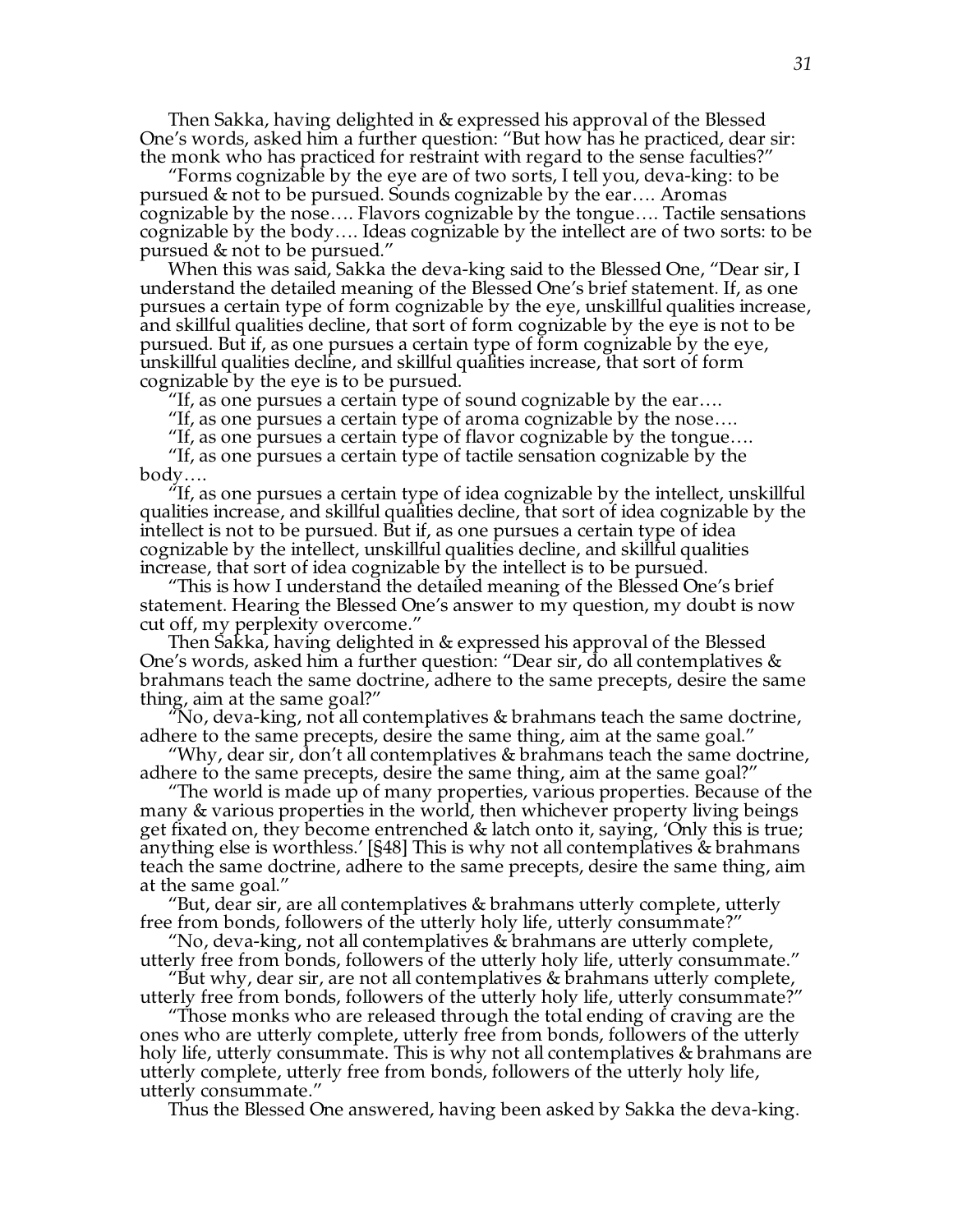Then Sakka, having delighted in & expressed his approval of the Blessed One's words, asked him a further question: "But how has he practiced, dear sir: the monk who has practiced for restraint with regard to the sense faculties?"

"Forms cognizable by the eye are of two sorts, I tell you, deva-king: to be pursued & not to be pursued. Sounds cognizable by the ear…. Aromas cognizable by the nose…. Flavors cognizable by the tongue…. Tactile sensations cognizable by the body…. Ideas cognizable by the intellect are of two sorts: to be pursued & not to be pursued."

When this was said, Sakka the deva-king said to the Blessed One, "Dear sir, I understand the detailed meaning of the Blessed One's brief statement. If, as one pursues a certain type of form cognizable by the eye, unskillful qualities increase, and skillful qualities decline, that sort of form cognizable by the eye is not to be pursued. But if, as one pursues a certain type of form cognizable by the eye, unskillful qualities decline, and skillful qualities increase, that sort of form cognizable by the eye is to be pursued.

"If, as one pursues a certain type of sound cognizable by the ear….

"If, as one pursues a certain type of aroma cognizable by the nose….

"If, as one pursues a certain type of flavor cognizable by the tongue….

"If, as one pursues a certain type of tactile sensation cognizable by the body….

"If, as one pursues a certain type of idea cognizable by the intellect, unskillful qualities increase, and skillful qualities decline, that sort of idea cognizable by the intellect is not to be pursued. But if, as one pursues a certain type of idea cognizable by the intellect, unskillful qualities decline, and skillful qualities increase, that sort of idea cognizable by the intellect is to be pursued.

"This is how I understand the detailed meaning of the Blessed One's brief statement. Hearing the Blessed One's answer to my question, my doubt is now cut off, my perplexity overcome."

Then Sakka, having delighted in & expressed his approval of the Blessed One's words, asked him a further question: "Dear sir, do all contemplatives & brahmans teach the same doctrine, adhere to the same precepts, desire the same thing, aim at the same goal?"

"No, deva-king, not all contemplatives & brahmans teach the same doctrine, adhere to the same precepts, desire the same thing, aim at the same goal."

"Why, dear sir, don't all contemplatives & brahmans teach the same doctrine, adhere to the same precepts, desire the same thing, aim at the same goal?"

"The world is made up of many properties, various properties. Because of the many & various properties in the world, then whichever property living beings get fixated on, they become entrenched & latch onto it, saying, 'Only this is true; anything else is worthless.' [§48] This is why not all contemplatives & brahmans teach the same doctrine, adhere to the same precepts, desire the same thing, aim at the same goal."

"But, dear sir, are all contemplatives & brahmans utterly complete, utterly free from bonds, followers of the utterly holy life, utterly consummate?"

"No, deva-king, not all contemplatives & brahmans are utterly complete, utterly free from bonds, followers of the utterly holy life, utterly consummate."

"But why, dear sir, are not all contemplatives & brahmans utterly complete, utterly free from bonds, followers of the utterly holy life, utterly consummate?"

"Those monks who are released through the total ending of craving are the ones who are utterly complete, utterly free from bonds, followers of the utterly holy life, utterly consummate. This is why not all contemplatives & brahmans are utterly complete, utterly free from bonds, followers of the utterly holy life, utterly consummate."

Thus the Blessed One answered, having been asked by Sakka the deva-king.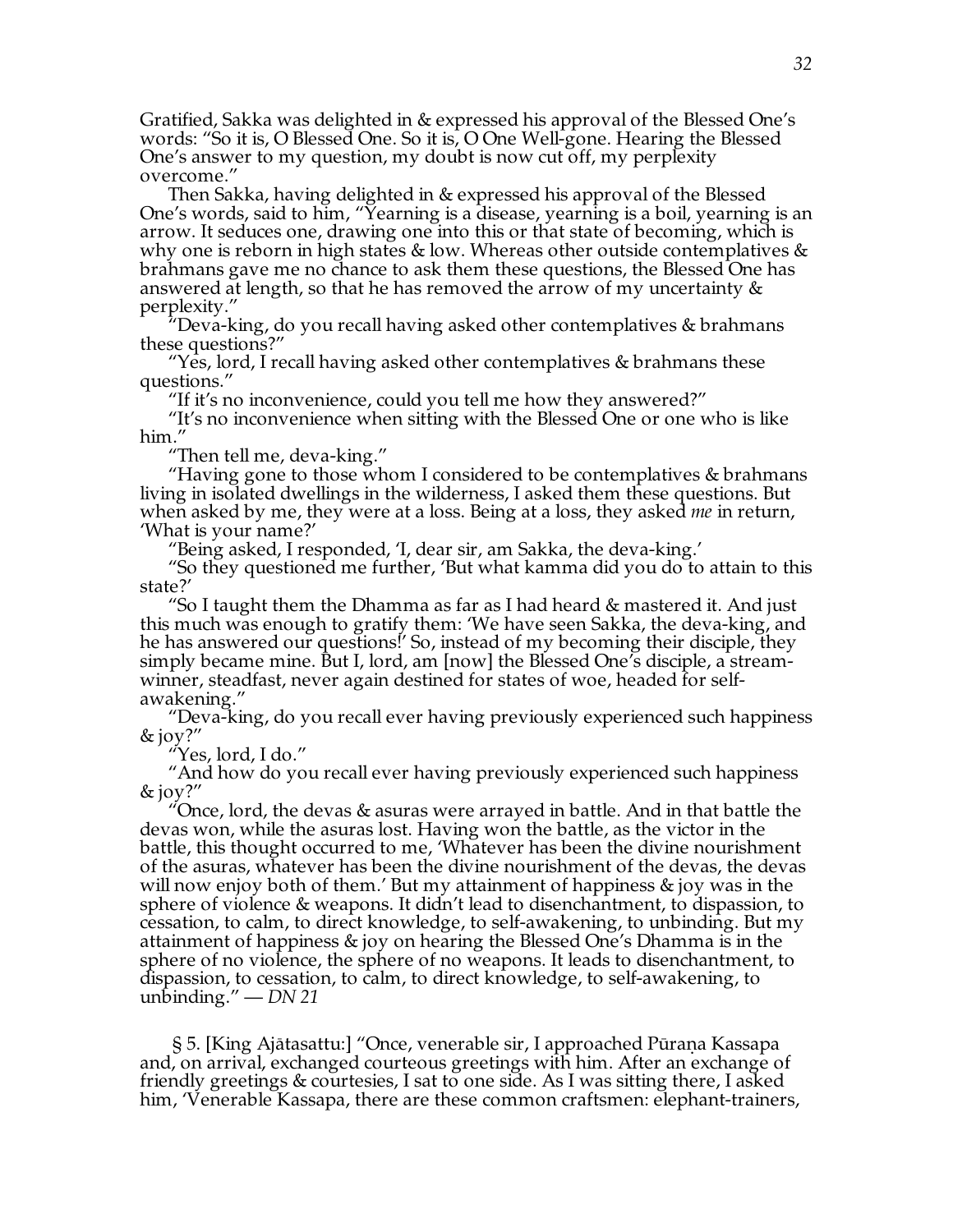Gratified, Sakka was delighted in & expressed his approval of the Blessed One's words: "So it is, O Blessed One. So it is, O One Well-gone. Hearing the Blessed One's answer to my question, my doubt is now cut off, my perplexity overcome."

Then Sakka, having delighted in & expressed his approval of the Blessed One's words, said to him, "Yearning is a disease, yearning is a boil, yearning is an arrow. It seduces one, drawing one into this or that state of becoming, which is why one is reborn in high states & low. Whereas other outside contemplatives & brahmans gave me no chance to ask them these questions, the Blessed One has answered at length, so that he has removed the arrow of my uncertainty & perplexity."

"Deva-king, do you recall having asked other contemplatives & brahmans these questions?"

"Yes, lord, I recall having asked other contemplatives  $\&$  brahmans these questions."

"If it's no inconvenience, could you tell me how they answered?"

"It's no inconvenience when sitting with the Blessed One or one who is like him."

"Then tell me, deva-king."

"Having gone to those whom I considered to be contemplatives & brahmans living in isolated dwellings in the wilderness, I asked them these questions. But when asked by me, they were at a loss. Being at a loss, they asked *me* in return, 'What is your name?'

"Being asked, I responded, 'I, dear sir, am Sakka, the deva-king.'

"So they questioned me further, 'But what kamma did you do to attain to this state?'

"So I taught them the Dhamma as far as I had heard & mastered it. And just this much was enough to gratify them: 'We have seen Sakka, the deva-king, and he has answered our questions!' So, instead of my becoming their disciple, they simply became mine. But I, lord, am [now] the Blessed One's disciple, a streamwinner, steadfast, never again destined for states of woe, headed for selfawakening."

"Deva-king, do you recall ever having previously experienced such happiness  $&$  joy?"

"Yes, lord, I do."

"And how do you recall ever having previously experienced such happiness  $&$  joy?"

"Once, lord, the devas & asuras were arrayed in battle. And in that battle the devas won, while the asuras lost. Having won the battle, as the victor in the battle, this thought occurred to me, 'Whatever has been the divine nourishment of the asuras, whatever has been the divine nourishment of the devas, the devas will now enjoy both of them.' But my attainment of happiness & joy was in the sphere of violence & weapons. It didn't lead to disenchantment, to dispassion, to cessation, to calm, to direct knowledge, to self-awakening, to unbinding. But my attainment of happiness & joy on hearing the Blessed One's Dhamma is in the sphere of no violence, the sphere of no weapons. It leads to disenchantment, to dispassion, to cessation, to calm, to direct knowledge, to self-awakening, to unbinding." — *DN 21*

§ 5. [King Ajātasattu:] "Once, venerable sir, I approached Pūrana Kassapa and, on arrival, exchanged courteous greetings with him. After an exchange of friendly greetings & courtesies, I sat to one side. As I was sitting there, I asked him, 'Venerable Kassapa, there are these common craftsmen: elephant-trainers,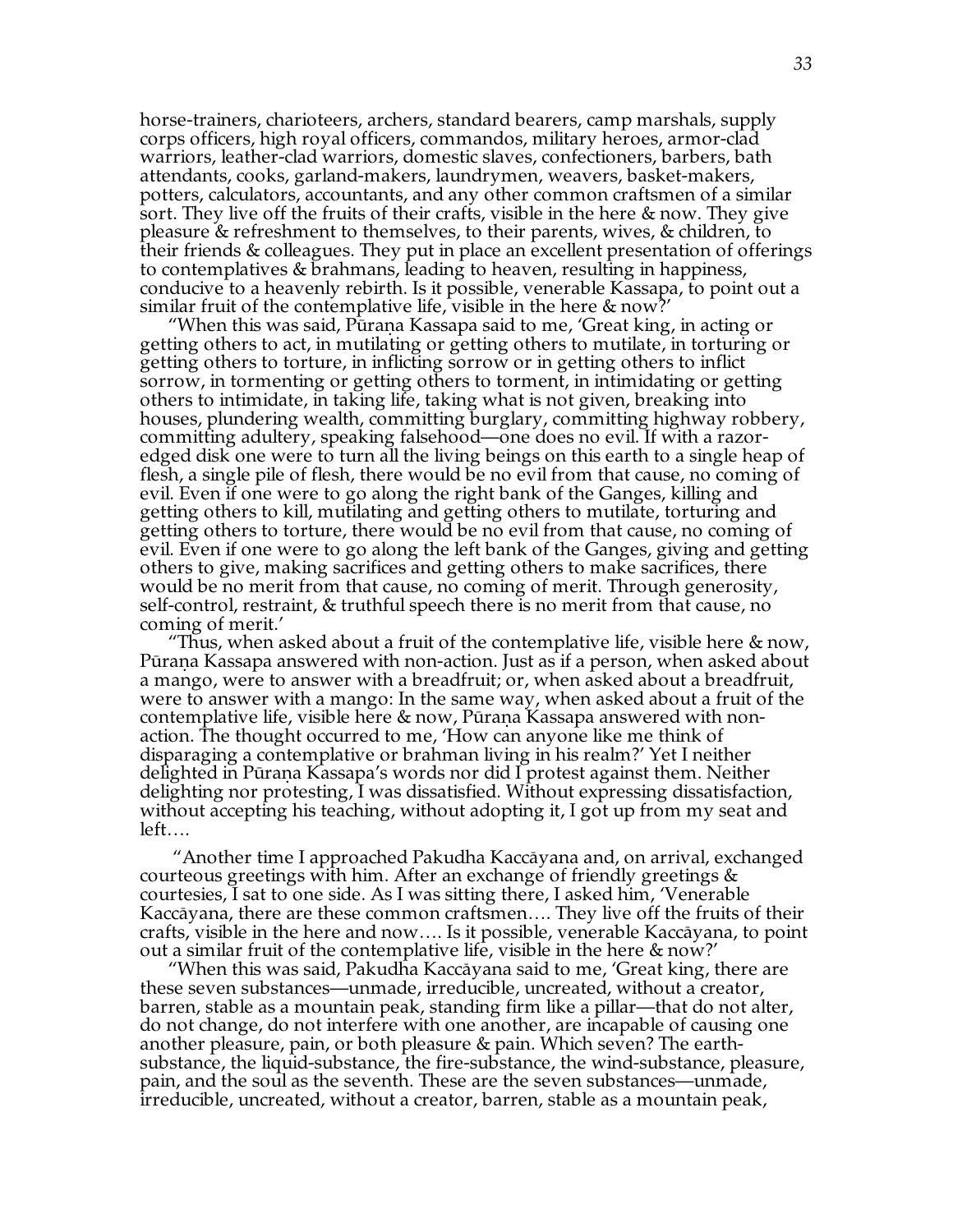horse-trainers, charioteers, archers, standard bearers, camp marshals, supply corps officers, high royal officers, commandos, military heroes, armor-clad warriors, leather-clad warriors, domestic slaves, confectioners, barbers, bath attendants, cooks, garland-makers, laundrymen, weavers, basket-makers, potters, calculators, accountants, and any other common craftsmen of a similar sort. They live off the fruits of their crafts, visible in the here & now. They give pleasure & refreshment to themselves, to their parents, wives, & children, to their friends & colleagues. They put in place an excellent presentation of offerings to contemplatives & brahmans, leading to heaven, resulting in happiness, conducive to a heavenly rebirth. Is it possible, venerable Kassapa, to point out a similar fruit of the contemplative life, visible in the here & now?'

"When this was said, Pūrana Kassapa said to me, 'Great king, in acting or getting others to act, in mutilating or getting others to mutilate, in torturing or getting others to torture, in inflicting sorrow or in getting others to inflict sorrow, in tormenting or getting others to torment, in intimidating or getting others to intimidate, in taking life, taking what is not given, breaking into houses, plundering wealth, committing burglary, committing highway robbery, committing adultery, speaking falsehood—one does no evil. If with a razoredged disk one were to turn all the living beings on this earth to a single heap of flesh, a single pile of flesh, there would be no evil from that cause, no coming of evil. Even if one were to go along the right bank of the Ganges, killing and getting others to kill, mutilating and getting others to mutilate, torturing and getting others to torture, there would be no evil from that cause, no coming of evil. Even if one were to go along the left bank of the Ganges, giving and getting others to give, making sacrifices and getting others to make sacrifices, there would be no merit from that cause, no coming of merit. Through generosity, self-control, restraint, & truthful speech there is no merit from that cause, no coming of merit.'

"Thus, when asked about a fruit of the contemplative life, visible here & now, Pūrana Kassapa answered with non-action. Just as if a person, when asked about a mango, were to answer with a breadfruit; or, when asked about a breadfruit, were to answer with a mango: In the same way, when asked about a fruit of the contemplative life, visible here  $\&$  now, Pūraṇa Kassapa answered with nonaction. The thought occurred to me, 'How can anyone like me think of disparaging a contemplative or brahman living in his realm?' Yet I neither delighted in Pūraṇa Kassapa's words nor did I protest against them. Neither delighting nor protesting, I was dissatisfied. Without expressing dissatisfaction, without accepting his teaching, without adopting it, I got up from my seat and left….

"Another time I approached Pakudha Kaccāyana and, on arrival, exchanged courteous greetings with him. After an exchange of friendly greetings & courtesies, I sat to one side. As I was sitting there, I asked him, 'Venerable Kaccāyana, there are these common craftsmen.... They live off the fruits of their crafts, visible in the here and now.... Is it possible, venerable Kaccayana, to point out a similar fruit of the contemplative life, visible in the here & now?'

"When this was said, Pakudha Kaccāyana said to me, 'Great king, there are these seven substances—unmade, irreducible, uncreated, without a creator, barren, stable as a mountain peak, standing firm like a pillar—that do not alter, do not change, do not interfere with one another, are incapable of causing one another pleasure, pain, or both pleasure & pain. Which seven? The earth- substance, the liquid-substance, the fire-substance, the wind-substance, pleasure, pain, and the soul as the seventh. These are the seven substances—unmade, irreducible, uncreated, without a creator, barren, stable as a mountain peak,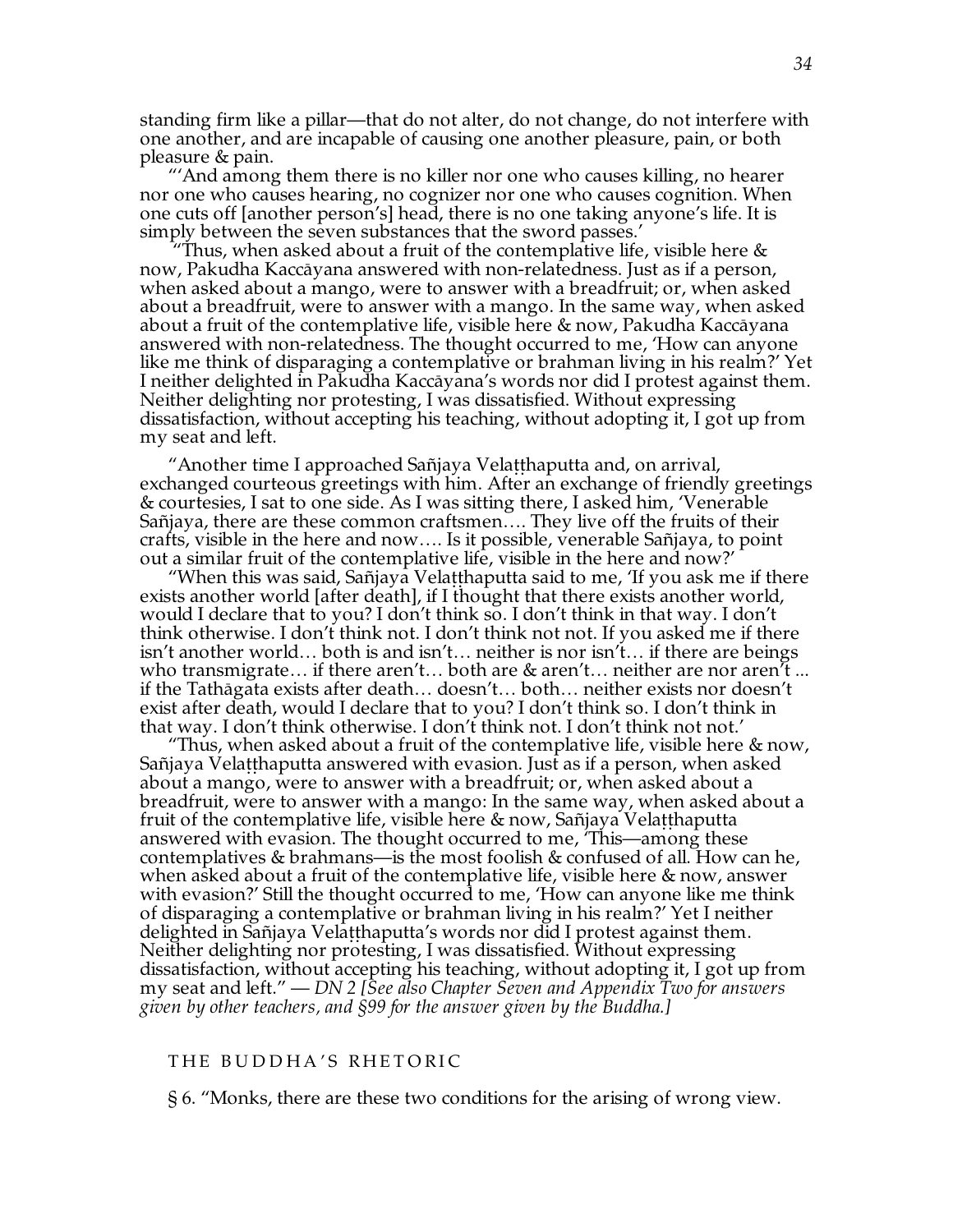standing firm like a pillar—that do not alter, do not change, do not interfere with one another, and are incapable of causing one another pleasure, pain, or both pleasure & pain.

"'And among them there is no killer nor one who causes killing, no hearer nor one who causes hearing, no cognizer nor one who causes cognition. When one cuts off [another person's] head, there is no one taking anyone's life. It is simply between the seven substances that the sword passes.'

"Thus, when asked about a fruit of the contemplative life, visible here  $\&$ now, Pakudha Kaccāyana answered with non-relatedness. Just as if a person, when asked about a mango, were to answer with a breadfruit; or, when asked about a breadfruit, were to answer with a mango. In the same way, when asked about a fruit of the contemplative life, visible here  $\&$  now, Pakudha Kaccayana answered with non-relatedness. The thought occurred to me, 'How can anyone like me think of disparaging a contemplative or brahman living in his realm?' Yet I neither delighted in Pakudha Kaccāyana's words nor did I protest against them. Neither delighting nor protesting, I was dissatisfied. Without expressing dissatisfaction, without accepting his teaching, without adopting it, I got up from my seat and left.

"Another time I approached Sañjaya Velatthaputta and, on arrival, exchanged courteous greetings with him. After an exchange of friendly greetings & courtesies, I sat to one side. As I was sitting there, I asked him, 'Venerable Sañjaya, there are these common craftsmen…. They live off the fruits of their crafts, visible in the here and now…. Is it possible, venerable Sañjaya, to point out a similar fruit of the contemplative life, visible in the here and now?'

"When this was said, Sañjaya Velatthaputta said to me, 'If you ask me if there exists another world [after death], if I thought that there exists another world, would I declare that to you? I don't think so. I don't think in that way. I don't think otherwise. I don't think not. I don't think not not. If you asked me if there isn't another world… both is and isn't… neither is nor isn't… if there are beings who transmigrate… if there aren't… both are & aren't… neither are nor aren't ... if the Tathāgata exists after death... doesn't... both... neither exists nor doesn't exist after death, would I declare that to you? I don't think so. I don't think in that way. I don't think otherwise. I don't think not. I don't think not not.'

"Thus, when asked about a fruit of the contemplative life, visible here  $\&$  now, Sañjaya Velatthaputta answered with evasion. Just as if a person, when asked about a mango, were to answer with a breadfruit; or, when asked about a breadfruit, were to answer with a mango: In the same way, when asked about a fruit of the contemplative life, visible here  $\&$  now, Sañjaya Velatthaputta answered with evasion. The thought occurred to me, 'This—among these contemplatives & brahmans—is the most foolish & confused of all. How can he, when asked about a fruit of the contemplative life, visible here & now, answer with evasion?' Still the thought occurred to me, 'How can anyone like me think of disparaging a contemplative or brahman living in his realm?' Yet I neither delighted in Sañjaya Velatthaputta's words nor did I protest against them. Neither delighting nor protesting, I was dissatisfied. Without expressing dissatisfaction, without accepting his teaching, without adopting it, I got up from my seat and left." — *DN 2 [See also Chapter Seven and Appendix Two for answers given by other teachers, and §99 for the answer given by the Buddha.]*

#### THE BUDDHA'S RHETORIC

§ 6. "Monks, there are these two conditions for the arising of wrong view.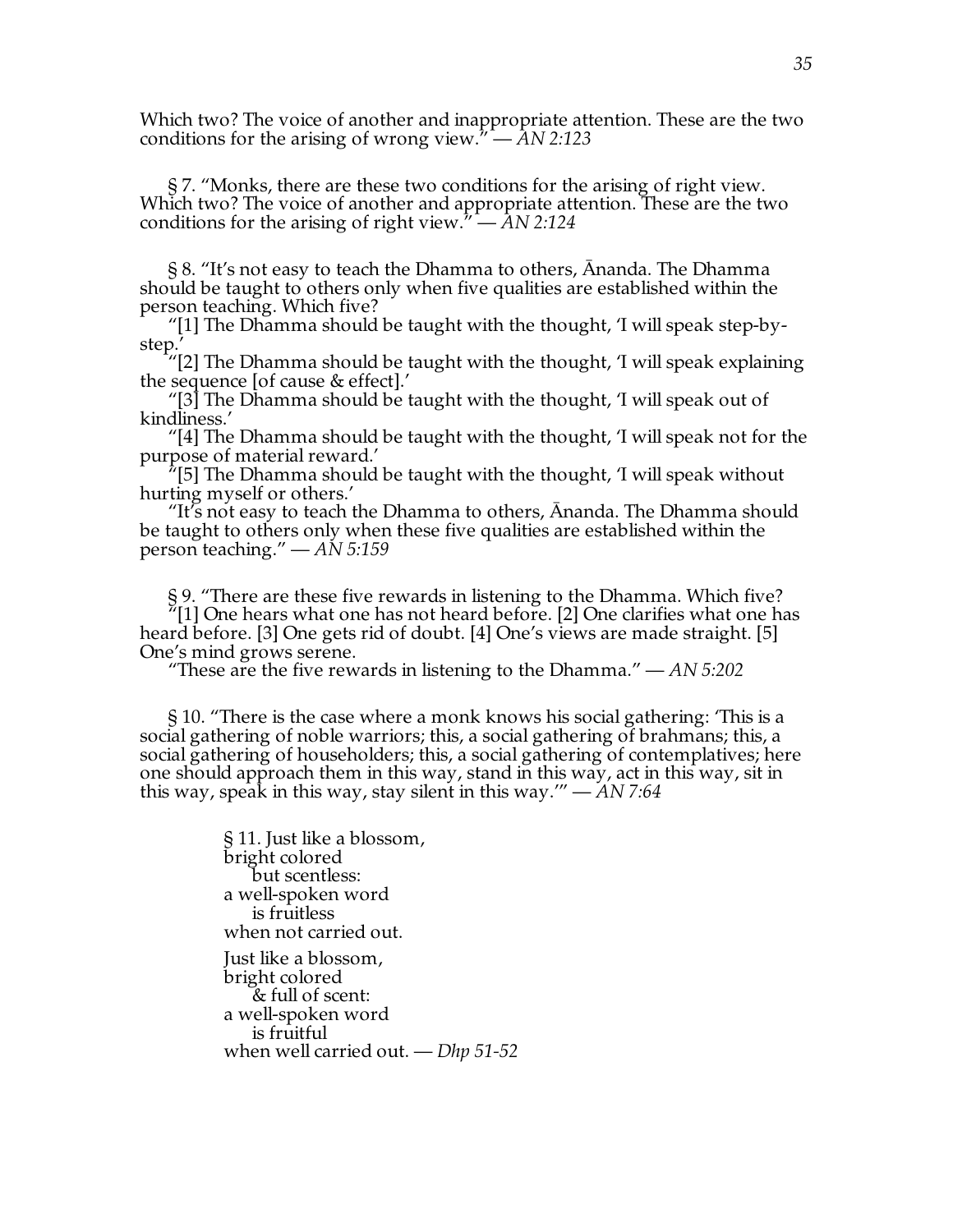Which two? The voice of another and inappropriate attention. These are the two conditions for the arising of wrong view." — *AN 2:123*

§ 7. "Monks, there are these two conditions for the arising of right view. Which two? The voice of another and appropriate attention. These are the two conditions for the arising of right view." — *AN 2:124*

§ 8. "It's not easy to teach the Dhamma to others, finanda. The Dhamma should be taught to others only when five qualities are established within the person teaching. Which five?

"[1] The Dhamma should be taught with the thought, 'I will speak step-bystep.'

"[2] The Dhamma should be taught with the thought, 'I will speak explaining the sequence [of cause & effect].'

"[3] The Dhamma should be taught with the thought, 'I will speak out of kindliness.'

"[4] The Dhamma should be taught with the thought, 'I will speak not for the purpose of material reward.'

"[5] The Dhamma should be taught with the thought, 'I will speak without hurting myself or others.'

"It's not easy to teach the Dhamma to others, finanda. The Dhamma should be taught to others only when these five qualities are established within the person teaching." — *AN 5:159* 

§ 9. "There are these five rewards in listening to the Dhamma. Which five?

"[1] One hears what one has not heard before. [2] One clarifies what one has heard before. [3] One gets rid of doubt. [4] One's views are made straight. [5] One's mind grows serene.

"These are the five rewards in listening to the Dhamma." — *AN 5:202* 

§ 10. "There is the case where a monk knows his social gathering: 'This is a social gathering of noble warriors; this, a social gathering of brahmans; this, a social gathering of householders; this, a social gathering of contemplatives; here one should approach them in this way, stand in this way, act in this way, sit in this way, speak in this way, stay silent in this way.'" — *AN 7:64*

> § 11. Just like a blossom, bright colored but scentless: a well-spoken word is fruitless when not carried out. Just like a blossom, bright colored & full of scent: a well-spoken word is fruitful when well carried out. — *Dhp 51-52*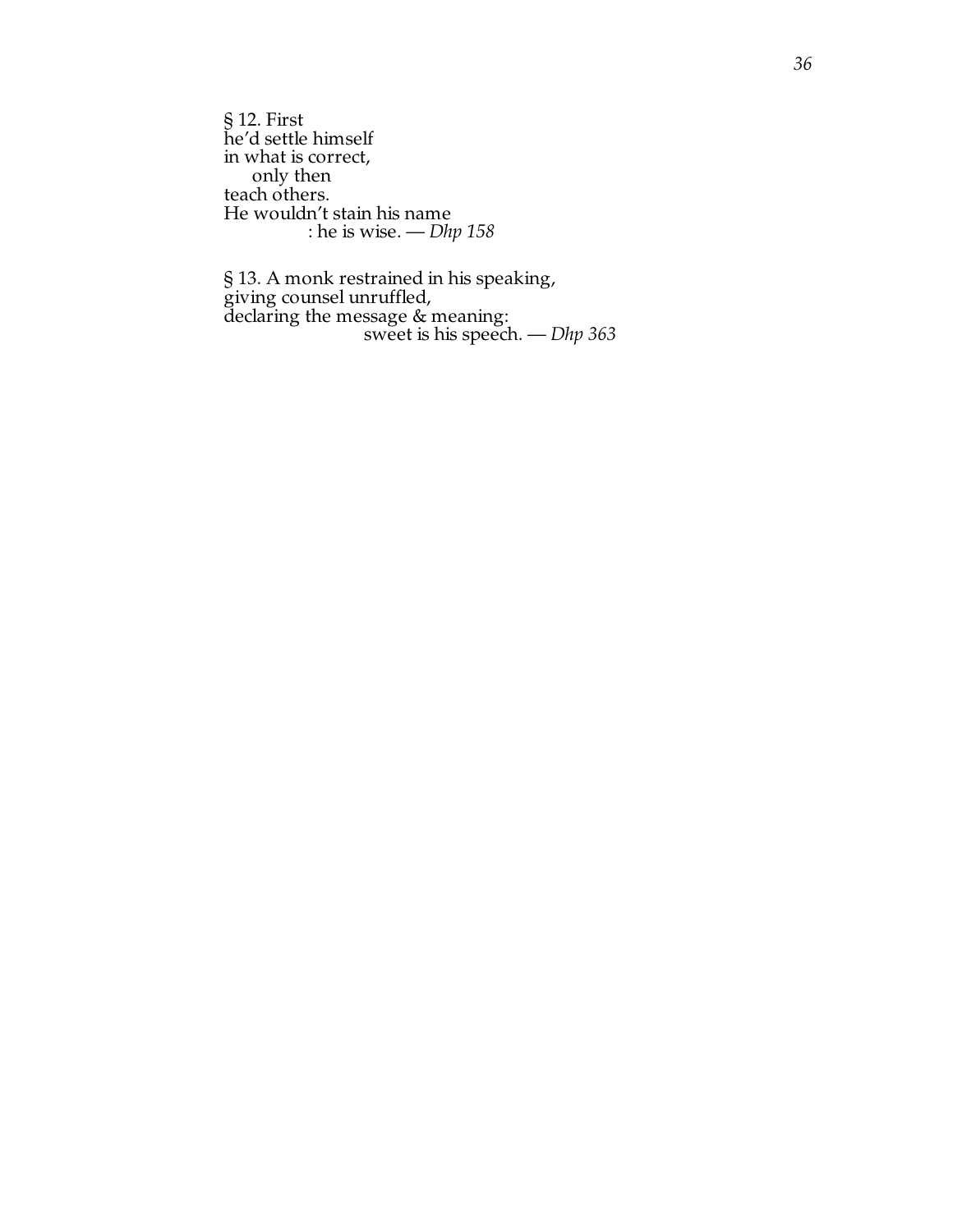§ 12. First he'd settle himself in what is correct, only then teach others. He wouldn't stain his name : he is wise. — *Dhp 158*

§ 13. A monk restrained in his speaking, giving counsel unruffled, declaring the message & meaning: sweet is his speech. — *Dhp 363*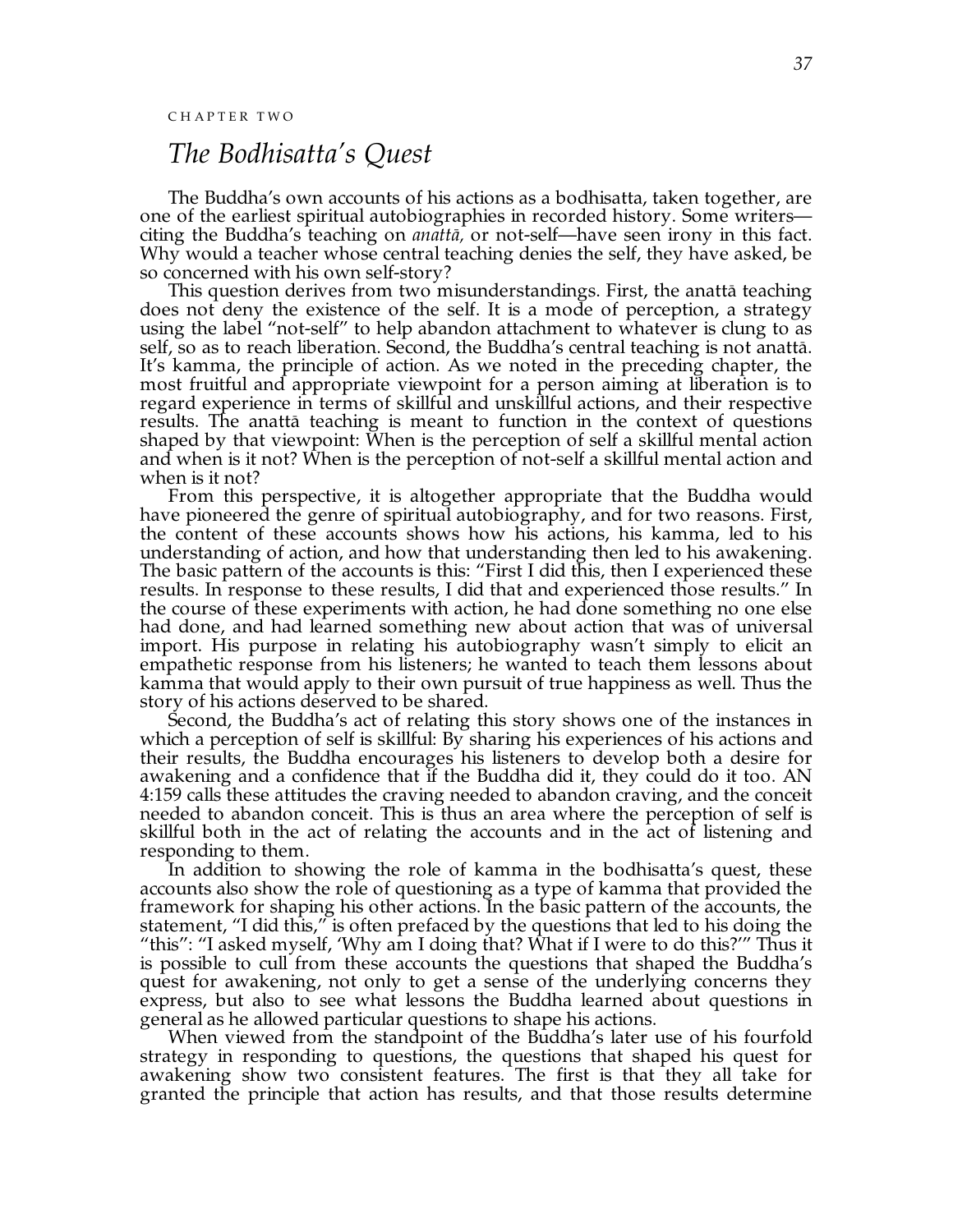# *The Bodhisatta's Quest*

The Buddha's own accounts of his actions as a bodhisatta, taken together, are one of the earliest spiritual autobiographies in recorded history. Some writers citing the Buddha's teaching on *anattā*, or not-self—have seen irony in this fact. Why would a teacher whose central teaching denies the self, they have asked, be so concerned with his own self-story?

This question derives from two misunderstandings. First, the anattā teaching does not deny the existence of the self. It is a mode of perception, a strategy using the label "not-self" to help abandon attachment to whatever is clung to as self, so as to reach liberation. Second, the Buddha's central teaching is not anattā. It's kamma, the principle of action. As we noted in the preceding chapter, the most fruitful and appropriate viewpoint for a person aiming at liberation is to regard experience in terms of skillful and unskillful actions, and their respective results. The anatta teaching is meant to function in the context of questions shaped by that viewpoint: When is the perception of self a skillful mental action and when is it not? When is the perception of not-self a skillful mental action and when is it not?

From this perspective, it is altogether appropriate that the Buddha would have pioneered the genre of spiritual autobiography, and for two reasons. First, the content of these accounts shows how his actions, his kamma, led to his understanding of action, and how that understanding then led to his awakening. The basic pattern of the accounts is this: "First I did this, then I experienced these results. In response to these results, I did that and experienced those results." In the course of these experiments with action, he had done something no one else had done, and had learned something new about action that was of universal import. His purpose in relating his autobiography wasn't simply to elicit an empathetic response from his listeners; he wanted to teach them lessons about kamma that would apply to their own pursuit of true happiness as well. Thus the story of his actions deserved to be shared.

Second, the Buddha's act of relating this story shows one of the instances in which a perception of self is skillful: By sharing his experiences of his actions and their results, the Buddha encourages his listeners to develop both a desire for awakening and a confidence that if the Buddha did it, they could do it too. AN 4:159 calls these attitudes the craving needed to abandon craving, and the conceit needed to abandon conceit. This is thus an area where the perception of self is skillful both in the act of relating the accounts and in the act of listening and responding to them.

In addition to showing the role of kamma in the bodhisatta's quest, these accounts also show the role of questioning as a type of kamma that provided the framework for shaping his other actions. In the basic pattern of the accounts, the statement, "I did this," is often prefaced by the questions that led to his doing the "this": "I asked myself, 'Why am I doing that? What if I were to do this?'" Thus it is possible to cull from these accounts the questions that shaped the Buddha's quest for awakening, not only to get a sense of the underlying concerns they express, but also to see what lessons the Buddha learned about questions in general as he allowed particular questions to shape his actions.

When viewed from the standpoint of the Buddha's later use of his fourfold strategy in responding to questions, the questions that shaped his quest for awakening show two consistent features. The first is that they all take for granted the principle that action has results, and that those results determine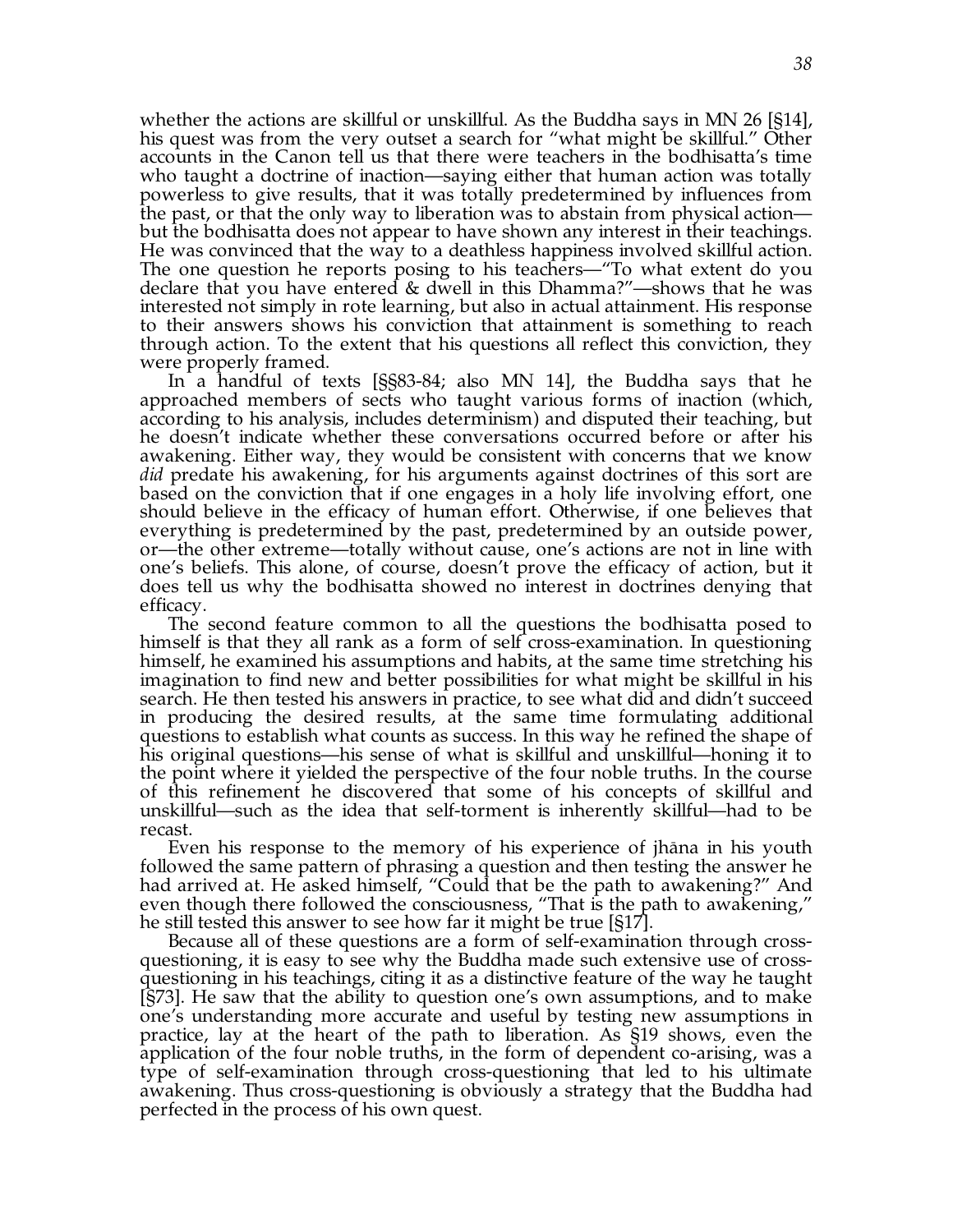whether the actions are skillful or unskillful. As the Buddha says in MN 26 [§14], his quest was from the very outset a search for "what might be skillful." Other accounts in the Canon tell us that there were teachers in the bodhisatta's time who taught a doctrine of inaction—saying either that human action was totally powerless to give results, that it was totally predetermined by influences from the past, or that the only way to liberation was to abstain from physical action but the bodhisatta does not appear to have shown any interest in their teachings. He was convinced that the way to a deathless happiness involved skillful action. The one question he reports posing to his teachers—"To what extent do you declare that you have entered & dwell in this Dhamma?"—shows that he was interested not simply in rote learning, but also in actual attainment. His response to their answers shows his conviction that attainment is something to reach through action. To the extent that his questions all reflect this conviction, they were properly framed.

In a handful of texts [§§83-84; also MN 14], the Buddha says that he approached members of sects who taught various forms of inaction (which, according to his analysis, includes determinism) and disputed their teaching, but he doesn't indicate whether these conversations occurred before or after his awakening. Either way, they would be consistent with concerns that we know *did* predate his awakening, for his arguments against doctrines of this sort are based on the conviction that if one engages in a holy life involving effort, one should believe in the efficacy of human effort. Otherwise, if one believes that everything is predetermined by the past, predetermined by an outside power, or—the other extreme—totally without cause, one's actions are not in line with one's beliefs. This alone, of course, doesn't prove the efficacy of action, but it does tell us why the bodhisatta showed no interest in doctrines denying that efficacy.

The second feature common to all the questions the bodhisatta posed to himself is that they all rank as a form of self cross-examination. In questioning himself, he examined his assumptions and habits, at the same time stretching his imagination to find new and better possibilities for what might be skillful in his search. He then tested his answers in practice, to see what did and didn't succeed in producing the desired results, at the same time formulating additional questions to establish what counts as success. In this way he refined the shape of his original questions—his sense of what is skillful and unskillful—honing it to the point where it yielded the perspective of the four noble truths. In the course of this refinement he discovered that some of his concepts of skillful and unskillful—such as the idea that self-torment is inherently skillful—had to be recast.

Even his response to the memory of his experience of jhāna in his youth followed the same pattern of phrasing a question and then testing the answer he had arrived at. He asked himself, "Could that be the path to awakening?" And even though there followed the consciousness, "That is the path to awakening," he still tested this answer to see how far it might be true [§17].

Because all of these questions are a form of self-examination through crossquestioning, it is easy to see why the Buddha made such extensive use of crossquestioning in his teachings, citing it as a distinctive feature of the way he taught [§73]. He saw that the ability to question one's own assumptions, and to make one's understanding more accurate and useful by testing new assumptions in practice, lay at the heart of the path to liberation. As §19 shows, even the application of the four noble truths, in the form of dependent co-arising, was a type of self-examination through cross-questioning that led to his ultimate awakening. Thus cross-questioning is obviously a strategy that the Buddha had perfected in the process of his own quest.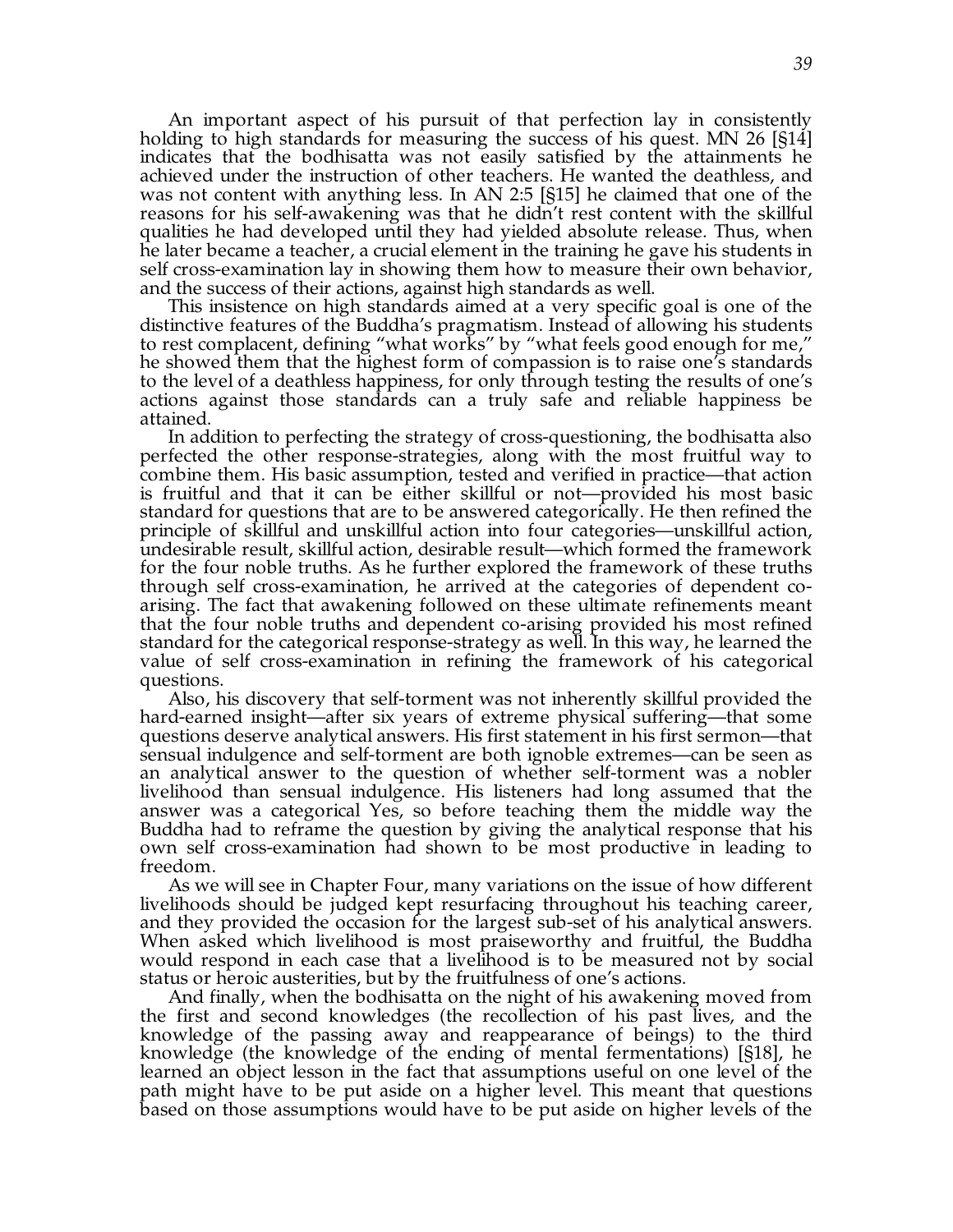An important aspect of his pursuit of that perfection lay in consistently holding to high standards for measuring the success of his quest. MN 26 [§14] indicates that the bodhisatta was not easily satisfied by the attainments he achieved under the instruction of other teachers. He wanted the deathless, and was not content with anything less. In AN 2:5 [§15] he claimed that one of the reasons for his self-awakening was that he didn't rest content with the skillful qualities he had developed until they had yielded absolute release. Thus, when he later became a teacher, a crucial element in the training he gave his students in self cross-examination lay in showing them how to measure their own behavior, and the success of their actions, against high standards as well.

This insistence on high standards aimed at a very specific goal is one of the distinctive features of the Buddha's pragmatism. Instead of allowing his students to rest complacent, defining "what works" by "what feels good enough for me," he showed them that the highest form of compassion is to raise one's standards to the level of a deathless happiness, for only through testing the results of one's actions against those standards can a truly safe and reliable happiness be attained.

In addition to perfecting the strategy of cross-questioning, the bodhisatta also perfected the other response-strategies, along with the most fruitful way to combine them. His basic assumption, tested and verified in practice—that action is fruitful and that it can be either skillful or not—provided his most basic standard for questions that are to be answered categorically. He then refined the principle of skillful and unskillful action into four categories—unskillful action, undesirable result, skillful action, desirable result—which formed the framework for the four noble truths. As he further explored the framework of these truths through self cross-examination, he arrived at the categories of dependent coarising. The fact that awakening followed on these ultimate refinements meant that the four noble truths and dependent co-arising provided his most refined standard for the categorical response-strategy as well. In this way, he learned the value of self cross-examination in refining the framework of his categorical questions.

Also, his discovery that self-torment was not inherently skillful provided the hard-earned insight—after six years of extreme physical suffering—that some questions deserve analytical answers. His first statement in his first sermon—that sensual indulgence and self-torment are both ignoble extremes—can be seen as an analytical answer to the question of whether self-torment was a nobler livelihood than sensual indulgence. His listeners had long assumed that the answer was a categorical Yes, so before teaching them the middle way the Buddha had to reframe the question by giving the analytical response that his own self cross-examination had shown to be most productive in leading to freedom.

As we will see in Chapter Four, many variations on the issue of how different livelihoods should be judged kept resurfacing throughout his teaching career, and they provided the occasion for the largest sub-set of his analytical answers. When asked which livelihood is most praiseworthy and fruitful, the Buddha would respond in each case that a livelihood is to be measured not by social status or heroic austerities, but by the fruitfulness of one's actions.

And finally, when the bodhisatta on the night of his awakening moved from the first and second knowledges (the recollection of his past lives, and the knowledge of the passing away and reappearance of beings) to the third knowledge (the knowledge of the ending of mental fermentations) [§18], he learned an object lesson in the fact that assumptions useful on one level of the path might have to be put aside on a higher level. This meant that questions based on those assumptions would have to be put aside on higher levels of the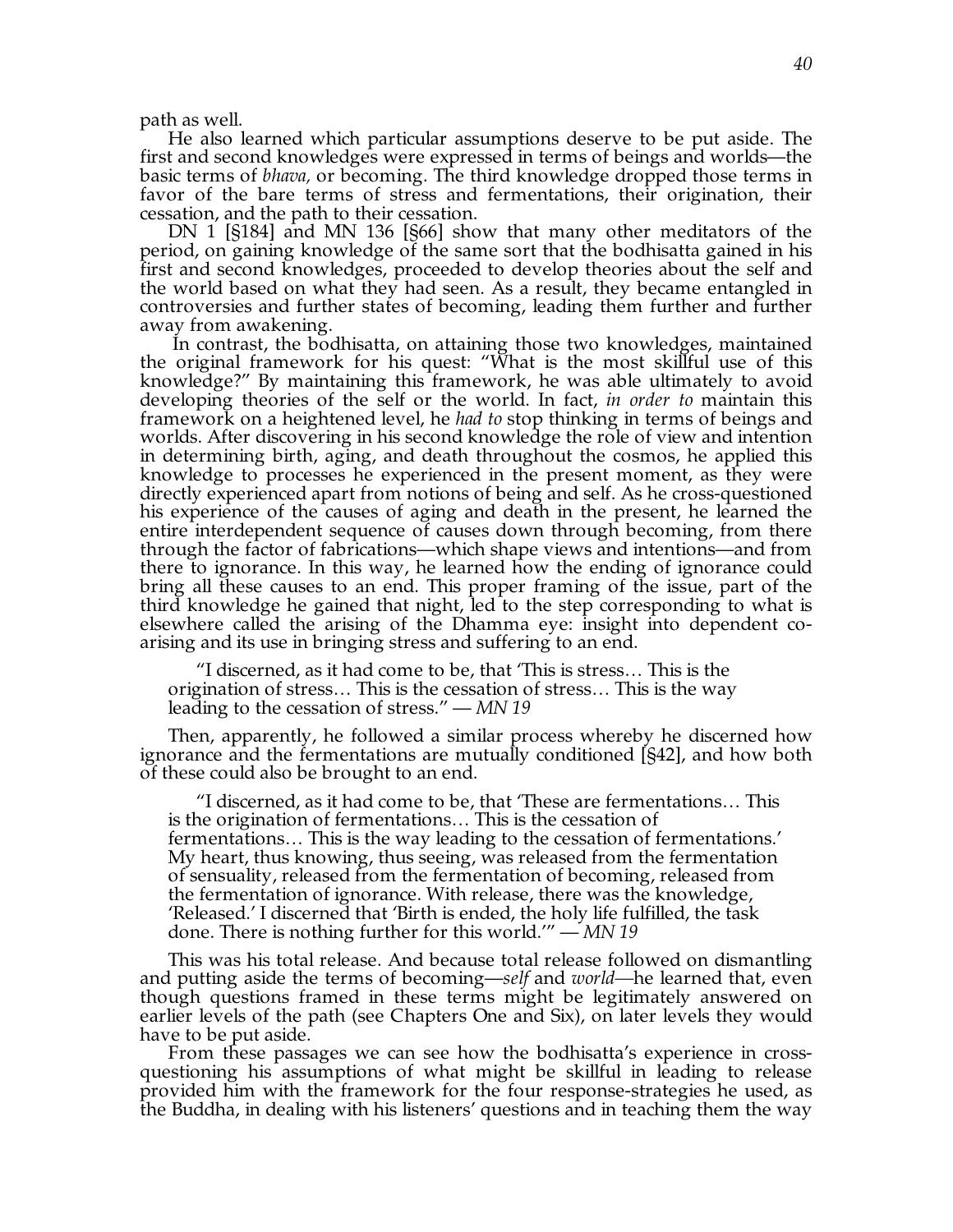path as well.

He also learned which particular assumptions deserve to be put aside. The first and second knowledges were expressed in terms of beings and worlds—the basic terms of *bhava,* or becoming. The third knowledge dropped those terms in favor of the bare terms of stress and fermentations, their origination, their cessation, and the path to their cessation.

DN 1 [§184] and MN 136 [§66] show that many other meditators of the period, on gaining knowledge of the same sort that the bodhisatta gained in his first and second knowledges, proceeded to develop theories about the self and the world based on what they had seen. As a result, they became entangled in controversies and further states of becoming, leading them further and further away from awakening.

 In contrast, the bodhisatta, on attaining those two knowledges, maintained the original framework for his quest: "What is the most skillful use of this knowledge?" By maintaining this framework, he was able ultimately to avoid developing theories of the self or the world. In fact, *in order to* maintain this framework on a heightened level, he *had to* stop thinking in terms of beings and worlds. After discovering in his second knowledge the role of view and intention in determining birth, aging, and death throughout the cosmos, he applied this knowledge to processes he experienced in the present moment, as they were directly experienced apart from notions of being and self. As he cross-questioned his experience of the causes of aging and death in the present, he learned the entire interdependent sequence of causes down through becoming, from there through the factor of fabrications—which shape views and intentions—and from there to ignorance. In this way, he learned how the ending of ignorance could bring all these causes to an end. This proper framing of the issue, part of the third knowledge he gained that night, led to the step corresponding to what is elsewhere called the arising of the Dhamma eye: insight into dependent coarising and its use in bringing stress and suffering to an end.

"I discerned, as it had come to be, that 'This is stress… This is the origination of stress… This is the cessation of stress… This is the way leading to the cessation of stress." — *MN 19*

Then, apparently, he followed a similar process whereby he discerned how ignorance and the fermentations are mutually conditioned [§42], and how both of these could also be brought to an end.

"I discerned, as it had come to be, that 'These are fermentations… This is the origination of fermentations… This is the cessation of fermentations… This is the way leading to the cessation of fermentations.' My heart, thus knowing, thus seeing, was released from the fermentation of sensuality, released from the fermentation of becoming, released from the fermentation of ignorance. With release, there was the knowledge, 'Released.' I discerned that 'Birth is ended, the holy life fulfilled, the task done. There is nothing further for this world.'" — *MN 19*

This was his total release. And because total release followed on dismantling and putting aside the terms of becoming—*self* and *world—*he learned that, even though questions framed in these terms might be legitimately answered on earlier levels of the path (see Chapters One and Six), on later levels they would have to be put aside.<br>From these passages we can see how the bodhisatta's experience in cross-

questioning his assumptions of what might be skillful in leading to release provided him with the framework for the four response-strategies he used, as the Buddha, in dealing with his listeners' questions and in teaching them the way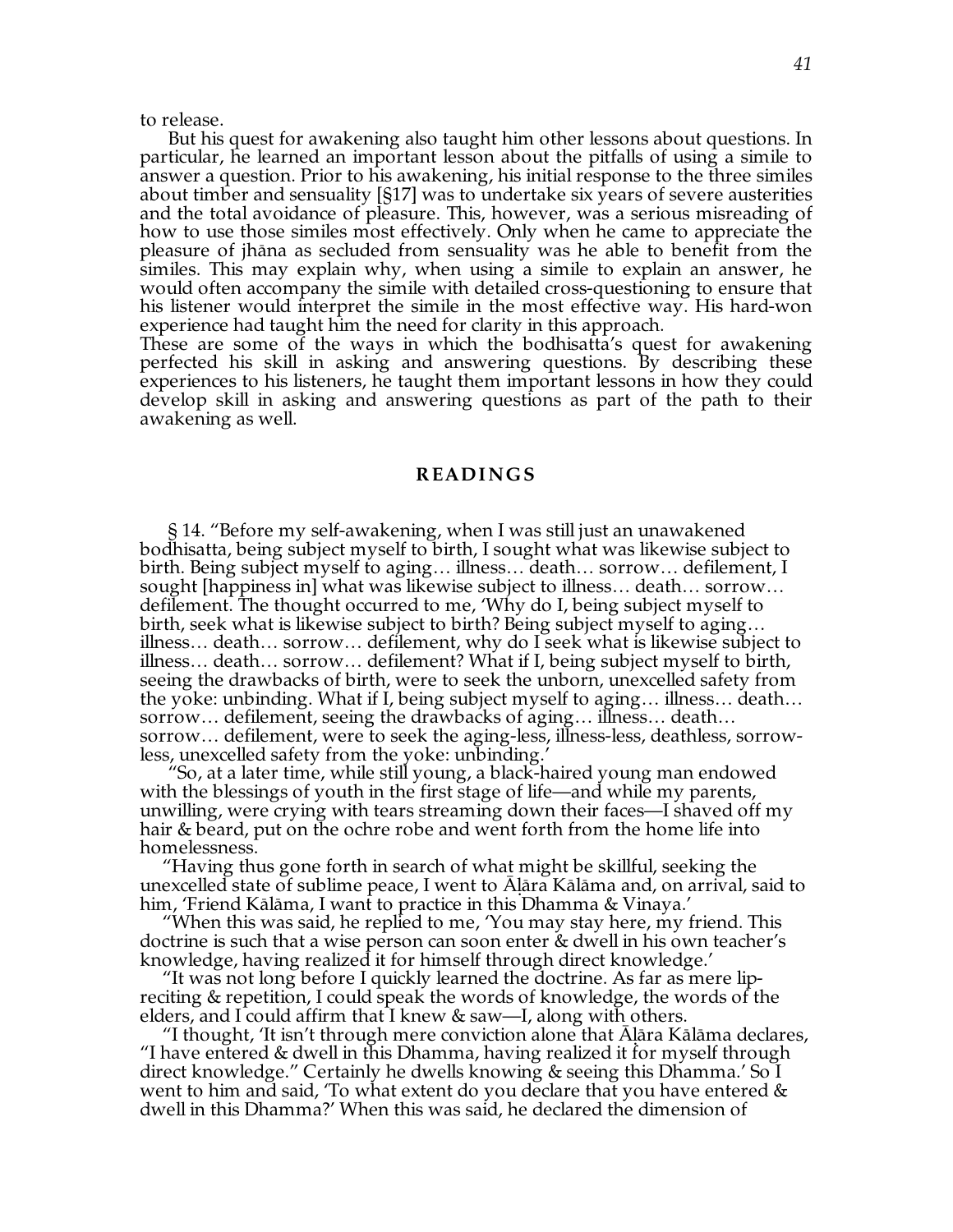to release.

But his quest for awakening also taught him other lessons about questions. In particular, he learned an important lesson about the pitfalls of using a simile to answer a question. Prior to his awakening, his initial response to the three similes about timber and sensuality [§17] was to undertake six years of severe austerities and the total avoidance of pleasure. This, however, was a serious misreading of how to use those similes most effectively. Only when he came to appreciate the pleasure of jhana as secluded from sensuality was he able to benefit from the similes. This may explain why, when using a simile to explain an answer, he would often accompany the simile with detailed cross-questioning to ensure that his listener would interpret the simile in the most effective way. His hard-won experience had taught him the need for clarity in this approach.

These are some of the ways in which the bodhisatta's quest for awakening perfected his skill in asking and answering questions. By describing these experiences to his listeners, he taught them important lessons in how they could develop skill in asking and answering questions as part of the path to their awakening as well.

### **R EADI NGS**

§ 14. "Before my self-awakening, when I was still just an unawakened bodhisatta, being subject myself to birth, I sought what was likewise subject to birth. Being subject myself to aging… illness… death… sorrow… defilement, I sought [happiness in] what was likewise subject to illness… death… sorrow… defilement. The thought occurred to me, 'Why do I, being subject myself to birth, seek what is likewise subject to birth? Being subject myself to aging… illness… death… sorrow… defilement, why do I seek what is likewise subject to illness… death… sorrow… defilement? What if I, being subject myself to birth, seeing the drawbacks of birth, were to seek the unborn, unexcelled safety from the yoke: unbinding. What if I, being subject myself to aging… illness… death… sorrow… defilement, seeing the drawbacks of aging… illness… death… sorrow… defilement, were to seek the aging-less, illness-less, deathless, sorrowless, unexcelled safety from the yoke: unbinding.'

"So, at a later time, while still young, a black-haired young man endowed with the blessings of youth in the first stage of life—and while my parents, unwilling, were crying with tears streaming down their faces—I shaved off my hair & beard, put on the ochre robe and went forth from the home life into homelessness.

"Having thus gone forth in search of what might be skillful, seeking the unexcelled state of sublime peace, I went to Alāra Kālāma and, on arrival, said to him, 'Friend Kālāma, I want to practice in this Dhamma & Vinaya.'

"When this was said, he replied to me, 'You may stay here, my friend. This doctrine is such that a wise person can soon enter & dwell in his own teacher's knowledge, having realized it for himself through direct knowledge.'

"It was not long before I quickly learned the doctrine. As far as mere lipreciting & repetition, I could speak the words of knowledge, the words of the elders, and I could affirm that I knew & saw—I, along with others.

"I thought, 'It isn't through mere conviction alone that Alāra Kālāma declares, "I have entered & dwell in this Dhamma, having realized it for myself through direct knowledge." Certainly he dwells knowing & seeing this Dhamma.' So I went to him and said, 'To what extent do you declare that you have entered & dwell in this Dhamma?' When this was said, he declared the dimension of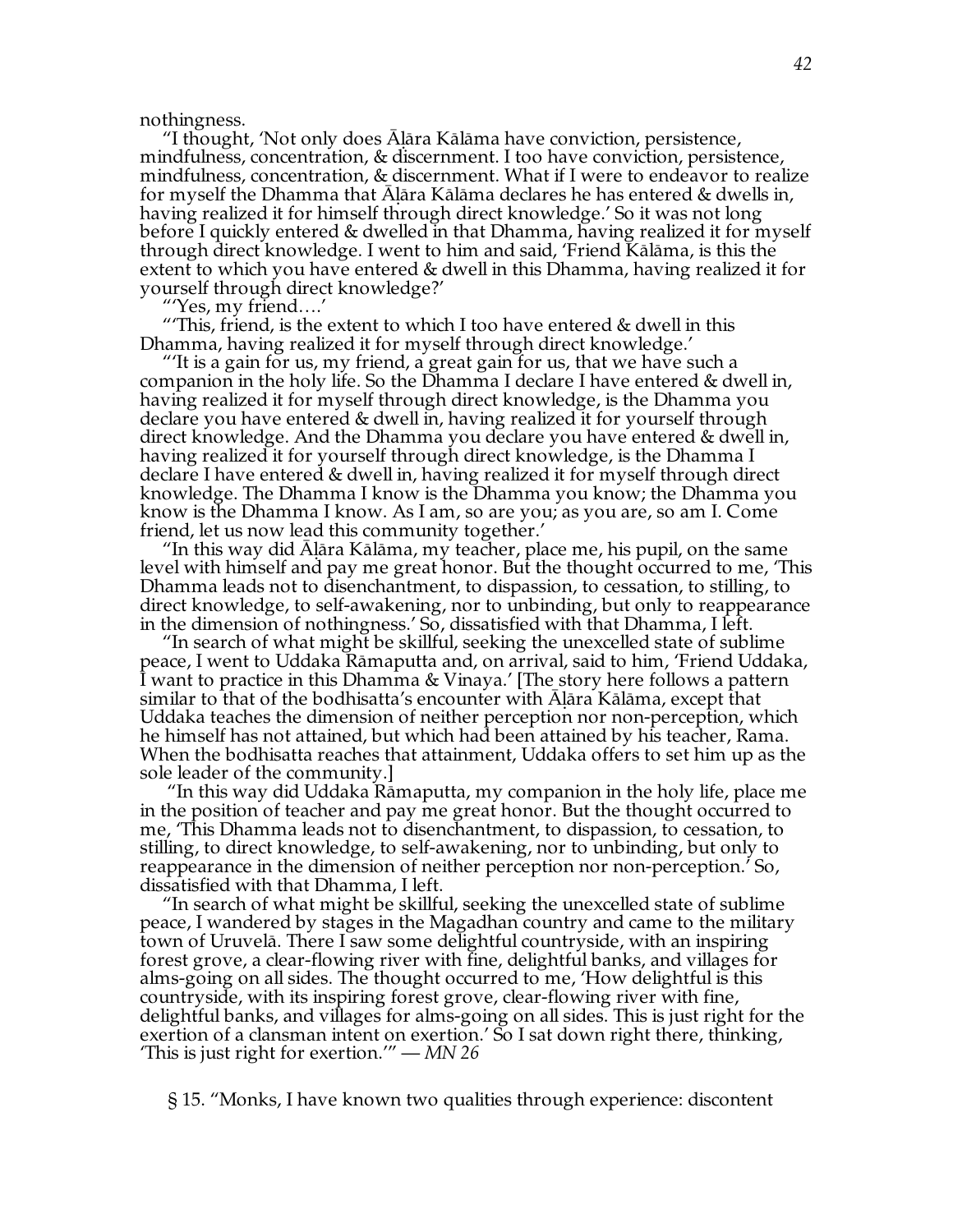### nothingness.

"I thought, 'Not only does  $\bar{A}$ lāra Kālāma have conviction, persistence, mindfulness, concentration, & discernment. I too have conviction, persistence, mindfulness, concentration, & discernment. What if I were to endeavor to realize for myself the Dhamma that Alāra Kālāma declares he has entered & dwells in, having realized it for himself through direct knowledge.' So it was not long before I quickly entered & dwelled in that Dhamma, having realized it for myself through direct knowledge. I went to him and said, 'Friend Kalama, is this the extent to which you have entered & dwell in this Dhamma, having realized it for yourself through direct knowledge?'

"'Yes, my friend….'

"'This, friend, is the extent to which I too have entered & dwell in this Dhamma, having realized it for myself through direct knowledge.'

"'It is a gain for us, my friend, a great gain for us, that we have such a companion in the holy life. So the Dhamma I declare I have entered & dwell in, having realized it for myself through direct knowledge, is the Dhamma you declare you have entered & dwell in, having realized it for yourself through direct knowledge. And the Dhamma you declare you have entered & dwell in, having realized it for yourself through direct knowledge, is the Dhamma I declare I have entered & dwell in, having realized it for myself through direct knowledge. The Dhamma I know is the Dhamma you know; the Dhamma you know is the Dhamma I know. As I am, so are you; as you are, so am I. Come friend, let us now lead this community together.'

"In this way did Alāra Kālāma, my teacher, place me, his pupil, on the same level with himself and pay me great honor. But the thought occurred to me, 'This Dhamma leads not to disenchantment, to dispassion, to cessation, to stilling, to direct knowledge, to self-awakening, nor to unbinding, but only to reappearance in the dimension of nothingness.' So, dissatisfied with that Dhamma, I left.

"In search of what might be skillful, seeking the unexcelled state of sublime peace, I went to Uddaka Rāmaputta and, on arrival, said to him, 'Friend Uddaka, I want to practice in this Dhamma & Vinaya.' [The story here follows a pattern similar to that of the bodhisatta's encounter with Alāra Kālāma, except that Uddaka teaches the dimension of neither perception nor non-perception, which he himself has not attained, but which had been attained by his teacher, Rama. When the bodhisatta reaches that attainment, Uddaka offers to set him up as the sole leader of the community.]

"In this way did Uddaka Rāmaputta, my companion in the holy life, place me in the position of teacher and pay me great honor. But the thought occurred to me, 'This Dhamma leads not to disenchantment, to dispassion, to cessation, to stilling, to direct knowledge, to self-awakening, nor to unbinding, but only to reappearance in the dimension of neither perception nor non-perception.' So, dissatisfied with that Dhamma, I left.

"In search of what might be skillful, seeking the unexcelled state of sublime peace, I wandered by stages in the Magadhan country and came to the military town of Uruvela. There I saw some delightful countryside, with an inspiring forest grove, a clear-flowing river with fine, delightful banks, and villages for alms-going on all sides. The thought occurred to me, 'How delightful is this countryside, with its inspiring forest grove, clear-flowing river with fine, delightful banks, and villages for alms-going on all sides. This is just right for the exertion of a clansman intent on exertion.' So I sat down right there, thinking, 'This is just right for exertion.'" — *MN 26*

§ 15. "Monks, I have known two qualities through experience: discontent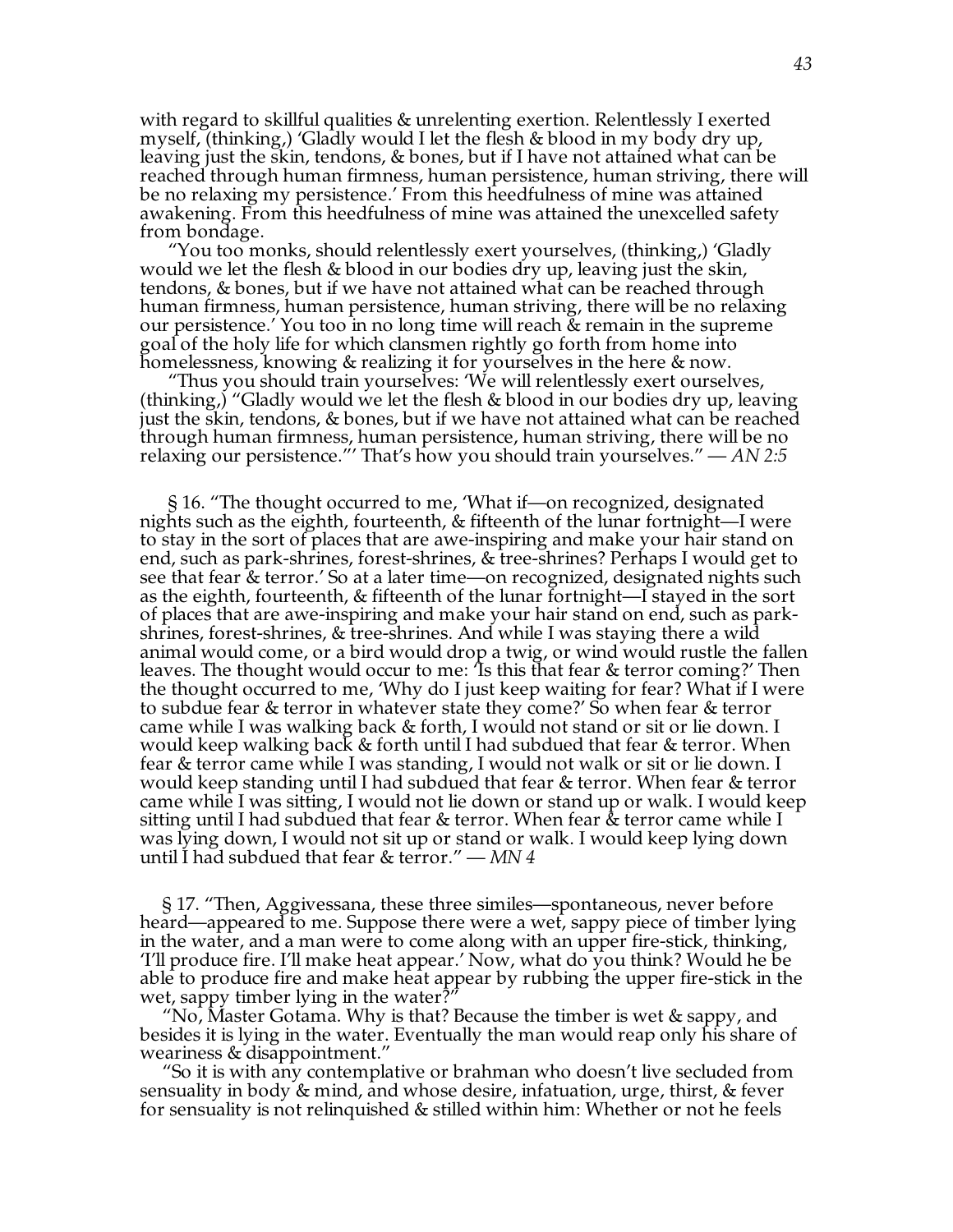with regard to skillful qualities & unrelenting exertion. Relentlessly I exerted myself, (thinking,) 'Gladly would I let the flesh & blood in my body dry up, leaving just the skin, tendons, & bones, but if I have not attained what can be reached through human firmness, human persistence, human striving, there will be no relaxing my persistence.' From this heedfulness of mine was attained awakening. From this heedfulness of mine was attained the unexcelled safety from bondage.

"You too monks, should relentlessly exert yourselves, (thinking,) 'Gladly would we let the flesh & blood in our bodies dry up, leaving just the skin, tendons, & bones, but if we have not attained what can be reached through human firmness, human persistence, human striving, there will be no relaxing our persistence.' You too in no long time will reach & remain in the supreme goal of the holy life for which clansmen rightly go forth from home into homelessness, knowing & realizing it for yourselves in the here & now.

"Thus you should train yourselves: 'We will relentlessly exert ourselves, (thinking,) "Gladly would we let the flesh & blood in our bodies dry up, leaving just the skin, tendons, & bones, but if we have not attained what can be reached through human firmness, human persistence, human striving, there will be no relaxing our persistence."' That's how you should train yourselves." — *AN 2:5*

§ 16. "The thought occurred to me, 'What if—on recognized, designated nights such as the eighth, fourteenth, & fifteenth of the lunar fortnight—I were to stay in the sort of places that are awe-inspiring and make your hair stand on end, such as park-shrines, forest-shrines, & tree-shrines? Perhaps I would get to see that fear & terror.' So at a later time—on recognized, designated nights such as the eighth, fourteenth, & fifteenth of the lunar fortnight—I stayed in the sort of places that are awe-inspiring and make your hair stand on end, such as parkshrines, forest-shrines, & tree-shrines. And while I was staying there a wild animal would come, or a bird would drop a twig, or wind would rustle the fallen leaves. The thought would occur to me: 'Is this that fear & terror coming?' Then the thought occurred to me, 'Why do I just keep waiting for fear? What if I were to subdue fear & terror in whatever state they come?' So when fear & terror came while I was walking back & forth, I would not stand or sit or lie down. I would keep walking back & forth until I had subdued that fear & terror. When fear & terror came while I was standing, I would not walk or sit or lie down. I would keep standing until I had subdued that fear & terror. When fear & terror came while I was sitting, I would not lie down or stand up or walk. I would keep sitting until I had subdued that fear & terror. When fear & terror came while I was lying down, I would not sit up or stand or walk. I would keep lying down until I had subdued that fear & terror." — *MN 4*

§ 17. "Then, Aggivessana, these three similes—spontaneous, never before heard—appeared to me. Suppose there were a wet, sappy piece of timber lying in the water, and a man were to come along with an upper fire-stick, thinking, 'I'll produce fire. I'll make heat appear.' Now, what do you think? Would he be able to produce fire and make heat appear by rubbing the upper fire-stick in the wet, sappy timber lying in the water?"

"No, Master Gotama. Why is that? Because the timber is wet & sappy, and besides it is lying in the water. Eventually the man would reap only his share of weariness & disappointment."

"So it is with any contemplative or brahman who doesn't live secluded from sensuality in body & mind, and whose desire, infatuation, urge, thirst, & fever for sensuality is not relinquished & stilled within him: Whether or not he feels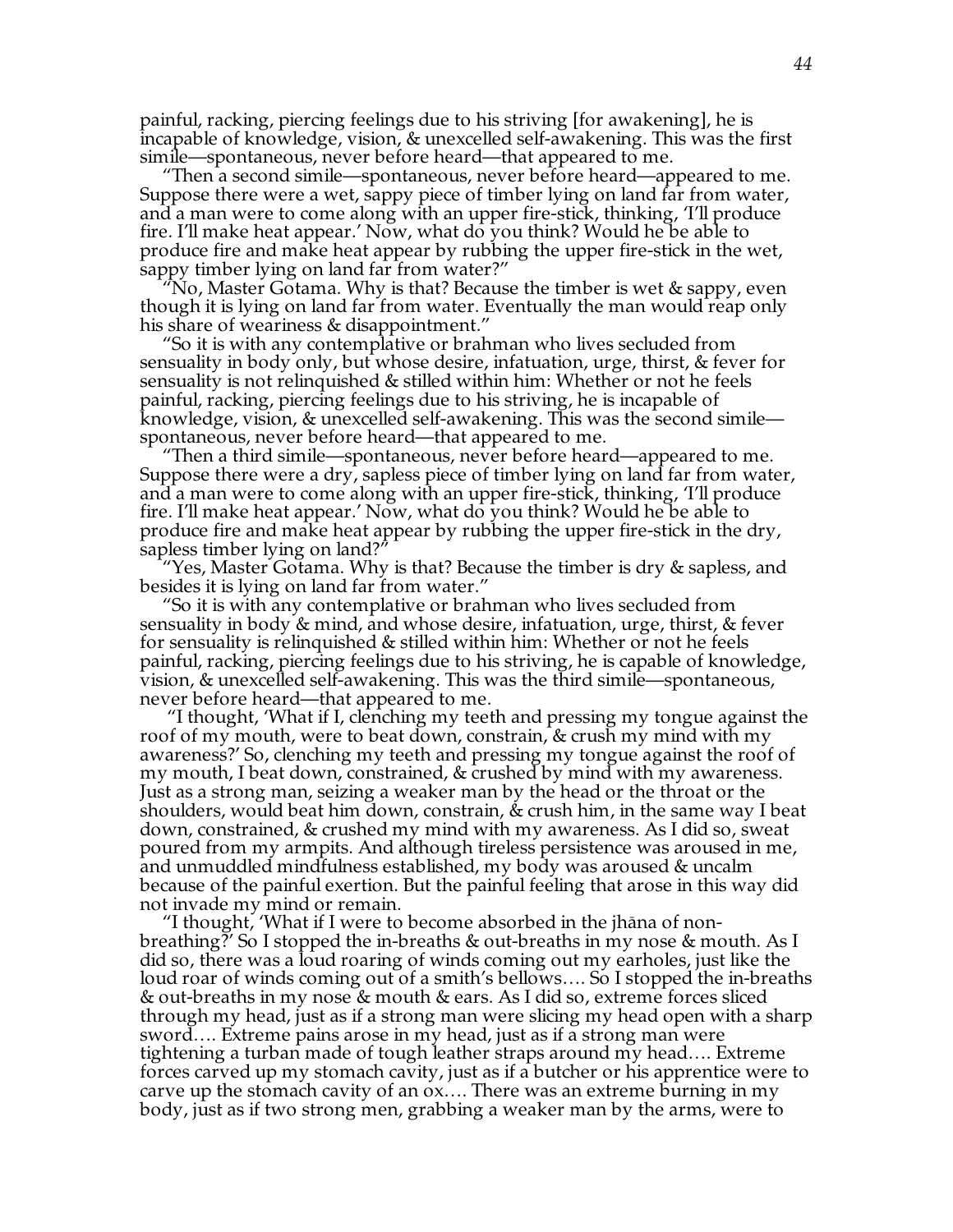painful, racking, piercing feelings due to his striving [for awakening], he is incapable of knowledge, vision, & unexcelled self-awakening. This was the first simile—spontaneous, never before heard—that appeared to me.

"Then a second simile—spontaneous, never before heard—appeared to me. Suppose there were a wet, sappy piece of timber lying on land far from water, and a man were to come along with an upper fire-stick, thinking, 'I'll produce fire. I'll make heat appear.' Now, what do you think? Would he be able to produce fire and make heat appear by rubbing the upper fire-stick in the wet, sappy timber lying on land far from water?"

"No, Master Gotama. Why is that? Because the timber is wet & sappy, even though it is lying on land far from water. Eventually the man would reap only his share of weariness & disappointment."

"So it is with any contemplative or brahman who lives secluded from sensuality in body only, but whose desire, infatuation, urge, thirst, & fever for sensuality is not relinquished & stilled within him: Whether or not he feels painful, racking, piercing feelings due to his striving, he is incapable of knowledge, vision, & unexcelled self-awakening. This was the second simile spontaneous, never before heard—that appeared to me.

"Then a third simile—spontaneous, never before heard—appeared to me. Suppose there were a dry, sapless piece of timber lying on land far from water, and a man were to come along with an upper fire-stick, thinking, 'I'll produce fire. I'll make heat appear.' Now, what do you think? Would he be able to produce fire and make heat appear by rubbing the upper fire-stick in the dry, sapless timber lying on land?"

"Yes, Master Gotama. Why is that? Because the timber is dry  $\&$  sapless, and besides it is lying on land far from water."

"So it is with any contemplative or brahman who lives secluded from sensuality in body & mind, and whose desire, infatuation, urge, thirst, & fever for sensuality is relinquished & stilled within him: Whether or not he feels painful, racking, piercing feelings due to his striving, he is capable of knowledge, vision, & unexcelled self-awakening. This was the third simile—spontaneous, never before heard—that appeared to me.

 "I thought, 'What if I, clenching my teeth and pressing my tongue against the roof of my mouth, were to beat down, constrain, & crush my mind with my awareness?' So, clenching my teeth and pressing my tongue against the roof of my mouth, I beat down, constrained, & crushed by mind with my awareness. Just as a strong man, seizing a weaker man by the head or the throat or the shoulders, would beat him down, constrain, & crush him, in the same way I beat down, constrained, & crushed my mind with my awareness. As I did so, sweat poured from my armpits. And although tireless persistence was aroused in me, and unmuddled mindfulness established, my body was aroused & uncalm because of the painful exertion. But the painful feeling that arose in this way did not invade my mind or remain.

"I thought, 'What if I were to become absorbed in the jhana of nonbreathing?' So I stopped the in-breaths & out-breaths in my nose & mouth. As I did so, there was a loud roaring of winds coming out my earholes, just like the loud roar of winds coming out of a smith's bellows…. So I stopped the in-breaths & out-breaths in my nose & mouth & ears. As I did so, extreme forces sliced through my head, just as if a strong man were slicing my head open with a sharp sword…. Extreme pains arose in my head, just as if a strong man were tightening a turban made of tough leather straps around my head…. Extreme forces carved up my stomach cavity, just as if a butcher or his apprentice were to carve up the stomach cavity of an ox…. There was an extreme burning in my body, just as if two strong men, grabbing a weaker man by the arms, were to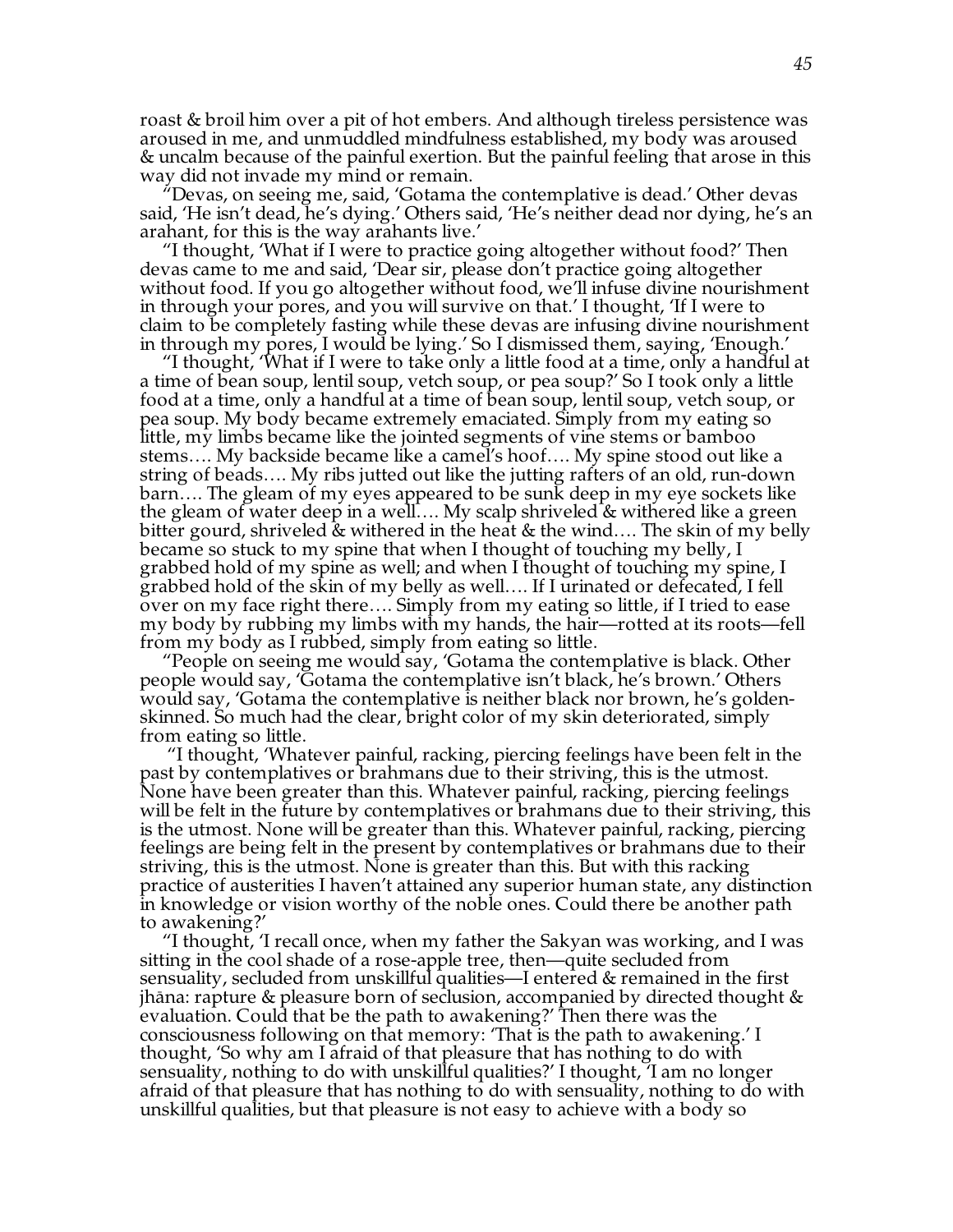roast & broil him over a pit of hot embers. And although tireless persistence was aroused in me, and unmuddled mindfulness established, my body was aroused & uncalm because of the painful exertion. But the painful feeling that arose in this way did not invade my mind or remain.

"Devas, on seeing me, said, 'Gotama the contemplative is dead.' Other devas said, 'He isn't dead, he's dying.' Others said, 'He's neither dead nor dying, he's an arahant, for this is the way arahants live.'

"I thought, 'What if I were to practice going altogether without food?' Then devas came to me and said, 'Dear sir, please don't practice going altogether without food. If you go altogether without food, we'll infuse divine nourishment in through your pores, and you will survive on that.' I thought, 'If I were to claim to be completely fasting while these devas are infusing divine nourishment in through my pores, I would be lying.' So I dismissed them, saying, 'Enough.'

"I thought, 'What if I were to take only a little food at a time, only a handful at a time of bean soup, lentil soup, vetch soup, or pea soup?' So I took only a little food at a time, only a handful at a time of bean soup, lentil soup, vetch soup, or pea soup. My body became extremely emaciated. Simply from my eating so little, my limbs became like the jointed segments of vine stems or bamboo stems…. My backside became like a camel's hoof…. My spine stood out like a string of beads…. My ribs jutted out like the jutting rafters of an old, run-down barn…. The gleam of my eyes appeared to be sunk deep in my eye sockets like the gleam of water deep in a well…. My scalp shriveled & withered like a green bitter gourd, shriveled & withered in the heat & the wind…. The skin of my belly became so stuck to my spine that when I thought of touching my belly, I grabbed hold of my spine as well; and when I thought of touching my spine, I grabbed hold of the skin of my belly as well…. If I urinated or defecated, I fell over on my face right there…. Simply from my eating so little, if I tried to ease my body by rubbing my limbs with my hands, the hair—rotted at its roots—fell from my body as I rubbed, simply from eating so little.

"People on seeing me would say, 'Gotama the contemplative is black. Other people would say, 'Gotama the contemplative isn't black, he's brown.' Others would say, 'Gotama the contemplative is neither black nor brown, he's goldenskinned. So much had the clear, bright color of my skin deteriorated, simply from eating so little.

 "I thought, 'Whatever painful, racking, piercing feelings have been felt in the past by contemplatives or brahmans due to their striving, this is the utmost. None have been greater than this. Whatever painful, racking, piercing feelings will be felt in the future by contemplatives or brahmans due to their striving, this is the utmost. None will be greater than this. Whatever painful, racking, piercing feelings are being felt in the present by contemplatives or brahmans due to their striving, this is the utmost. None is greater than this. But with this racking practice of austerities I haven't attained any superior human state, any distinction in knowledge or vision worthy of the noble ones. Could there be another path to awakening?'

"I thought, 'I recall once, when my father the Sakyan was working, and I was sitting in the cool shade of a rose-apple tree, then—quite secluded from sensuality, secluded from unskillful qualities—I entered & remained in the first jhāna: rapture & pleasure born of seclusion, accompanied by directed thought & evaluation. Could that be the path to awakening?' Then there was the consciousness following on that memory: 'That is the path to awakening.' I thought, 'So why am I afraid of that pleasure that has nothing to do with sensuality, nothing to do with unskillful qualities?' I thought, 'I am no longer afraid of that pleasure that has nothing to do with sensuality, nothing to do with unskillful qualities, but that pleasure is not easy to achieve with a body so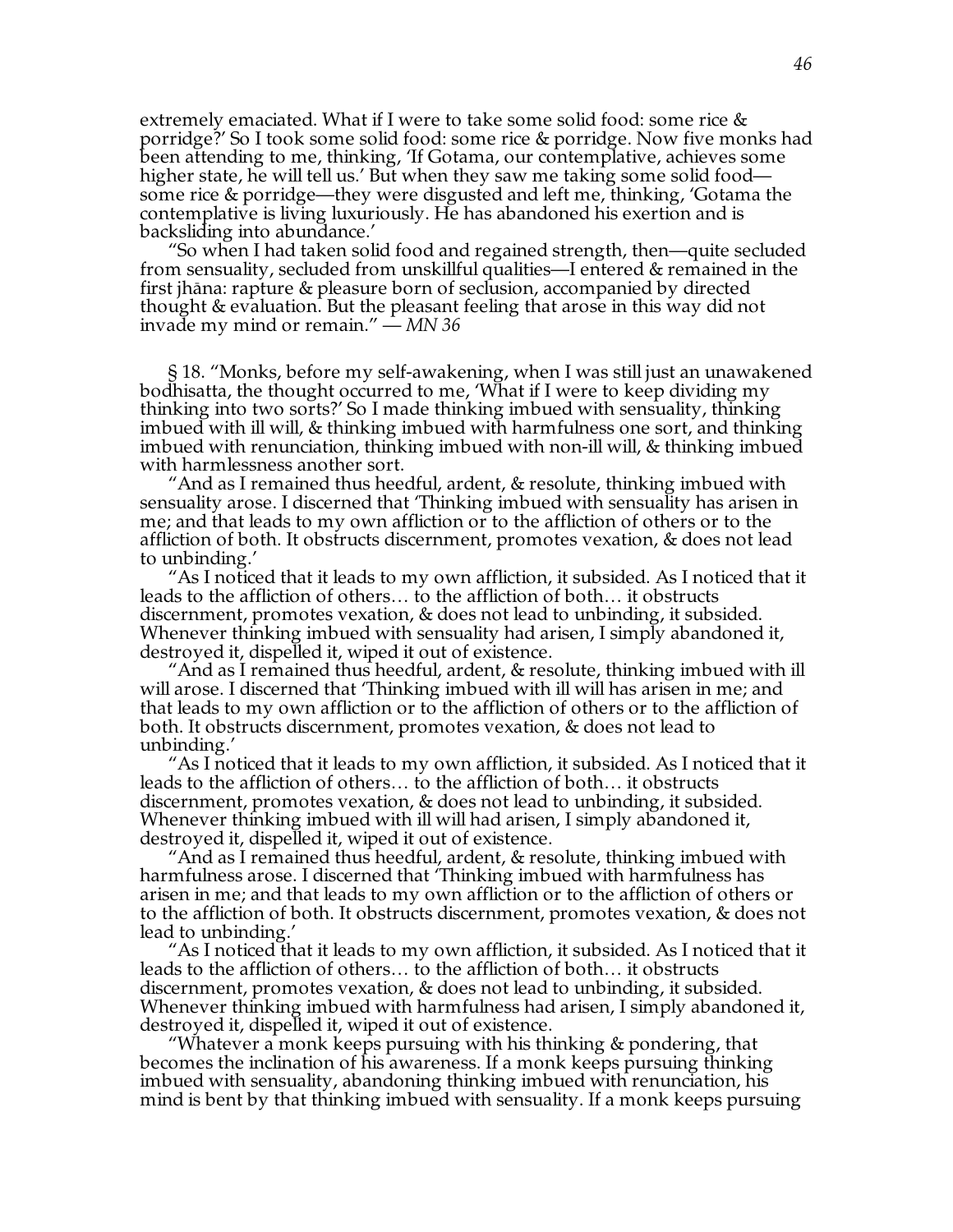extremely emaciated. What if I were to take some solid food: some rice & porridge?' So I took some solid food: some rice & porridge. Now five monks had been attending to me, thinking, 'If Gotama, our contemplative, achieves some higher state, he will tell us.' But when they saw me taking some solid food some rice & porridge—they were disgusted and left me, thinking, 'Gotama the contemplative is living luxuriously. He has abandoned his exertion and is backsliding into abundance.'

"So when I had taken solid food and regained strength, then—quite secluded from sensuality, secluded from unskillful qualities—I entered & remained in the first jhāna: rapture & pleasure born of seclusion, accompanied by directed thought & evaluation. But the pleasant feeling that arose in this way did not invade my mind or remain." — *MN 36*

§ 18. "Monks, before my self-awakening, when I was still just an unawakened bodhisatta, the thought occurred to me, 'What if I were to keep dividing my thinking into two sorts?' So I made thinking imbued with sensuality, thinking imbued with ill will, & thinking imbued with harmfulness one sort, and thinking imbued with renunciation, thinking imbued with non-ill will, & thinking imbued with harmlessness another sort.

"And as I remained thus heedful, ardent, & resolute, thinking imbued with sensuality arose. I discerned that 'Thinking imbued with sensuality has arisen in me; and that leads to my own affliction or to the affliction of others or to the affliction of both. It obstructs discernment, promotes vexation, & does not lead to unbinding.'

"As I noticed that it leads to my own affliction, it subsided. As I noticed that it leads to the affliction of others… to the affliction of both… it obstructs discernment, promotes vexation, & does not lead to unbinding, it subsided. Whenever thinking imbued with sensuality had arisen, I simply abandoned it, destroyed it, dispelled it, wiped it out of existence.

"And as I remained thus heedful, ardent, & resolute, thinking imbued with ill will arose. I discerned that 'Thinking imbued with ill will has arisen in me; and that leads to my own affliction or to the affliction of others or to the affliction of both. It obstructs discernment, promotes vexation, & does not lead to unbinding.'

"As I noticed that it leads to my own affliction, it subsided. As I noticed that it leads to the affliction of others… to the affliction of both… it obstructs discernment, promotes vexation, & does not lead to unbinding, it subsided. Whenever thinking imbued with ill will had arisen, I simply abandoned it, destroyed it, dispelled it, wiped it out of existence.

"And as I remained thus heedful, ardent, & resolute, thinking imbued with harmfulness arose. I discerned that 'Thinking imbued with harmfulness has arisen in me; and that leads to my own affliction or to the affliction of others or to the affliction of both. It obstructs discernment, promotes vexation, & does not lead to unbinding.'

"As I noticed that it leads to my own affliction, it subsided. As I noticed that it leads to the affliction of others… to the affliction of both… it obstructs discernment, promotes vexation, & does not lead to unbinding, it subsided. Whenever thinking imbued with harmfulness had arisen, I simply abandoned it, destroyed it, dispelled it, wiped it out of existence.

"Whatever a monk keeps pursuing with his thinking & pondering, that becomes the inclination of his awareness. If a monk keeps pursuing thinking imbued with sensuality, abandoning thinking imbued with renunciation, his mind is bent by that thinking imbued with sensuality. If a monk keeps pursuing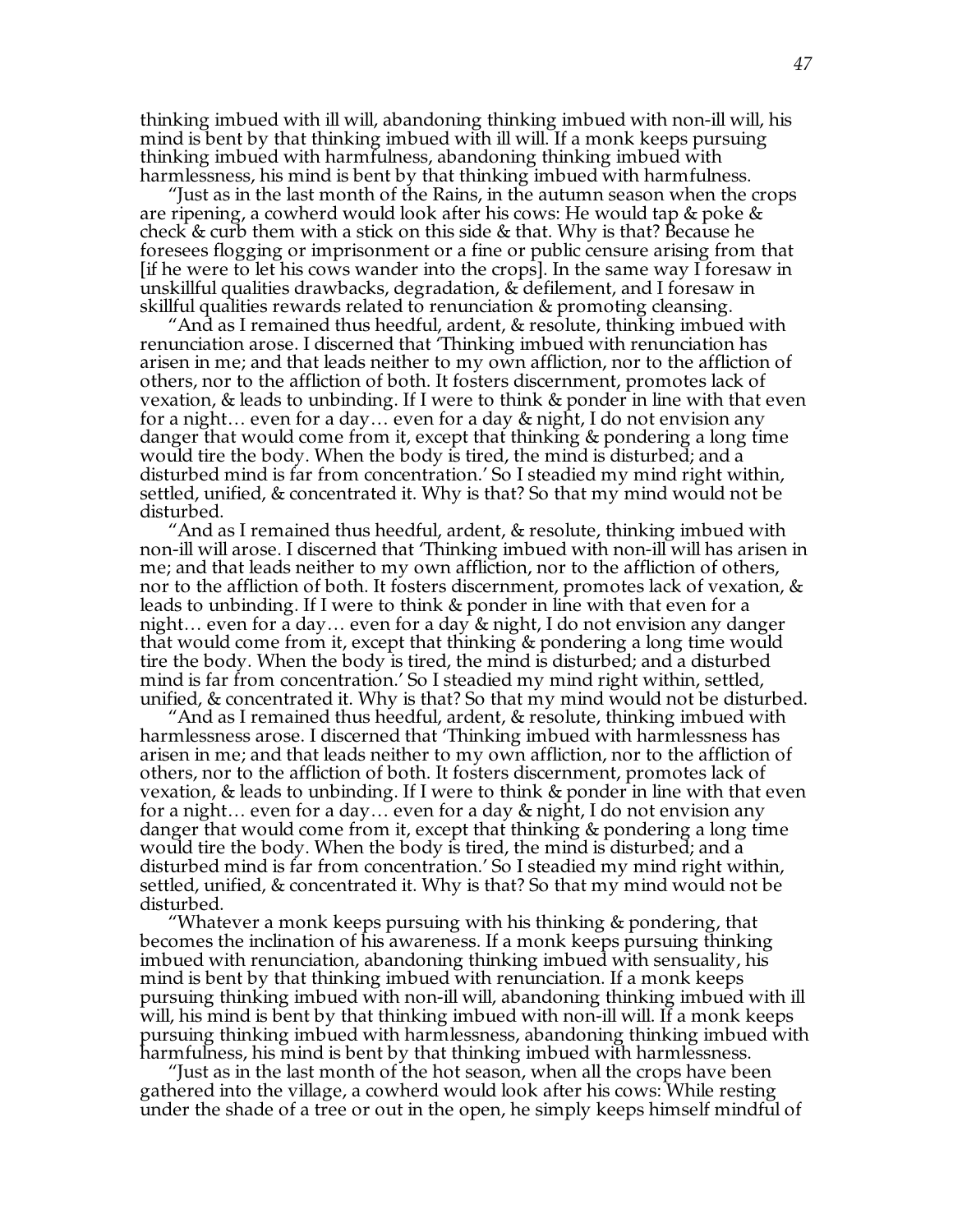thinking imbued with ill will, abandoning thinking imbued with non-ill will, his mind is bent by that thinking imbued with ill will. If a monk keeps pursuing thinking imbued with harmfulness, abandoning thinking imbued with harmlessness, his mind is bent by that thinking imbued with harmfulness.

"Just as in the last month of the Rains, in the autumn season when the crops are ripening, a cowherd would look after his cows: He would tap & poke  $\&$ check & curb them with a stick on this side & that. Why is that? Because he foresees flogging or imprisonment or a fine or public censure arising from that [if he were to let his cows wander into the crops]. In the same way I foresaw in unskillful qualities drawbacks, degradation, & defilement, and I foresaw in skillful qualities rewards related to renunciation & promoting cleansing.

"And as I remained thus heedful, ardent, & resolute, thinking imbued with renunciation arose. I discerned that 'Thinking imbued with renunciation has arisen in me; and that leads neither to my own affliction, nor to the affliction of others, nor to the affliction of both. It fosters discernment, promotes lack of vexation, & leads to unbinding. If I were to think & ponder in line with that even for a night… even for a day… even for a day & night, I do not envision any danger that would come from it, except that thinking & pondering a long time would tire the body. When the body is tired, the mind is disturbed; and a disturbed mind is far from concentration.' So I steadied my mind right within, settled, unified, & concentrated it. Why is that? So that my mind would not be disturbed.

"And as I remained thus heedful, ardent, & resolute, thinking imbued with non-ill will arose. I discerned that 'Thinking imbued with non-ill will has arisen in me; and that leads neither to my own affliction, nor to the affliction of others, nor to the affliction of both. It fosters discernment, promotes lack of vexation, & leads to unbinding. If I were to think & ponder in line with that even for a night… even for a day… even for a day & night, I do not envision any danger that would come from it, except that thinking & pondering a long time would tire the body. When the body is tired, the mind is disturbed; and a disturbed mind is far from concentration.' So I steadied my mind right within, settled, unified, & concentrated it. Why is that? So that my mind would not be disturbed.

"And as I remained thus heedful, ardent, & resolute, thinking imbued with harmlessness arose. I discerned that 'Thinking imbued with harmlessness has arisen in me; and that leads neither to my own affliction, nor to the affliction of others, nor to the affliction of both. It fosters discernment, promotes lack of vexation, & leads to unbinding. If I were to think & ponder in line with that even for a night… even for a day… even for a day & night, I do not envision any danger that would come from it, except that thinking & pondering a long time would tire the body. When the body is tired, the mind is disturbed; and a disturbed mind is far from concentration.' So I steadied my mind right within, settled, unified, & concentrated it. Why is that? So that my mind would not be disturbed.

"Whatever a monk keeps pursuing with his thinking & pondering, that becomes the inclination of his awareness. If a monk keeps pursuing thinking imbued with renunciation, abandoning thinking imbued with sensuality, his mind is bent by that thinking imbued with renunciation. If a monk keeps pursuing thinking imbued with non-ill will, abandoning thinking imbued with ill will, his mind is bent by that thinking imbued with non-ill will. If a monk keeps pursuing thinking imbued with harmlessness, abandoning thinking imbued with harmfulness, his mind is bent by that thinking imbued with harmlessness.

"Just as in the last month of the hot season, when all the crops have been gathered into the village, a cowherd would look after his cows: While resting under the shade of a tree or out in the open, he simply keeps himself mindful of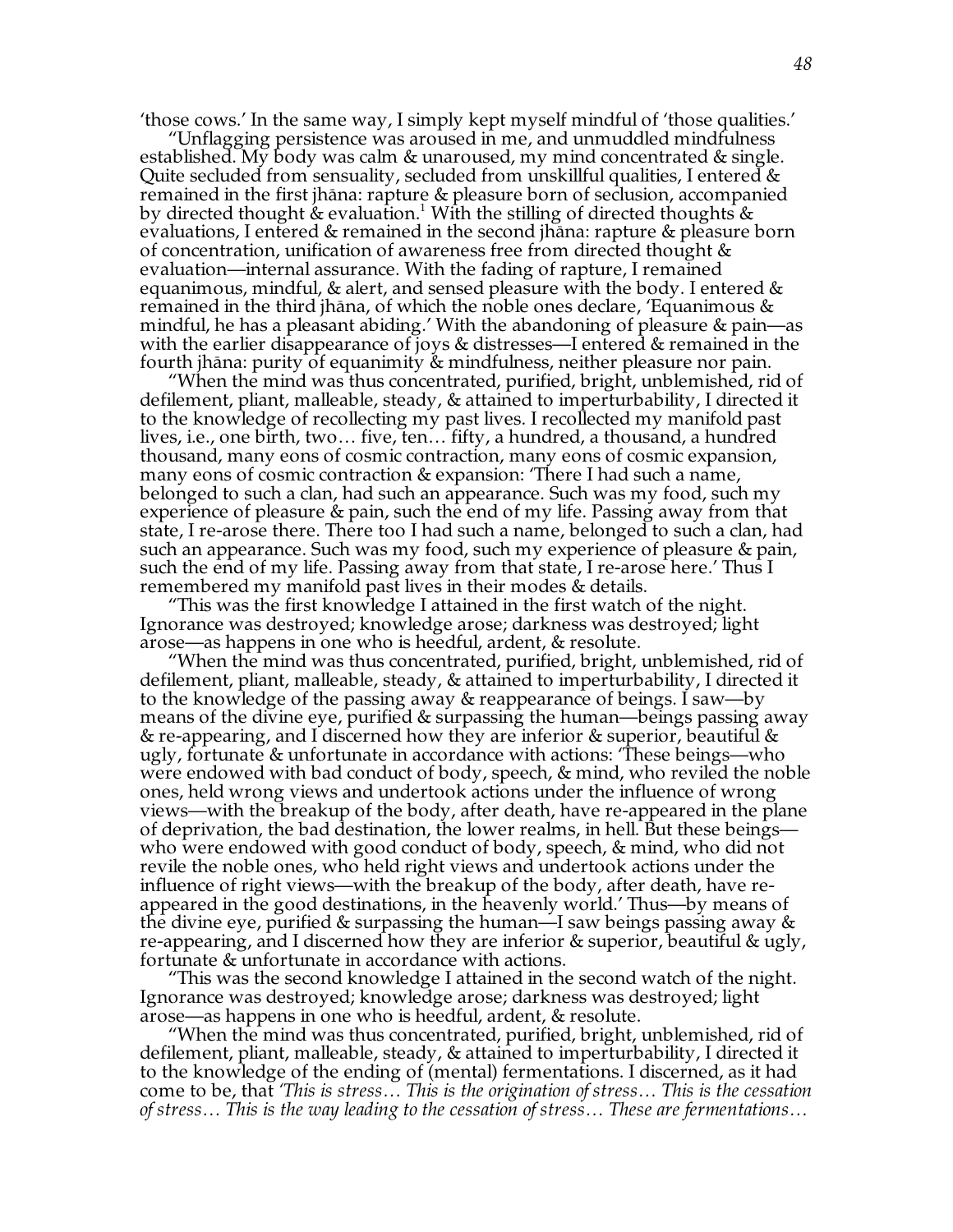'those cows.' In the same way, I simply kept myself mindful of 'those qualities.'

"Unflagging persistence was aroused in me, and unmuddled mindfulness established. My body was calm & unaroused, my mind concentrated & single. Quite secluded from sensuality, secluded from unskillful qualities, I entered & remained in the first jhana: rapture & pleasure born of seclusion, accompanied by directed thought  $\&$  evaluation. $^1$  With the stilling of directed thoughts  $\&$ evaluations, I entered  $\&$  remained in the second jhāna: rapture  $\&$  pleasure born of concentration, unification of awareness free from directed thought & evaluation—internal assurance. With the fading of rapture, I remained equanimous, mindful,  $\&$  alert, and sensed pleasure with the body. I entered  $\&$ remained in the third jhāna, of which the noble ones declare, 'Equanimous  $\&$ mindful, he has a pleasant abiding.' With the abandoning of pleasure & pain—as with the earlier disappearance of joys & distresses—I entered & remained in the fourth jhāna: purity of equanimity & mindfulness, neither pleasure nor pain.

"When the mind was thus concentrated, purified, bright, unblemished, rid of defilement, pliant, malleable, steady, & attained to imperturbability, I directed it to the knowledge of recollecting my past lives. I recollected my manifold past lives, i.e., one birth, two… five, ten… fifty, a hundred, a thousand, a hundred thousand, many eons of cosmic contraction, many eons of cosmic expansion, many eons of cosmic contraction & expansion: 'There I had such a name, belonged to such a clan, had such an appearance. Such was my food, such my experience of pleasure & pain, such the end of my life. Passing away from that state, I re-arose there. There too I had such a name, belonged to such a clan, had such an appearance. Such was my food, such my experience of pleasure & pain, such the end of my life. Passing away from that state, I re-arose here.' Thus I remembered my manifold past lives in their modes & details.

"This was the first knowledge I attained in the first watch of the night. Ignorance was destroyed; knowledge arose; darkness was destroyed; light arose—as happens in one who is heedful, ardent, & resolute.

"When the mind was thus concentrated, purified, bright, unblemished, rid of defilement, pliant, malleable, steady, & attained to imperturbability, I directed it to the knowledge of the passing away & reappearance of beings. I saw—by means of the divine eye, purified & surpassing the human—beings passing away & re-appearing, and I discerned how they are inferior & superior, beautiful & ugly, fortunate & unfortunate in accordance with actions: 'These beings—who were endowed with bad conduct of body, speech, & mind, who reviled the noble ones, held wrong views and undertook actions under the influence of wrong views—with the breakup of the body, after death, have re-appeared in the plane of deprivation, the bad destination, the lower realms, in hell. But these beings who were endowed with good conduct of body, speech, & mind, who did not revile the noble ones, who held right views and undertook actions under the influence of right views—with the breakup of the body, after death, have reappeared in the good destinations, in the heavenly world.' Thus—by means of the divine eye, purified & surpassing the human—I saw beings passing away & re-appearing, and I discerned how they are inferior & superior, beautiful & ugly, fortunate & unfortunate in accordance with actions.

"This was the second knowledge I attained in the second watch of the night. Ignorance was destroyed; knowledge arose; darkness was destroyed; light arose—as happens in one who is heedful, ardent, & resolute.

"When the mind was thus concentrated, purified, bright, unblemished, rid of defilement, pliant, malleable, steady, & attained to imperturbability, I directed it to the knowledge of the ending of (mental) fermentations. I discerned, as it had come to be, that *'This is stress… This is the origination of stress… This is the cessation of stress… This is the way leading to the cessation of stress… These are fermentations…*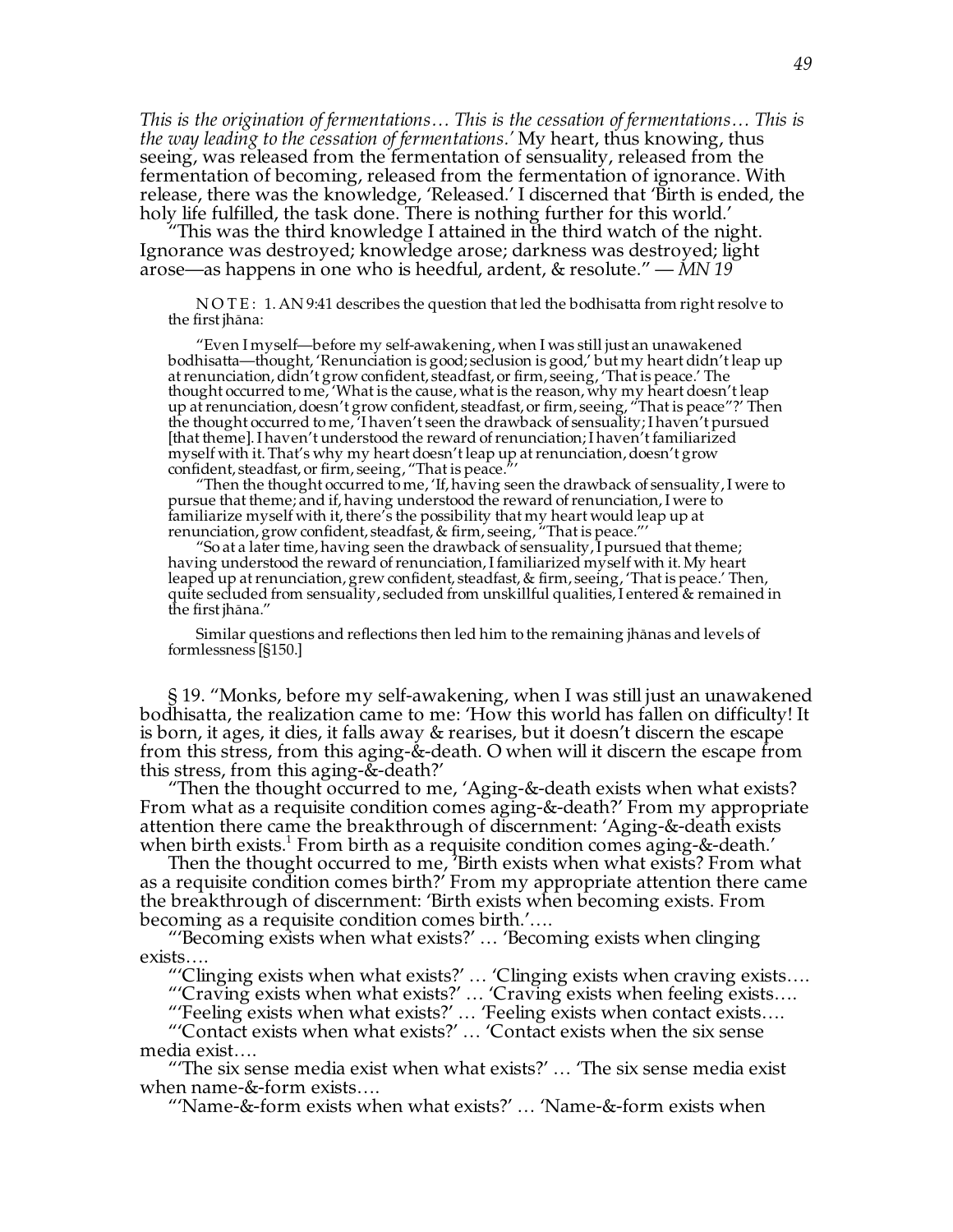*This is the origination of fermentations… This is the cessation of fermentations… This is the way leading to the cessation of fermentations.'* My heart, thus knowing, thus seeing, was released from the fermentation of sensuality, released from the fermentation of becoming, released from the fermentation of ignorance. With release, there was the knowledge, 'Released.' I discerned that 'Birth is ended, the holy life fulfilled, the task done. There is nothing further for this world.'

"This was the third knowledge I attained in the third watch of the night. Ignorance was destroyed; knowledge arose; darkness was destroyed; light arose—as happens in one who is heedful, ardent, & resolute." — *MN 19*

N O T E : 1. AN 9:41 describes the question that led the bodhisatta from right resolve to the first jhāna:

"Even I myself—before my self-awakening, when I was still just an unawakened bodhisatta—thought, 'Renunciation is good; seclusion is good,' but my heart didn't leap up at renunciation, didn't grow confident, steadfast, or firm, seeing, 'That is peace.' The thought occurred to me, 'What is the cause, what is the reason, why my heart doesn't leap up at renunciation, doesn't grow confident, steadfast, or firm, seeing, "That is peace"?' Then the thought occurred to me, 'I haven't seen the drawback of sensuality; I haven't pursued [that theme]. I haven't understood the reward of renunciation; I haven't familiarized myself with it. That's why my heart doesn't leap up at renunciation, doesn't grow confident, steadfast, or firm, seeing, "That is peace."

"Then the thought occurred to me, 'If, having seen the drawback of sensuality, I were to pursue that theme; and if, having understood the reward of renunciation, I were to familiarize myself with it, there's the possibility that my heart would leap up at renunciation, grow confident, steadfast, & firm, seeing, "That is peace."'

"So at a later time, having seen the drawback of sensuality, I pursued that theme; having understood the reward of renunciation, I familiarized myself with it. My heart leaped up at renunciation, grew confident, steadfast, & firm, seeing, 'That is peace.' Then, quite secluded from sensuality, secluded from unskillful qualities, I entered & remained in the first jhāna."

Similar questions and reflections then led him to the remaining jhānas and levels of formlessness [§150.]

§ 19. "Monks, before my self-awakening, when I was still just an unawakened bodhisatta, the realization came to me: 'How this world has fallen on difficulty! It is born, it ages, it dies, it falls away & rearises, but it doesn't discern the escape from this stress, from this aging-&-death. O when will it discern the escape from this stress, from this aging-&-death?'

"Then the thought occurred to me, 'Aging-&-death exists when what exists? From what as a requisite condition comes aging-&-death?' From my appropriate attention there came the breakthrough of discernment: 'Aging-&-death exists when birth exists.<sup>1</sup> From birth as a requisite condition comes aging-&-death.'

Then the thought occurred to me, <sup>7</sup>Birth exists when what exists? From what as a requisite condition comes birth?' From my appropriate attention there came the breakthrough of discernment: 'Birth exists when becoming exists. From becoming as a requisite condition comes birth.'….

"'Becoming exists when what exists?' … 'Becoming exists when clinging exists….

"'Clinging exists when what exists?' … 'Clinging exists when craving exists….

"'Craving exists when what exists?' … 'Craving exists when feeling exists….

"'Feeling exists when what exists?' … 'Feeling exists when contact exists….

"'Contact exists when what exists?' … 'Contact exists when the six sense media exist….

"'The six sense media exist when what exists?' … 'The six sense media exist when name-&-form exists….

"'Name-&-form exists when what exists?' … 'Name-&-form exists when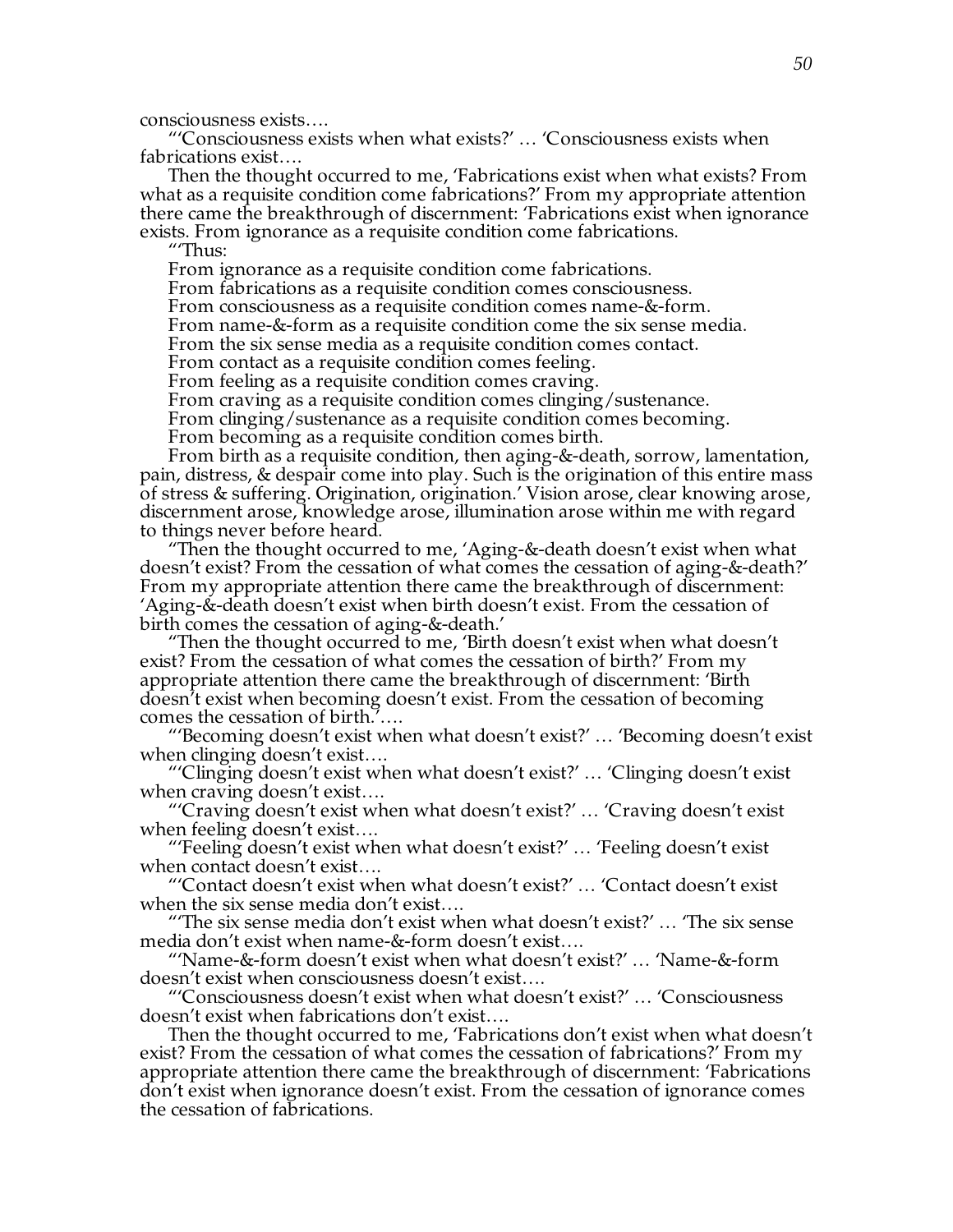consciousness exists….

"'Consciousness exists when what exists?' … 'Consciousness exists when fabrications exist….

Then the thought occurred to me, 'Fabrications exist when what exists? From what as a requisite condition come fabrications?' From my appropriate attention there came the breakthrough of discernment: 'Fabrications exist when ignorance exists. From ignorance as a requisite condition come fabrications. "'Thus:

From ignorance as a requisite condition come fabrications.

From fabrications as a requisite condition comes consciousness.

From consciousness as a requisite condition comes name-&-form.

From name-&-form as a requisite condition come the six sense media.

From the six sense media as a requisite condition comes contact.

From contact as a requisite condition comes feeling.

From feeling as a requisite condition comes craving.

From craving as a requisite condition comes clinging/sustenance.

From clinging/sustenance as a requisite condition comes becoming.

From becoming as a requisite condition comes birth.

From birth as a requisite condition, then aging-&-death, sorrow, lamentation, pain, distress, & despair come into play. Such is the origination of this entire mass of stress & suffering. Origination, origination.' Vision arose, clear knowing arose, discernment arose, knowledge arose, illumination arose within me with regard to things never before heard.

"Then the thought occurred to me, 'Aging-&-death doesn't exist when what doesn't exist? From the cessation of what comes the cessation of aging-&-death?' From my appropriate attention there came the breakthrough of discernment: 'Aging-&-death doesn't exist when birth doesn't exist. From the cessation of birth comes the cessation of aging-&-death.'

"Then the thought occurred to me, 'Birth doesn't exist when what doesn't exist? From the cessation of what comes the cessation of birth?' From my appropriate attention there came the breakthrough of discernment: 'Birth doesn't exist when becoming doesn't exist. From the cessation of becoming comes the cessation of birth.'….

"'Becoming doesn't exist when what doesn't exist?' … 'Becoming doesn't exist when clinging doesn't exist….

"'Clinging doesn't exist when what doesn't exist?' … 'Clinging doesn't exist when craving doesn't exist….

"'Craving doesn't exist when what doesn't exist?' … 'Craving doesn't exist when feeling doesn't exist….

"'Feeling doesn't exist when what doesn't exist?' … 'Feeling doesn't exist when contact doesn't exist….

"'Contact doesn't exist when what doesn't exist?' … 'Contact doesn't exist when the six sense media don't exist….

"'The six sense media don't exist when what doesn't exist?' … 'The six sense media don't exist when name-&-form doesn't exist….

"'Name-&-form doesn't exist when what doesn't exist?' … 'Name-&-form doesn't exist when consciousness doesn't exist….

"'Consciousness doesn't exist when what doesn't exist?' … 'Consciousness doesn't exist when fabrications don't exist….

Then the thought occurred to me, 'Fabrications don't exist when what doesn't exist? From the cessation of what comes the cessation of fabrications?' From my appropriate attention there came the breakthrough of discernment: 'Fabrications don't exist when ignorance doesn't exist. From the cessation of ignorance comes the cessation of fabrications.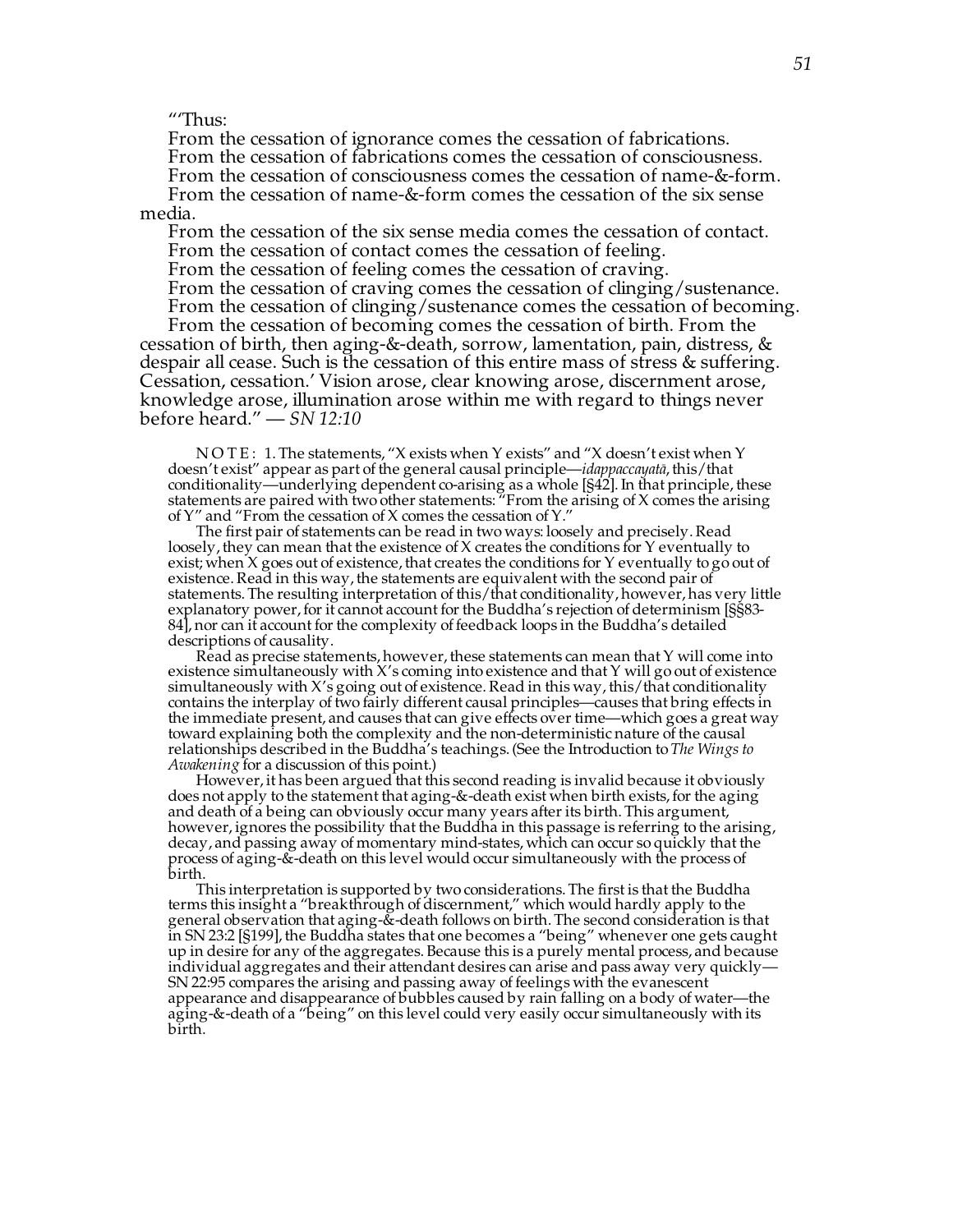#### "'Thus:

From the cessation of ignorance comes the cessation of fabrications. From the cessation of fabrications comes the cessation of consciousness. From the cessation of consciousness comes the cessation of name-&-form. From the cessation of name-&-form comes the cessation of the six sense media.

From the cessation of the six sense media comes the cessation of contact. From the cessation of contact comes the cessation of feeling.

From the cessation of feeling comes the cessation of craving.

From the cessation of craving comes the cessation of clinging/sustenance.

From the cessation of clinging/sustenance comes the cessation of becoming.

From the cessation of becoming comes the cessation of birth. From the cessation of birth, then aging-&-death, sorrow, lamentation, pain, distress, & despair all cease. Such is the cessation of this entire mass of stress & suffering. Cessation, cessation.' Vision arose, clear knowing arose, discernment arose, knowledge arose, illumination arose within me with regard to things never before heard." — *SN 12:10* 

N O T E : 1. The statements, "X exists when Y exists" and "X doesn't exist when Y doesn't exist" appear as part of the general causal principle—*idappaccayatā*, this/that conditionality—underlying dependent co-arising as a whole [§42]. In that principle, these statements are paired with two other statements: "From the arising of X comes the arising of Y" and "From the cessation of X comes the cessation of Y."

The first pair of statements can be read in two ways: loosely and precisely. Read loosely, they can mean that the existence of X creates the conditions for Y eventually to exist; when  $X$  goes out of existence, that creates the conditions for  $Y$  eventually to go out of existence. Read in this way, the statements are equivalent with the second pair of statements. The resulting interpretation of this/that conditionality, however, has very little explanatory power, for it cannot account for the Buddha's rejection of determinism [§§83-84], nor can it account for the complexity of feedback loops in the Buddha's detailed descriptions of causality.

Read as precise statements, however, these statements can mean that Y will come into existence simultaneously with X's coming into existence and that Y will go out of existence simultaneously with X's going out of existence. Read in this way, this/that conditionality contains the interplay of two fairly different causal principles—causes that bring effects in the immediate present, and causes that can give effects over time—which goes a great way toward explaining both the complexity and the non-deterministic nature of the causal relationships described in the Buddha's teachings. (See the Introduction to *The Wings to Awakening* for a discussion of this point.)

However, it has been argued that this second reading is invalid because it obviously does not apply to the statement that aging-&-death exist when birth exists, for the aging and death of a being can obviously occur many years after its birth. This argument, however, ignores the possibility that the Buddha in this passage is referring to the arising, decay, and passing away of momentary mind-states, which can occur so quickly that the process of aging-&-death on this level would occur simultaneously with the process of birth.

This interpretation is supported by two considerations. The first is that the Buddha terms this insight a "breakthrough of discernment," which would hardly apply to the general observation that aging-&-death follows on birth. The second consideration is that in SN 23:2 [§199], the Buddha states that one becomes a "being" whenever one gets caught up in desire for any of the aggregates. Because this is a purely mental process, and because individual aggregates and their attendant desires can arise and pass away very quickly— SN 22:95 compares the arising and passing away of feelings with the evanescent appearance and disappearance of bubbles caused by rain falling on a body of water—the aging-&-death of a "being" on this level could very easily occur simultaneously with its birth.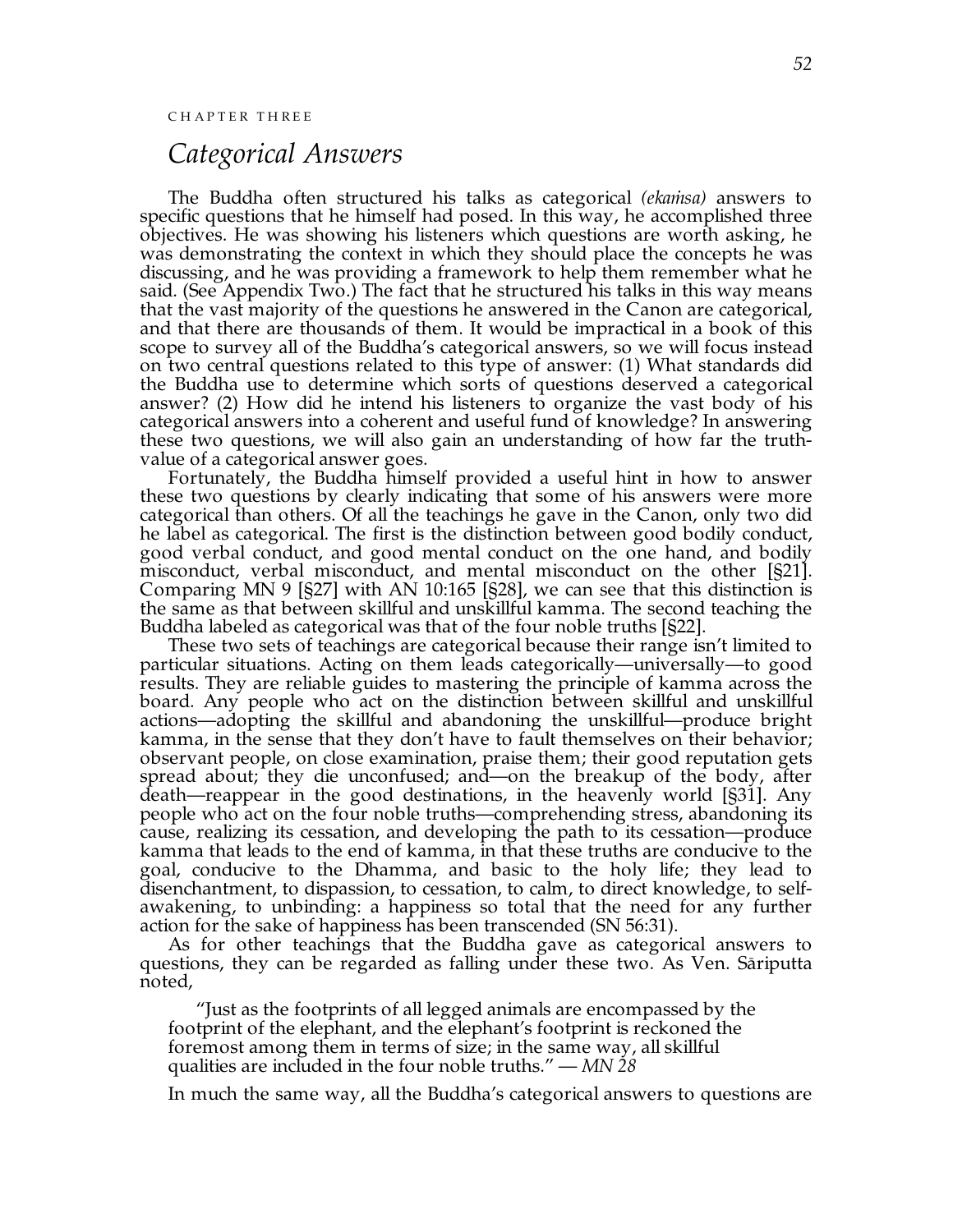## *Categorical Answers*

The Buddha often structured his talks as categorical *(ekamsa)* answers to specific questions that he himself had posed. In this way, he accomplished three objectives. He was showing his listeners which questions are worth asking, he was demonstrating the context in which they should place the concepts he was discussing, and he was providing a framework to help them remember what he said. (See Appendix Two.) The fact that he structured his talks in this way means that the vast majority of the questions he answered in the Canon are categorical, and that there are thousands of them. It would be impractical in a book of this scope to survey all of the Buddha's categorical answers, so we will focus instead on two central questions related to this type of answer: (1) What standards did the Buddha use to determine which sorts of questions deserved a categorical answer? (2) How did he intend his listeners to organize the vast body of his categorical answers into a coherent and useful fund of knowledge? In answering these two questions, we will also gain an understanding of how far the truthvalue of a categorical answer goes.

Fortunately, the Buddha himself provided a useful hint in how to answer these two questions by clearly indicating that some of his answers were more categorical than others. Of all the teachings he gave in the Canon, only two did he label as categorical. The first is the distinction between good bodily conduct, good verbal conduct, and good mental conduct on the one hand, and bodily misconduct, verbal misconduct, and mental misconduct on the other [§21]. Comparing MN 9 [§27] with AN 10:165 [§28], we can see that this distinction is the same as that between skillful and unskillful kamma. The second teaching the Buddha labeled as categorical was that of the four noble truths [§22].

These two sets of teachings are categorical because their range isn't limited to particular situations. Acting on them leads categorically—universally—to good results. They are reliable guides to mastering the principle of kamma across the board. Any people who act on the distinction between skillful and unskillful actions—adopting the skillful and abandoning the unskillful—produce bright kamma, in the sense that they don't have to fault themselves on their behavior; observant people, on close examination, praise them; their good reputation gets spread about; they die unconfused; and—on the breakup of the body, after death—reappear in the good destinations, in the heavenly world [§31]. Any people who act on the four noble truths—comprehending stress, abandoning its cause, realizing its cessation, and developing the path to its cessation—produce kamma that leads to the end of kamma, in that these truths are conducive to the goal, conducive to the Dhamma, and basic to the holy life; they lead to disenchantment, to dispassion, to cessation, to calm, to direct knowledge, to selfawakening, to unbinding: a happiness so total that the need for any further action for the sake of happiness has been transcended (SN 56:31).

As for other teachings that the Buddha gave as categorical answers to questions, they can be regarded as falling under these two. As Ven. Sariputta noted,

"Just as the footprints of all legged animals are encompassed by the footprint of the elephant, and the elephant's footprint is reckoned the foremost among them in terms of size; in the same way, all skillful qualities are included in the four noble truths." — *MN 28* 

In much the same way, all the Buddha's categorical answers to questions are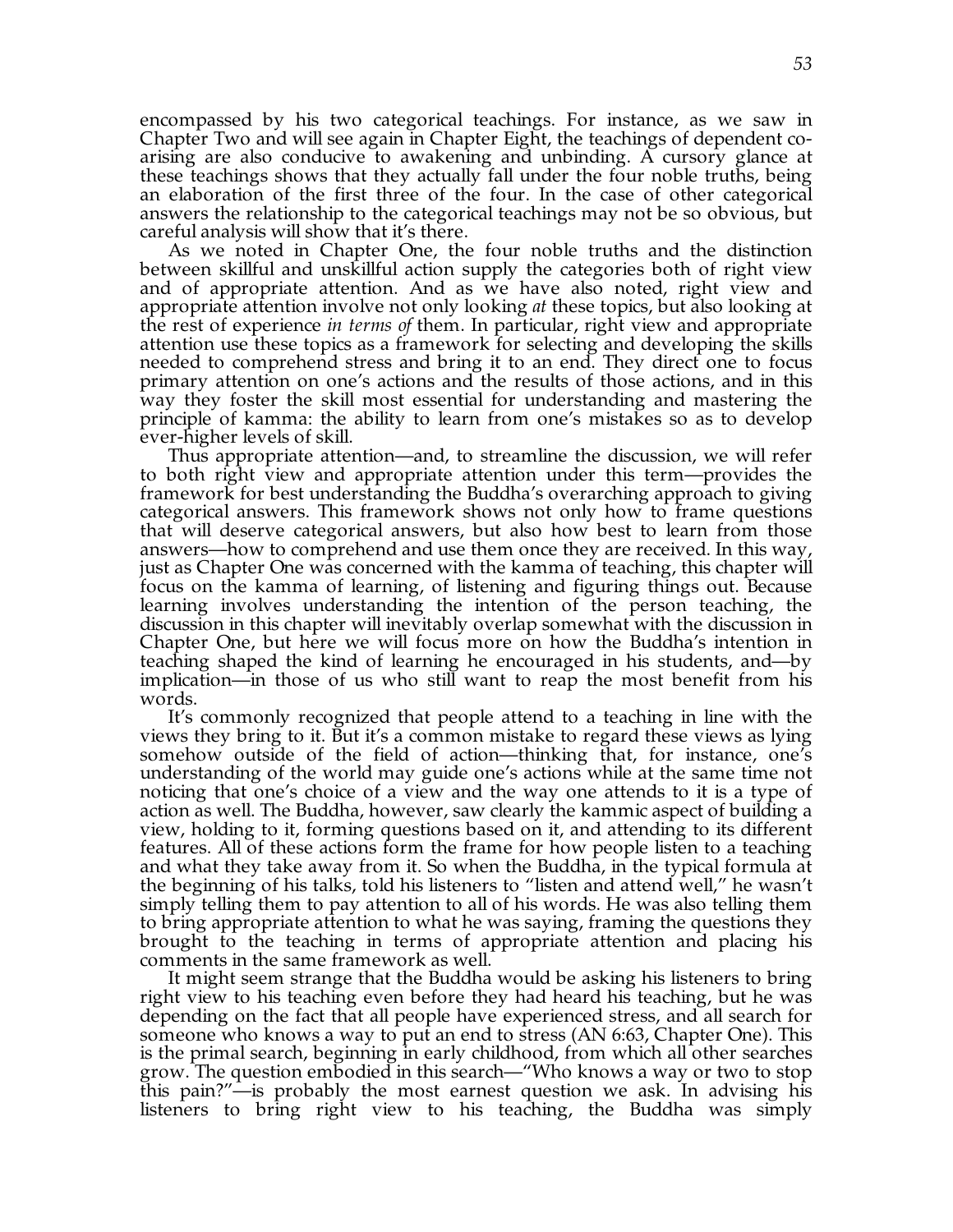encompassed by his two categorical teachings. For instance, as we saw in Chapter Two and will see again in Chapter Eight, the teachings of dependent coarising are also conducive to awakening and unbinding. A cursory glance at these teachings shows that they actually fall under the four noble truths, being an elaboration of the first three of the four. In the case of other categorical answers the relationship to the categorical teachings may not be so obvious, but careful analysis will show that it's there.

As we noted in Chapter One, the four noble truths and the distinction between skillful and unskillful action supply the categories both of right view and of appropriate attention. And as we have also noted, right view and appropriate attention involve not only looking *at* these topics, but also looking at the rest of experience *in terms of* them. In particular, right view and appropriate attention use these topics as a framework for selecting and developing the skills needed to comprehend stress and bring it to an end. They direct one to focus primary attention on one's actions and the results of those actions, and in this way they foster the skill most essential for understanding and mastering the principle of kamma: the ability to learn from one's mistakes so as to develop ever-higher levels of skill.

Thus appropriate attention—and, to streamline the discussion, we will refer to both right view and appropriate attention under this term—provides the framework for best understanding the Buddha's overarching approach to giving categorical answers. This framework shows not only how to frame questions that will deserve categorical answers, but also how best to learn from those answers—how to comprehend and use them once they are received. In this way, just as Chapter One was concerned with the kamma of teaching, this chapter will focus on the kamma of learning, of listening and figuring things out. Because learning involves understanding the intention of the person teaching, the discussion in this chapter will inevitably overlap somewhat with the discussion in Chapter One, but here we will focus more on how the Buddha's intention in teaching shaped the kind of learning he encouraged in his students, and—by implication—in those of us who still want to reap the most benefit from his words.

It's commonly recognized that people attend to a teaching in line with the views they bring to it. But it's a common mistake to regard these views as lying somehow outside of the field of action—thinking that, for instance, one's understanding of the world may guide one's actions while at the same time not noticing that one's choice of a view and the way one attends to it is a type of action as well. The Buddha, however, saw clearly the kammic aspect of building a view, holding to it, forming questions based on it, and attending to its different features. All of these actions form the frame for how people listen to a teaching and what they take away from it. So when the Buddha, in the typical formula at the beginning of his talks, told his listeners to "listen and attend well," he wasn't simply telling them to pay attention to all of his words. He was also telling them to bring appropriate attention to what he was saying, framing the questions they brought to the teaching in terms of appropriate attention and placing his comments in the same framework as well.

It might seem strange that the Buddha would be asking his listeners to bring right view to his teaching even before they had heard his teaching, but he was depending on the fact that all people have experienced stress, and all search for someone who knows a way to put an end to stress (AN 6:63, Chapter One). This is the primal search, beginning in early childhood, from which all other searches grow. The question embodied in this search—"Who knows a way or two to stop this pain?"—is probably the most earnest question we ask. In advising his listeners to bring right view to his teaching, the Buddha was simply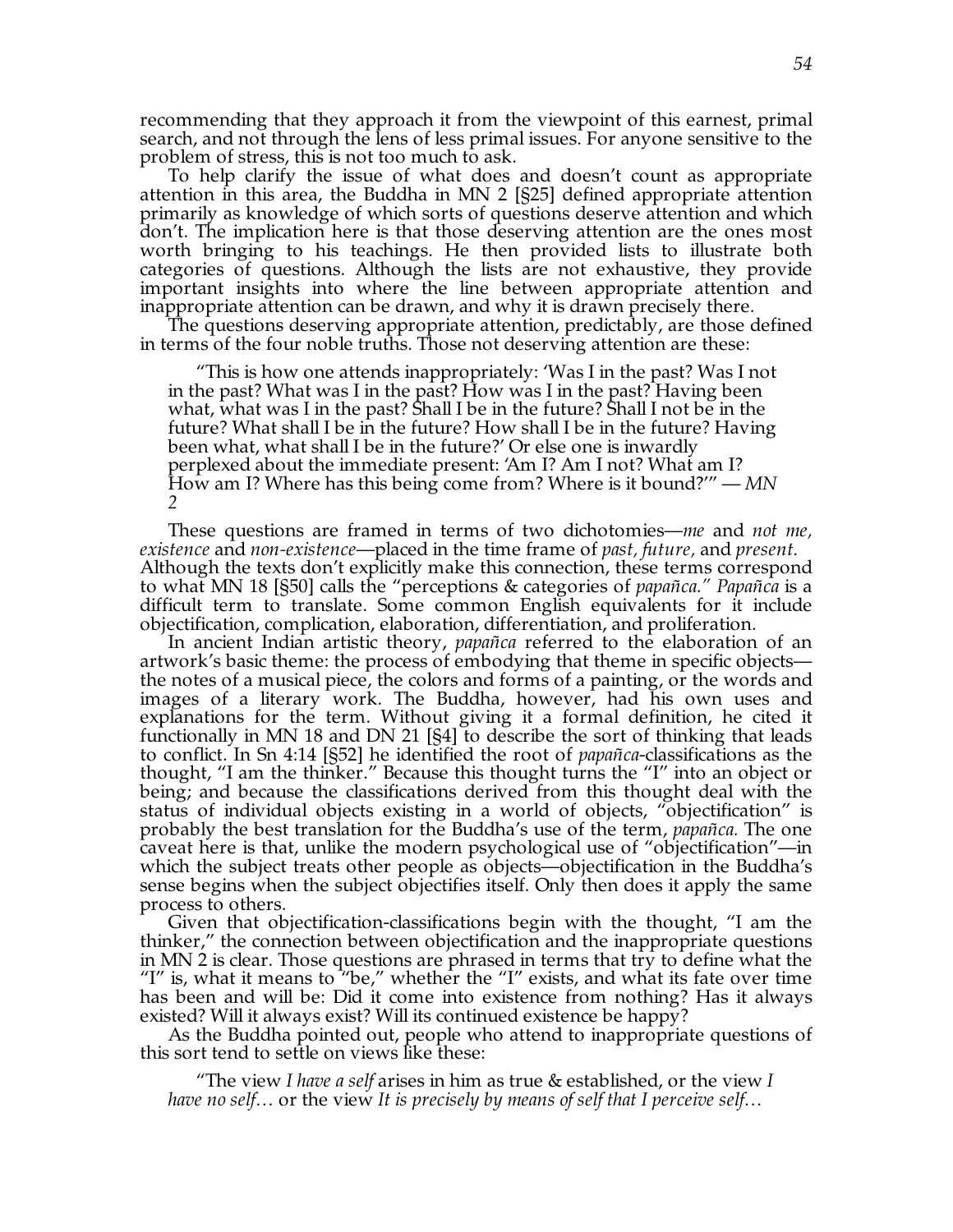recommending that they approach it from the viewpoint of this earnest, primal search, and not through the lens of less primal issues. For anyone sensitive to the problem of stress, this is not too much to ask.

To help clarify the issue of what does and doesn't count as appropriate attention in this area, the Buddha in MN 2 [§25] defined appropriate attention primarily as knowledge of which sorts of questions deserve attention and which don't. The implication here is that those deserving attention are the ones most worth bringing to his teachings. He then provided lists to illustrate both categories of questions. Although the lists are not exhaustive, they provide important insights into where the line between appropriate attention and inappropriate attention can be drawn, and why it is drawn precisely there.

The questions deserving appropriate attention, predictably, are those defined in terms of the four noble truths. Those not deserving attention are these:

"This is how one attends inappropriately: 'Was I in the past? Was I not in the past? What was I in the past? How was I in the past? Having been what, what was I in the past? Shall I be in the future? Shall I not be in the future? What shall I be in the future? How shall I be in the future? Having been what, what shall I be in the future?' Or else one is inwardly perplexed about the immediate present: 'Am I? Am I not? What am I? How am I? Where has this being come from? Where is it bound?'" — *MN 2* 

These questions are framed in terms of two dichotomies—*me* and *not me, existence* and *non-existence*—placed in the time frame of *past, future,* and *present.* Although the texts don't explicitly make this connection, these terms correspond to what MN 18 [§50] calls the "perceptions & categories of *papañca." Papañca* is a difficult term to translate. Some common English equivalents for it include objectification, complication, elaboration, differentiation, and proliferation.

In ancient Indian artistic theory, *papañca* referred to the elaboration of an artwork's basic theme: the process of embodying that theme in specific objects the notes of a musical piece, the colors and forms of a painting, or the words and images of a literary work. The Buddha, however, had his own uses and explanations for the term. Without giving it a formal definition, he cited it functionally in MN 18 and DN 21 [§4] to describe the sort of thinking that leads to conflict. In Sn 4:14 [§52] he identified the root of *papañca*-classifications as the thought, "I am the thinker." Because this thought turns the "I" into an object or being; and because the classifications derived from this thought deal with the status of individual objects existing in a world of objects, "objectification" is probably the best translation for the Buddha's use of the term, *papañca.* The one caveat here is that, unlike the modern psychological use of "objectification"—in which the subject treats other people as objects—objectification in the Buddha's sense begins when the subject objectifies itself. Only then does it apply the same process to others.

Given that objectification-classifications begin with the thought, "I am the thinker," the connection between objectification and the inappropriate questions in MN 2 is clear. Those questions are phrased in terms that try to define what the "I" is, what it means to "be," whether the "I" exists, and what its fate over time has been and will be: Did it come into existence from nothing? Has it always existed? Will it always exist? Will its continued existence be happy?

As the Buddha pointed out, people who attend to inappropriate questions of this sort tend to settle on views like these:

"The view *I have a self* arises in him as true & established, or the view *I have no self*… or the view *It is precisely by means of self that I perceive self*…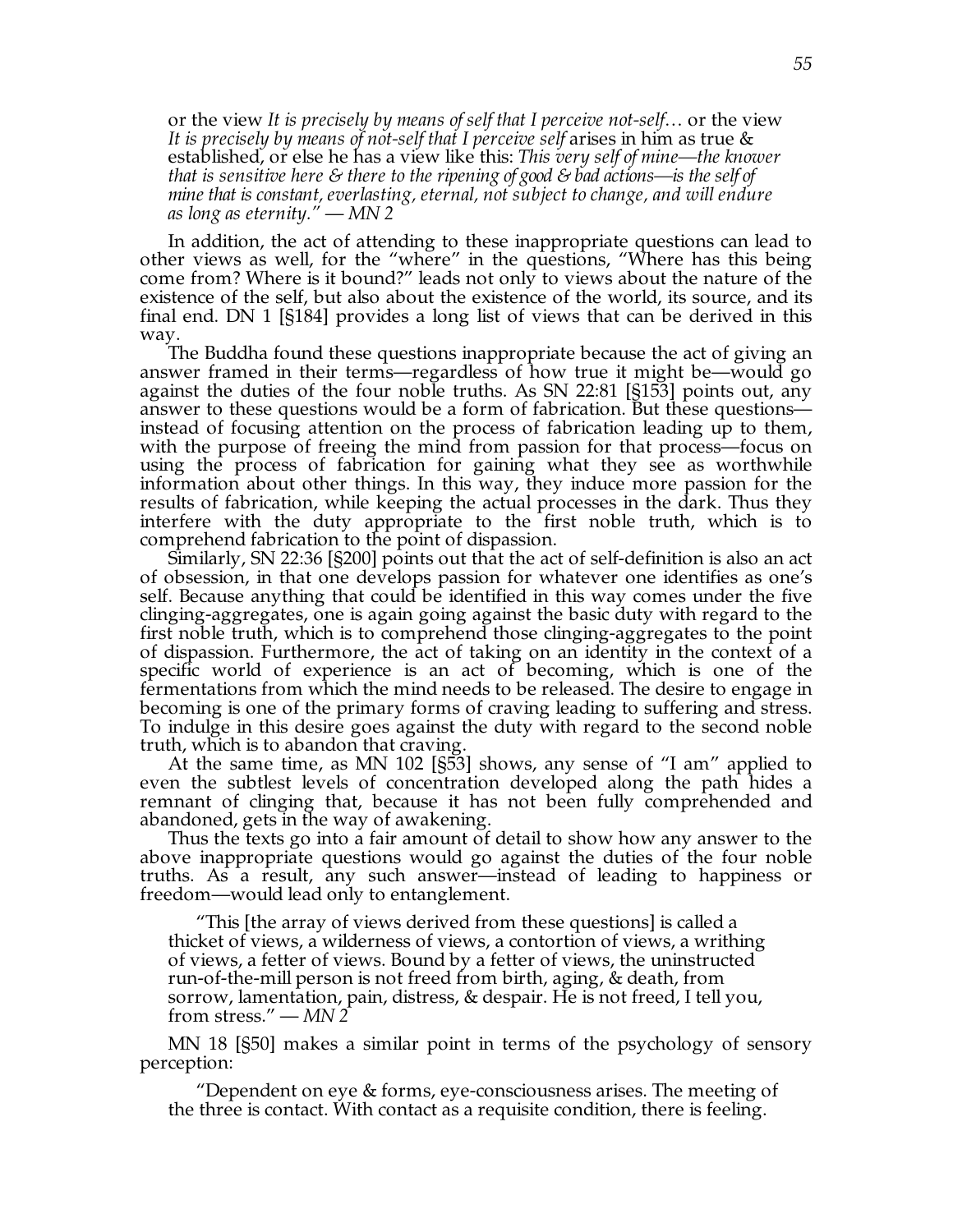or the view *It is precisely by means of self that I perceive not-self*… or the view *It is precisely by means of not-self that I perceive self* arises in him as true & established, or else he has a view like this: *This very self of mine—the knower that is sensitive here & there to the ripening of good & bad actions—is the self of mine that is constant, everlasting, eternal, not subject to change, and will endure as long as eternity."* — *MN 2*

In addition, the act of attending to these inappropriate questions can lead to other views as well, for the "where" in the questions, "Where has this being come from? Where is it bound?" leads not only to views about the nature of the existence of the self, but also about the existence of the world, its source, and its final end. DN 1 [§184] provides a long list of views that can be derived in this way.

The Buddha found these questions inappropriate because the act of giving an answer framed in their terms—regardless of how true it might be—would go against the duties of the four noble truths. As SN 22:81 [§153] points out, any answer to these questions would be a form of fabrication. But these questions instead of focusing attention on the process of fabrication leading up to them, with the purpose of freeing the mind from passion for that process—focus on using the process of fabrication for gaining what they see as worthwhile information about other things. In this way, they induce more passion for the results of fabrication, while keeping the actual processes in the dark. Thus they interfere with the duty appropriate to the first noble truth, which is to comprehend fabrication to the point of dispassion.

Similarly, SN 22:36 [§200] points out that the act of self-definition is also an act of obsession, in that one develops passion for whatever one identifies as one's self. Because anything that could be identified in this way comes under the five clinging-aggregates, one is again going against the basic duty with regard to the first noble truth, which is to comprehend those clinging-aggregates to the point of dispassion. Furthermore, the act of taking on an identity in the context of a specific world of experience is an act of becoming, which is one of the fermentations from which the mind needs to be released. The desire to engage in becoming is one of the primary forms of craving leading to suffering and stress. To indulge in this desire goes against the duty with regard to the second noble truth, which is to abandon that craving.

At the same time, as MN 102 [§53] shows, any sense of "I am" applied to even the subtlest levels of concentration developed along the path hides a remnant of clinging that, because it has not been fully comprehended and abandoned, gets in the way of awakening.

Thus the texts go into a fair amount of detail to show how any answer to the above inappropriate questions would go against the duties of the four noble truths. As a result, any such answer—instead of leading to happiness or freedom—would lead only to entanglement.

"This [the array of views derived from these questions] is called a thicket of views, a wilderness of views, a contortion of views, a writhing of views, a fetter of views. Bound by a fetter of views, the uninstructed run-of-the-mill person is not freed from birth, aging, & death, from sorrow, lamentation, pain, distress, & despair. He is not freed, I tell you, from stress." — *MN 2*

MN 18 [§50] makes a similar point in terms of the psychology of sensory perception:

"Dependent on eye & forms, eye-consciousness arises. The meeting of the three is contact. With contact as a requisite condition, there is feeling.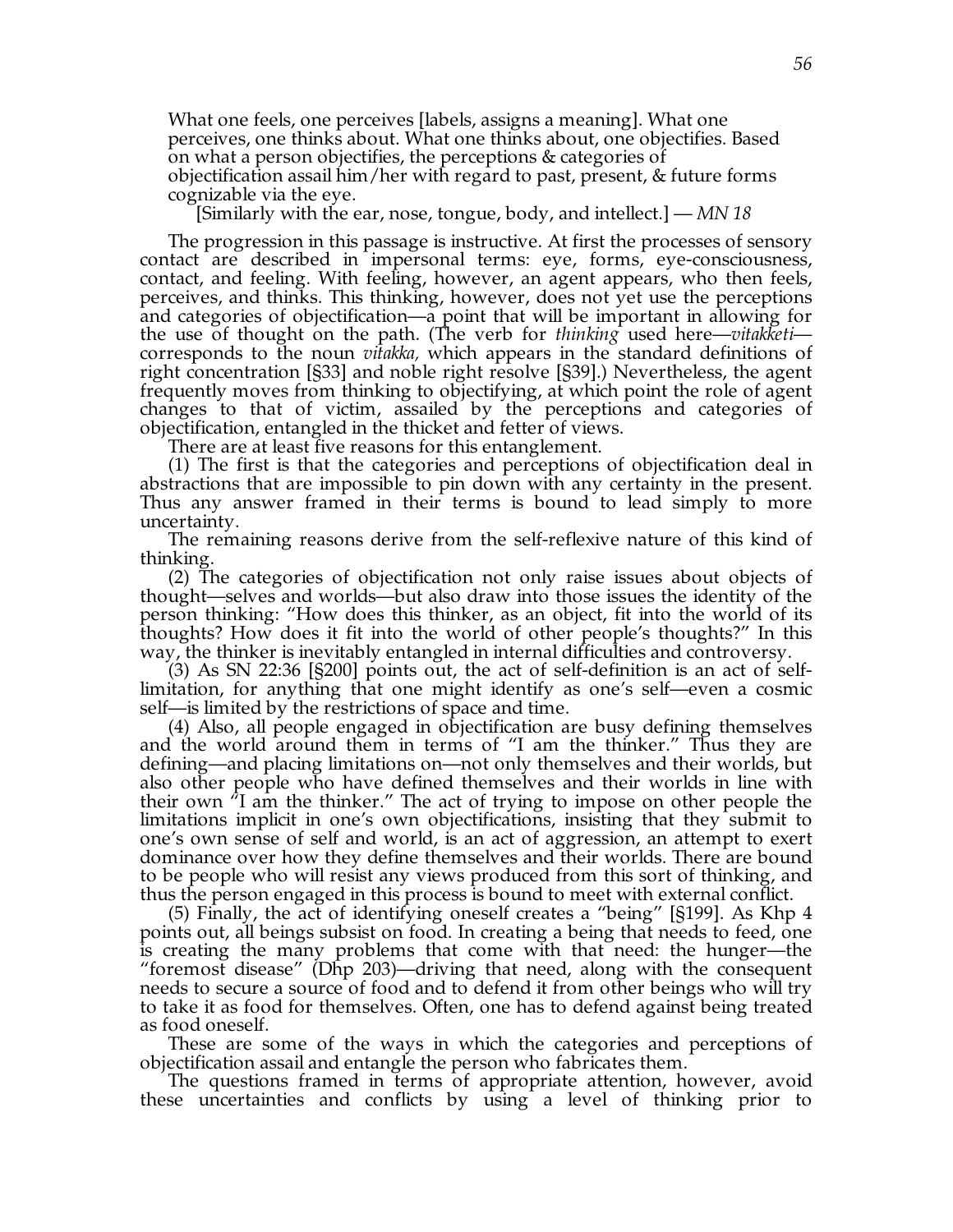What one feels, one perceives [labels, assigns a meaning]. What one perceives, one thinks about. What one thinks about, one objectifies. Based on what a person objectifies, the perceptions & categories of objectification assail him/her with regard to past, present, & future forms cognizable via the eye.

[Similarly with the ear, nose, tongue, body, and intellect.] — *MN 18*

The progression in this passage is instructive. At first the processes of sensory contact are described in impersonal terms: eye, forms, eye-consciousness, contact, and feeling. With feeling, however, an agent appears, who then feels, perceives, and thinks. This thinking, however, does not yet use the perceptions and categories of objectification—a point that will be important in allowing for the use of thought on the path. (The verb for *thinking* used here—*vitakketi* corresponds to the noun *vitakka,* which appears in the standard definitions of right concentration [§33] and noble right resolve [§39].) Nevertheless, the agent frequently moves from thinking to objectifying, at which point the role of agent changes to that of victim, assailed by the perceptions and categories of objectification, entangled in the thicket and fetter of views.

There are at least five reasons for this entanglement.

(1) The first is that the categories and perceptions of objectification deal in abstractions that are impossible to pin down with any certainty in the present. Thus any answer framed in their terms is bound to lead simply to more uncertainty.

The remaining reasons derive from the self-reflexive nature of this kind of thinking.

(2) The categories of objectification not only raise issues about objects of thought—selves and worlds—but also draw into those issues the identity of the person thinking: "How does this thinker, as an object, fit into the world of its thoughts? How does it fit into the world of other people's thoughts?" In this way, the thinker is inevitably entangled in internal difficulties and controversy.

(3) As SN 22:36 [§200] points out, the act of self-definition is an act of selflimitation, for anything that one might identify as one's self—even a cosmic self—is limited by the restrictions of space and time.

(4) Also, all people engaged in objectification are busy defining themselves and the world around them in terms of "I am the thinker." Thus they are defining—and placing limitations on—not only themselves and their worlds, but also other people who have defined themselves and their worlds in line with their own "I am the thinker." The act of trying to impose on other people the limitations implicit in one's own objectifications, insisting that they submit to one's own sense of self and world, is an act of aggression, an attempt to exert dominance over how they define themselves and their worlds. There are bound to be people who will resist any views produced from this sort of thinking, and thus the person engaged in this process is bound to meet with external conflict.

(5) Finally, the act of identifying oneself creates a "being" [§199]. As Khp 4 points out, all beings subsist on food. In creating a being that needs to feed, one is creating the many problems that come with that need: the hunger—the "foremost disease" (Dhp 203)—driving that need, along with the consequent needs to secure a source of food and to defend it from other beings who will try to take it as food for themselves. Often, one has to defend against being treated as food oneself.

These are some of the ways in which the categories and perceptions of objectification assail and entangle the person who fabricates them.

The questions framed in terms of appropriate attention, however, avoid these uncertainties and conflicts by using a level of thinking prior to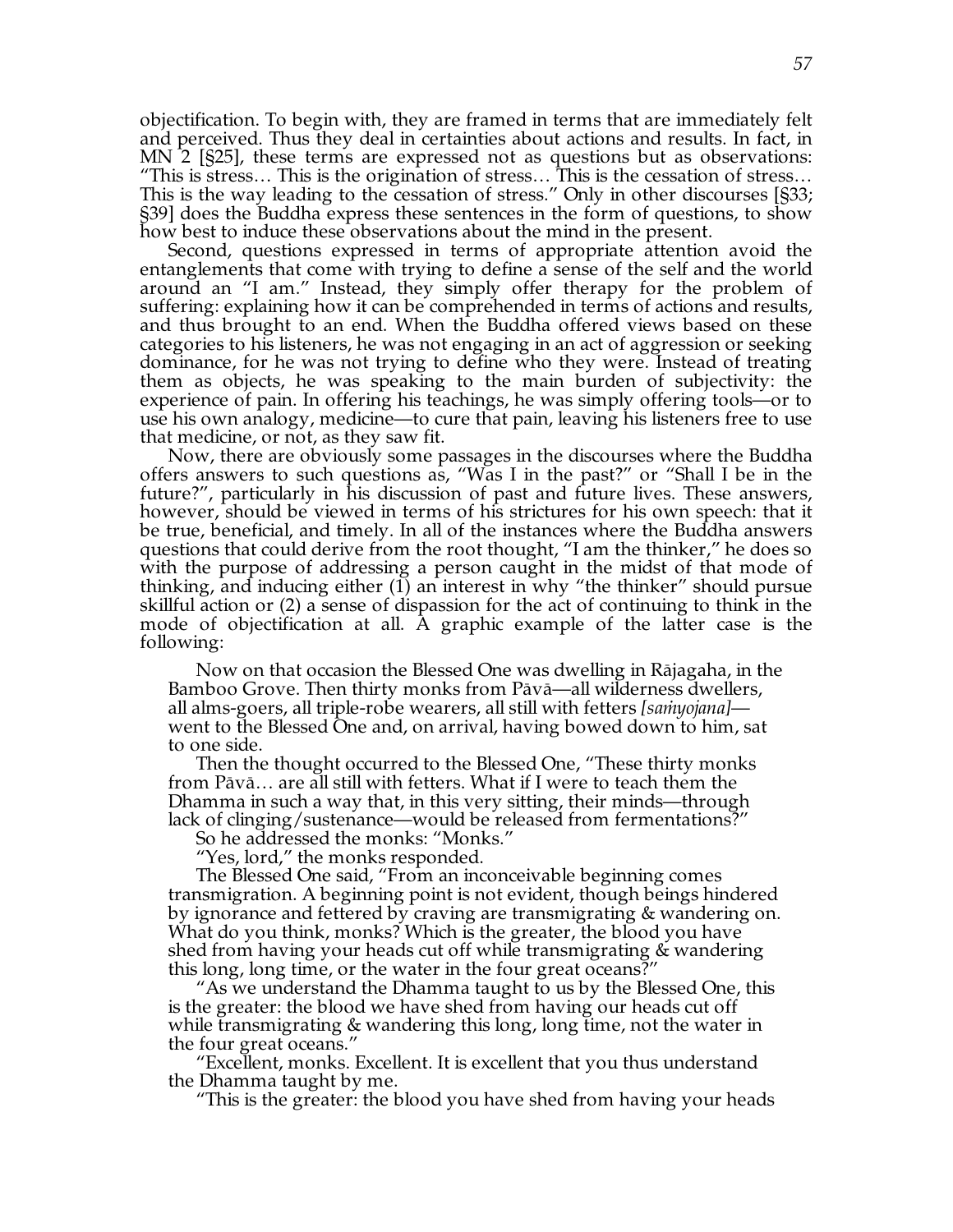objectification. To begin with, they are framed in terms that are immediately felt and perceived. Thus they deal in certainties about actions and results. In fact, in MN 2 [§25], these terms are expressed not as questions but as observations: "This is stress… This is the origination of stress… This is the cessation of stress… This is the way leading to the cessation of stress." Only in other discourses [§33; §39] does the Buddha express these sentences in the form of questions, to show how best to induce these observations about the mind in the present.

Second, questions expressed in terms of appropriate attention avoid the entanglements that come with trying to define a sense of the self and the world around an "I am." Instead, they simply offer therapy for the problem of suffering: explaining how it can be comprehended in terms of actions and results, and thus brought to an end. When the Buddha offered views based on these categories to his listeners, he was not engaging in an act of aggression or seeking dominance, for he was not trying to define who they were. Instead of treating them as objects, he was speaking to the main burden of subjectivity: the experience of pain. In offering his teachings, he was simply offering tools—or to use his own analogy, medicine—to cure that pain, leaving his listeners free to use that medicine, or not, as they saw fit.

Now, there are obviously some passages in the discourses where the Buddha offers answers to such questions as, "Was I in the past?" or "Shall I be in the future?", particularly in his discussion of past and future lives. These answers, however, should be viewed in terms of his strictures for his own speech: that it be true, beneficial, and timely. In all of the instances where the Buddha answers questions that could derive from the root thought, "I am the thinker," he does so with the purpose of addressing a person caught in the midst of that mode of thinking, and inducing either (1) an interest in why "the thinker" should pursue skillful action or (2) a sense of dispassion for the act of continuing to think in the mode of objectification at all. A graphic example of the latter case is the following:

Now on that occasion the Blessed One was dwelling in Rajagaha, in the Bamboo Grove. Then thirty monks from Pāvā—all wilderness dwellers, all alms-goers, all triple-robe wearers, all still with fetters *[samyojana]* went to the Blessed One and, on arrival, having bowed down to him, sat to one side.

Then the thought occurred to the Blessed One, "These thirty monks from Pāvā... are all still with fetters. What if I were to teach them the Dhamma in such a way that, in this very sitting, their minds—through lack of clinging/sustenance—would be released from fermentations?"

So he addressed the monks: "Monks."

"Yes, lord," the monks responded.

The Blessed One said, "From an inconceivable beginning comes transmigration. A beginning point is not evident, though beings hindered by ignorance and fettered by craving are transmigrating & wandering on. What do you think, monks? Which is the greater, the blood you have shed from having your heads cut off while transmigrating & wandering this long, long time, or the water in the four great oceans?"

"As we understand the Dhamma taught to us by the Blessed One, this is the greater: the blood we have shed from having our heads cut off while transmigrating & wandering this long, long time, not the water in the four great oceans."

"Excellent, monks. Excellent. It is excellent that you thus understand the Dhamma taught by me.

"This is the greater: the blood you have shed from having your heads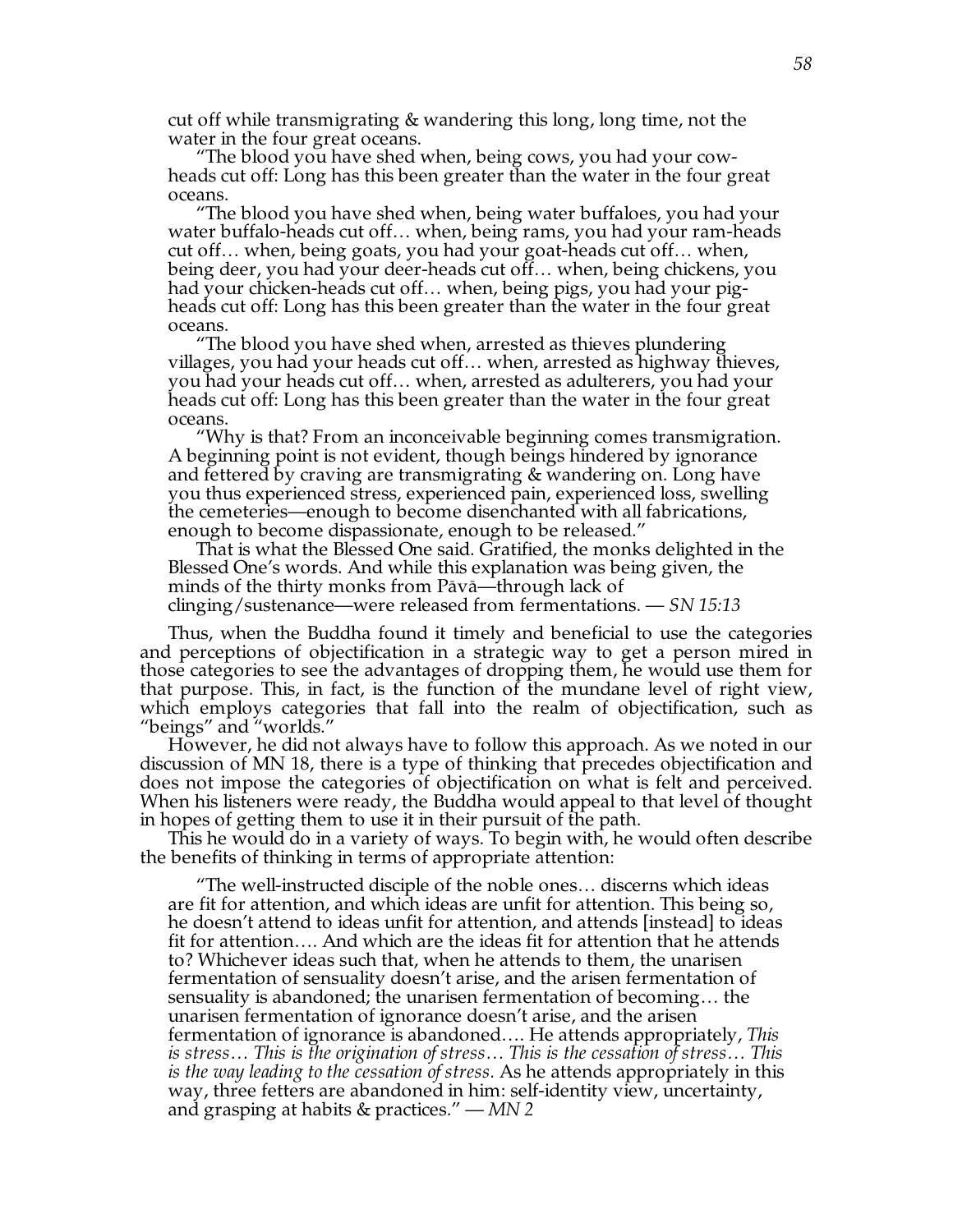cut off while transmigrating & wandering this long, long time, not the water in the four great oceans.

"The blood you have shed when, being cows, you had your cowheads cut off: Long has this been greater than the water in the four great oceans.

"The blood you have shed when, being water buffaloes, you had your water buffalo-heads cut off… when, being rams, you had your ram-heads cut off… when, being goats, you had your goat-heads cut off… when, being deer, you had your deer-heads cut off… when, being chickens, you had your chicken-heads cut off… when, being pigs, you had your pigheads cut off: Long has this been greater than the water in the four great oceans.

"The blood you have shed when, arrested as thieves plundering villages, you had your heads cut off… when, arrested as highway thieves, you had your heads cut off… when, arrested as adulterers, you had your heads cut off: Long has this been greater than the water in the four great oceans.

"Why is that? From an inconceivable beginning comes transmigration. A beginning point is not evident, though beings hindered by ignorance and fettered by craving are transmigrating & wandering on. Long have you thus experienced stress, experienced pain, experienced loss, swelling the cemeteries—enough to become disenchanted with all fabrications, enough to become dispassionate, enough to be released."

That is what the Blessed One said. Gratified, the monks delighted in the Blessed One's words. And while this explanation was being given, the minds of the thirty monks from Pāvā—through lack of clinging/sustenance—were released from fermentations. — *SN 15:13*

Thus, when the Buddha found it timely and beneficial to use the categories and perceptions of objectification in a strategic way to get a person mired in those categories to see the advantages of dropping them, he would use them for that purpose. This, in fact, is the function of the mundane level of right view, which employs categories that fall into the realm of objectification, such as "beings" and "worlds."

However, he did not always have to follow this approach. As we noted in our discussion of MN 18, there is a type of thinking that precedes objectification and does not impose the categories of objectification on what is felt and perceived. When his listeners were ready, the Buddha would appeal to that level of thought in hopes of getting them to use it in their pursuit of the path.

This he would do in a variety of ways. To begin with, he would often describe the benefits of thinking in terms of appropriate attention:

"The well-instructed disciple of the noble ones… discerns which ideas are fit for attention, and which ideas are unfit for attention. This being so, he doesn't attend to ideas unfit for attention, and attends [instead] to ideas fit for attention…. And which are the ideas fit for attention that he attends to? Whichever ideas such that, when he attends to them, the unarisen fermentation of sensuality doesn't arise, and the arisen fermentation of sensuality is abandoned; the unarisen fermentation of becoming… the unarisen fermentation of ignorance doesn't arise, and the arisen fermentation of ignorance is abandoned…. He attends appropriately, *This is stress… This is the origination of stress… This is the cessation of stress… This is the way leading to the cessation of stress.* As he attends appropriately in this way, three fetters are abandoned in him: self-identity view, uncertainty, and grasping at habits & practices." — *MN 2*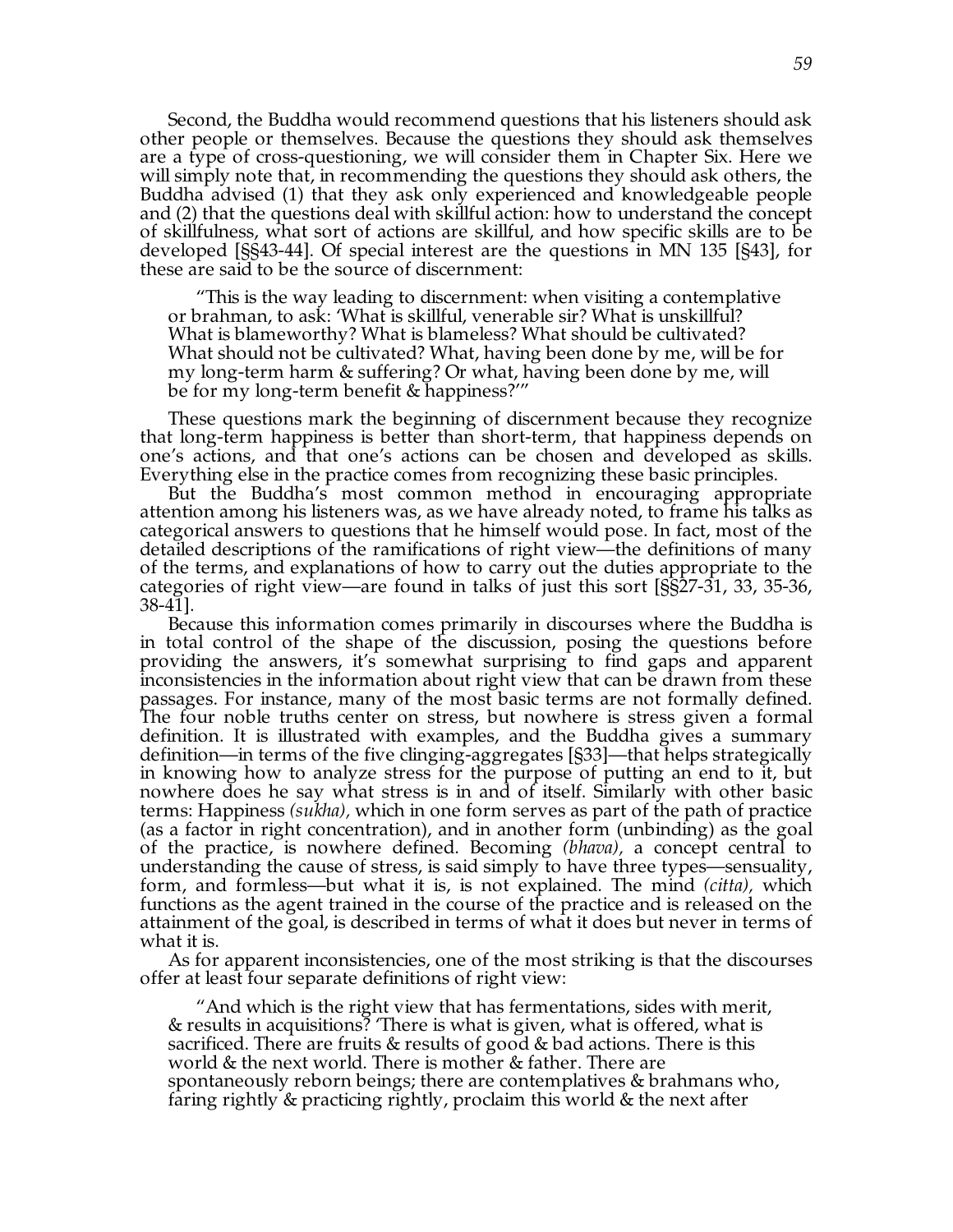Second, the Buddha would recommend questions that his listeners should ask other people or themselves. Because the questions they should ask themselves are a type of cross-questioning, we will consider them in Chapter Six. Here we will simply note that, in recommending the questions they should ask others, the Buddha advised (1) that they ask only experienced and knowledgeable people and (2) that the questions deal with skillful action: how to understand the concept of skillfulness, what sort of actions are skillful, and how specific skills are to be developed [§§43-44]. Of special interest are the questions in MN 135 [§43], for these are said to be the source of discernment:

"This is the way leading to discernment: when visiting a contemplative or brahman, to ask: 'What is skillful, venerable sir? What is unskillful? What is blameworthy? What is blameless? What should be cultivated? What should not be cultivated? What, having been done by me, will be for my long-term harm & suffering? Or what, having been done by me, will be for my long-term benefit & happiness?'"

These questions mark the beginning of discernment because they recognize that long-term happiness is better than short-term, that happiness depends on one's actions, and that one's actions can be chosen and developed as skills. Everything else in the practice comes from recognizing these basic principles.

But the Buddha's most common method in encouraging appropriate attention among his listeners was, as we have already noted, to frame his talks as categorical answers to questions that he himself would pose. In fact, most of the detailed descriptions of the ramifications of right view—the definitions of many of the terms, and explanations of how to carry out the duties appropriate to the categories of right view—are found in talks of just this sort [§§27-31, 33, 35-36, 38-41].

Because this information comes primarily in discourses where the Buddha is in total control of the shape of the discussion, posing the questions before providing the answers, it's somewhat surprising to find gaps and apparent inconsistencies in the information about right view that can be drawn from these passages. For instance, many of the most basic terms are not formally defined. The four noble truths center on stress, but nowhere is stress given a formal definition. It is illustrated with examples, and the Buddha gives a summary definition—in terms of the five clinging-aggregates [§33]—that helps strategically in knowing how to analyze stress for the purpose of putting an end to it, but nowhere does he say what stress is in and of itself. Similarly with other basic terms: Happiness *(sukha),* which in one form serves as part of the path of practice (as a factor in right concentration), and in another form (unbinding) as the goal of the practice, is nowhere defined. Becoming *(bhava),* a concept central to understanding the cause of stress, is said simply to have three types—sensuality, form, and formless—but what it is, is not explained. The mind *(citta),* which functions as the agent trained in the course of the practice and is released on the attainment of the goal, is described in terms of what it does but never in terms of what it is.

As for apparent inconsistencies, one of the most striking is that the discourses offer at least four separate definitions of right view:

"And which is the right view that has fermentations, sides with merit, & results in acquisitions? 'There is what is given, what is offered, what is sacrificed. There are fruits & results of good & bad actions. There is this world & the next world. There is mother & father. There are spontaneously reborn beings; there are contemplatives & brahmans who, faring rightly & practicing rightly, proclaim this world & the next after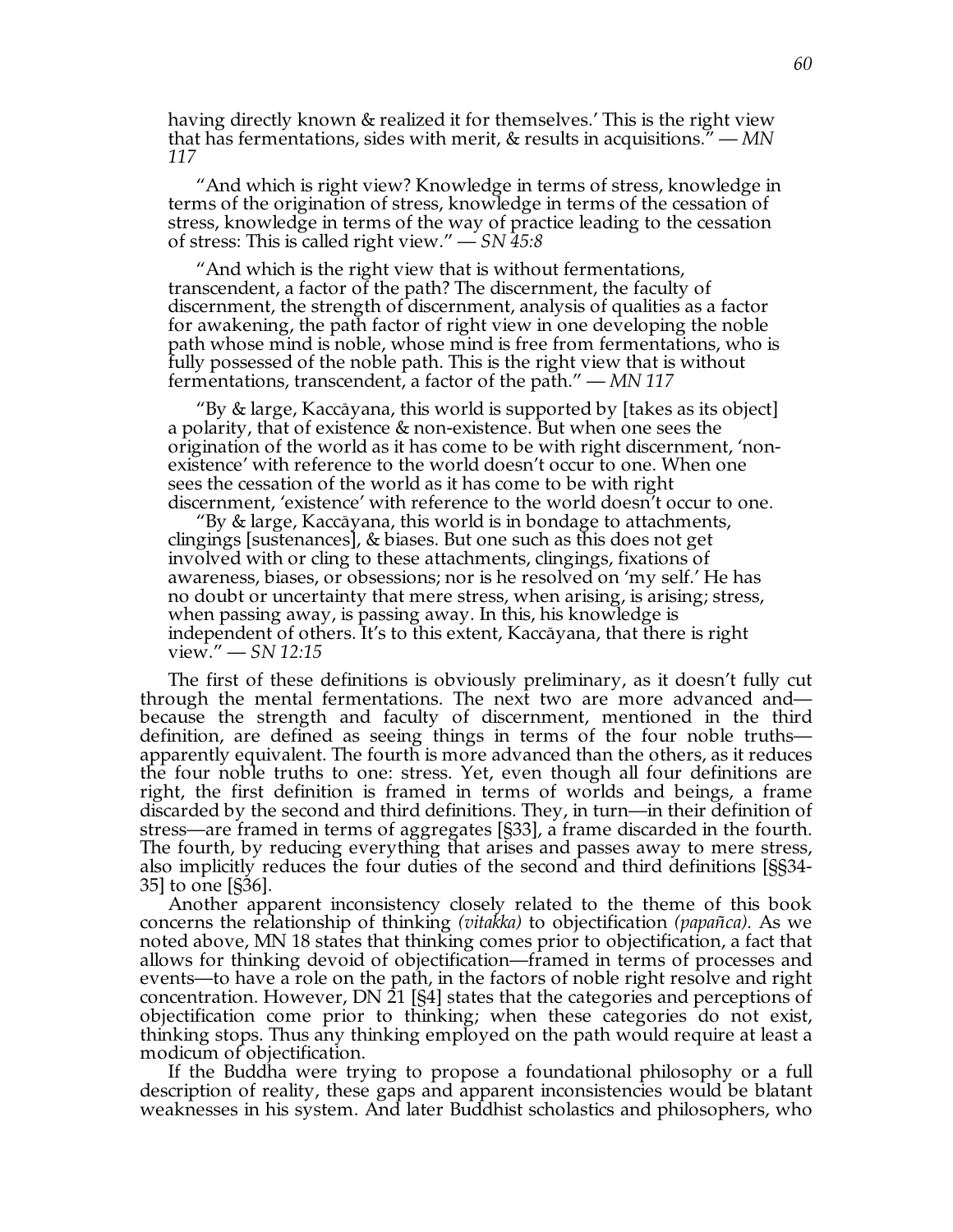having directly known & realized it for themselves.' This is the right view that has fermentations, sides with merit, & results in acquisitions." — *MN 117*

"And which is right view? Knowledge in terms of stress, knowledge in terms of the origination of stress, knowledge in terms of the cessation of stress, knowledge in terms of the way of practice leading to the cessation of stress: This is called right view." — *SN 45:8*

"And which is the right view that is without fermentations, transcendent, a factor of the path? The discernment, the faculty of discernment, the strength of discernment, analysis of qualities as a factor for awakening, the path factor of right view in one developing the noble path whose mind is noble, whose mind is free from fermentations, who is fully possessed of the noble path. This is the right view that is without fermentations, transcendent, a factor of the path." — *MN 117* 

"By  $\&$  large, Kaccāyana, this world is supported by [takes as its object] a polarity, that of existence & non-existence. But when one sees the origination of the world as it has come to be with right discernment, 'nonexistence' with reference to the world doesn't occur to one. When one sees the cessation of the world as it has come to be with right discernment, 'existence' with reference to the world doesn't occur to one.

"By  $\&$  large, Kaccāyana, this world is in bondage to attachments, clingings [sustenances], & biases. But one such as this does not get involved with or cling to these attachments, clingings, fixations of awareness, biases, or obsessions; nor is he resolved on 'my self.' He has no doubt or uncertainty that mere stress, when arising, is arising; stress, when passing away, is passing away. In this, his knowledge is independent of others. It's to this extent, Kaccayana, that there is right view." — *SN 12:15*

The first of these definitions is obviously preliminary, as it doesn't fully cut through the mental fermentations. The next two are more advanced and because the strength and faculty of discernment, mentioned in the third definition, are defined as seeing things in terms of the four noble truths apparently equivalent. The fourth is more advanced than the others, as it reduces the four noble truths to one: stress. Yet, even though all four definitions are right, the first definition is framed in terms of worlds and beings, a frame discarded by the second and third definitions. They, in turn—in their definition of stress—are framed in terms of aggregates [§33], a frame discarded in the fourth. The fourth, by reducing everything that arises and passes away to mere stress, also implicitly reduces the four duties of the second and third definitions [§§34- 35] to one [§36].

Another apparent inconsistency closely related to the theme of this book concerns the relationship of thinking *(vitakka)* to objectification *(papañca).* As we noted above, MN 18 states that thinking comes prior to objectification, a fact that allows for thinking devoid of objectification—framed in terms of processes and events—to have a role on the path, in the factors of noble right resolve and right concentration. However, DN 21 [§4] states that the categories and perceptions of objectification come prior to thinking; when these categories do not exist, thinking stops. Thus any thinking employed on the path would require at least a modicum of objectification.

If the Buddha were trying to propose a foundational philosophy or a full description of reality, these gaps and apparent inconsistencies would be blatant weaknesses in his system. And later Buddhist scholastics and philosophers, who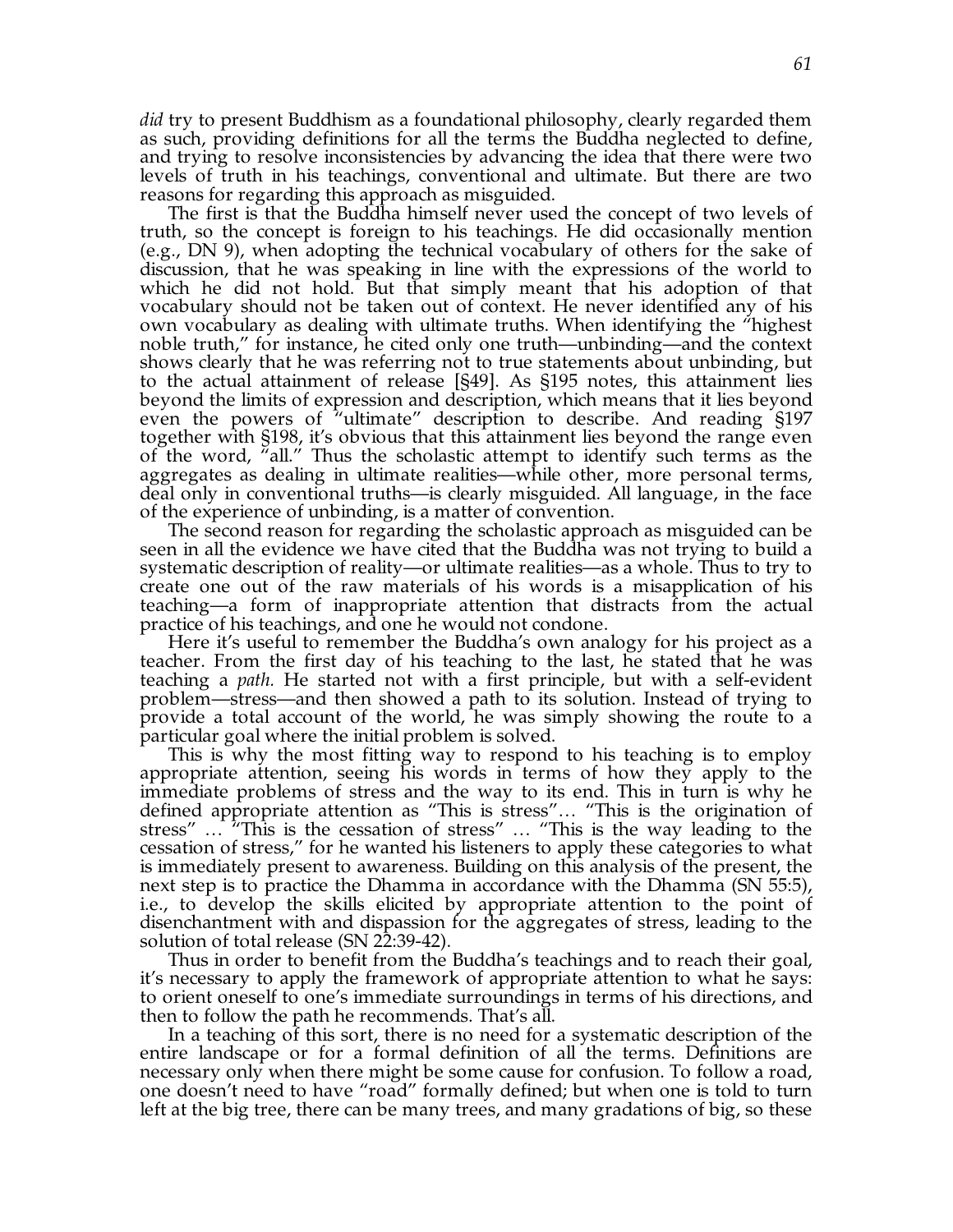*did* try to present Buddhism as a foundational philosophy, clearly regarded them as such, providing definitions for all the terms the Buddha neglected to define, and trying to resolve inconsistencies by advancing the idea that there were two levels of truth in his teachings, conventional and ultimate. But there are two reasons for regarding this approach as misguided.

The first is that the Buddha himself never used the concept of two levels of truth, so the concept is foreign to his teachings. He did occasionally mention (e.g., DN 9), when adopting the technical vocabulary of others for the sake of discussion, that he was speaking in line with the expressions of the world to which he did not hold. But that simply meant that his adoption of that vocabulary should not be taken out of context. He never identified any of his own vocabulary as dealing with ultimate truths. When identifying the "highest noble truth," for instance, he cited only one truth—unbinding—and the context shows clearly that he was referring not to true statements about unbinding, but to the actual attainment of release [§49]. As §195 notes, this attainment lies beyond the limits of expression and description, which means that it lies beyond even the powers of "ultimate" description to describe. And reading §197 together with §198, it's obvious that this attainment lies beyond the range even of the word, "all." Thus the scholastic attempt to identify such terms as the aggregates as dealing in ultimate realities—while other, more personal terms, deal only in conventional truths—is clearly misguided. All language, in the face of the experience of unbinding, is a matter of convention.

The second reason for regarding the scholastic approach as misguided can be seen in all the evidence we have cited that the Buddha was not trying to build a systematic description of reality—or ultimate realities—as a whole. Thus to try to create one out of the raw materials of his words is a misapplication of his teaching—a form of inappropriate attention that distracts from the actual practice of his teachings, and one he would not condone.

Here it's useful to remember the Buddha's own analogy for his project as a teacher. From the first day of his teaching to the last, he stated that he was teaching a *path.* He started not with a first principle, but with a self-evident problem—stress—and then showed a path to its solution. Instead of trying to provide a total account of the world, he was simply showing the route to a particular goal where the initial problem is solved.

This is why the most fitting way to respond to his teaching is to employ appropriate attention, seeing his words in terms of how they apply to the immediate problems of stress and the way to its end. This in turn is why he defined appropriate attention as "This is stress"… "This is the origination of stress" ... <sup>\*</sup>This is the cessation of stress" ... "This is the way leading to the cessation of stress," for he wanted his listeners to apply these categories to what is immediately present to awareness. Building on this analysis of the present, the next step is to practice the Dhamma in accordance with the Dhamma (SN 55:5), i.e., to develop the skills elicited by appropriate attention to the point of disenchantment with and dispassion for the aggregates of stress, leading to the solution of total release (SN 22:39-42).

Thus in order to benefit from the Buddha's teachings and to reach their goal, it's necessary to apply the framework of appropriate attention to what he says: to orient oneself to one's immediate surroundings in terms of his directions, and then to follow the path he recommends. That's all.

In a teaching of this sort, there is no need for a systematic description of the entire landscape or for a formal definition of all the terms. Definitions are necessary only when there might be some cause for confusion. To follow a road, one doesn't need to have "road" formally defined; but when one is told to turn left at the big tree, there can be many trees, and many gradations of big, so these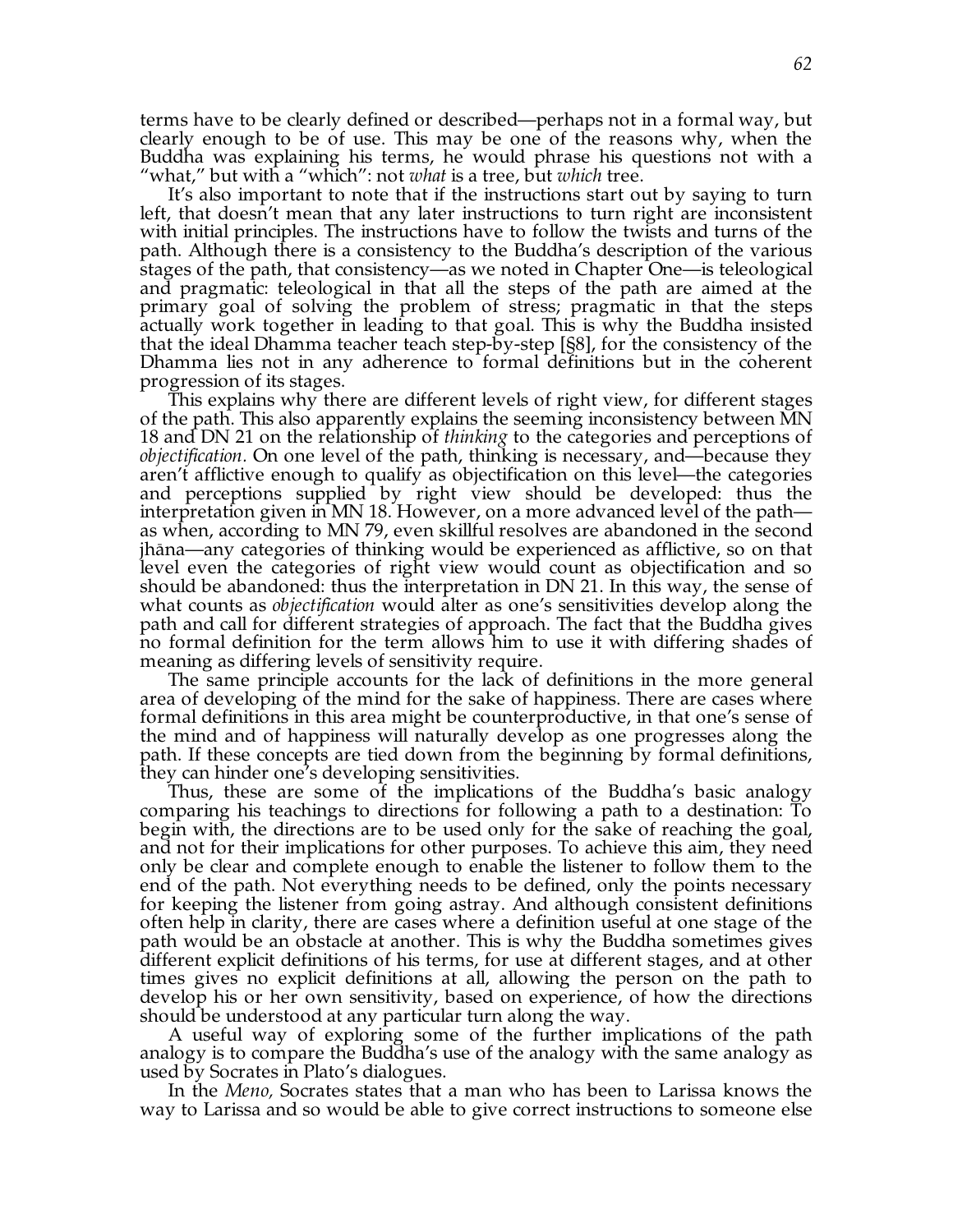terms have to be clearly defined or described—perhaps not in a formal way, but clearly enough to be of use. This may be one of the reasons why, when the Buddha was explaining his terms, he would phrase his questions not with a "what," but with a "which": not *what* is a tree, but *which* tree.

It's also important to note that if the instructions start out by saying to turn left, that doesn't mean that any later instructions to turn right are inconsistent with initial principles. The instructions have to follow the twists and turns of the path. Although there is a consistency to the Buddha's description of the various stages of the path, that consistency—as we noted in Chapter One—is teleological and pragmatic: teleological in that all the steps of the path are aimed at the primary goal of solving the problem of stress; pragmatic in that the steps actually work together in leading to that goal. This is why the Buddha insisted that the ideal Dhamma teacher teach step-by-step [§8], for the consistency of the Dhamma lies not in any adherence to formal definitions but in the coherent progression of its stages.

This explains why there are different levels of right view, for different stages of the path. This also apparently explains the seeming inconsistency between MN 18 and DN 21 on the relationship of *thinking* to the categories and perceptions of *objectification.* On one level of the path, thinking is necessary, and—because they aren't afflictive enough to qualify as objectification on this level—the categories and perceptions supplied by right view should be developed: thus the interpretation given in MN 18. However, on a more advanced level of the path as when, according to MN 79, even skillful resolves are abandoned in the second jhāna—any categories of thinking would be experienced as afflictive, so on that level even the categories of right view would count as objectification and so should be abandoned: thus the interpretation in DN 21. In this way, the sense of what counts as *objectification* would alter as one's sensitivities develop along the path and call for different strategies of approach. The fact that the Buddha gives no formal definition for the term allows him to use it with differing shades of meaning as differing levels of sensitivity require.

The same principle accounts for the lack of definitions in the more general area of developing of the mind for the sake of happiness. There are cases where formal definitions in this area might be counterproductive, in that one's sense of the mind and of happiness will naturally develop as one progresses along the path. If these concepts are tied down from the beginning by formal definitions, they can hinder one's developing sensitivities.

Thus, these are some of the implications of the Buddha's basic analogy comparing his teachings to directions for following a path to a destination: To begin with, the directions are to be used only for the sake of reaching the goal, and not for their implications for other purposes. To achieve this aim, they need only be clear and complete enough to enable the listener to follow them to the end of the path. Not everything needs to be defined, only the points necessary for keeping the listener from going astray. And although consistent definitions often help in clarity, there are cases where a definition useful at one stage of the path would be an obstacle at another. This is why the Buddha sometimes gives different explicit definitions of his terms, for use at different stages, and at other times gives no explicit definitions at all, allowing the person on the path to develop his or her own sensitivity, based on experience, of how the directions should be understood at any particular turn along the way.

A useful way of exploring some of the further implications of the path analogy is to compare the Buddha's use of the analogy with the same analogy as used by Socrates in Plato's dialogues.

In the *Meno,* Socrates states that a man who has been to Larissa knows the way to Larissa and so would be able to give correct instructions to someone else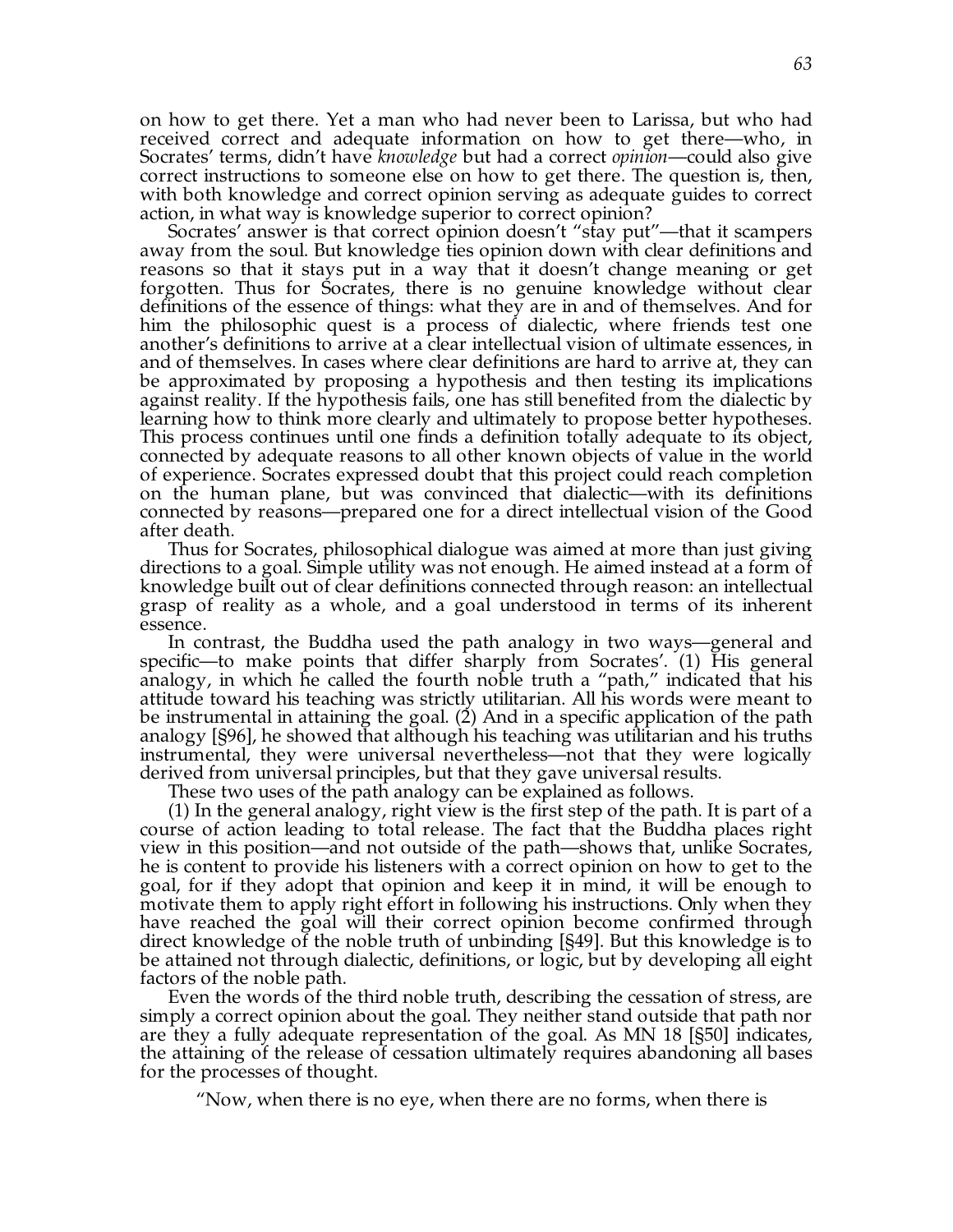on how to get there. Yet a man who had never been to Larissa, but who had received correct and adequate information on how to get there—who, in Socrates' terms, didn't have *knowledge* but had a correct *opinion*—could also give correct instructions to someone else on how to get there. The question is, then, with both knowledge and correct opinion serving as adequate guides to correct action, in what way is knowledge superior to correct opinion?

Socrates' answer is that correct opinion doesn't "stay put"—that it scampers away from the soul. But knowledge ties opinion down with clear definitions and reasons so that it stays put in a way that it doesn't change meaning or get forgotten. Thus for Socrates, there is no genuine knowledge without clear definitions of the essence of things: what they are in and of themselves. And for him the philosophic quest is a process of dialectic, where friends test one another's definitions to arrive at a clear intellectual vision of ultimate essences, in and of themselves. In cases where clear definitions are hard to arrive at, they can be approximated by proposing a hypothesis and then testing its implications against reality. If the hypothesis fails, one has still benefited from the dialectic by learning how to think more clearly and ultimately to propose better hypotheses. This process continues until one finds a definition totally adequate to its object, connected by adequate reasons to all other known objects of value in the world of experience. Socrates expressed doubt that this project could reach completion on the human plane, but was convinced that dialectic—with its definitions connected by reasons—prepared one for a direct intellectual vision of the Good after death.

Thus for Socrates, philosophical dialogue was aimed at more than just giving directions to a goal. Simple utility was not enough. He aimed instead at a form of knowledge built out of clear definitions connected through reason: an intellectual grasp of reality as a whole, and a goal understood in terms of its inherent essence.

In contrast, the Buddha used the path analogy in two ways—general and specific—to make points that differ sharply from Socrates'. (1) His general analogy, in which he called the fourth noble truth a "path," indicated that his attitude toward his teaching was strictly utilitarian. All his words were meant to be instrumental in attaining the goal. (2) And in a specific application of the path analogy [§96], he showed that although his teaching was utilitarian and his truths instrumental, they were universal nevertheless—not that they were logically derived from universal principles, but that they gave universal results.

These two uses of the path analogy can be explained as follows.

(1) In the general analogy, right view is the first step of the path. It is part of a course of action leading to total release. The fact that the Buddha places right view in this position—and not outside of the path—shows that, unlike Socrates, he is content to provide his listeners with a correct opinion on how to get to the goal, for if they adopt that opinion and keep it in mind, it will be enough to motivate them to apply right effort in following his instructions. Only when they have reached the goal will their correct opinion become confirmed through direct knowledge of the noble truth of unbinding [§49]. But this knowledge is to be attained not through dialectic, definitions, or logic, but by developing all eight factors of the noble path.

Even the words of the third noble truth, describing the cessation of stress, are simply a correct opinion about the goal. They neither stand outside that path nor are they a fully adequate representation of the goal. As MN 18 [§50] indicates, the attaining of the release of cessation ultimately requires abandoning all bases for the processes of thought.

"Now, when there is no eye, when there are no forms, when there is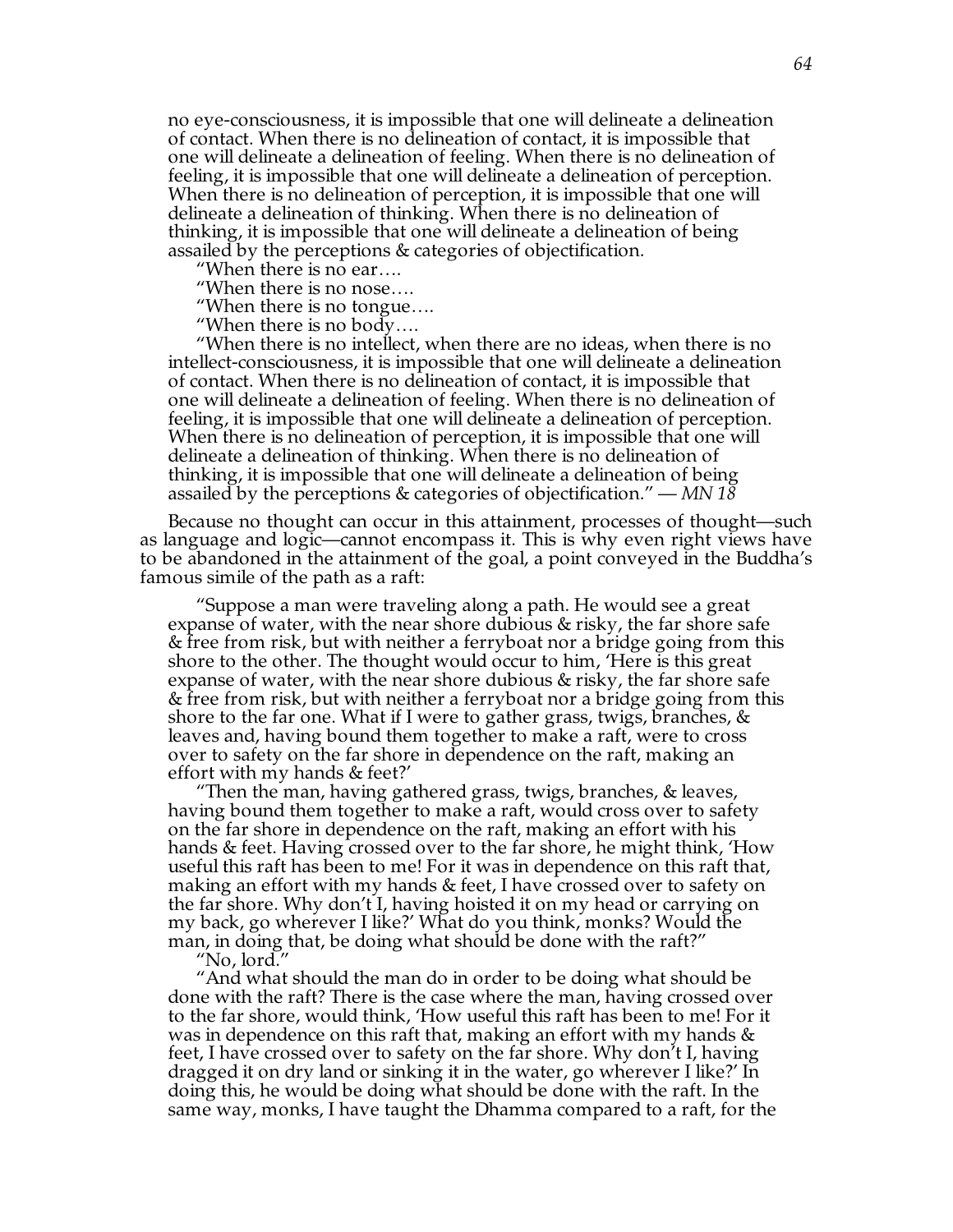no eye-consciousness, it is impossible that one will delineate a delineation of contact. When there is no delineation of contact, it is impossible that one will delineate a delineation of feeling. When there is no delineation of feeling, it is impossible that one will delineate a delineation of perception. When there is no delineation of perception, it is impossible that one will delineate a delineation of thinking. When there is no delineation of thinking, it is impossible that one will delineate a delineation of being assailed by the perceptions & categories of objectification.

"When there is no ear….

"When there is no nose….

"When there is no tongue….

"When there is no body….

"When there is no intellect, when there are no ideas, when there is no intellect-consciousness, it is impossible that one will delineate a delineation of contact. When there is no delineation of contact, it is impossible that one will delineate a delineation of feeling. When there is no delineation of feeling, it is impossible that one will delineate a delineation of perception. When there is no delineation of perception, it is impossible that one will delineate a delineation of thinking. When there is no delineation of thinking, it is impossible that one will delineate a delineation of being assailed by the perceptions & categories of objectification." — *MN 18*

Because no thought can occur in this attainment, processes of thought—such as language and logic—cannot encompass it. This is why even right views have to be abandoned in the attainment of the goal, a point conveyed in the Buddha's famous simile of the path as a raft:

"Suppose a man were traveling along a path. He would see a great expanse of water, with the near shore dubious & risky, the far shore safe & free from risk, but with neither a ferryboat nor a bridge going from this shore to the other. The thought would occur to him, 'Here is this great expanse of water, with the near shore dubious & risky, the far shore safe & free from risk, but with neither a ferryboat nor a bridge going from this shore to the far one. What if I were to gather grass, twigs, branches,  $\&$ leaves and, having bound them together to make a raft, were to cross over to safety on the far shore in dependence on the raft, making an effort with my hands & feet?'

"Then the man, having gathered grass, twigs, branches, & leaves, having bound them together to make a raft, would cross over to safety on the far shore in dependence on the raft, making an effort with his hands & feet. Having crossed over to the far shore, he might think, 'How useful this raft has been to me! For it was in dependence on this raft that, making an effort with my hands & feet, I have crossed over to safety on the far shore. Why don't I, having hoisted it on my head or carrying on my back, go wherever I like?' What do you think, monks? Would the man, in doing that, be doing what should be done with the raft?"

"No, lord."

"And what should the man do in order to be doing what should be done with the raft? There is the case where the man, having crossed over to the far shore, would think, 'How useful this raft has been to me! For it was in dependence on this raft that, making an effort with my hands  $\&$ feet, I have crossed over to safety on the far shore. Why don't I, having dragged it on dry land or sinking it in the water, go wherever I like?' In doing this, he would be doing what should be done with the raft. In the same way, monks, I have taught the Dhamma compared to a raft, for the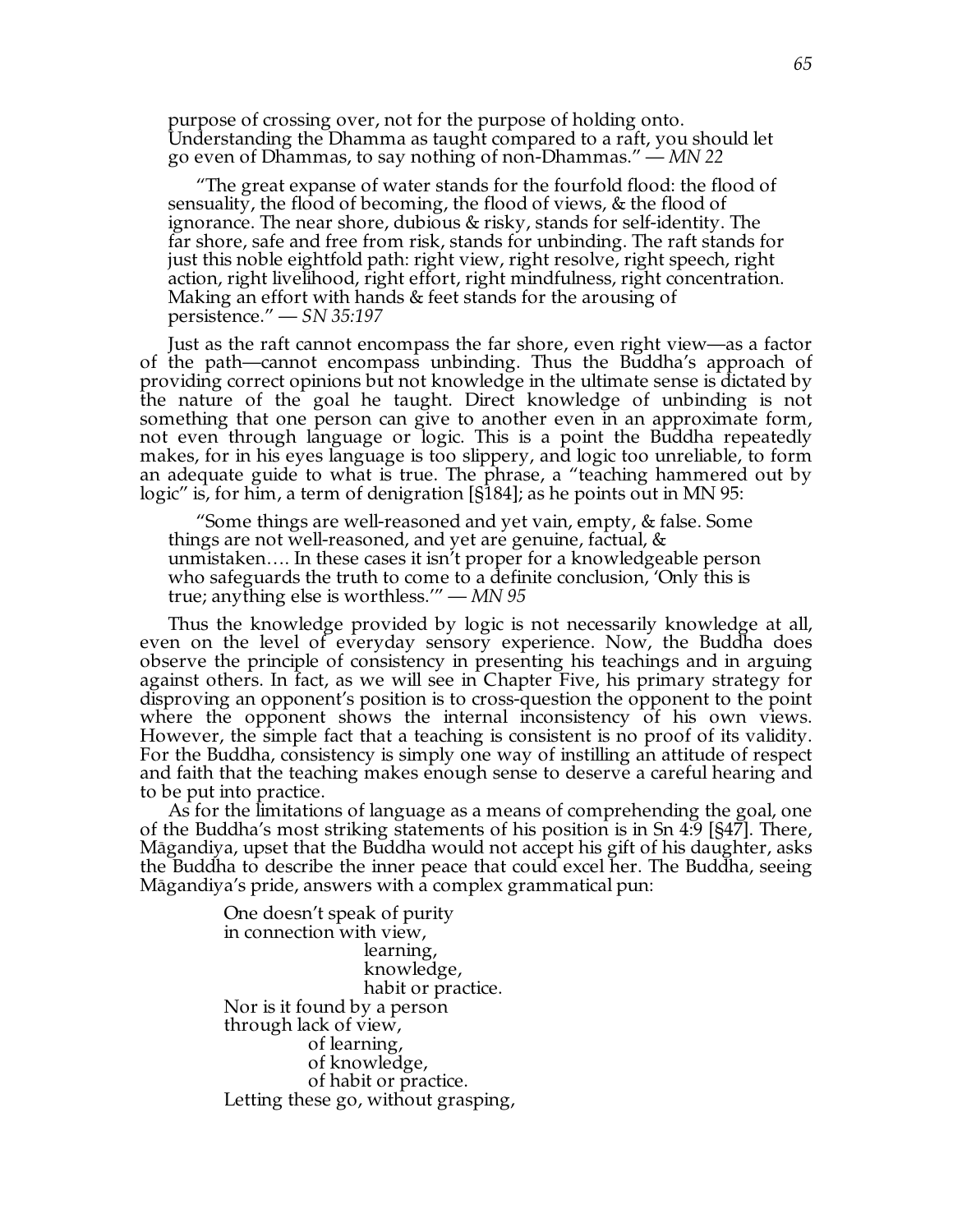purpose of crossing over, not for the purpose of holding onto. Understanding the Dhamma as taught compared to a raft, you should let go even of Dhammas, to say nothing of non-Dhammas." — *MN 22*

"The great expanse of water stands for the fourfold flood: the flood of sensuality, the flood of becoming, the flood of views, & the flood of ignorance. The near shore, dubious & risky, stands for self-identity. The far shore, safe and free from risk, stands for unbinding. The raft stands for just this noble eightfold path: right view, right resolve, right speech, right action, right livelihood, right effort, right mindfulness, right concentration. Making an effort with hands & feet stands for the arousing of persistence." — *SN 35:197*

Just as the raft cannot encompass the far shore, even right view—as a factor of the path—cannot encompass unbinding. Thus the Buddha's approach of providing correct opinions but not knowledge in the ultimate sense is dictated by the nature of the goal he taught. Direct knowledge of unbinding is not something that one person can give to another even in an approximate form, not even through language or logic. This is a point the Buddha repeatedly makes, for in his eyes language is too slippery, and logic too unreliable, to form an adequate guide to what is true. The phrase, a "teaching hammered out by logic" is, for him, a term of denigration [§184]; as he points out in MN 95:

"Some things are well-reasoned and yet vain, empty, & false. Some things are not well-reasoned, and yet are genuine, factual, & unmistaken…. In these cases it isn't proper for a knowledgeable person who safeguards the truth to come to a definite conclusion, 'Only this is true; anything else is worthless.'" — *MN 95*

Thus the knowledge provided by logic is not necessarily knowledge at all, even on the level of everyday sensory experience. Now, the Buddha does observe the principle of consistency in presenting his teachings and in arguing against others. In fact, as we will see in Chapter Five, his primary strategy for disproving an opponent's position is to cross-question the opponent to the point where the opponent shows the internal inconsistency of his own views. However, the simple fact that a teaching is consistent is no proof of its validity. For the Buddha, consistency is simply one way of instilling an attitude of respect and faith that the teaching makes enough sense to deserve a careful hearing and to be put into practice.

As for the limitations of language as a means of comprehending the goal, one of the Buddha's most striking statements of his position is in Sn 4:9 [§47]. There, Magandiya, upset that the Buddha would not accept his gift of his daughter, asks the Buddha to describe the inner peace that could excel her. The Buddha, seeing Magandiya's pride, answers with a complex grammatical pun:

> One doesn't speak of purity in connection with view, learning, knowledge, habit or practice. Nor is it found by a person through lack of view, of learning, of knowledge, of habit or practice. Letting these go, without grasping,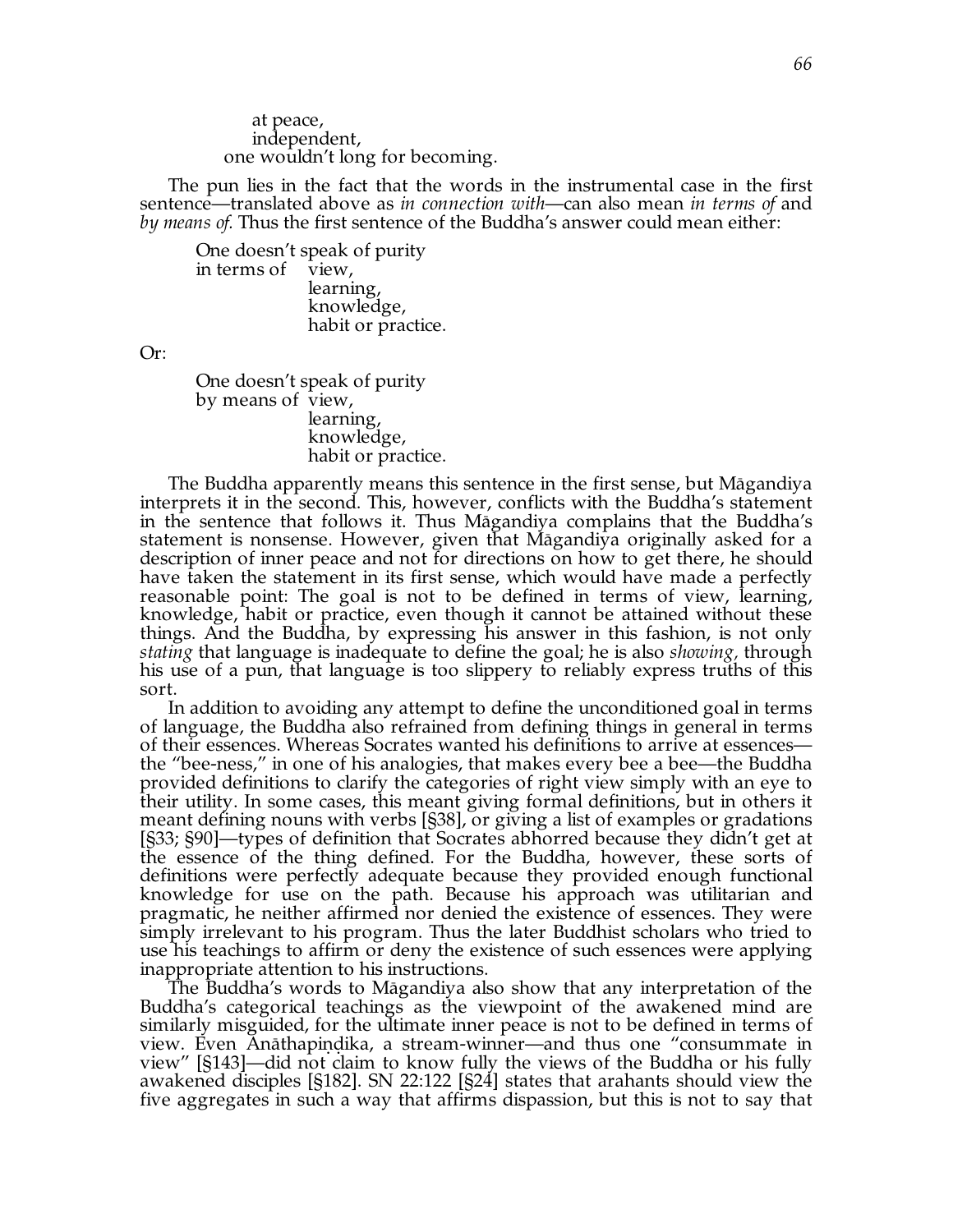at peace, independent, one wouldn't long for becoming.

The pun lies in the fact that the words in the instrumental case in the first sentence—translated above as *in connection with*—can also mean *in terms of* and *by means of.* Thus the first sentence of the Buddha's answer could mean either:

One doesn't speak of purity in terms of view, learning, knowledge, habit or practice.

Or:

One doesn't speak of purity by means of view, learning, knowledge, habit or practice.

The Buddha apparently means this sentence in the first sense, but Māgandiya interprets it in the second. This, however, conflicts with the Buddha's statement in the sentence that follows it. Thus Magandiya complains that the Buddha's statement is nonsense. However, given that Magandiya originally asked for a description of inner peace and not for directions on how to get there, he should have taken the statement in its first sense, which would have made a perfectly reasonable point: The goal is not to be defined in terms of view, learning, knowledge, habit or practice, even though it cannot be attained without these things. And the Buddha, by expressing his answer in this fashion, is not only *stating* that language is inadequate to define the goal; he is also *showing,* through his use of a pun, that language is too slippery to reliably express truths of this sort.

In addition to avoiding any attempt to define the unconditioned goal in terms of language, the Buddha also refrained from defining things in general in terms of their essences. Whereas Socrates wanted his definitions to arrive at essences the "bee-ness," in one of his analogies, that makes every bee a bee—the Buddha provided definitions to clarify the categories of right view simply with an eye to their utility. In some cases, this meant giving formal definitions, but in others it meant defining nouns with verbs [§38], or giving a list of examples or gradations [§33; §90]—types of definition that Socrates abhorred because they didn't get at the essence of the thing defined. For the Buddha, however, these sorts of definitions were perfectly adequate because they provided enough functional knowledge for use on the path. Because his approach was utilitarian and pragmatic, he neither affirmed nor denied the existence of essences. They were simply irrelevant to his program. Thus the later Buddhist scholars who tried to use his teachings to affirm or deny the existence of such essences were applying inappropriate attention to his instructions.

The Buddha's words to Magandiya also show that any interpretation of the Buddha's categorical teachings as the viewpoint of the awakened mind are similarly misguided, for the ultimate inner peace is not to be defined in terms of view. Even Anāthapindika, a stream-winner—and thus one "consummate in view" [§143]—did not claim to know fully the views of the Buddha or his fully awakened disciples [§182]. SN 22:122 [§24] states that arahants should view the five aggregates in such a way that affirms dispassion, but this is not to say that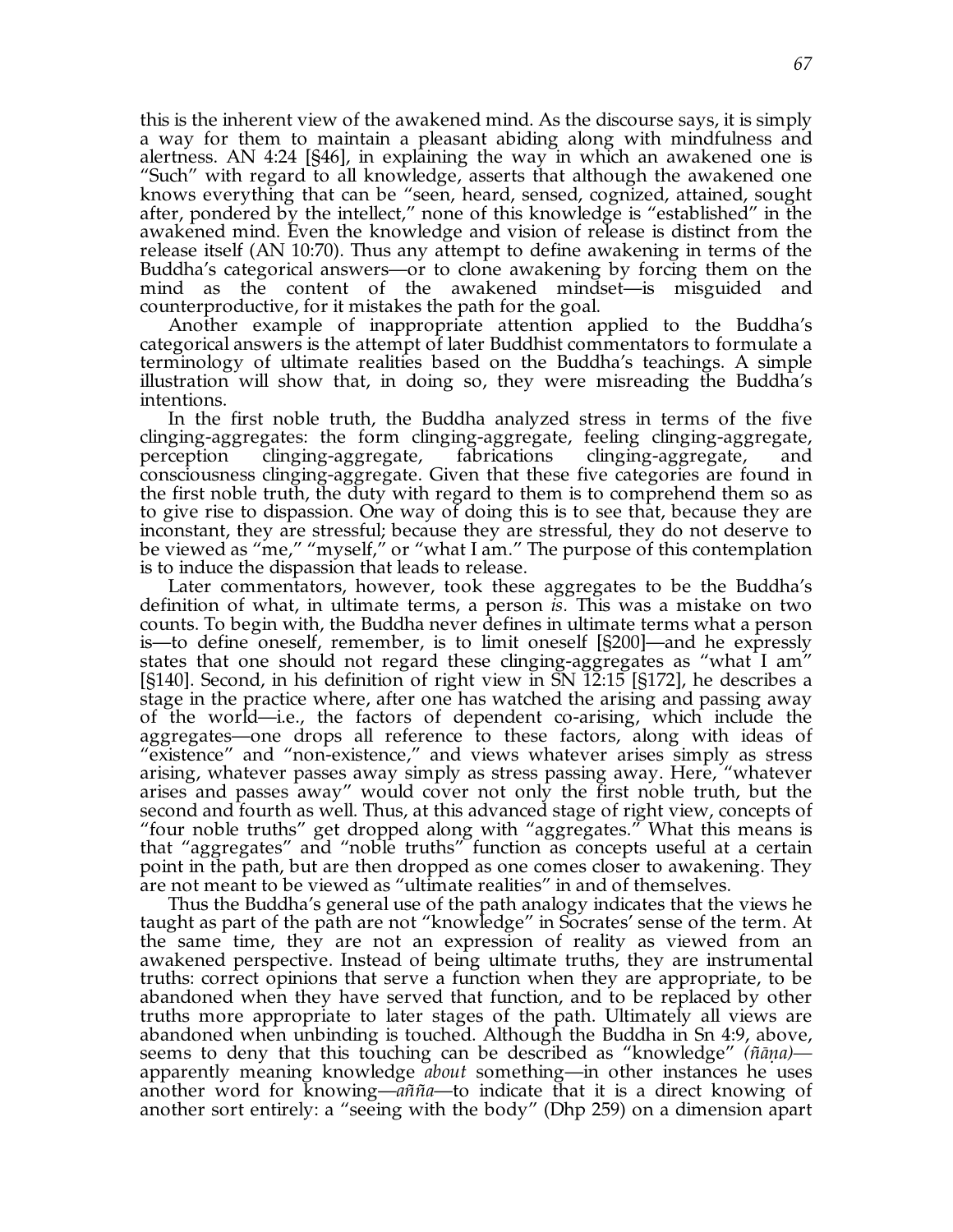this is the inherent view of the awakened mind. As the discourse says, it is simply a way for them to maintain a pleasant abiding along with mindfulness and alertness. AN 4:24 [§46], in explaining the way in which an awakened one is "Such" with regard to all knowledge, asserts that although the awakened one knows everything that can be "seen, heard, sensed, cognized, attained, sought after, pondered by the intellect," none of this knowledge is "established" in the awakened mind. Even the knowledge and vision of release is distinct from the release itself (AN 10:70). Thus any attempt to define awakening in terms of the Buddha's categorical answers—or to clone awakening by forcing them on the mind as the content of the awakened mindset—is misguided and counterproductive, for it mistakes the path for the goal.

Another example of inappropriate attention applied to the Buddha's categorical answers is the attempt of later Buddhist commentators to formulate a terminology of ultimate realities based on the Buddha's teachings. A simple illustration will show that, in doing so, they were misreading the Buddha's intentions.

In the first noble truth, the Buddha analyzed stress in terms of the five clinging-aggregates: the form clinging-aggregate, feeling clinging-aggregate, perception clinging-aggregate, fabrications clinging-aggregate, and consciousness clinging-aggregate. Given that these five categories are found in the first noble truth, the duty with regard to them is to comprehend them so as to give rise to dispassion. One way of doing this is to see that, because they are inconstant, they are stressful; because they are stressful, they do not deserve to be viewed as "me," "myself," or "what I am." The purpose of this contemplation is to induce the dispassion that leads to release.

Later commentators, however, took these aggregates to be the Buddha's definition of what, in ultimate terms, a person *is.* This was a mistake on two counts. To begin with, the Buddha never defines in ultimate terms what a person is—to define oneself, remember, is to limit oneself [§200]—and he expressly states that one should not regard these clinging-aggregates as "what I am" [§140]. Second, in his definition of right view in SN 12:15 [§172], he describes a stage in the practice where, after one has watched the arising and passing away of the world—i.e., the factors of dependent co-arising, which include the aggregates—one drops all reference to these factors, along with ideas of "existence" and "non-existence," and views whatever arises simply as stress arising, whatever passes away simply as stress passing away. Here, "whatever arises and passes away" would cover not only the first noble truth, but the second and fourth as well. Thus, at this advanced stage of right view, concepts of "four noble truths" get dropped along with "aggregates." What this means is that "aggregates" and "noble truths" function as concepts useful at a certain point in the path, but are then dropped as one comes closer to awakening. They are not meant to be viewed as "ultimate realities" in and of themselves.

Thus the Buddha's general use of the path analogy indicates that the views he taught as part of the path are not "knowledge" in Socrates' sense of the term. At the same time, they are not an expression of reality as viewed from an awakened perspective. Instead of being ultimate truths, they are instrumental truths: correct opinions that serve a function when they are appropriate, to be abandoned when they have served that function, and to be replaced by other truths more appropriate to later stages of the path. Ultimately all views are abandoned when unbinding is touched. Although the Buddha in Sn 4:9, above, seems to deny that this touching can be described as "knowledge" ( $\tilde{n}$  $\tilde{a}$ na) apparently meaning knowledge *about* something—in other instances he uses another word for knowing—*añña*—to indicate that it is a direct knowing of another sort entirely: a "seeing with the body" (Dhp 259) on a dimension apart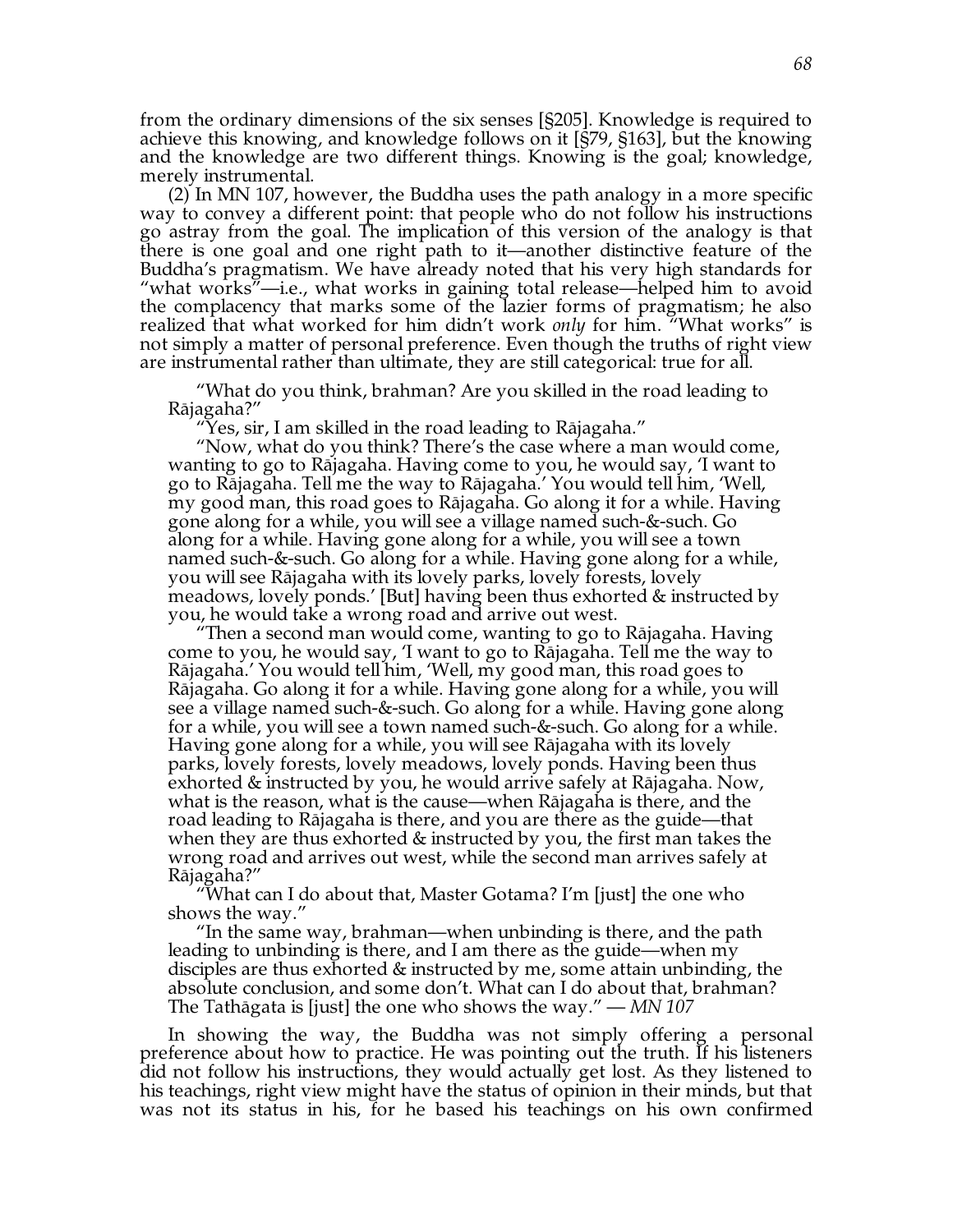from the ordinary dimensions of the six senses [§205]. Knowledge is required to achieve this knowing, and knowledge follows on it [§79, §163], but the knowing and the knowledge are two different things. Knowing is the goal; knowledge, merely instrumental.

(2) In MN 107, however, the Buddha uses the path analogy in a more specific way to convey a different point: that people who do not follow his instructions go astray from the goal. The implication of this version of the analogy is that there is one goal and one right path to it—another distinctive feature of the Buddha's pragmatism. We have already noted that his very high standards for "what works"—i.e., what works in gaining total release—helped him to avoid the complacency that marks some of the lazier forms of pragmatism; he also realized that what worked for him didn't work *only* for him. "What works" is not simply a matter of personal preference. Even though the truths of right view are instrumental rather than ultimate, they are still categorical: true for all.

"What do you think, brahman? Are you skilled in the road leading to Rājagaha?"

"Yes,  $\sin$ , I am skilled in the road leading to Rājagaha."

"Now, what do you think? There's the case where a man would come, wanting to go to Rajagaha. Having come to you, he would say, T want to go to Rājagaha. Tell me the way to Rājagaha.' You would tell him, 'Well, my good man, this road goes to Rajagaha. Go along it for a while. Having gone along for a while, you will see a village named such-&-such. Go along for a while. Having gone along for a while, you will see a town named such-&-such. Go along for a while. Having gone along for a while, you will see Rājagaha with its lovely parks, lovely forests, lovely meadows, lovely ponds.' [But] having been thus exhorted & instructed by you, he would take a wrong road and arrive out west.

"Then a second man would come, wanting to go to Rājagaha. Having come to you, he would say, 'I want to go to Rajagaha. Tell me the way to Rājagaha.' You would tell him, 'Well, my good man, this road goes to Rājagaha. Go along it for a while. Having gone along for a while, you will see a village named such-&-such. Go along for a while. Having gone along for a while, you will see a town named such-&-such. Go along for a while. Having gone along for a while, you will see Rajagaha with its lovely parks, lovely forests, lovely meadows, lovely ponds. Having been thus exhorted & instructed by you, he would arrive safely at Rajagaha. Now, what is the reason, what is the cause—when Rajagaha is there, and the road leading to Rajagaha is there, and you are there as the guide—that when they are thus exhorted & instructed by you, the first man takes the wrong road and arrives out west, while the second man arrives safely at Rājagaha?"

"What can I do about that, Master Gotama? I'm [just] the one who shows the way."

"In the same way, brahman—when unbinding is there, and the path leading to unbinding is there, and I am there as the guide—when my disciples are thus exhorted & instructed by me, some attain unbinding, the absolute conclusion, and some don't. What can I do about that, brahman? The Tathāgata is [just] the one who shows the way." — *MN* 107

In showing the way, the Buddha was not simply offering a personal preference about how to practice. He was pointing out the truth. If his listeners did not follow his instructions, they would actually get lost. As they listened to his teachings, right view might have the status of opinion in their minds, but that was not its status in his, for he based his teachings on his own confirmed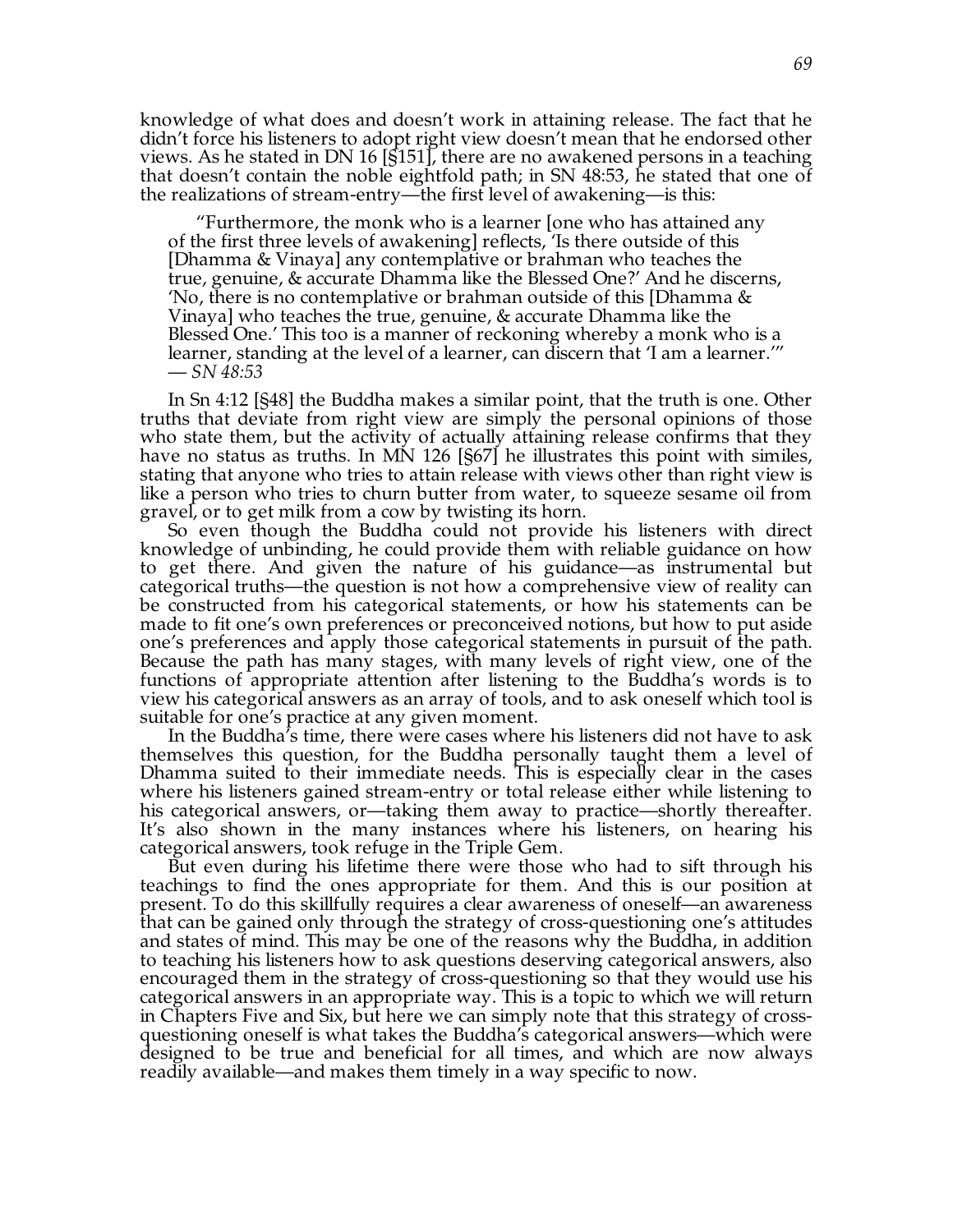knowledge of what does and doesn't work in attaining release. The fact that he didn't force his listeners to adopt right view doesn't mean that he endorsed other views. As he stated in DN 16 [§151], there are no awakened persons in a teaching that doesn't contain the noble eightfold path; in SN 48:53, he stated that one of the realizations of stream-entry—the first level of awakening—is this:

"Furthermore, the monk who is a learner [one who has attained any of the first three levels of awakening] reflects, 'Is there outside of this [Dhamma & Vinaya] any contemplative or brahman who teaches the true, genuine, & accurate Dhamma like the Blessed One?' And he discerns, 'No, there is no contemplative or brahman outside of this [Dhamma & Vinaya] who teaches the true, genuine, & accurate Dhamma like the Blessed One.' This too is a manner of reckoning whereby a monk who is a learner, standing at the level of a learner, can discern that 'I am a learner.'" — *SN 48:53*

In Sn 4:12 [§48] the Buddha makes a similar point, that the truth is one. Other truths that deviate from right view are simply the personal opinions of those who state them, but the activity of actually attaining release confirms that they have no status as truths. In MN 126 [§67] he illustrates this point with similes, stating that anyone who tries to attain release with views other than right view is like a person who tries to churn butter from water, to squeeze sesame oil from gravel, or to get milk from a cow by twisting its horn.

So even though the Buddha could not provide his listeners with direct knowledge of unbinding, he could provide them with reliable guidance on how to get there. And given the nature of his guidance—as instrumental but categorical truths—the question is not how a comprehensive view of reality can be constructed from his categorical statements, or how his statements can be made to fit one's own preferences or preconceived notions, but how to put aside one's preferences and apply those categorical statements in pursuit of the path. Because the path has many stages, with many levels of right view, one of the functions of appropriate attention after listening to the Buddha's words is to view his categorical answers as an array of tools, and to ask oneself which tool is suitable for one's practice at any given moment.

In the Buddha's time, there were cases where his listeners did not have to ask themselves this question, for the Buddha personally taught them a level of Dhamma suited to their immediate needs. This is especially clear in the cases where his listeners gained stream-entry or total release either while listening to his categorical answers, or—taking them away to practice—shortly thereafter. It's also shown in the many instances where his listeners, on hearing his categorical answers, took refuge in the Triple Gem.

But even during his lifetime there were those who had to sift through his teachings to find the ones appropriate for them. And this is our position at present. To do this skillfully requires a clear awareness of oneself—an awareness that can be gained only through the strategy of cross-questioning one's attitudes and states of mind. This may be one of the reasons why the Buddha, in addition to teaching his listeners how to ask questions deserving categorical answers, also encouraged them in the strategy of cross-questioning so that they would use his categorical answers in an appropriate way. This is a topic to which we will return<br>in Chapters Five and Six, but here we can simply note that this strategy of crossquestioning oneself is what takes the Buddha's categorical answers—which were designed to be true and beneficial for all times, and which are now always readily available—and makes them timely in a way specific to now.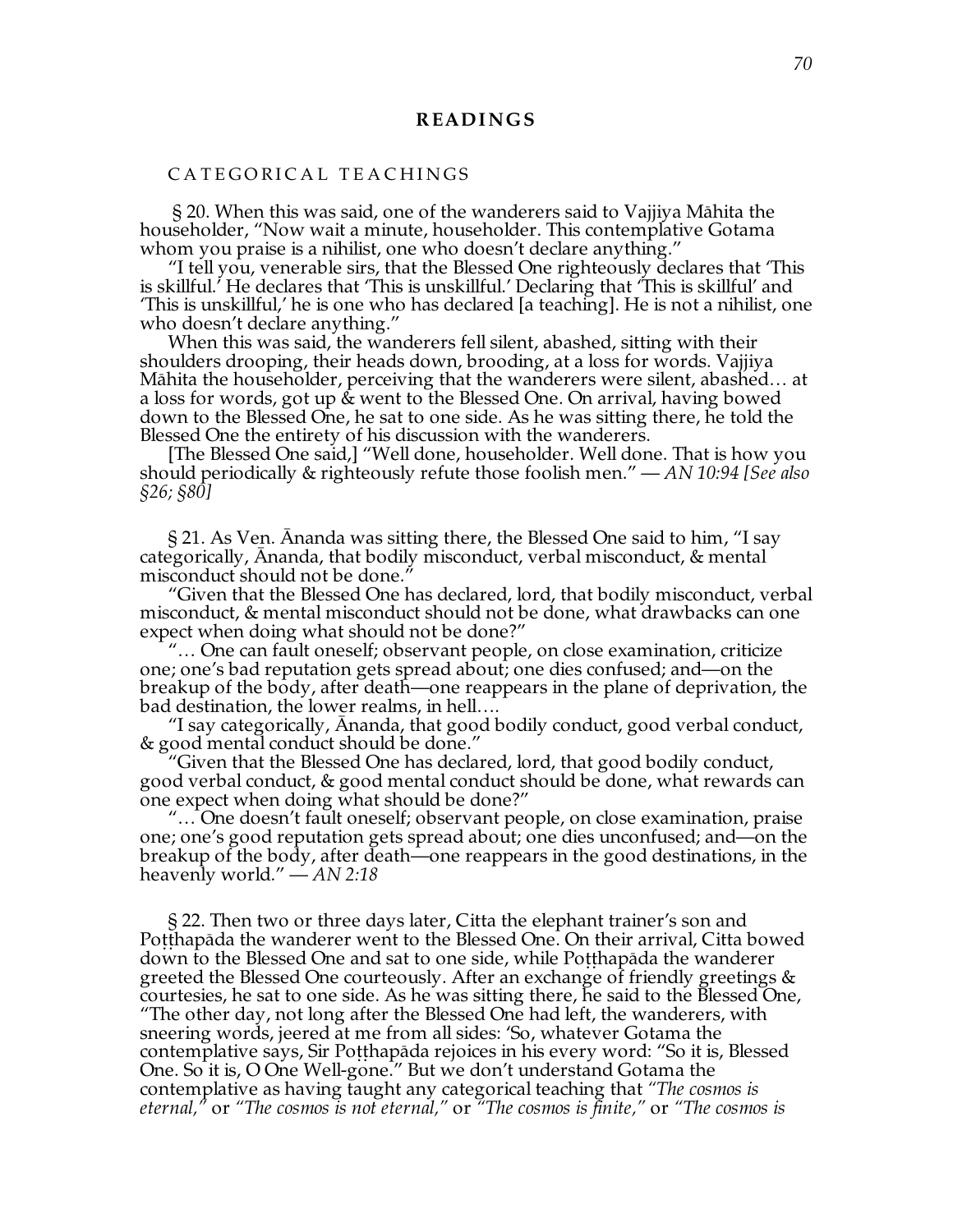### **R EADI NGS**

### CATEGORICAL TEACHINGS

 $\S 20$ . When this was said, one of the wanderers said to Vajjiya Māhita the householder, "Now wait a minute, householder. This contemplative Gotama whom you praise is a nihilist, one who doesn't declare anything."

"I tell you, venerable sirs, that the Blessed One righteously declares that 'This is skillful.' He declares that 'This is unskillful.' Declaring that 'This is skillful' and 'This is unskillful,' he is one who has declared [a teaching]. He is not a nihilist, one who doesn't declare anything."

When this was said, the wanderers fell silent, abashed, sitting with their shoulders drooping, their heads down, brooding, at a loss for words. Vajjiya Māhita the householder, perceiving that the wanderers were silent, abashed... at a loss for words, got up & went to the Blessed One. On arrival, having bowed down to the Blessed One, he sat to one side. As he was sitting there, he told the Blessed One the entirety of his discussion with the wanderers.

[The Blessed One said,] "Well done, householder. Well done. That is how you should periodically & righteously refute those foolish men." — *AN 10:94 [See also §26; §80]*

§ 21. As Ven. Ananda was sitting there, the Blessed One said to him, "I say categorically, finanda, that bodily misconduct, verbal misconduct, & mental misconduct should not be done."

"Given that the Blessed One has declared, lord, that bodily misconduct, verbal misconduct, & mental misconduct should not be done, what drawbacks can one expect when doing what should not be done?"

"… One can fault oneself; observant people, on close examination, criticize one; one's bad reputation gets spread about; one dies confused; and—on the breakup of the body, after death—one reappears in the plane of deprivation, the bad destination, the lower realms, in hell….

"I say categorically, finanda, that good bodily conduct, good verbal conduct, & good mental conduct should be done."

"Given that the Blessed One has declared, lord, that good bodily conduct, good verbal conduct, & good mental conduct should be done, what rewards can one expect when doing what should be done?"

"… One doesn't fault oneself; observant people, on close examination, praise one; one's good reputation gets spread about; one dies unconfused; and—on the breakup of the body, after death—one reappears in the good destinations, in the heavenly world." — *AN 2:18*

§ 22. Then two or three days later, Citta the elephant trainer's son and Poṭṭhapāda the wanderer went to the Blessed One. On their arrival, Citta bowed down to the Blessed One and sat to one side, while Potthapada the wanderer greeted the Blessed One courteously. After an exchange of friendly greetings & "The other day, not long after the Blessed One had left, the wanderers, with sneering words, jeered at me from all sides: 'So, whatever Gotama the contemplative says, Sir Potthapada rejoices in his every word: "So it is, Blessed One. So it is, O One Well-gone." But we don't understand Gotama the contemplative as having taught any categorical teaching that *"The cosmos is eternal,"* or *"The cosmos is not eternal,"* or *"The cosmos is finite,"* or *"The cosmos is*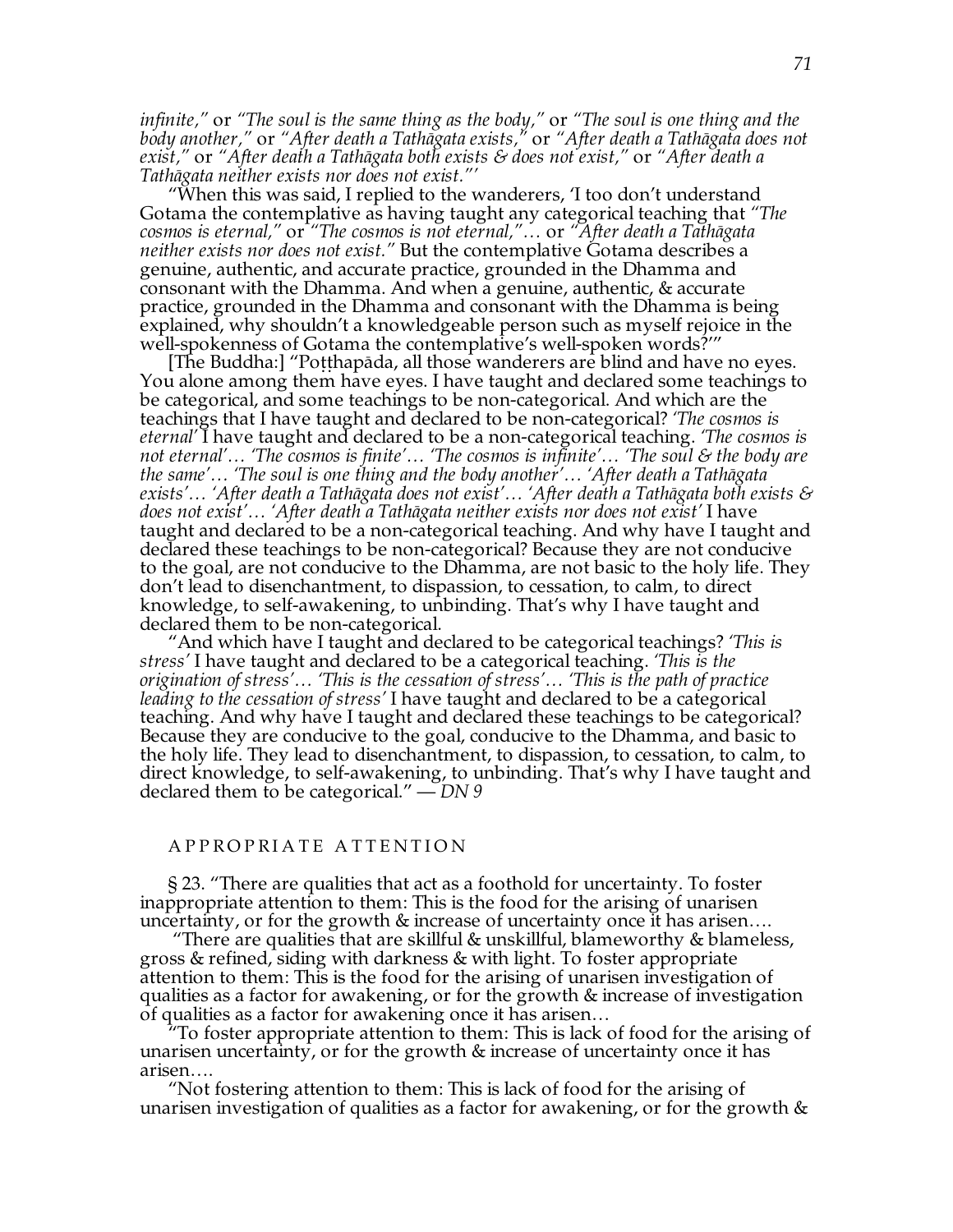*infinite,"* or *"The soul is the same thing as the body,"* or *"The soul is one thing and the body another,"* or "After death a Tathagata exists," or "After death a Tathagata does not *exist,"* or "After death a Tathāgata both exists & does not exist," or "After death a *Tath›gata neither exists nor does not exist."'*

"When this was said, I replied to the wanderers, 'I too don't understand Gotama the contemplative as having taught any categorical teaching that *"The cosmos is eternal,"*  $\,$ *or "The cosmos is not eternal,"*…  $\,$ or *"After death a Tath* $\bar{a}$ *gata neither exists nor does not exist."* But the contemplative Gotama describes a genuine, authentic, and accurate practice, grounded in the Dhamma and consonant with the Dhamma. And when a genuine, authentic, & accurate practice, grounded in the Dhamma and consonant with the Dhamma is being explained, why shouldn't a knowledgeable person such as myself rejoice in the well-spokenness of Gotama the contemplative's well-spoken words?'"

[The Buddha:] "Potthapāda, all those wanderers are blind and have no eyes. You alone among them have eyes. I have taught and declared some teachings to be categorical, and some teachings to be non-categorical. And which are the teachings that I have taught and declared to be non-categorical? *'The cosmos is eternal'* I have taught and declared to be a non-categorical teaching. *'The cosmos is not eternal'… 'The cosmos is finite'… 'The cosmos is infinite'… 'The soul & the body are the same'... 'The soul is one thing and the body another'... 'After death a Tathagata* exists'... 'After death a Tathāgata does not exist'... 'After death a Tathāgata both exists & does not exist'... 'After death a Tathāgata neither exists nor does not exist' I have taught and declared to be a non-categorical teaching. And why have I taught and declared these teachings to be non-categorical? Because they are not conducive to the goal, are not conducive to the Dhamma, are not basic to the holy life. They don't lead to disenchantment, to dispassion, to cessation, to calm, to direct knowledge, to self-awakening, to unbinding. That's why I have taught and declared them to be non-categorical.

"And which have I taught and declared to be categorical teachings? *'This is stress'* I have taught and declared to be a categorical teaching. *'This is the origination of stress'… 'This is the cessation of stress'… 'This is the path of practice leading to the cessation of stress'* I have taught and declared to be a categorical teaching. And why have I taught and declared these teachings to be categorical? Because they are conducive to the goal, conducive to the Dhamma, and basic to the holy life. They lead to disenchantment, to dispassion, to cessation, to calm, to direct knowledge, to self-awakening, to unbinding. That's why I have taught and declared them to be categorical." — *DN 9* 

## A P P R O P R I A T E A T T E N T I O N

§ 23. "There are qualities that act as a foothold for uncertainty. To foster inappropriate attention to them: This is the food for the arising of unarisen uncertainty, or for the growth & increase of uncertainty once it has arisen….

 "There are qualities that are skillful & unskillful, blameworthy & blameless, gross & refined, siding with darkness & with light. To foster appropriate attention to them: This is the food for the arising of unarisen investigation of qualities as a factor for awakening, or for the growth & increase of investigation of qualities as a factor for awakening once it has arisen…

"To foster appropriate attention to them: This is lack of food for the arising of unarisen uncertainty, or for the growth & increase of uncertainty once it has arisen….

"Not fostering attention to them: This is lack of food for the arising of unarisen investigation of qualities as a factor for awakening, or for the growth  $\&$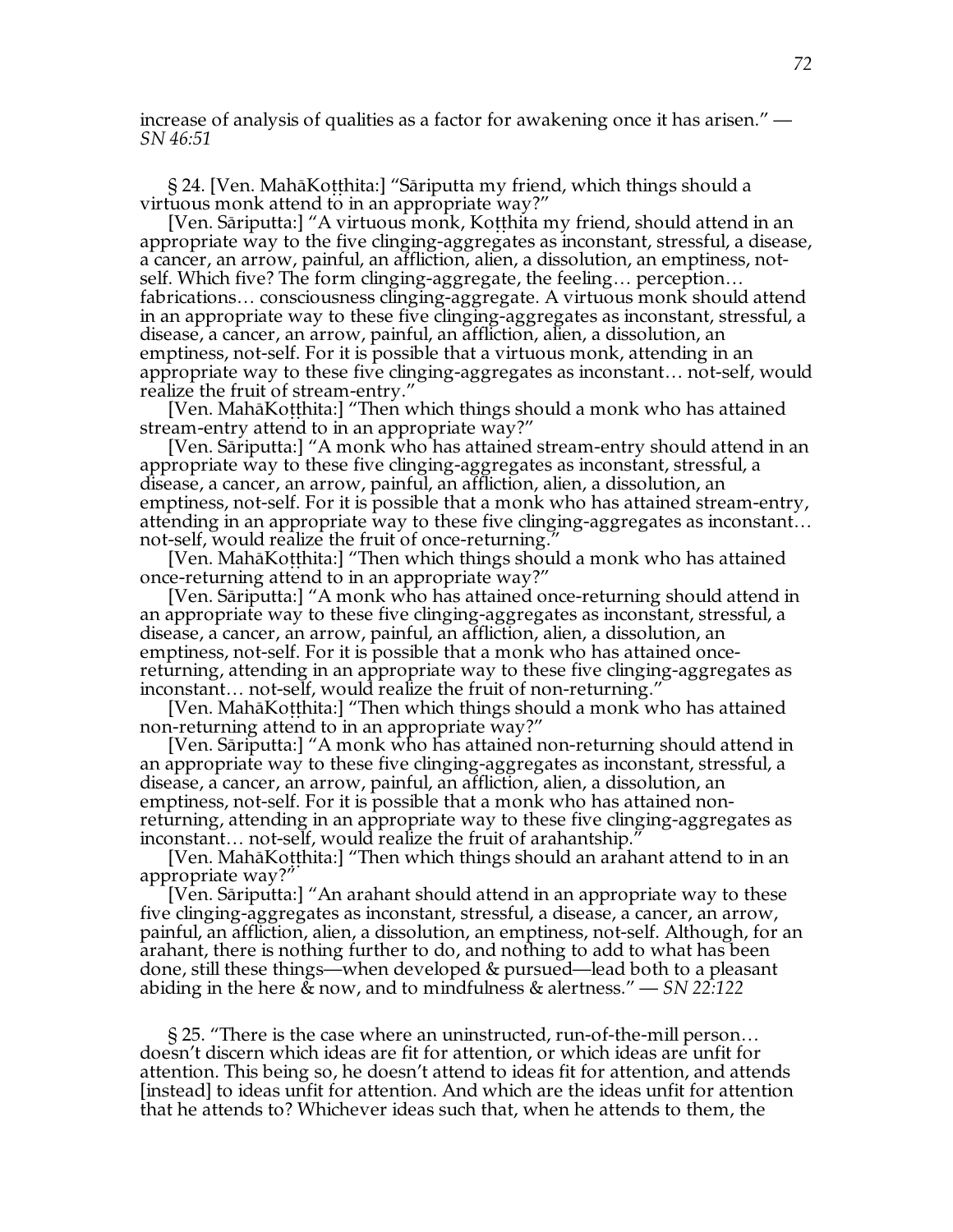increase of analysis of qualities as a factor for awakening once it has arisen." — *SN 46:51*

§ 24. [Ven. MahāKotthita:] "Sāriputta my friend, which things should a virtuous monk attend to in an appropriate way?"

[Ven. Sariputta:] "A virtuous monk, Kotthita my friend, should attend in an appropriate way to the five clinging-aggregates as inconstant, stressful, a disease, a cancer, an arrow, painful, an affliction, alien, a dissolution, an emptiness, notself. Which five? The form clinging-aggregate, the feeling… perception… fabrications… consciousness clinging-aggregate. A virtuous monk should attend in an appropriate way to these five clinging-aggregates as inconstant, stressful, a disease, a cancer, an arrow, painful, an affliction, alien, a dissolution, an emptiness, not-self. For it is possible that a virtuous monk, attending in an appropriate way to these five clinging-aggregates as inconstant… not-self, would realize the fruit of stream-entry."

[Ven. MahāKoṭṭhita:] "Then which things should a monk who has attained stream-entry attend to in an appropriate way?"

[Ven. Sariputta:] "A monk who has attained stream-entry should attend in an appropriate way to these five clinging-aggregates as inconstant, stressful, a disease, a cancer, an arrow, painful, an affliction, alien, a dissolution, an emptiness, not-self. For it is possible that a monk who has attained stream-entry, attending in an appropriate way to these five clinging-aggregates as inconstant… not-self, would realize the fruit of once-returning.

[Ven. Mahā Koṭṭhita:] "Then which things should a monk who has attained once-returning attend to in an appropriate way?"

[Ven. Sariputta:] "A monk who has attained once-returning should attend in an appropriate way to these five clinging-aggregates as inconstant, stressful, a disease, a cancer, an arrow, painful, an affliction, alien, a dissolution, an emptiness, not-self. For it is possible that a monk who has attained oncereturning, attending in an appropriate way to these five clinging-aggregates as inconstant... not-self, would realize the fruit of non-returning.

[Ven. MahāKotthita:] "Then which things should a monk who has attained non-returning attend to in an appropriate way?"

[Ven. Sariputta:] "A monk who has attained non-returning should attend in an appropriate way to these five clinging-aggregates as inconstant, stressful, a disease, a cancer, an arrow, painful, an affliction, alien, a dissolution, an emptiness, not-self. For it is possible that a monk who has attained nonreturning, attending in an appropriate way to these five clinging-aggregates as inconstant... not-self, would realize the fruit of arahantship.

[Ven. MahāKotthita:] "Then which things should an arahant attend to in an appropriate way?"

[Ven. Sāriputta:] "An arahant should attend in an appropriate way to these five clinging-aggregates as inconstant, stressful, a disease, a cancer, an arrow, painful, an affliction, alien, a dissolution, an emptiness, not-self. Although, for an arahant, there is nothing further to do, and nothing to add to what has been done, still these things—when developed & pursued—lead both to a pleasant abiding in the here & now, and to mindfulness & alertness." — *SN 22:122*

§ 25. "There is the case where an uninstructed, run-of-the-mill person… doesn't discern which ideas are fit for attention, or which ideas are unfit for attention. This being so, he doesn't attend to ideas fit for attention, and attends [instead] to ideas unfit for attention. And which are the ideas unfit for attention that he attends to? Whichever ideas such that, when he attends to them, the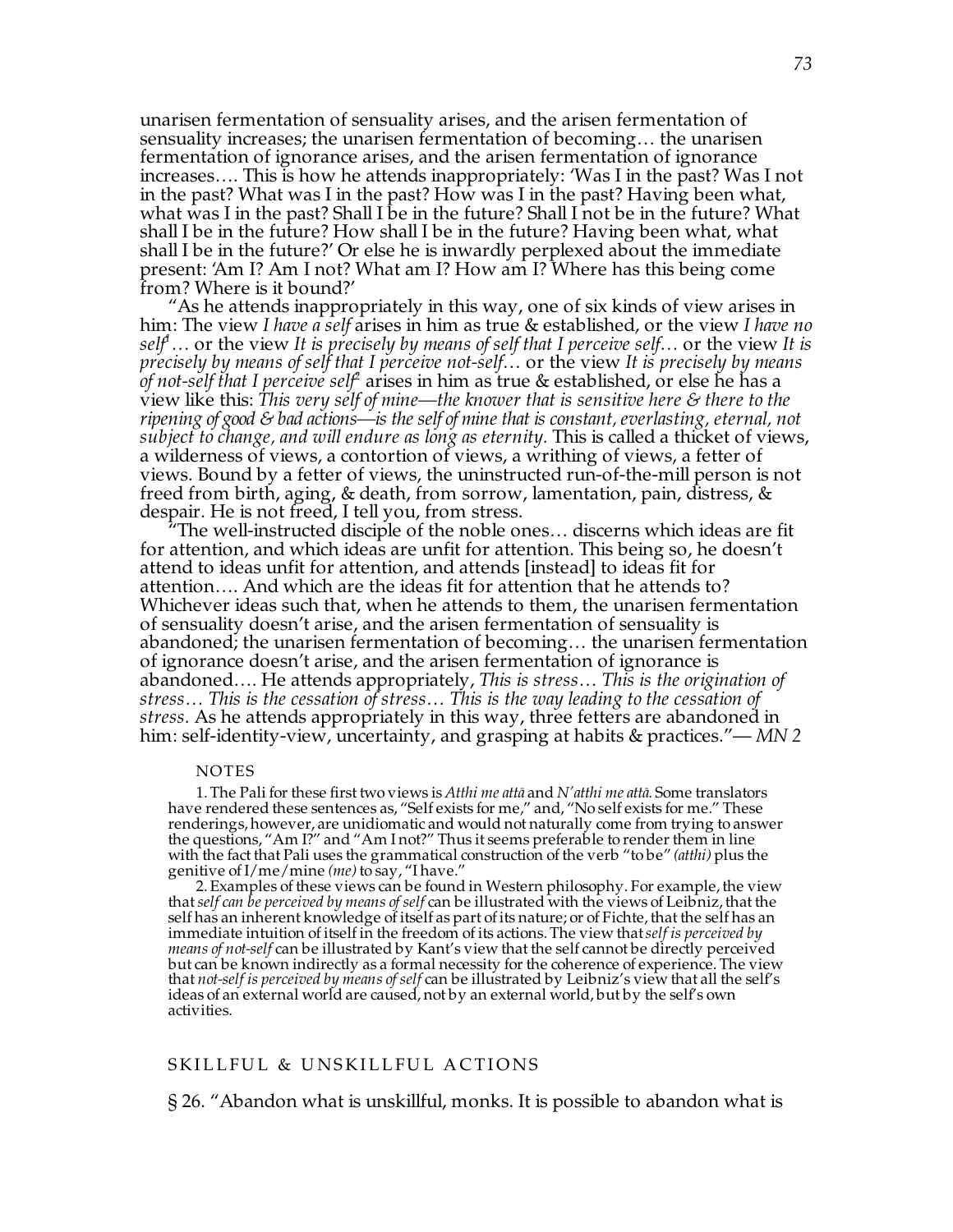unarisen fermentation of sensuality arises, and the arisen fermentation of sensuality increases; the unarisen fermentation of becoming… the unarisen fermentation of ignorance arises, and the arisen fermentation of ignorance increases…. This is how he attends inappropriately: 'Was I in the past? Was I not in the past? What was I in the past? How was I in the past? Having been what, what was I in the past? Shall I be in the future? Shall I not be in the future? What shall I be in the future? How shall I be in the future? Having been what, what shall I be in the future?' Or else he is inwardly perplexed about the immediate present: 'Am I? Am I not? What am I? How am I? Where has this being come from? Where is it bound?'

"As he attends inappropriately in this way, one of six kinds of view arises in him: The view *I have a self* arises in him as true & established, or the view *I have no self1* … or the view *It is precisely by means of self that I perceive self*… or the view *It is precisely by means of self that I perceive not-self*… or the view *It is precisely by means of not-self that I perceive self*' arises in him as true & established, or else he has a view like this: *This very self of mine—the knower that is sensitive here & there to the ripening of good & bad actions—is the self of mine that is constant, everlasting, eternal, not subject to change, and will endure as long as eternity.* This is called a thicket of views, a wilderness of views, a contortion of views, a writhing of views, a fetter of views. Bound by a fetter of views, the uninstructed run-of-the-mill person is not freed from birth, aging, & death, from sorrow, lamentation, pain, distress, & despair. He is not freed, I tell you, from stress.

"The well-instructed disciple of the noble ones… discerns which ideas are fit for attention, and which ideas are unfit for attention. This being so, he doesn't attend to ideas unfit for attention, and attends [instead] to ideas fit for attention…. And which are the ideas fit for attention that he attends to? Whichever ideas such that, when he attends to them, the unarisen fermentation of sensuality doesn't arise, and the arisen fermentation of sensuality is abandoned; the unarisen fermentation of becoming… the unarisen fermentation of ignorance doesn't arise, and the arisen fermentation of ignorance is abandoned…. He attends appropriately, *This is stress… This is the origination of stress… This is the cessation of stress… This is the way leading to the cessation of stress.* As he attends appropriately in this way, three fetters are abandoned in him: self-identity-view, uncertainty, and grasping at habits & practices."— *MN 2*

#### **NOTES**

1. The Pali for these first two views is *Atthi me attā* and *N'atthi me attā*. Some translators have rendered these sentences as, "Self exists for me," and, "No self exists for me." These renderings, however, are unidiomatic and would not naturally come from trying to answer the questions, "Am I?" and "Am I not?" Thus it seems preferable to render them in line with the fact that Pali uses the grammatical construction of the verb "to be" *(atthi)* plus the genitive of I/me/mine *(me)* to say, "I have."

2. Examples of these views can be found in Western philosophy. For example, the view that *self can be perceived by means of self* can be illustrated with the views of Leibniz, that the self has an inherent knowledge of itself as part of its nature; or of Fichte, that the self has an immediate intuition of itself in the freedom of its actions. The view that *self is perceived by means of not-self* can be illustrated by Kant's view that the self cannot be directly perceived but can be known indirectly as a formal necessity for the coherence of experience. The view that *not-self is perceived by means of self* can be illustrated by Leibniz's view that all the self's ideas of an external world are caused, not by an external world, but by the self's own activities.

#### SKILLFUL & UNSKILLFUL ACTIONS

§ 26. "Abandon what is unskillful, monks. It is possible to abandon what is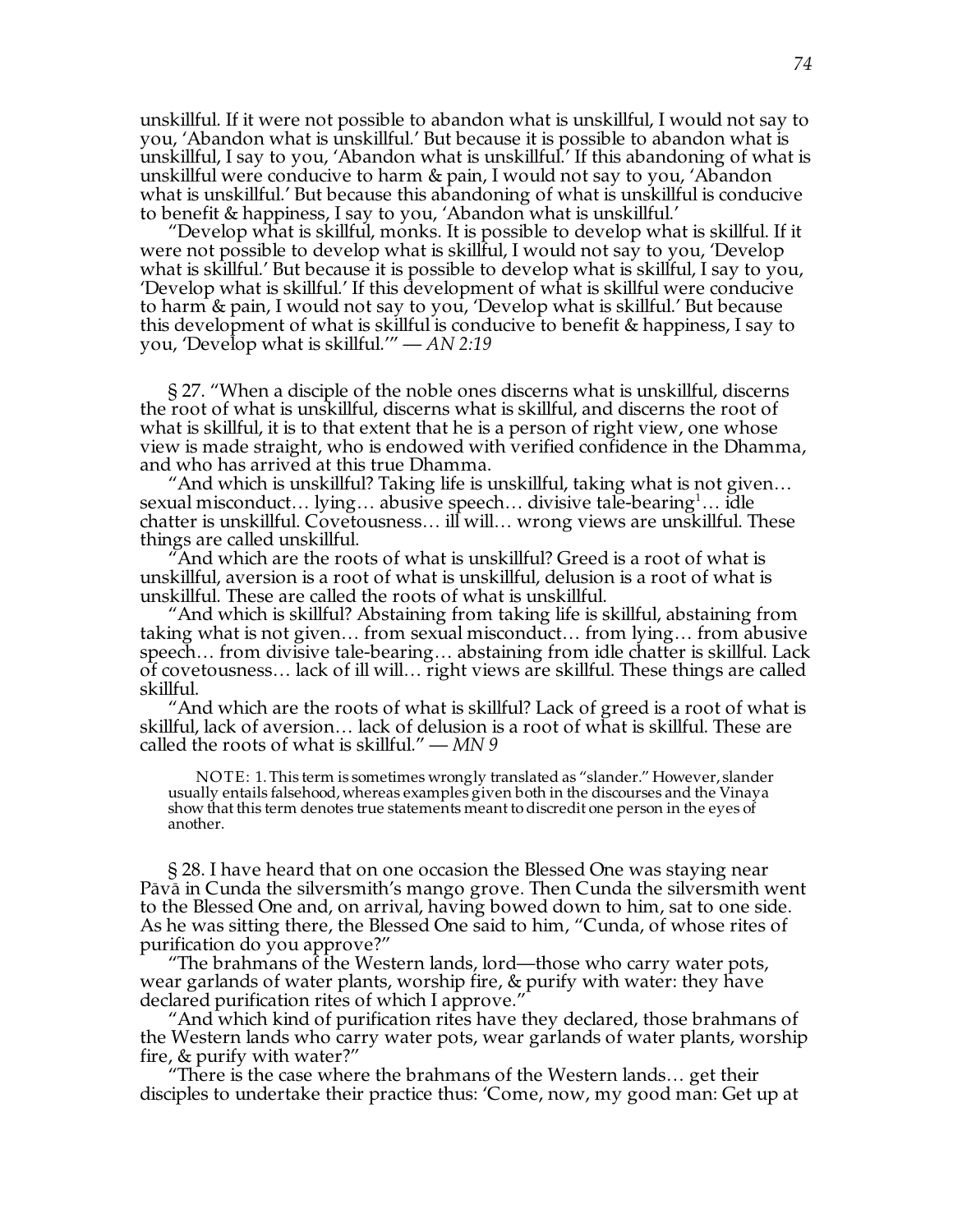unskillful. If it were not possible to abandon what is unskillful, I would not say to you, 'Abandon what is unskillful.' But because it is possible to abandon what is unskillful, I say to you, 'Abandon what is unskillful.' If this abandoning of what is unskillful were conducive to harm & pain, I would not say to you, 'Abandon what is unskillful.' But because this abandoning of what is unskillful is conducive to benefit & happiness, I say to you, 'Abandon what is unskillful.'

"Develop what is skillful, monks. It is possible to develop what is skillful. If it were not possible to develop what is skillful, I would not say to you, 'Develop what is skillful.' But because it is possible to develop what is skillful, I say to you, 'Develop what is skillful.' If this development of what is skillful were conducive to harm & pain, I would not say to you, 'Develop what is skillful.' But because this development of what is skillful is conducive to benefit & happiness, I say to you, 'Develop what is skillful.'" — *AN 2:19*

§ 27. "When a disciple of the noble ones discerns what is unskillful, discerns the root of what is unskillful, discerns what is skillful, and discerns the root of what is skillful, it is to that extent that he is a person of right view, one whose view is made straight, who is endowed with verified confidence in the Dhamma, and who has arrived at this true Dhamma.

"And which is unskillful? Taking life is unskillful, taking what is not given… sexual misconduct... lying... abusive speech... divisive tale-bearing  $^1...$  idle chatter is unskillful. Covetousness… ill will… wrong views are unskillful. These things are called unskillful.

"And which are the roots of what is unskillful? Greed is a root of what is unskillful, aversion is a root of what is unskillful, delusion is a root of what is unskillful. These are called the roots of what is unskillful.

"And which is skillful? Abstaining from taking life is skillful, abstaining from taking what is not given… from sexual misconduct… from lying… from abusive speech… from divisive tale-bearing… abstaining from idle chatter is skillful. Lack of covetousness… lack of ill will… right views are skillful. These things are called skillful.

"And which are the roots of what is skillful? Lack of greed is a root of what is skillful, lack of aversion… lack of delusion is a root of what is skillful. These are called the roots of what is skillful." — *MN 9*

NOTE: 1. This term is sometimes wrongly translated as "slander." However, slander usually entails falsehood, whereas examples given both in the discourses and the Vinaya show that this term denotes true statements meant to discredit one person in the eyes of another.

§ 28. I have heard that on one occasion the Blessed One was staying near Pāvā in Cunda the silversmith's mango grove. Then Cunda the silversmith went to the Blessed One and, on arrival, having bowed down to him, sat to one side. As he was sitting there, the Blessed One said to him, "Cunda, of whose rites of purification do you approve?"

"The brahmans of the Western lands, lord—those who carry water pots, wear garlands of water plants, worship fire, & purify with water: they have declared purification rites of which I approve."

"And which kind of purification rites have they declared, those brahmans of the Western lands who carry water pots, wear garlands of water plants, worship fire, & purify with water?"

"There is the case where the brahmans of the Western lands… get their disciples to undertake their practice thus: 'Come, now, my good man: Get up at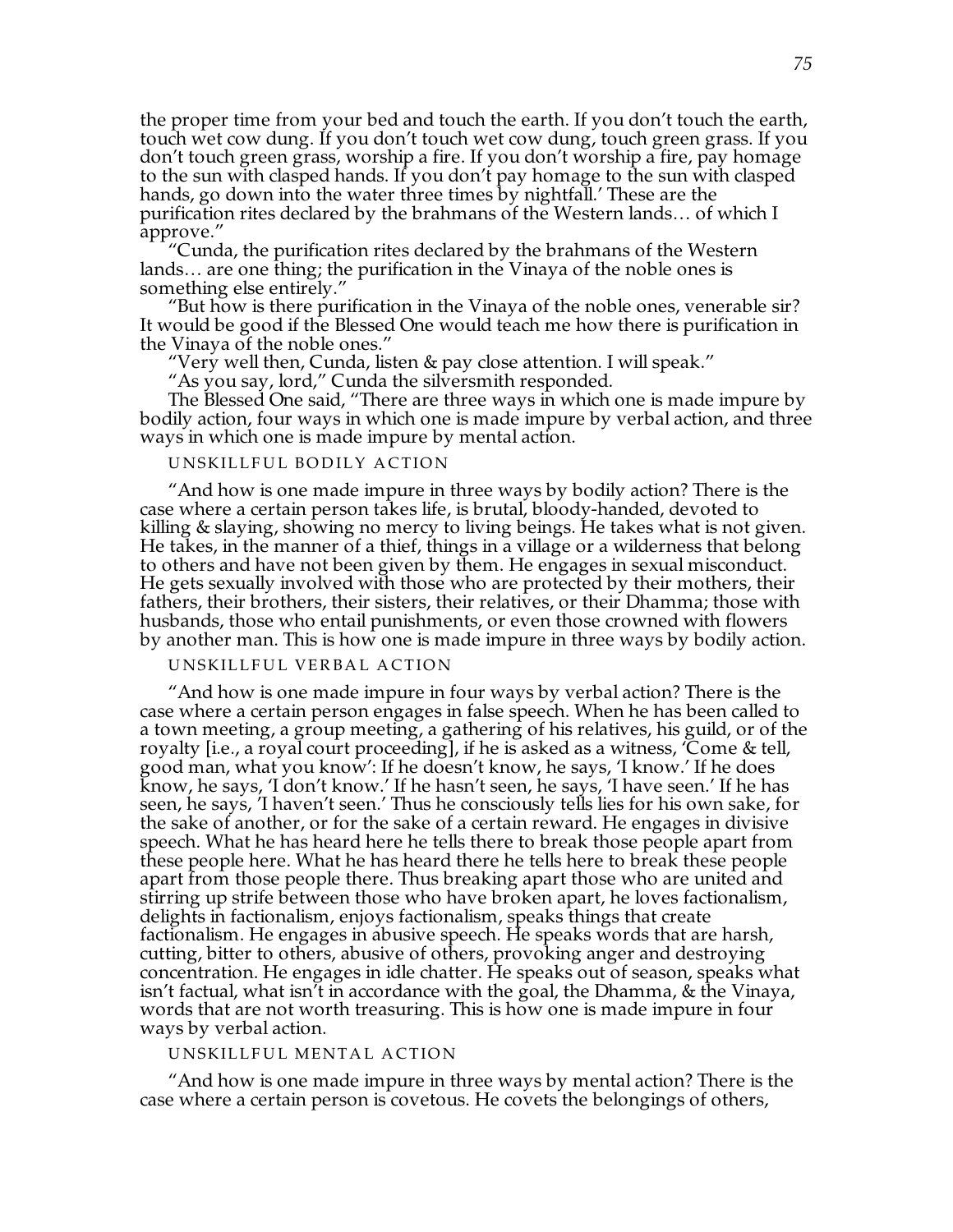the proper time from your bed and touch the earth. If you don't touch the earth, touch wet cow dung. If you don't touch wet cow dung, touch green grass. If you don't touch green grass, worship a fire. If you don't worship a fire, pay homage to the sun with clasped hands. If you don't pay homage to the sun with clasped hands, go down into the water three times by nightfall.' These are the purification rites declared by the brahmans of the Western lands… of which I approve."

"Cunda, the purification rites declared by the brahmans of the Western lands... are one thing; the purification in the Vinaya of the noble ones is something else entirely."

"But how is there purification in the Vinaya of the noble ones, venerable sir? It would be good if the Blessed One would teach me how there is purification in the Vinaya of the noble ones."

"Very well then, Cunda, listen & pay close attention. I will speak."

"As you say, lord," Cunda the silversmith responded.

The Blessed One said, "There are three ways in which one is made impure by bodily action, four ways in which one is made impure by verbal action, and three ways in which one is made impure by mental action.

## UNSKILLFUL BODILY ACTION

"And how is one made impure in three ways by bodily action? There is the case where a certain person takes life, is brutal, bloody-handed, devoted to killing & slaying, showing no mercy to living beings. He takes what is not given. He takes, in the manner of a thief, things in a village or a wilderness that belong to others and have not been given by them. He engages in sexual misconduct. He gets sexually involved with those who are protected by their mothers, their fathers, their brothers, their sisters, their relatives, or their Dhamma; those with husbands, those who entail punishments, or even those crowned with flowers by another man. This is how one is made impure in three ways by bodily action.

UNSKILLFUL VERBAL ACTION

"And how is one made impure in four ways by verbal action? There is the case where a certain person engages in false speech. When he has been called to a town meeting, a group meeting, a gathering of his relatives, his guild, or of the royalty [i.e., a royal court proceeding], if he is asked as a witness, 'Come & tell, good man, what you know': If he doesn't know, he says, 'I know.' If he does know, he says, 'I don't know.' If he hasn't seen, he says, 'I have seen.' If he has seen, he says, 'I haven't seen.' Thus he consciously tells lies for his own sake, for the sake of another, or for the sake of a certain reward. He engages in divisive speech. What he has heard here he tells there to break those people apart from these people here. What he has heard there he tells here to break these people apart from those people there. Thus breaking apart those who are united and stirring up strife between those who have broken apart, he loves factionalism, delights in factionalism, enjoys factionalism, speaks things that create factionalism. He engages in abusive speech. He speaks words that are harsh, cutting, bitter to others, abusive of others, provoking anger and destroying concentration. He engages in idle chatter. He speaks out of season, speaks what isn't factual, what isn't in accordance with the goal, the Dhamma, & the Vinaya, words that are not worth treasuring. This is how one is made impure in four ways by verbal action.

## UNSKILLFUL MENTAL ACTION

"And how is one made impure in three ways by mental action? There is the case where a certain person is covetous. He covets the belongings of others,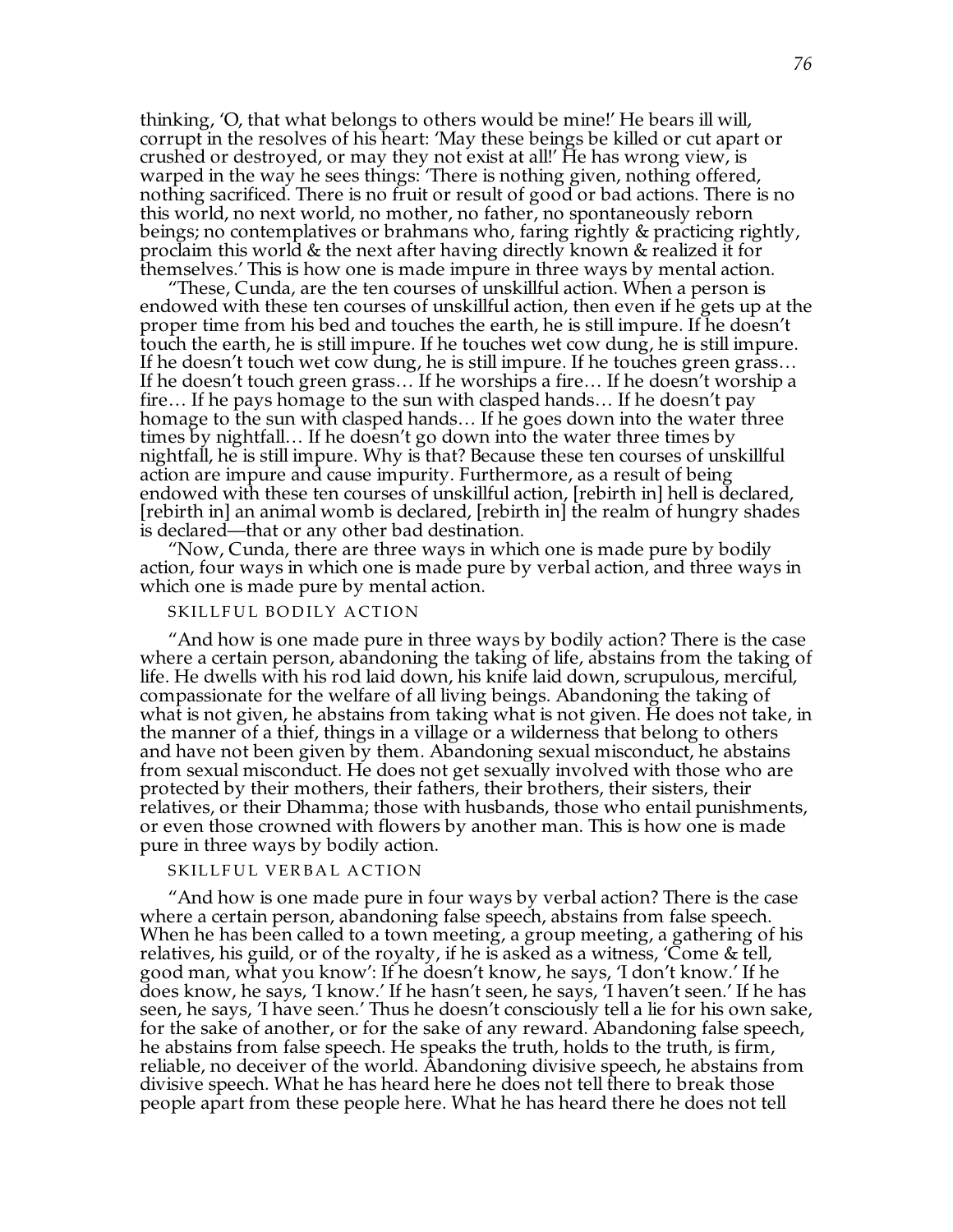thinking, 'O, that what belongs to others would be mine!' He bears ill will, corrupt in the resolves of his heart: 'May these beings be killed or cut apart or crushed or destroyed, or may they not exist at all!' He has wrong view, is warped in the way he sees things: 'There is nothing given, nothing offered, nothing sacrificed. There is no fruit or result of good or bad actions. There is no this world, no next world, no mother, no father, no spontaneously reborn beings; no contemplatives or brahmans who, faring rightly & practicing rightly, proclaim this world & the next after having directly known & realized it for themselves.' This is how one is made impure in three ways by mental action.

"These, Cunda, are the ten courses of unskillful action. When a person is endowed with these ten courses of unskillful action, then even if he gets up at the proper time from his bed and touches the earth, he is still impure. If he doesn't touch the earth, he is still impure. If he touches wet cow dung, he is still impure. If he doesn't touch wet cow dung, he is still impure. If he touches green grass… If he doesn't touch green grass… If he worships a fire… If he doesn't worship a fire… If he pays homage to the sun with clasped hands… If he doesn't pay homage to the sun with clasped hands… If he goes down into the water three times by nightfall… If he doesn't go down into the water three times by nightfall, he is still impure. Why is that? Because these ten courses of unskillful action are impure and cause impurity. Furthermore, as a result of being endowed with these ten courses of unskillful action, [rebirth in] hell is declared, [rebirth in] an animal womb is declared, [rebirth in] the realm of hungry shades is declared—that or any other bad destination.

"Now, Cunda, there are three ways in which one is made pure by bodily action, four ways in which one is made pure by verbal action, and three ways in which one is made pure by mental action.

### SKILLFUL BODILY ACTION

"And how is one made pure in three ways by bodily action? There is the case where a certain person, abandoning the taking of life, abstains from the taking of life. He dwells with his rod laid down, his knife laid down, scrupulous, merciful, compassionate for the welfare of all living beings. Abandoning the taking of what is not given, he abstains from taking what is not given. He does not take, in the manner of a thief, things in a village or a wilderness that belong to others and have not been given by them. Abandoning sexual misconduct, he abstains from sexual misconduct. He does not get sexually involved with those who are protected by their mothers, their fathers, their brothers, their sisters, their relatives, or their Dhamma; those with husbands, those who entail punishments, or even those crowned with flowers by another man. This is how one is made pure in three ways by bodily action.

#### SKILLFUL VERBAL ACTION

"And how is one made pure in four ways by verbal action? There is the case where a certain person, abandoning false speech, abstains from false speech. When he has been called to a town meeting, a group meeting, a gathering of his relatives, his guild, or of the royalty, if he is asked as a witness, 'Come & tell, good man, what you know': If he doesn't know, he says, 'I don't know.' If he does know, he says, 'I know.' If he hasn't seen, he says, 'I haven't seen.' If he has seen, he says, 'I have seen.' Thus he doesn't consciously tell a lie for his own sake, for the sake of another, or for the sake of any reward. Abandoning false speech, he abstains from false speech. He speaks the truth, holds to the truth, is firm, reliable, no deceiver of the world. Abandoning divisive speech, he abstains from divisive speech. What he has heard here he does not tell there to break those people apart from these people here. What he has heard there he does not tell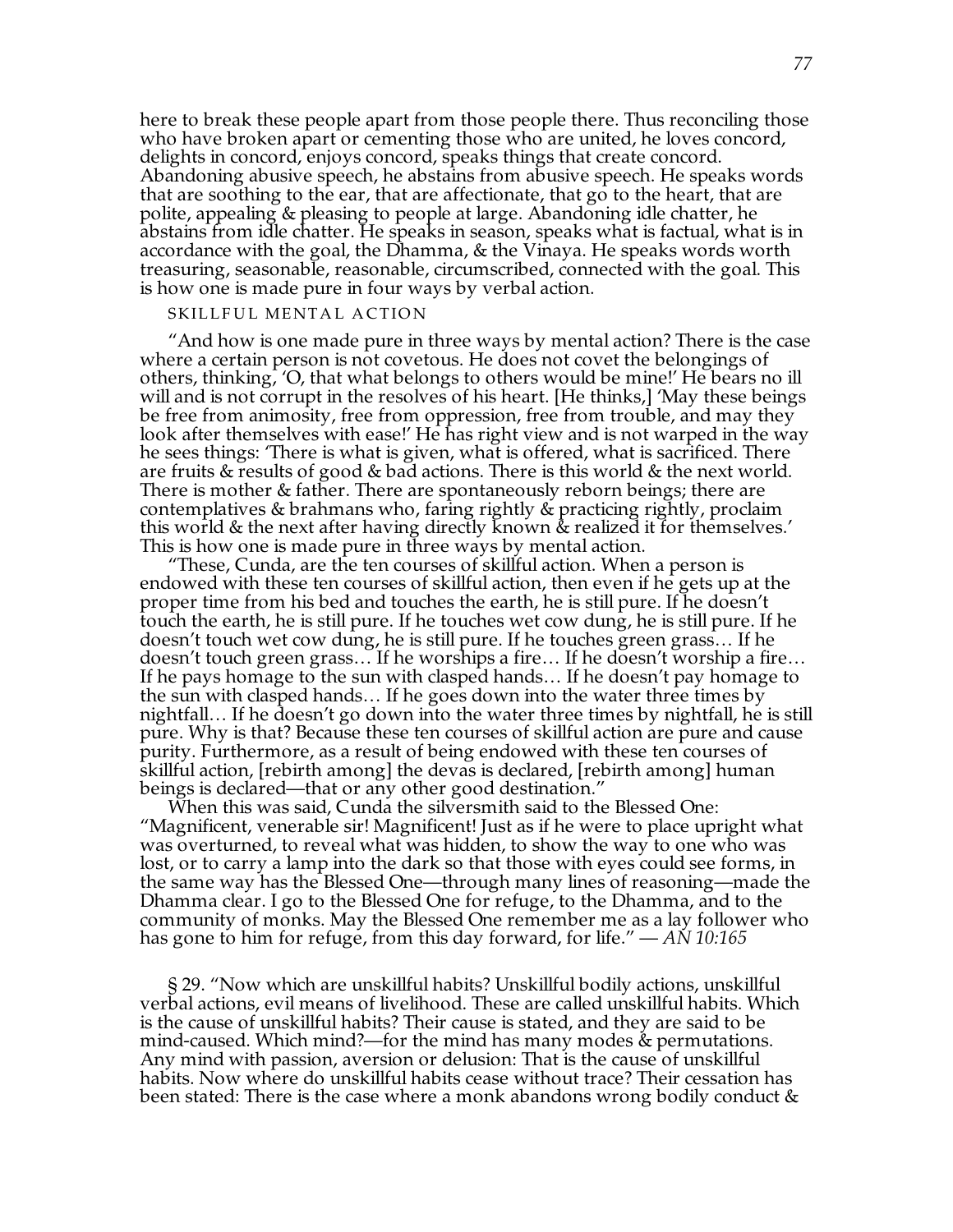here to break these people apart from those people there. Thus reconciling those who have broken apart or cementing those who are united, he loves concord, delights in concord, enjoys concord, speaks things that create concord. Abandoning abusive speech, he abstains from abusive speech. He speaks words that are soothing to the ear, that are affectionate, that go to the heart, that are polite, appealing & pleasing to people at large. Abandoning idle chatter, he abstains from idle chatter. He speaks in season, speaks what is factual, what is in accordance with the goal, the Dhamma, & the Vinaya. He speaks words worth treasuring, seasonable, reasonable, circumscribed, connected with the goal. This is how one is made pure in four ways by verbal action.

### SKILLFUL MENTAL ACTION

"And how is one made pure in three ways by mental action? There is the case where a certain person is not covetous. He does not covet the belongings of others, thinking, 'O, that what belongs to others would be mine!' He bears no ill will and is not corrupt in the resolves of his heart. [He thinks,] 'May these beings be free from animosity, free from oppression, free from trouble, and may they look after themselves with ease!' He has right view and is not warped in the way he sees things: 'There is what is given, what is offered, what is sacrificed. There are fruits & results of good & bad actions. There is this world & the next world. There is mother & father. There are spontaneously reborn beings; there are contemplatives & brahmans who, faring rightly & practicing rightly, proclaim this world & the next after having directly known & realized it for themselves.' This is how one is made pure in three ways by mental action.

"These, Cunda, are the ten courses of skillful action. When a person is endowed with these ten courses of skillful action, then even if he gets up at the proper time from his bed and touches the earth, he is still pure. If he doesn't touch the earth, he is still pure. If he touches wet cow dung, he is still pure. If he doesn't touch wet cow dung, he is still pure. If he touches green grass… If he doesn't touch green grass… If he worships a fire… If he doesn't worship a fire… If he pays homage to the sun with clasped hands… If he doesn't pay homage to the sun with clasped hands… If he goes down into the water three times by nightfall… If he doesn't go down into the water three times by nightfall, he is still pure. Why is that? Because these ten courses of skillful action are pure and cause purity. Furthermore, as a result of being endowed with these ten courses of skillful action, [rebirth among] the devas is declared, [rebirth among] human beings is declared—that or any other good destination."

When this was said, Cunda the silversmith said to the Blessed One: "Magnificent, venerable sir! Magnificent! Just as if he were to place upright what was overturned, to reveal what was hidden, to show the way to one who was lost, or to carry a lamp into the dark so that those with eyes could see forms, in the same way has the Blessed One—through many lines of reasoning—made the Dhamma clear. I go to the Blessed One for refuge, to the Dhamma, and to the community of monks. May the Blessed One remember me as a lay follower who has gone to him for refuge, from this day forward, for life." — *AN 10:165*

§ 29. "Now which are unskillful habits? Unskillful bodily actions, unskillful verbal actions, evil means of livelihood. These are called unskillful habits. Which is the cause of unskillful habits? Their cause is stated, and they are said to be mind-caused. Which mind?—for the mind has many modes & permutations. Any mind with passion, aversion or delusion: That is the cause of unskillful habits. Now where do unskillful habits cease without trace? Their cessation has been stated: There is the case where a monk abandons wrong bodily conduct &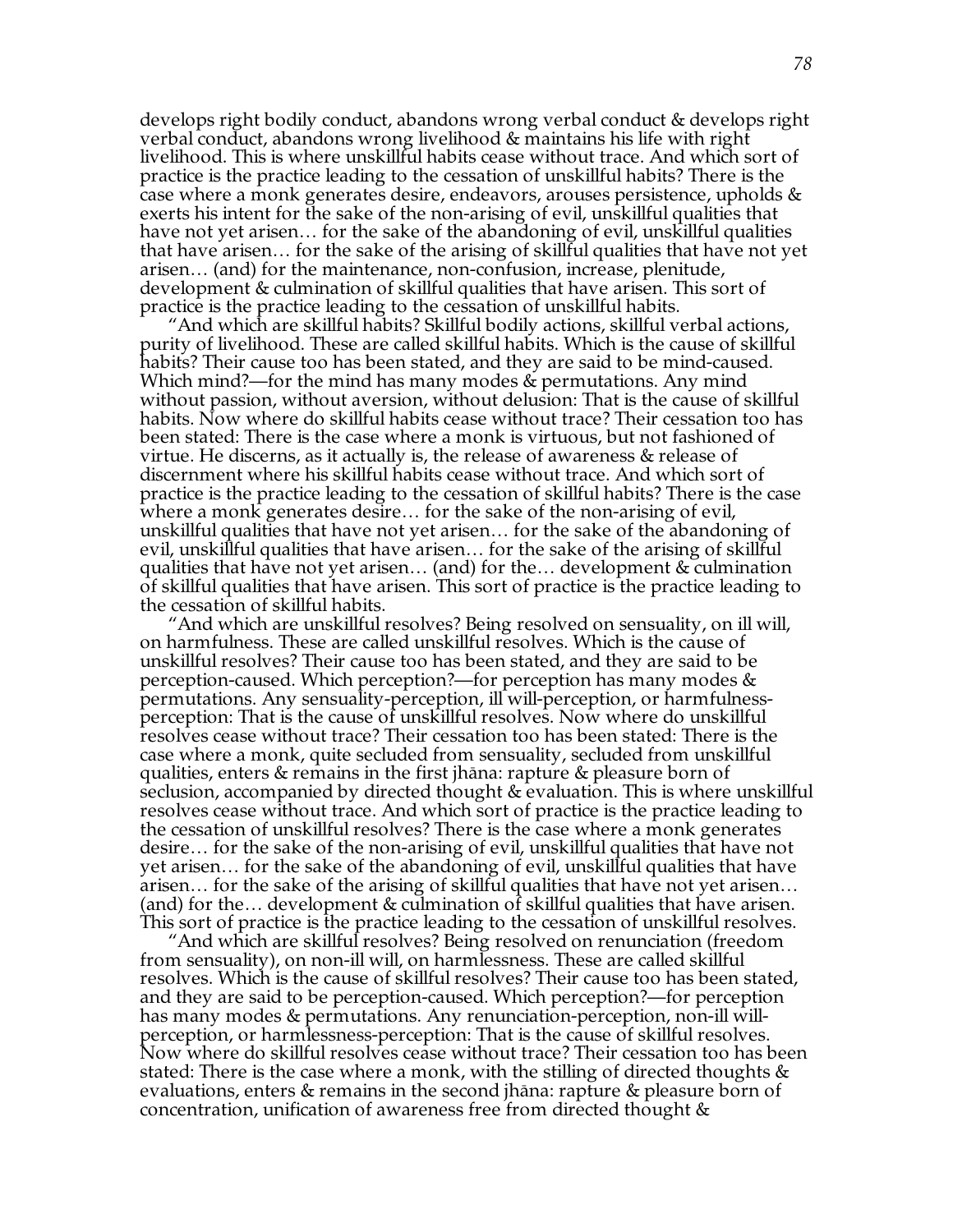develops right bodily conduct, abandons wrong verbal conduct & develops right verbal conduct, abandons wrong livelihood & maintains his life with right livelihood. This is where unskillful habits cease without trace. And which sort of practice is the practice leading to the cessation of unskillful habits? There is the case where a monk generates desire, endeavors, arouses persistence, upholds & exerts his intent for the sake of the non-arising of evil, unskillful qualities that have not yet arisen… for the sake of the abandoning of evil, unskillful qualities that have arisen… for the sake of the arising of skillful qualities that have not yet arisen… (and) for the maintenance, non-confusion, increase, plenitude, development & culmination of skillful qualities that have arisen. This sort of practice is the practice leading to the cessation of unskillful habits.

"And which are skillful habits? Skillful bodily actions, skillful verbal actions, purity of livelihood. These are called skillful habits. Which is the cause of skillful habits? Their cause too has been stated, and they are said to be mind-caused. Which mind?—for the mind has many modes & permutations. Any mind without passion, without aversion, without delusion: That is the cause of skillful habits. Now where do skillful habits cease without trace? Their cessation too has been stated: There is the case where a monk is virtuous, but not fashioned of virtue. He discerns, as it actually is, the release of awareness & release of discernment where his skillful habits cease without trace. And which sort of practice is the practice leading to the cessation of skillful habits? There is the case where a monk generates desire… for the sake of the non-arising of evil, unskillful qualities that have not yet arisen… for the sake of the abandoning of evil, unskillful qualities that have arisen… for the sake of the arising of skillful qualities that have not yet arisen… (and) for the… development & culmination of skillful qualities that have arisen. This sort of practice is the practice leading to the cessation of skillful habits.

"And which are unskillful resolves? Being resolved on sensuality, on ill will, on harmfulness. These are called unskillful resolves. Which is the cause of unskillful resolves? Their cause too has been stated, and they are said to be perception-caused. Which perception?—for perception has many modes & permutations. Any sensuality-perception, ill will-perception, or harmfulnessperception: That is the cause of unskillful resolves. Now where do unskillful resolves cease without trace? Their cessation too has been stated: There is the case where a monk, quite secluded from sensuality, secluded from unskillful qualities, enters  $\&$  remains in the first jhana: rapture  $\&$  pleasure born of seclusion, accompanied by directed thought & evaluation. This is where unskillful resolves cease without trace. And which sort of practice is the practice leading to the cessation of unskillful resolves? There is the case where a monk generates desire… for the sake of the non-arising of evil, unskillful qualities that have not yet arisen… for the sake of the abandoning of evil, unskillful qualities that have arisen… for the sake of the arising of skillful qualities that have not yet arisen… (and) for the… development & culmination of skillful qualities that have arisen. This sort of practice is the practice leading to the cessation of unskillful resolves.

"And which are skillful resolves? Being resolved on renunciation (freedom from sensuality), on non-ill will, on harmlessness. These are called skillful resolves. Which is the cause of skillful resolves? Their cause too has been stated, and they are said to be perception-caused. Which perception?—for perception<br>has many modes & permutations. Any renunciation-perception, non-ill willperception, or harmlessness-perception: That is the cause of skillful resolves. Now where do skillful resolves cease without trace? Their cessation too has been stated: There is the case where a monk, with the stilling of directed thoughts  $\&$ evaluations, enters  $\&$  remains in the second jhāna: rapture  $\&$  pleasure born of concentration, unification of awareness free from directed thought &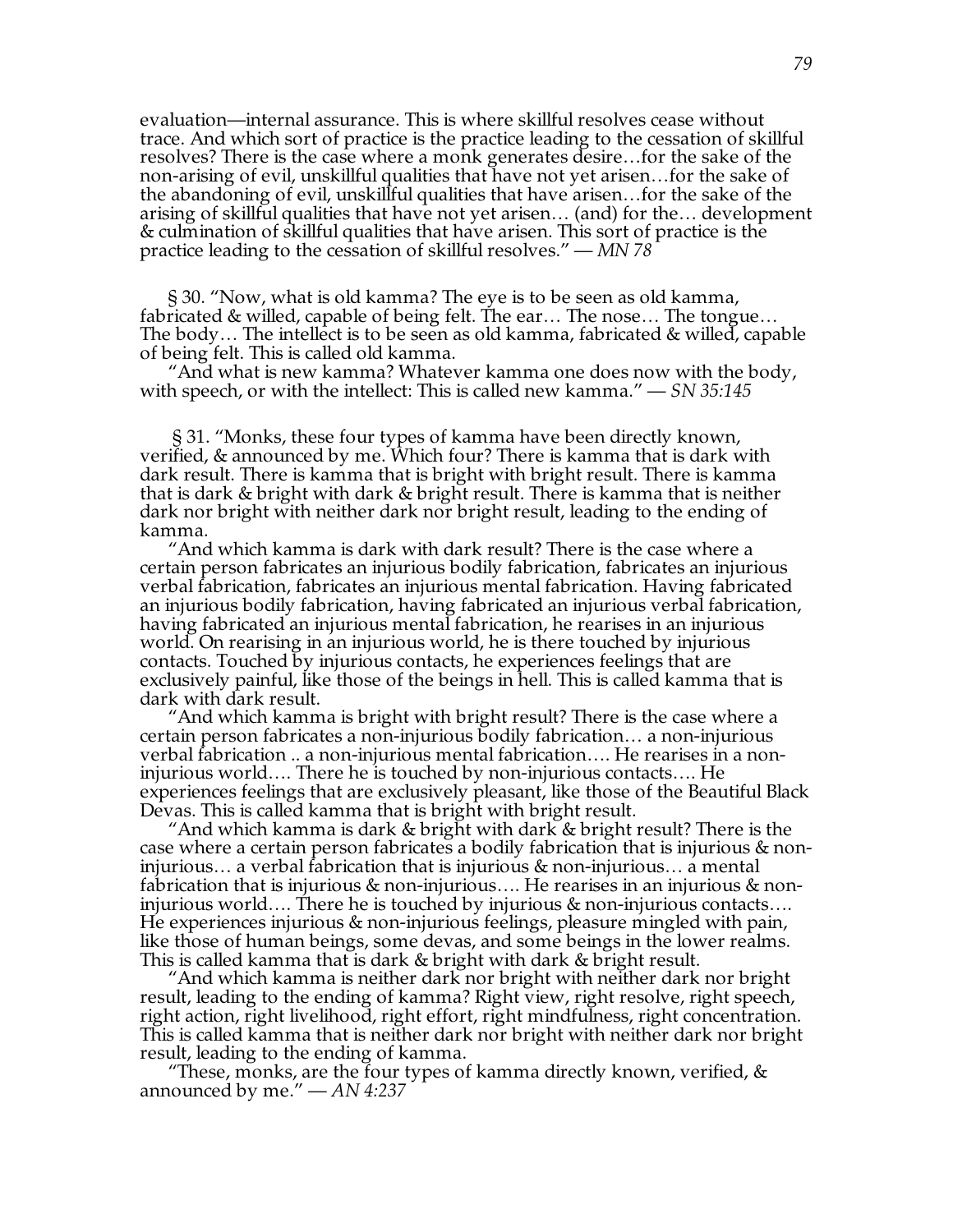evaluation—internal assurance. This is where skillful resolves cease without trace. And which sort of practice is the practice leading to the cessation of skillful resolves? There is the case where a monk generates desire…for the sake of the non-arising of evil, unskillful qualities that have not yet arisen…for the sake of the abandoning of evil, unskillful qualities that have arisen…for the sake of the arising of skillful qualities that have not yet arisen… (and) for the… development & culmination of skillful qualities that have arisen. This sort of practice is the practice leading to the cessation of skillful resolves." — *MN 78*

§ 30. "Now, what is old kamma? The eye is to be seen as old kamma, fabricated & willed, capable of being felt. The ear… The nose… The tongue… The body… The intellect is to be seen as old kamma, fabricated & willed, capable of being felt. This is called old kamma.

"And what is new kamma? Whatever kamma one does now with the body, with speech, or with the intellect: This is called new kamma." — *SN 35:145*

 § 31. "Monks, these four types of kamma have been directly known, verified, & announced by me. Which four? There is kamma that is dark with dark result. There is kamma that is bright with bright result. There is kamma that is dark & bright with dark & bright result. There is kamma that is neither dark nor bright with neither dark nor bright result, leading to the ending of kamma.

"And which kamma is dark with dark result? There is the case where a certain person fabricates an injurious bodily fabrication, fabricates an injurious verbal fabrication, fabricates an injurious mental fabrication. Having fabricated an injurious bodily fabrication, having fabricated an injurious verbal fabrication, having fabricated an injurious mental fabrication, he rearises in an injurious world. On rearising in an injurious world, he is there touched by injurious contacts. Touched by injurious contacts, he experiences feelings that are exclusively painful, like those of the beings in hell. This is called kamma that is dark with dark result.

"And which kamma is bright with bright result? There is the case where a certain person fabricates a non-injurious bodily fabrication… a non-injurious verbal fabrication .. a non-injurious mental fabrication…. He rearises in a noninjurious world…. There he is touched by non-injurious contacts…. He experiences feelings that are exclusively pleasant, like those of the Beautiful Black Devas. This is called kamma that is bright with bright result.

"And which kamma is dark & bright with dark & bright result? There is the case where a certain person fabricates a bodily fabrication that is injurious & noninjurious… a verbal fabrication that is injurious & non-injurious… a mental fabrication that is injurious & non-injurious…. He rearises in an injurious & noninjurious world…. There he is touched by injurious & non-injurious contacts…. He experiences injurious & non-injurious feelings, pleasure mingled with pain, like those of human beings, some devas, and some beings in the lower realms. This is called kamma that is dark & bright with dark & bright result.

"And which kamma is neither dark nor bright with neither dark nor bright result, leading to the ending of kamma? Right view, right resolve, right speech, right action, right livelihood, right effort, right mindfulness, right concentration. This is called kamma that is neither dark nor bright with neither dark nor bright result, leading to the ending of kamma.

"These, monks, are the four types of kamma directly known, verified,  $\&$ announced by me." — *AN 4:237*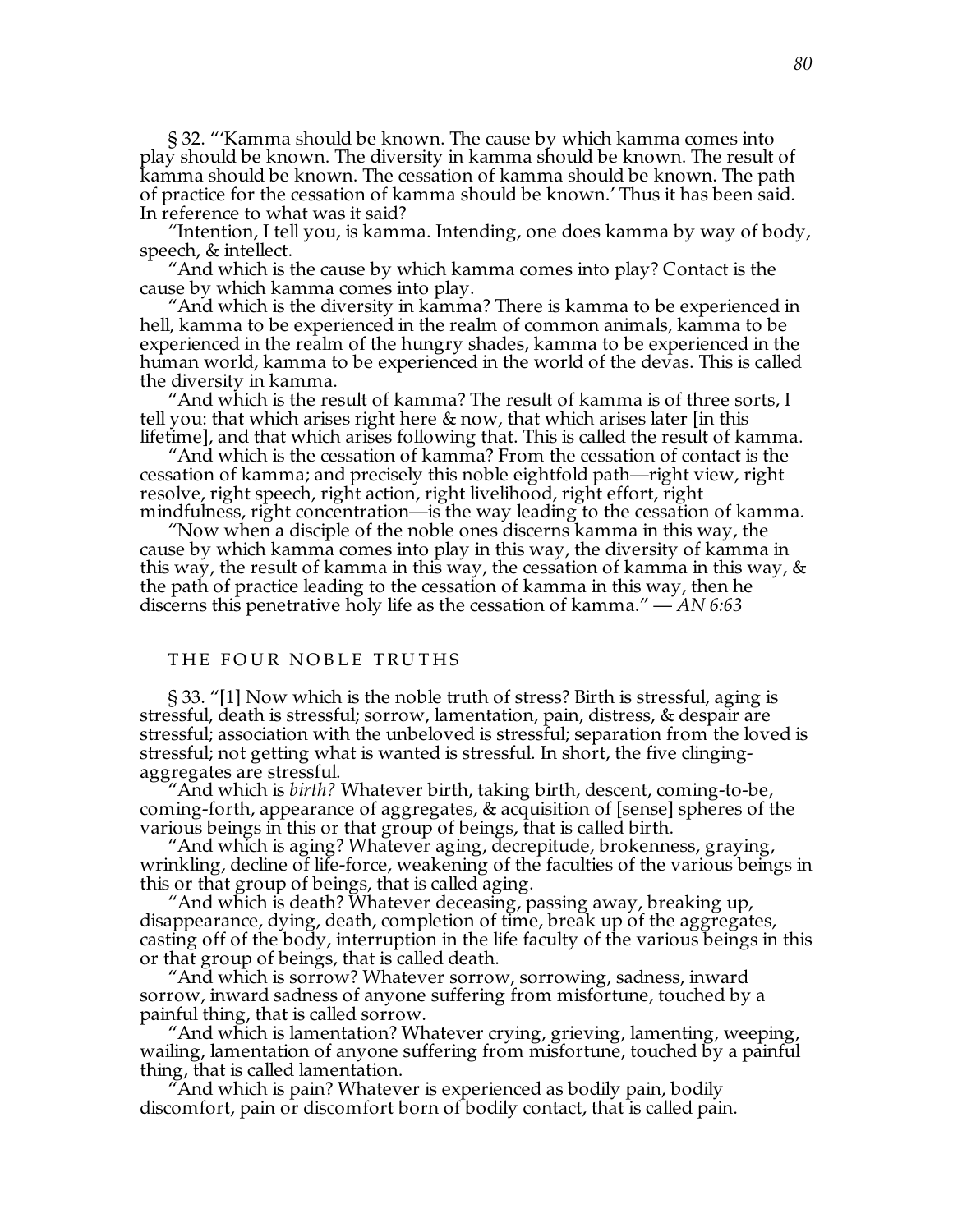§ 32. "'Kamma should be known. The cause by which kamma comes into play should be known. The diversity in kamma should be known. The result of kamma should be known. The cessation of kamma should be known. The path of practice for the cessation of kamma should be known.' Thus it has been said. In reference to what was it said?

"Intention, I tell you, is kamma. Intending, one does kamma by way of body, speech, & intellect.

"And which is the cause by which kamma comes into play? Contact is the cause by which kamma comes into play.

"And which is the diversity in kamma? There is kamma to be experienced in hell, kamma to be experienced in the realm of common animals, kamma to be experienced in the realm of the hungry shades, kamma to be experienced in the human world, kamma to be experienced in the world of the devas. This is called the diversity in kamma.

"And which is the result of kamma? The result of kamma is of three sorts, I tell you: that which arises right here & now, that which arises later [in this lifetime], and that which arises following that. This is called the result of kamma.

"And which is the cessation of kamma? From the cessation of contact is the cessation of kamma; and precisely this noble eightfold path—right view, right resolve, right speech, right action, right livelihood, right effort, right mindfulness, right concentration—is the way leading to the cessation of kamma.

"Now when a disciple of the noble ones discerns kamma in this way, the cause by which kamma comes into play in this way, the diversity of kamma in this way, the result of kamma in this way, the cessation of kamma in this way,  $\&$ the path of practice leading to the cessation of kamma in this way, then he discerns this penetrative holy life as the cessation of kamma." — *AN 6:63*

#### THE FOUR NOBLE TRUTHS

§ 33. "[1] Now which is the noble truth of stress? Birth is stressful, aging is stressful, death is stressful; sorrow, lamentation, pain, distress, & despair are stressful; association with the unbeloved is stressful; separation from the loved is stressful; not getting what is wanted is stressful. In short, the five clingingaggregates are stressful.

"And which is *birth?* Whatever birth, taking birth, descent, coming-to-be, coming-forth, appearance of aggregates, & acquisition of [sense] spheres of the various beings in this or that group of beings, that is called birth.

"And which is aging? Whatever aging, decrepitude, brokenness, graying, wrinkling, decline of life-force, weakening of the faculties of the various beings in this or that group of beings, that is called aging.

"And which is death? Whatever deceasing, passing away, breaking up, disappearance, dying, death, completion of time, break up of the aggregates, casting off of the body, interruption in the life faculty of the various beings in this or that group of beings, that is called death.

"And which is sorrow? Whatever sorrow, sorrowing, sadness, inward sorrow, inward sadness of anyone suffering from misfortune, touched by a painful thing, that is called sorrow.

"And which is lamentation? Whatever crying, grieving, lamenting, weeping, wailing, lamentation of anyone suffering from misfortune, touched by a painful thing, that is called lamentation.

"And which is pain? Whatever is experienced as bodily pain, bodily discomfort, pain or discomfort born of bodily contact, that is called pain.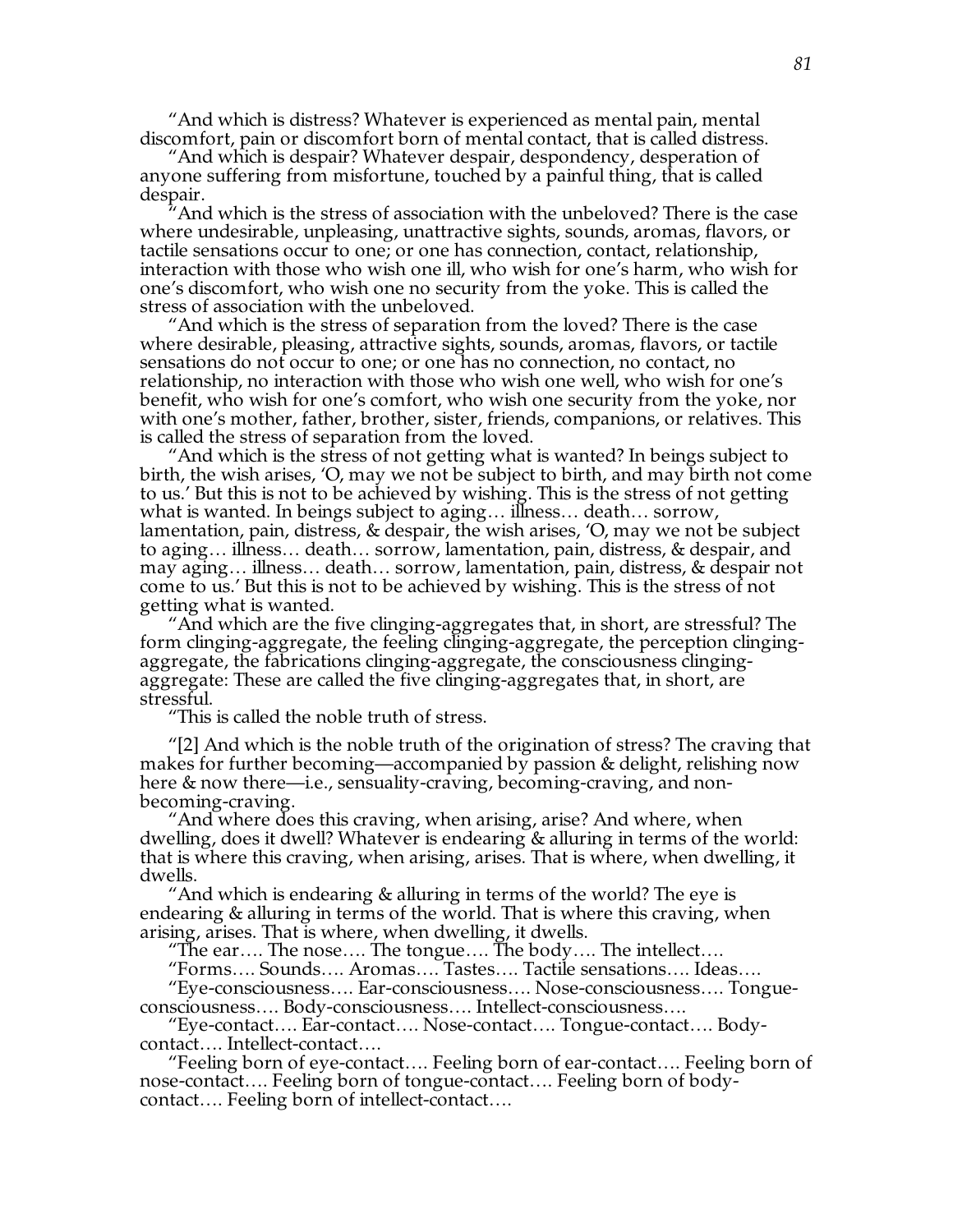"And which is distress? Whatever is experienced as mental pain, mental discomfort, pain or discomfort born of mental contact, that is called distress.

"And which is despair? Whatever despair, despondency, desperation of anyone suffering from misfortune, touched by a painful thing, that is called despair.

"And which is the stress of association with the unbeloved? There is the case where undesirable, unpleasing, unattractive sights, sounds, aromas, flavors, or tactile sensations occur to one; or one has connection, contact, relationship, interaction with those who wish one ill, who wish for one's harm, who wish for one's discomfort, who wish one no security from the yoke. This is called the stress of association with the unbeloved.

"And which is the stress of separation from the loved? There is the case where desirable, pleasing, attractive sights, sounds, aromas, flavors, or tactile sensations do not occur to one; or one has no connection, no contact, no relationship, no interaction with those who wish one well, who wish for one's benefit, who wish for one's comfort, who wish one security from the yoke, nor with one's mother, father, brother, sister, friends, companions, or relatives. This is called the stress of separation from the loved.

"And which is the stress of not getting what is wanted? In beings subject to birth, the wish arises, 'O, may we not be subject to birth, and may birth not come to us.' But this is not to be achieved by wishing. This is the stress of not getting what is wanted. In beings subject to aging… illness… death… sorrow, lamentation, pain, distress, & despair, the wish arises, 'O, may we not be subject to aging… illness… death… sorrow, lamentation, pain, distress, & despair, and may aging… illness… death… sorrow, lamentation, pain, distress, & despair not come to us.' But this is not to be achieved by wishing. This is the stress of not getting what is wanted.

"And which are the five clinging-aggregates that, in short, are stressful? The form clinging-aggregate, the feeling clinging-aggregate, the perception clingingaggregate, the fabrications clinging-aggregate, the consciousness clingingaggregate: These are called the five clinging-aggregates that, in short, are stressful.

"This is called the noble truth of stress.

"[2] And which is the noble truth of the origination of stress? The craving that makes for further becoming—accompanied by passion & delight, relishing now here & now there—i.e., sensuality-craving, becoming-craving, and nonbecoming-craving.

"And where does this craving, when arising, arise? And where, when dwelling, does it dwell? Whatever is endearing & alluring in terms of the world: that is where this craving, when arising, arises. That is where, when dwelling, it dwells.

"And which is endearing & alluring in terms of the world? The eye is endearing & alluring in terms of the world. That is where this craving, when arising, arises. That is where, when dwelling, it dwells.

"The ear…. The nose…. The tongue…. The body…. The intellect….

"Forms…. Sounds…. Aromas…. Tastes…. Tactile sensations…. Ideas….

"Eye-consciousness…. Ear-consciousness…. Nose-consciousness…. Tongueconsciousness…. Body-consciousness…. Intellect-consciousness….

"Eye-contact…. Ear-contact…. Nose-contact…. Tongue-contact…. Body- contact…. Intellect-contact….

"Feeling born of eye-contact…. Feeling born of ear-contact…. Feeling born of nose-contact…. Feeling born of tongue-contact…. Feeling born of bodycontact…. Feeling born of intellect-contact….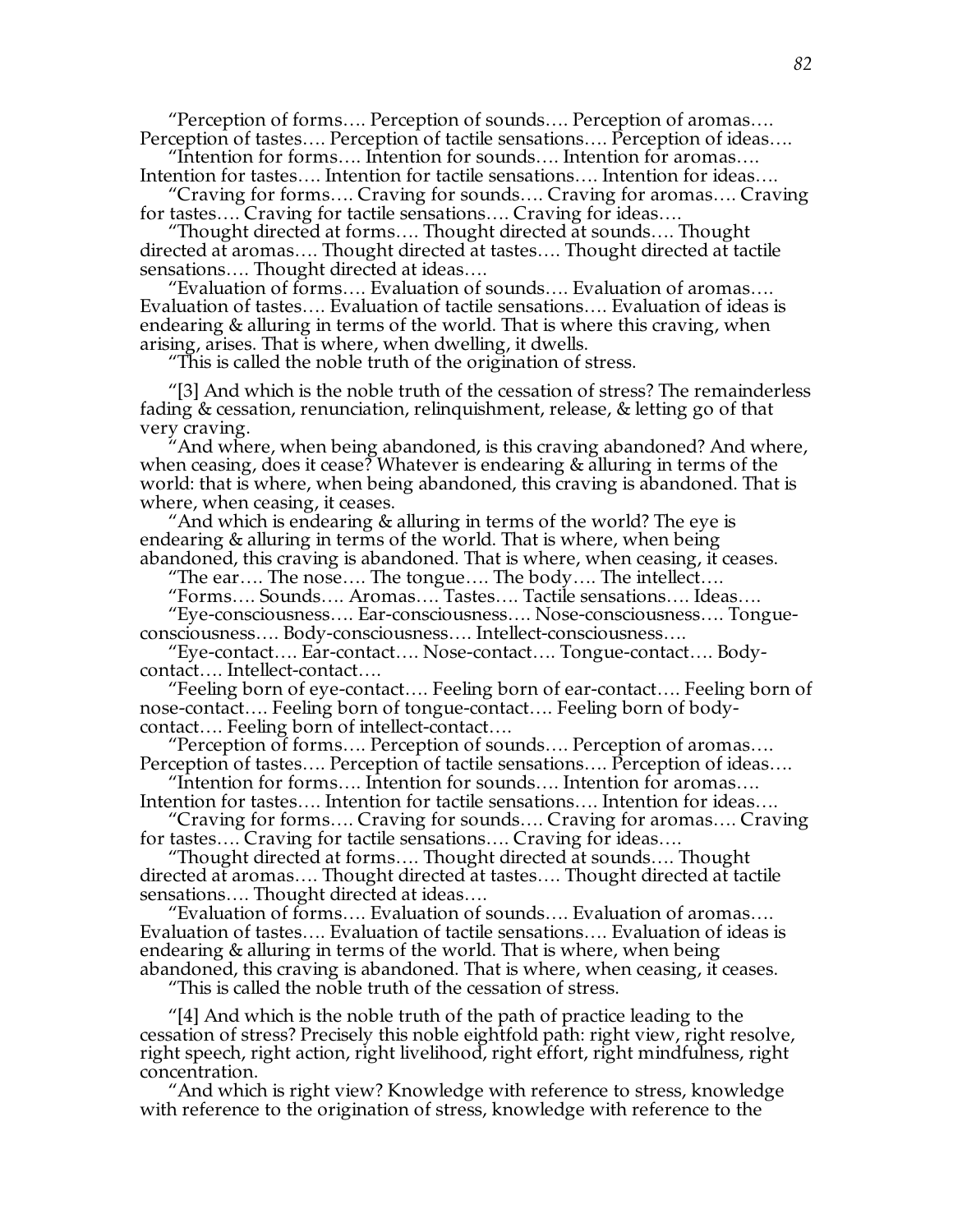"Perception of forms…. Perception of sounds…. Perception of aromas…. Perception of tastes…. Perception of tactile sensations…. Perception of ideas….

"Intention for forms…. Intention for sounds…. Intention for aromas…. Intention for tastes…. Intention for tactile sensations…. Intention for ideas….

"Craving for forms…. Craving for sounds…. Craving for aromas…. Craving for tastes…. Craving for tactile sensations…. Craving for ideas….

"Thought directed at forms…. Thought directed at sounds…. Thought directed at aromas…. Thought directed at tastes…. Thought directed at tactile sensations…. Thought directed at ideas….

"Evaluation of forms…. Evaluation of sounds…. Evaluation of aromas…. Evaluation of tastes…. Evaluation of tactile sensations…. Evaluation of ideas is endearing & alluring in terms of the world. That is where this craving, when arising, arises. That is where, when dwelling, it dwells.

"This is called the noble truth of the origination of stress.

"[3] And which is the noble truth of the cessation of stress? The remainderless fading & cessation, renunciation, relinquishment, release, & letting go of that very craving.

"And where, when being abandoned, is this craving abandoned? And where, when ceasing, does it cease? Whatever is endearing & alluring in terms of the world: that is where, when being abandoned, this craving is abandoned. That is where, when ceasing, it ceases.

"And which is endearing & alluring in terms of the world? The eye is endearing & alluring in terms of the world. That is where, when being abandoned, this craving is abandoned. That is where, when ceasing, it ceases.

"The ear…. The nose…. The tongue…. The body…. The intellect….

"Forms…. Sounds…. Aromas…. Tastes…. Tactile sensations…. Ideas….

"Eye-consciousness…. Ear-consciousness…. Nose-consciousness…. Tongueconsciousness…. Body-consciousness…. Intellect-consciousness….

"Eye-contact…. Ear-contact…. Nose-contact…. Tongue-contact…. Bodycontact…. Intellect-contact….

"Feeling born of eye-contact…. Feeling born of ear-contact…. Feeling born of nose-contact…. Feeling born of tongue-contact…. Feeling born of bodycontact…. Feeling born of intellect-contact….

"Perception of forms…. Perception of sounds…. Perception of aromas…. Perception of tastes…. Perception of tactile sensations…. Perception of ideas….

"Intention for forms…. Intention for sounds…. Intention for aromas…. Intention for tastes…. Intention for tactile sensations…. Intention for ideas….

"Craving for forms…. Craving for sounds…. Craving for aromas…. Craving for tastes…. Craving for tactile sensations…. Craving for ideas….

"Thought directed at forms…. Thought directed at sounds…. Thought directed at aromas…. Thought directed at tastes…. Thought directed at tactile sensations…. Thought directed at ideas….

"Evaluation of forms…. Evaluation of sounds…. Evaluation of aromas…. Evaluation of tastes…. Evaluation of tactile sensations…. Evaluation of ideas is endearing & alluring in terms of the world. That is where, when being abandoned, this craving is abandoned. That is where, when ceasing, it ceases.

"This is called the noble truth of the cessation of stress.

"[4] And which is the noble truth of the path of practice leading to the cessation of stress? Precisely this noble eightfold path: right view, right resolve, right speech, right action, right livelihood, right effort, right mindfulness, right concentration.

"And which is right view? Knowledge with reference to stress, knowledge with reference to the origination of stress, knowledge with reference to the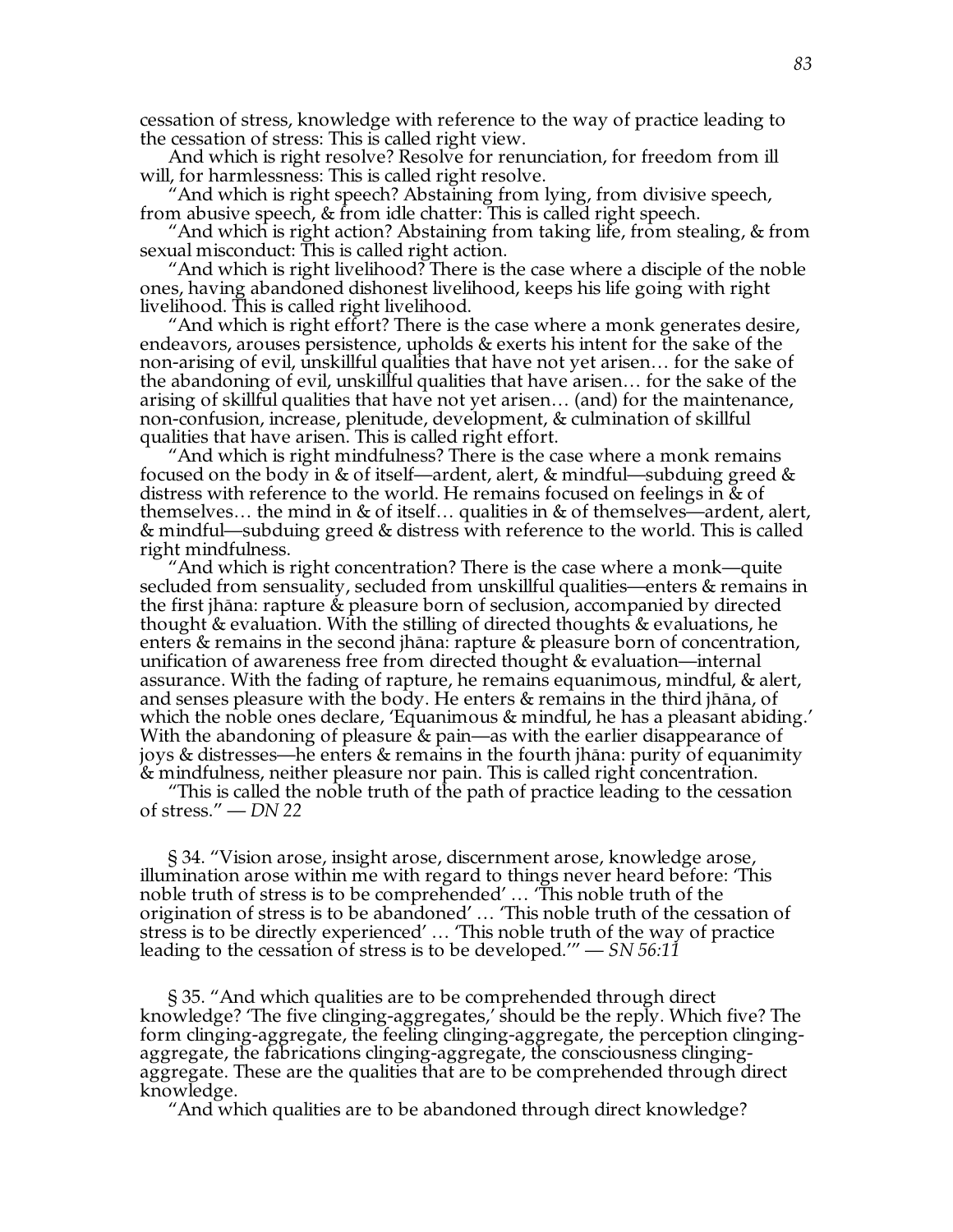cessation of stress, knowledge with reference to the way of practice leading to the cessation of stress: This is called right view.

And which is right resolve? Resolve for renunciation, for freedom from ill will, for harmlessness: This is called right resolve.

"And which is right speech? Abstaining from lying, from divisive speech, from abusive speech, & from idle chatter: This is called right speech.

"And which is right action? Abstaining from taking life, from stealing, & from sexual misconduct: This is called right action.

"And which is right livelihood? There is the case where a disciple of the noble ones, having abandoned dishonest livelihood, keeps his life going with right livelihood. This is called right livelihood.

"And which is right effort? There is the case where a monk generates desire, endeavors, arouses persistence, upholds & exerts his intent for the sake of the non-arising of evil, unskillful qualities that have not yet arisen… for the sake of the abandoning of evil, unskillful qualities that have arisen… for the sake of the arising of skillful qualities that have not yet arisen… (and) for the maintenance, non-confusion, increase, plenitude, development, & culmination of skillful qualities that have arisen. This is called right effort.

"And which is right mindfulness? There is the case where a monk remains focused on the body in & of itself—ardent, alert, & mindful—subduing greed & distress with reference to the world. He remains focused on feelings in & of themselves... the mind in  $\&$  of itself... qualities in  $\&$  of themselves—ardent, alert, & mindful—subduing greed & distress with reference to the world. This is called right mindfulness.

"And which is right concentration? There is the case where a monk—quite secluded from sensuality, secluded from unskillful qualities—enters & remains in the first jhana: rapture & pleasure born of seclusion, accompanied by directed thought & evaluation. With the stilling of directed thoughts & evaluations, he enters  $\&$  remains in the second jhāna: rapture  $\&$  pleasure born of concentration, unification of awareness free from directed thought & evaluation—internal assurance. With the fading of rapture, he remains equanimous, mindful, & alert, and senses pleasure with the body. He enters  $\&$  remains in the third jhana, of which the noble ones declare, 'Equanimous & mindful, he has a pleasant abiding.' With the abandoning of pleasure & pain—as with the earlier disappearance of joys & distresses—he enters & remains in the fourth jhāna: purity of equanimity & mindfulness, neither pleasure nor pain. This is called right concentration.

"This is called the noble truth of the path of practice leading to the cessation of stress." — *DN 22*

§ 34. "Vision arose, insight arose, discernment arose, knowledge arose, illumination arose within me with regard to things never heard before: 'This noble truth of stress is to be comprehended' … 'This noble truth of the origination of stress is to be abandoned' … 'This noble truth of the cessation of stress is to be directly experienced' … 'This noble truth of the way of practice leading to the cessation of stress is to be developed.'" — *SN 56:11* 

§ 35. "And which qualities are to be comprehended through direct knowledge? 'The five clinging-aggregates,' should be the reply. Which five? The aggregate, the fabrications clinging-aggregate, the consciousness clinging-<br>aggregate. These are the qualities that are to be comprehended through direct knowledge.

"And which qualities are to be abandoned through direct knowledge?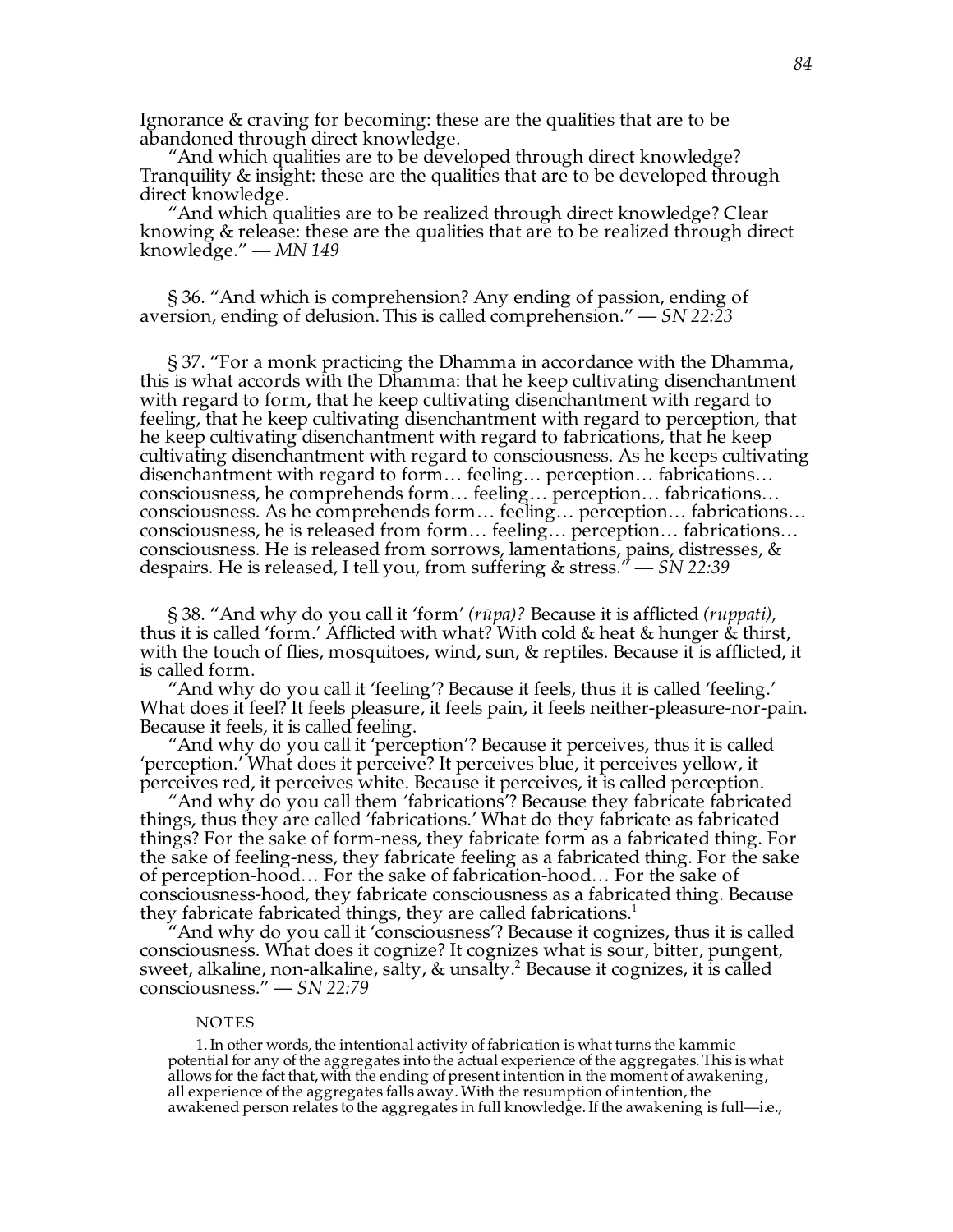Ignorance & craving for becoming: these are the qualities that are to be abandoned through direct knowledge.

"And which qualities are to be developed through direct knowledge? Tranquility & insight: these are the qualities that are to be developed through direct knowledge.

"And which qualities are to be realized through direct knowledge? Clear knowing & release: these are the qualities that are to be realized through direct knowledge." — *MN 149*

§ 36. "And which is comprehension? Any ending of passion, ending of aversion, ending of delusion. This is called comprehension." — *SN 22:23*

§ 37. "For a monk practicing the Dhamma in accordance with the Dhamma, this is what accords with the Dhamma: that he keep cultivating disenchantment with regard to form, that he keep cultivating disenchantment with regard to feeling, that he keep cultivating disenchantment with regard to perception, that he keep cultivating disenchantment with regard to fabrications, that he keep cultivating disenchantment with regard to consciousness. As he keeps cultivating disenchantment with regard to form… feeling… perception… fabrications… consciousness, he comprehends form… feeling… perception… fabrications… consciousness. As he comprehends form… feeling… perception… fabrications… consciousness, he is released from form… feeling… perception… fabrications… consciousness. He is released from sorrows, lamentations, pains, distresses, & despairs. He is released, I tell you, from suffering & stress." — *SN 22:39*

§ 38. "And why do you call it 'form' *(rūpa)*? Because it is afflicted *(ruppati)*, thus it is called 'form.' Afflicted with what? With cold & heat & hunger & thirst, with the touch of flies, mosquitoes, wind, sun, & reptiles. Because it is afflicted, it is called form.

"And why do you call it 'feeling'? Because it feels, thus it is called 'feeling.' What does it feel? It feels pleasure, it feels pain, it feels neither-pleasure-nor-pain. Because it feels, it is called feeling.

"And why do you call it 'perception'? Because it perceives, thus it is called 'perception.' What does it perceive? It perceives blue, it perceives yellow, it perceives red, it perceives white. Because it perceives, it is called perception.

"And why do you call them 'fabrications'? Because they fabricate fabricated things, thus they are called 'fabrications.' What do they fabricate as fabricated things? For the sake of form-ness, they fabricate form as a fabricated thing. For the sake of feeling-ness, they fabricate feeling as a fabricated thing. For the sake of perception-hood… For the sake of fabrication-hood… For the sake of consciousness-hood, they fabricate consciousness as a fabricated thing. Because they fabricate fabricated things, they are called fabrications.<sup>1</sup>

"And why do you call it 'consciousness'? Because it cognizes, thus it is called consciousness. What does it cognize? It cognizes what is sour, bitter, pungent, sweet, alkaline, non-alkaline, salty, & unsalty. $^{\rm 2}$  Because it cognizes, it is called consciousness." — *SN 22:79*

#### **NOTES**

1. In other words, the intentional activity of fabrication is what turns the kammic potential for any of the aggregates into the actual experience of the aggregates. This is what allows for the fact that, with the ending of present intention in the moment of awakening, all experience of the aggregates falls away. With the resumption of intention, the awakened person relates to the aggregates in full knowledge. If the awakening is full—i.e.,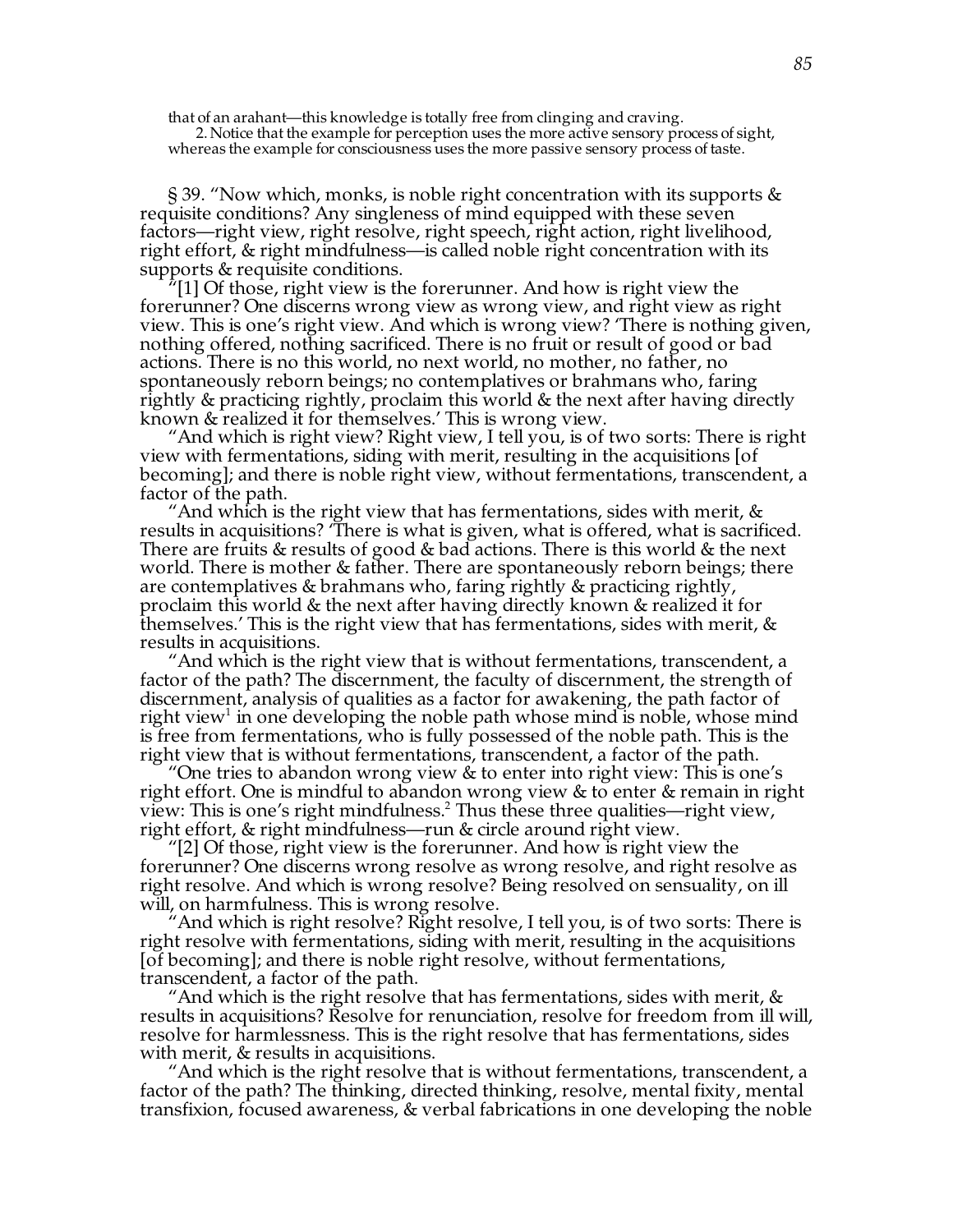that of an arahant—this knowledge is totally free from clinging and craving.

2. Notice that the example for perception uses the more active sensory process of sight, whereas the example for consciousness uses the more passive sensory process of taste.

§ 39. "Now which, monks, is noble right concentration with its supports & requisite conditions? Any singleness of mind equipped with these seven factors—right view, right resolve, right speech, right action, right livelihood, right effort, & right mindfulness—is called noble right concentration with its supports & requisite conditions.

"[1] Of those, right view is the forerunner. And how is right view the forerunner? One discerns wrong view as wrong view, and right view as right view. This is one's right view. And which is wrong view? 'There is nothing given, nothing offered, nothing sacrificed. There is no fruit or result of good or bad actions. There is no this world, no next world, no mother, no father, no spontaneously reborn beings; no contemplatives or brahmans who, faring rightly & practicing rightly, proclaim this world & the next after having directly known & realized it for themselves.' This is wrong view.

"And which is right view? Right view, I tell you, is of two sorts: There is right view with fermentations, siding with merit, resulting in the acquisitions [of becoming]; and there is noble right view, without fermentations, transcendent, a factor of the path.

"And which is the right view that has fermentations, sides with merit,  $\&$ results in acquisitions? 'There is what is given, what is offered, what is sacrificed. There are fruits & results of good & bad actions. There is this world & the next world. There is mother & father. There are spontaneously reborn beings; there are contemplatives & brahmans who, faring rightly & practicing rightly, proclaim this world & the next after having directly known & realized it for themselves.' This is the right view that has fermentations, sides with merit,  $\&$ results in acquisitions.

"And which is the right view that is without fermentations, transcendent, a factor of the path? The discernment, the faculty of discernment, the strength of discernment, analysis of qualities as a factor for awakening, the path factor of right view<sup>1</sup> in one developing the noble path whose mind is noble, whose mind is free from fermentations, who is fully possessed of the noble path. This is the right view that is without fermentations, transcendent, a factor of the path.

"One tries to abandon wrong view & to enter into right view: This is one's right effort. One is mindful to abandon wrong view & to enter & remain in right view: This is one's right mindfulness. $^2$  Thus these three qualities—right view,  $\dot{ }$ right effort, & right mindfulness—run & circle around right view.

"[2] Of those, right view is the forerunner. And how is right view the forerunner? One discerns wrong resolve as wrong resolve, and right resolve as right resolve. And which is wrong resolve? Being resolved on sensuality, on ill will, on harmfulness. This is wrong resolve.

"And which is right resolve? Right resolve, I tell you, is of two sorts: There is right resolve with fermentations, siding with merit, resulting in the acquisitions [of becoming]; and there is noble right resolve, without fermentations, transcendent, a factor of the path.

"And which is the right resolve that has fermentations, sides with merit,  $\&$ results in acquisitions? Resolve for renunciation, resolve for freedom from ill will, resolve for harmlessness. This is the right resolve that has fermentations, sides with merit, & results in acquisitions.

"And which is the right resolve that is without fermentations, transcendent, a factor of the path? The thinking, directed thinking, resolve, mental fixity, mental transfixion, focused awareness, & verbal fabrications in one developing the noble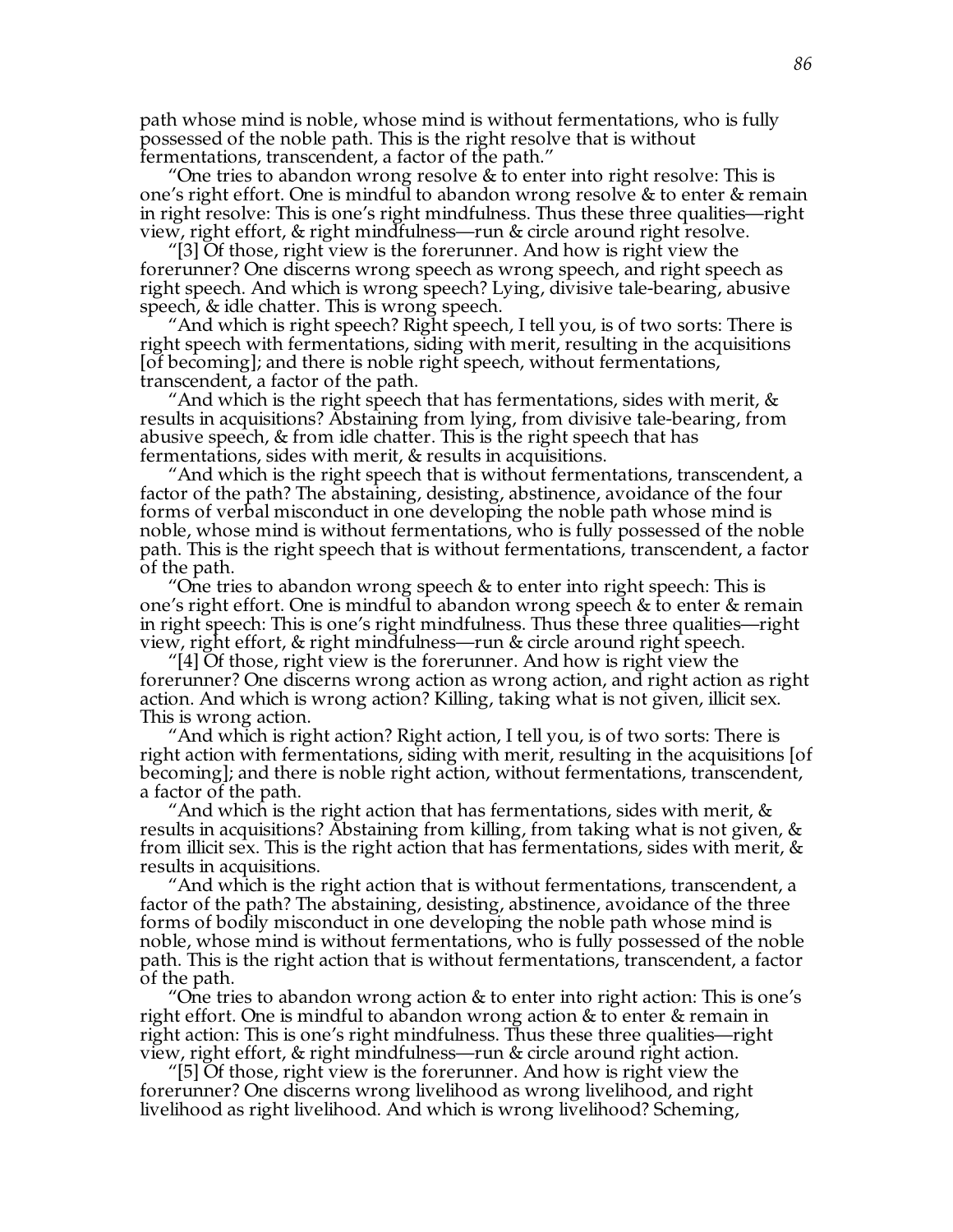path whose mind is noble, whose mind is without fermentations, who is fully possessed of the noble path. This is the right resolve that is without fermentations, transcendent, a factor of the path."

"One tries to abandon wrong resolve  $\&$  to enter into right resolve: This is one's right effort. One is mindful to abandon wrong resolve & to enter & remain in right resolve: This is one's right mindfulness. Thus these three qualities—right view, right effort, & right mindfulness—run & circle around right resolve.

"[3] Of those, right view is the forerunner. And how is right view the forerunner? One discerns wrong speech as wrong speech, and right speech as right speech. And which is wrong speech? Lying, divisive tale-bearing, abusive speech, & idle chatter. This is wrong speech.

"And which is right speech? Right speech, I tell you, is of two sorts: There is right speech with fermentations, siding with merit, resulting in the acquisitions [of becoming]; and there is noble right speech, without fermentations, transcendent, a factor of the path.

"And which is the right speech that has fermentations, sides with merit,  $\&$ results in acquisitions? Abstaining from lying, from divisive tale-bearing, from abusive speech, & from idle chatter. This is the right speech that has fermentations, sides with merit, & results in acquisitions.

"And which is the right speech that is without fermentations, transcendent, a factor of the path? The abstaining, desisting, abstinence, avoidance of the four forms of verbal misconduct in one developing the noble path whose mind is noble, whose mind is without fermentations, who is fully possessed of the noble path. This is the right speech that is without fermentations, transcendent, a factor of the path.

"One tries to abandon wrong speech  $\&$  to enter into right speech: This is one's right effort. One is mindful to abandon wrong speech & to enter & remain in right speech: This is one's right mindfulness. Thus these three qualities—right view, right effort, & right mindfulness—run & circle around right speech.

"[4] Of those, right view is the forerunner. And how is right view the forerunner? One discerns wrong action as wrong action, and right action as right action. And which is wrong action? Killing, taking what is not given, illicit sex. This is wrong action.

"And which is right action? Right action, I tell you, is of two sorts: There is right action with fermentations, siding with merit, resulting in the acquisitions [of becoming]; and there is noble right action, without fermentations, transcendent, a factor of the path.

"And which is the right action that has fermentations, sides with merit,  $\&$ results in acquisitions? Abstaining from killing, from taking what is not given, & from illicit sex. This is the right action that has fermentations, sides with merit,  $\&$ results in acquisitions.

"And which is the right action that is without fermentations, transcendent, a factor of the path? The abstaining, desisting, abstinence, avoidance of the three forms of bodily misconduct in one developing the noble path whose mind is noble, whose mind is without fermentations, who is fully possessed of the noble path. This is the right action that is without fermentations, transcendent, a factor of the path.

"One tries to abandon wrong action & to enter into right action: This is one's right effort. One is mindful to abandon wrong action & to enter & remain in right action: This is one's right mindfulness. Thus these three qualities—right view, right effort, & right mindfulness—run & circle around right action.

"[5] Of those, right view is the forerunner. And how is right view the forerunner? One discerns wrong livelihood as wrong livelihood, and right livelihood as right livelihood. And which is wrong livelihood? Scheming,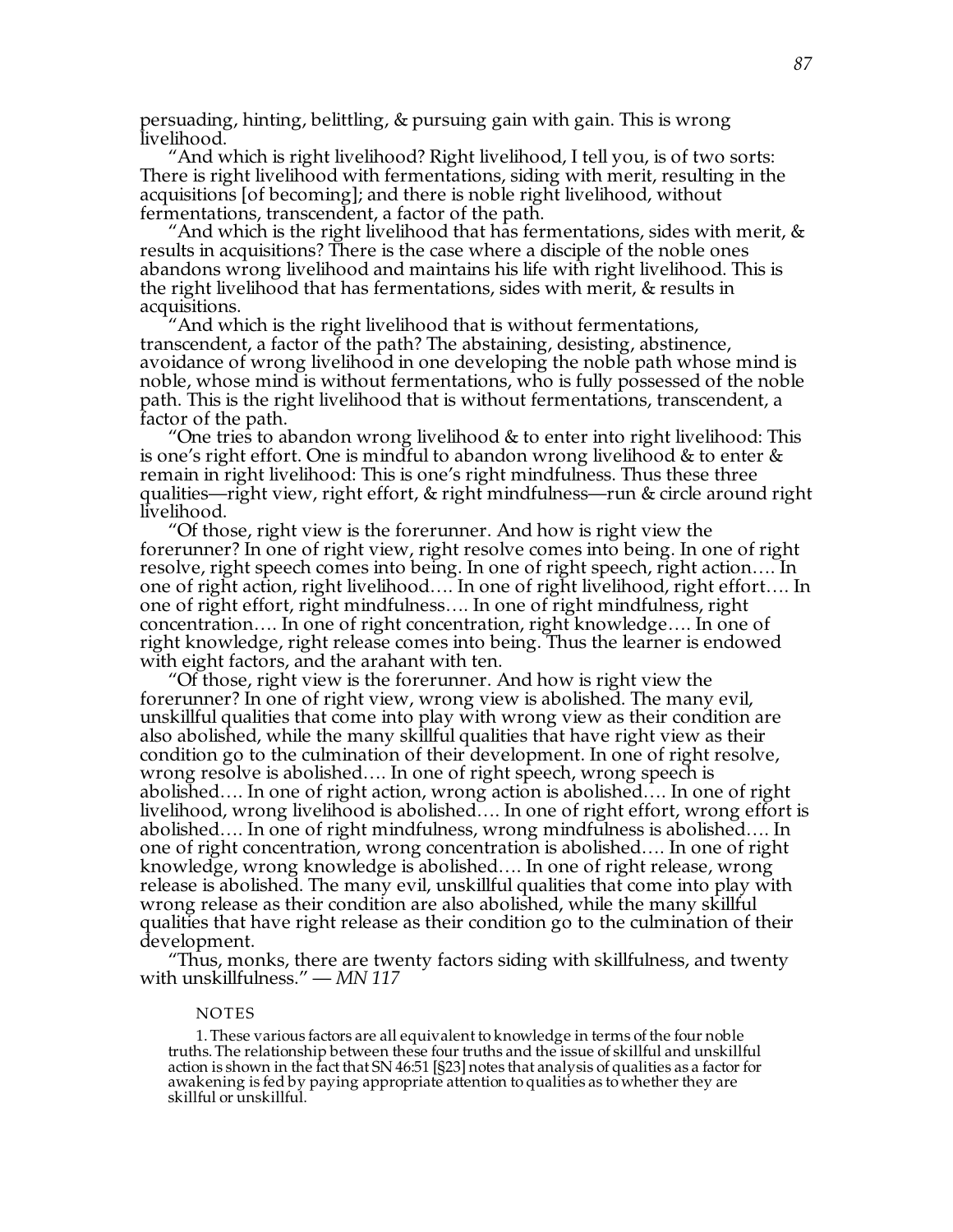persuading, hinting, belittling, & pursuing gain with gain. This is wrong livelihood.

"And which is right livelihood? Right livelihood, I tell you, is of two sorts: There is right livelihood with fermentations, siding with merit, resulting in the acquisitions [of becoming]; and there is noble right livelihood, without fermentations, transcendent, a factor of the path.

"And which is the right livelihood that has fermentations, sides with merit,  $\&$ results in acquisitions? There is the case where a disciple of the noble ones abandons wrong livelihood and maintains his life with right livelihood. This is the right livelihood that has fermentations, sides with merit, & results in acquisitions.

"And which is the right livelihood that is without fermentations, transcendent, a factor of the path? The abstaining, desisting, abstinence, avoidance of wrong livelihood in one developing the noble path whose mind is noble, whose mind is without fermentations, who is fully possessed of the noble path. This is the right livelihood that is without fermentations, transcendent, a factor of the path.

"One tries to abandon wrong livelihood & to enter into right livelihood: This is one's right effort. One is mindful to abandon wrong livelihood & to enter & remain in right livelihood: This is one's right mindfulness. Thus these three qualities—right view, right effort, & right mindfulness—run & circle around right livelihood.

"Of those, right view is the forerunner. And how is right view the forerunner? In one of right view, right resolve comes into being. In one of right resolve, right speech comes into being. In one of right speech, right action…. In one of right action, right livelihood…. In one of right livelihood, right effort…. In one of right effort, right mindfulness…. In one of right mindfulness, right concentration…. In one of right concentration, right knowledge…. In one of right knowledge, right release comes into being. Thus the learner is endowed with eight factors, and the arahant with ten.

"Of those, right view is the forerunner. And how is right view the forerunner? In one of right view, wrong view is abolished. The many evil, unskillful qualities that come into play with wrong view as their condition are also abolished, while the many skillful qualities that have right view as their condition go to the culmination of their development. In one of right resolve, wrong resolve is abolished…. In one of right speech, wrong speech is abolished…. In one of right action, wrong action is abolished…. In one of right livelihood, wrong livelihood is abolished…. In one of right effort, wrong effort is abolished…. In one of right mindfulness, wrong mindfulness is abolished…. In one of right concentration, wrong concentration is abolished…. In one of right knowledge, wrong knowledge is abolished…. In one of right release, wrong release is abolished. The many evil, unskillful qualities that come into play with wrong release as their condition are also abolished, while the many skillful qualities that have right release as their condition go to the culmination of their development.

"Thus, monks, there are twenty factors siding with skillfulness, and twenty with unskillfulness." — *MN 117* 

#### NOTES

1. These various factors are all equivalent to knowledge in terms of the four noble truths. The relationship between these four truths and the issue of skillful and unskillful action is shown in the fact that SN 46:51 [§23] notes that analysis of qualities as a factor for awakening is fed by paying appropriate attention to qualities as to whether they are skillful or unskillful.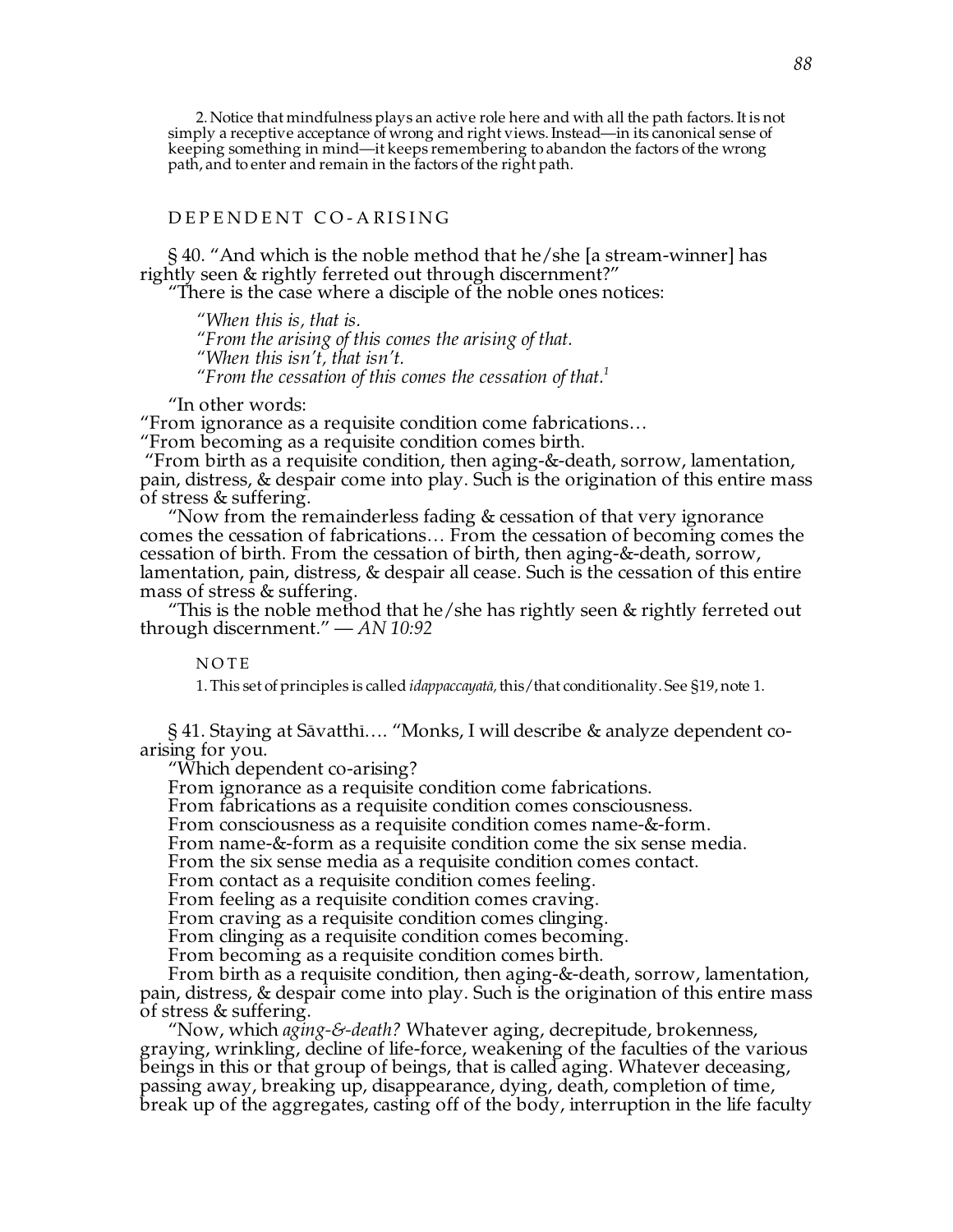2. Notice that mindfulness plays an active role here and with all the path factors. It is not simply a receptive acceptance of wrong and right views. Instead—in its canonical sense of keeping something in mind—it keeps remembering to abandon the factors of the wrong path, and to enter and remain in the factors of the right path.

## DEPENDENT CO-ARISING

§ 40. "And which is the noble method that he/she [a stream-winner] has rightly seen & rightly ferreted out through discernment?" "There is the case where a disciple of the noble ones notices:

*"When this is, that is. "From the arising of this comes the arising of that. "When this isn't, that isn't. "From the cessation of this comes the cessation of that.1*

"In other words:

"From ignorance as a requisite condition come fabrications…

"From becoming as a requisite condition comes birth.

 "From birth as a requisite condition, then aging-&-death, sorrow, lamentation, pain, distress, & despair come into play. Such is the origination of this entire mass of stress & suffering.

"Now from the remainderless fading & cessation of that very ignorance comes the cessation of fabrications… From the cessation of becoming comes the cessation of birth. From the cessation of birth, then aging-&-death, sorrow, lamentation, pain, distress, & despair all cease. Such is the cessation of this entire mass of stress & suffering.

"This is the noble method that he/she has rightly seen  $\&$  rightly ferreted out through discernment." — *AN 10:92*

#### **NOTE**

1. This set of principles is called *idappaccayatā*, this/that conditionality. See §19, note 1.

§ 41. Staying at Savatthi…. "Monks, I will describe & analyze dependent coarising for you.

"Which dependent co-arising?

From ignorance as a requisite condition come fabrications.

From fabrications as a requisite condition comes consciousness.

From consciousness as a requisite condition comes name-&-form.

From name-&-form as a requisite condition come the six sense media.

From the six sense media as a requisite condition comes contact.

From contact as a requisite condition comes feeling.

From feeling as a requisite condition comes craving.

From craving as a requisite condition comes clinging.

From clinging as a requisite condition comes becoming.

From becoming as a requisite condition comes birth.

From birth as a requisite condition, then aging-&-death, sorrow, lamentation, pain, distress, & despair come into play. Such is the origination of this entire mass of stress & suffering.<br>
"Now, which *aging-&-death?* Whatever aging, decrepitude, brokenness,

graying, wrinkling, decline of life-force, weakening of the faculties of the various beings in this or that group of beings, that is called aging. Whatever deceasing, passing away, breaking up, disappearance, dying, death, completion of time, break up of the aggregates, casting off of the body, interruption in the life faculty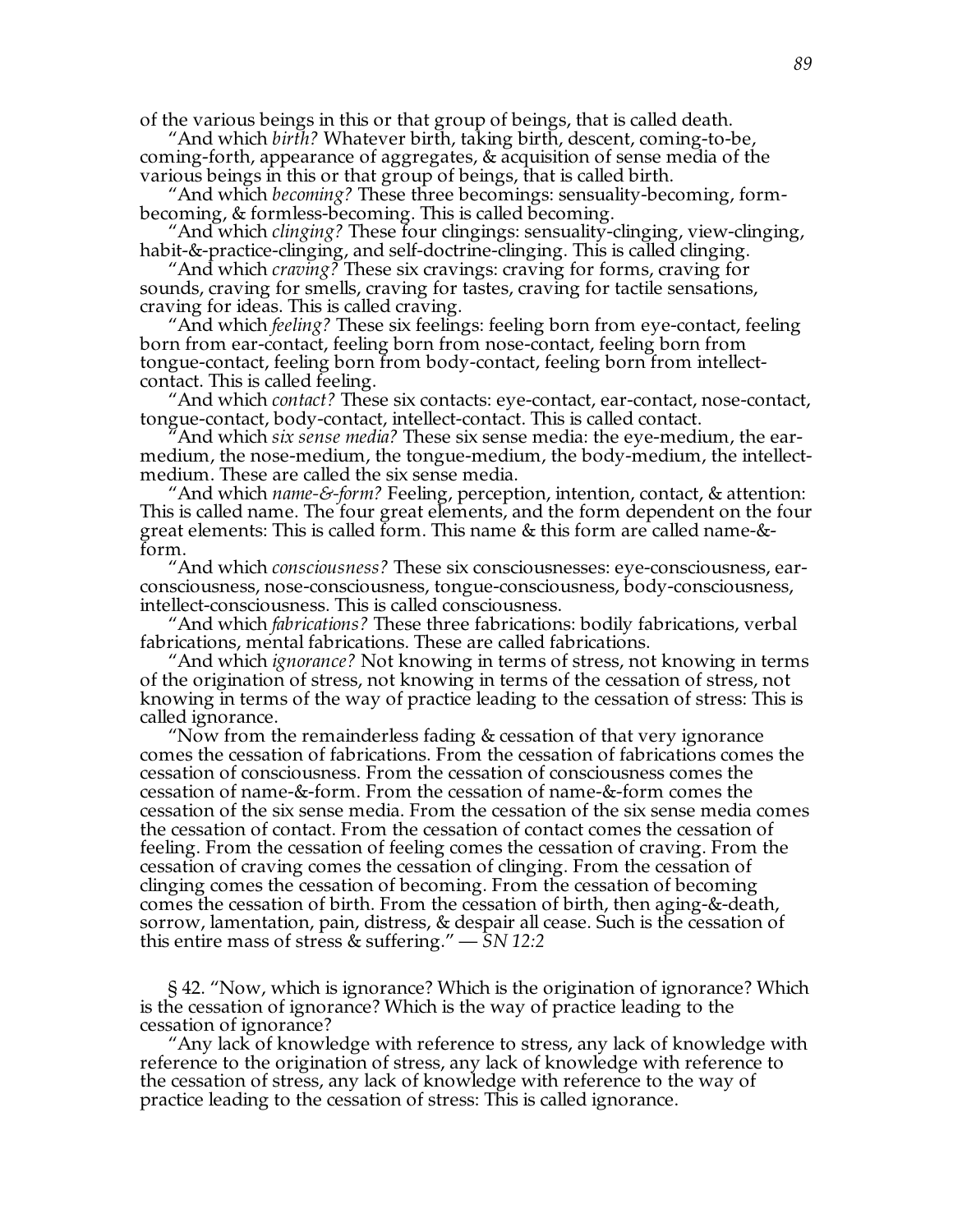of the various beings in this or that group of beings, that is called death.

"And which *birth?* Whatever birth, taking birth, descent, coming-to-be, coming-forth, appearance of aggregates, & acquisition of sense media of the various beings in this or that group of beings, that is called birth.

"And which *becoming?* These three becomings: sensuality-becoming, formbecoming, & formless-becoming. This is called becoming.

"And which *clinging?* These four clingings: sensuality-clinging, view-clinging, habit-&-practice-clinging, and self-doctrine-clinging. This is called clinging.

"And which *craving?* These six cravings: craving for forms, craving for sounds, craving for smells, craving for tastes, craving for tactile sensations, craving for ideas. This is called craving.

"And which *feeling?* These six feelings: feeling born from eye-contact, feeling born from ear-contact, feeling born from nose-contact, feeling born from tongue-contact, feeling born from body-contact, feeling born from intellectcontact. This is called feeling.

"And which *contact?* These six contacts: eye-contact, ear-contact, nose-contact, tongue-contact, body-contact, intellect-contact. This is called contact.

"And which *six sense media?* These six sense media: the eye-medium, the earmedium, the nose-medium, the tongue-medium, the body-medium, the intellectmedium. These are called the six sense media.

"And which *name-&-form?* Feeling, perception, intention, contact, & attention: This is called name. The four great elements, and the form dependent on the four great elements: This is called form. This name & this form are called name-& form.

"And which *consciousness?* These six consciousnesses: eye-consciousness, earconsciousness, nose-consciousness, tongue-consciousness, body-consciousness, intellect-consciousness. This is called consciousness.

"And which *fabrications?* These three fabrications: bodily fabrications, verbal fabrications, mental fabrications. These are called fabrications.

"And which *ignorance?* Not knowing in terms of stress, not knowing in terms of the origination of stress, not knowing in terms of the cessation of stress, not knowing in terms of the way of practice leading to the cessation of stress: This is called ignorance.

"Now from the remainderless fading  $&$  cessation of that very ignorance comes the cessation of fabrications. From the cessation of fabrications comes the cessation of consciousness. From the cessation of consciousness comes the cessation of name-&-form. From the cessation of name-&-form comes the cessation of the six sense media. From the cessation of the six sense media comes the cessation of contact. From the cessation of contact comes the cessation of feeling. From the cessation of feeling comes the cessation of craving. From the cessation of craving comes the cessation of clinging. From the cessation of clinging comes the cessation of becoming. From the cessation of becoming comes the cessation of birth. From the cessation of birth, then aging-&-death, sorrow, lamentation, pain, distress, & despair all cease. Such is the cessation of this entire mass of stress & suffering." — *SN 12:2*

§ 42. "Now, which is ignorance? Which is the origination of ignorance? Which is the cessation of ignorance? Which is the way of practice leading to the cessation of ignorance?

"Any lack of knowledge with reference to stress, any lack of knowledge with reference to the origination of stress, any lack of knowledge with reference to the cessation of stress, any lack of knowledge with reference to the way of practice leading to the cessation of stress: This is called ignorance.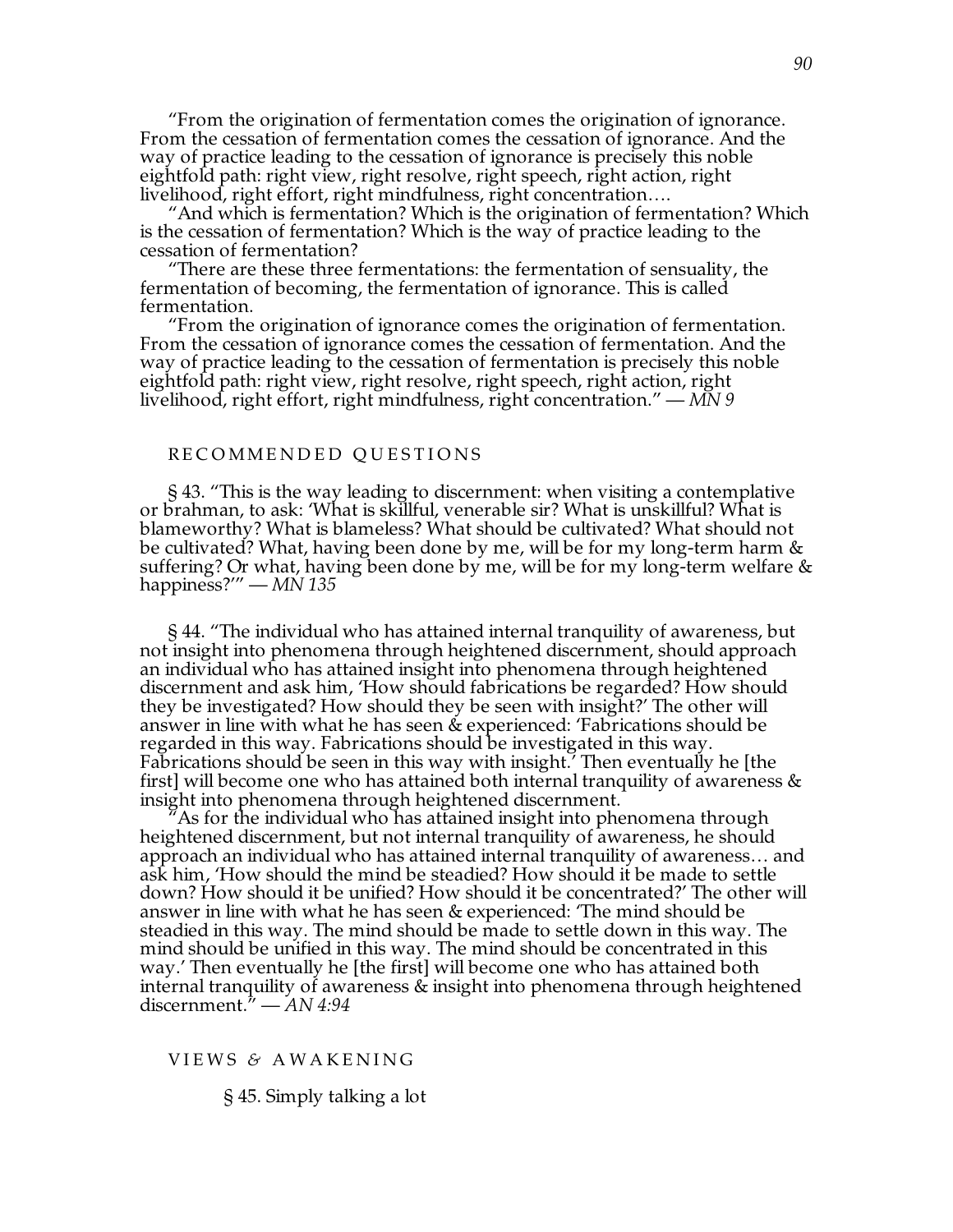"From the origination of fermentation comes the origination of ignorance. From the cessation of fermentation comes the cessation of ignorance. And the way of practice leading to the cessation of ignorance is precisely this noble eightfold path: right view, right resolve, right speech, right action, right livelihood, right effort, right mindfulness, right concentration….

"And which is fermentation? Which is the origination of fermentation? Which is the cessation of fermentation? Which is the way of practice leading to the cessation of fermentation?

"There are these three fermentations: the fermentation of sensuality, the fermentation of becoming, the fermentation of ignorance. This is called fermentation.

"From the origination of ignorance comes the origination of fermentation. From the cessation of ignorance comes the cessation of fermentation. And the way of practice leading to the cessation of fermentation is precisely this noble eightfold path: right view, right resolve, right speech, right action, right livelihood, right effort, right mindfulness, right concentration." — *MN 9*

#### RECOMMENDED QUESTIONS

§ 43. "This is the way leading to discernment: when visiting a contemplative or brahman, to ask: 'What is skillful, venerable sir? What is unskillful? What is blameworthy? What is blameless? What should be cultivated? What should not be cultivated? What, having been done by me, will be for my long-term harm & suffering? Or what, having been done by me, will be for my long-term welfare & happiness?'" — *MN 135*

§ 44. "The individual who has attained internal tranquility of awareness, but not insight into phenomena through heightened discernment, should approach an individual who has attained insight into phenomena through heightened discernment and ask him, 'How should fabrications be regarded? How should they be investigated? How should they be seen with insight?' The other will answer in line with what he has seen & experienced: 'Fabrications should be regarded in this way. Fabrications should be investigated in this way. Fabrications should be seen in this way with insight.' Then eventually he [the first] will become one who has attained both internal tranquility of awareness  $\&$ insight into phenomena through heightened discernment.

As for the individual who has attained insight into phenomena through heightened discernment, but not internal tranquility of awareness, he should approach an individual who has attained internal tranquility of awareness… and ask him, 'How should the mind be steadied? How should it be made to settle down? How should it be unified? How should it be concentrated?' The other will answer in line with what he has seen & experienced: 'The mind should be steadied in this way. The mind should be made to settle down in this way. The mind should be unified in this way. The mind should be concentrated in this way.' Then eventually he [the first] will become one who has attained both internal tranquility of awareness & insight into phenomena through heightened discernment." — *AN 4:94*

### V I E W S *&* A W A K E N I N G

§ 45. Simply talking a lot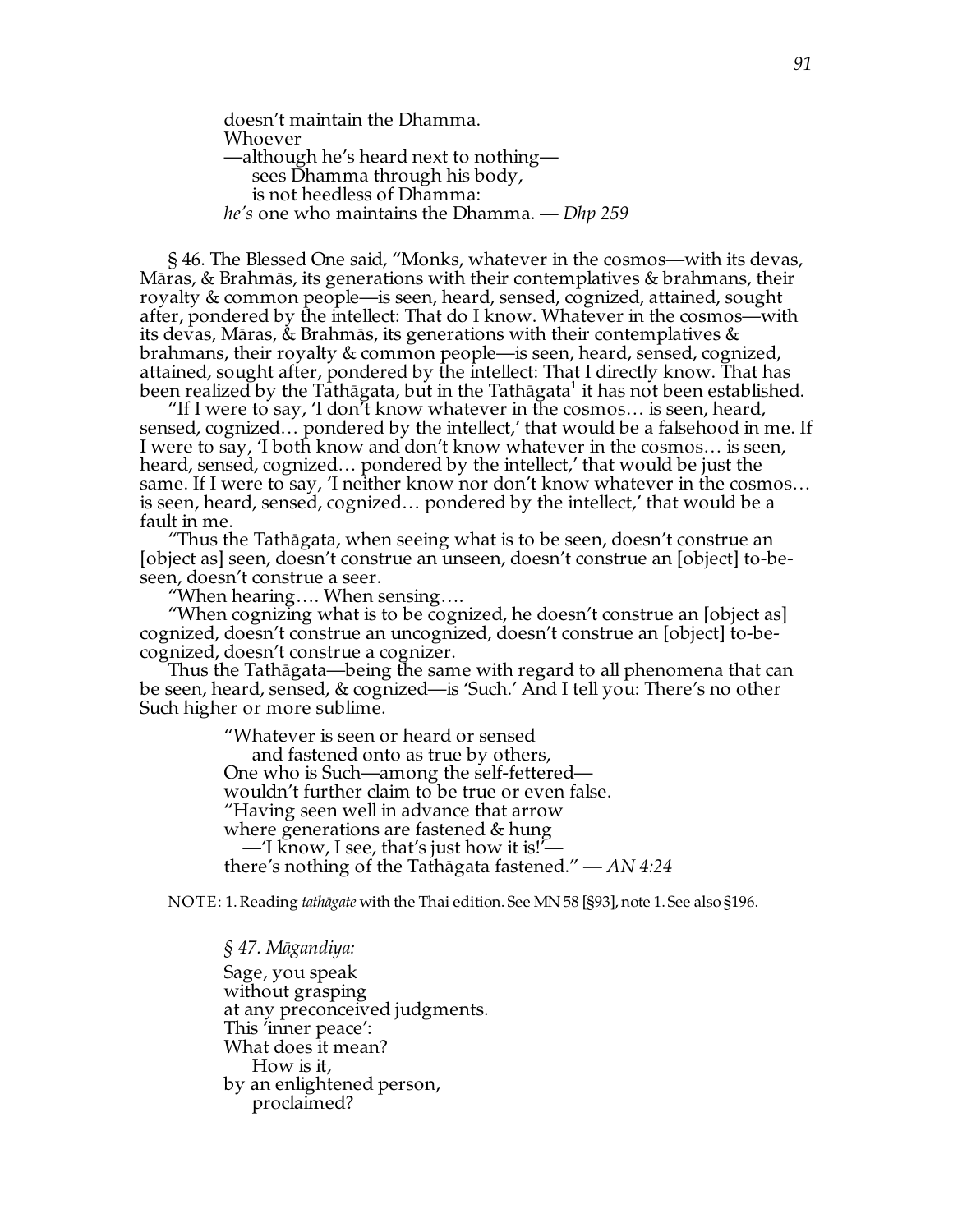doesn't maintain the Dhamma. Whoever —although he's heard next to nothing sees Dhamma through his body, is not heedless of Dhamma: *he's* one who maintains the Dhamma. — *Dhp 259*

§ 46. The Blessed One said, "Monks, whatever in the cosmos—with its devas, Māras, & Brahmās, its generations with their contemplatives & brahmans, their royalty & common people—is seen, heard, sensed, cognized, attained, sought after, pondered by the intellect: That do I know. Whatever in the cosmos—with its devas, Māras, & Brahmās, its generations with their contemplatives & brahmans, their royalty & common people—is seen, heard, sensed, cognized, attained, sought after, pondered by the intellect: That I directly know. That has been realized by the Tathāgata, but in the Tathāgata $^{\rm 1}$  it has not been established.

"If I were to say, 'I don't know whatever in the cosmos… is seen, heard, sensed, cognized… pondered by the intellect,' that would be a falsehood in me. If I were to say, 'I both know and don't know whatever in the cosmos… is seen, heard, sensed, cognized… pondered by the intellect,' that would be just the same. If I were to say, 'I neither know nor don't know whatever in the cosmos… is seen, heard, sensed, cognized… pondered by the intellect,' that would be a fault in me.

"Thus the Tathāgata, when seeing what is to be seen, doesn't construe an [object as] seen, doesn't construe an unseen, doesn't construe an [object] to-beseen, doesn't construe a seer.

"When hearing…. When sensing….

"When cognizing what is to be cognized, he doesn't construe an [object as] cognized, doesn't construe an uncognized, doesn't construe an [object] to-becognized, doesn't construe a cognizer.

Thus the Tathāgata—being the same with regard to all phenomena that can be seen, heard, sensed, & cognized—is 'Such.' And I tell you: There's no other Such higher or more sublime.

> "Whatever is seen or heard or sensed and fastened onto as true by others, One who is Such—among the self-fettered wouldn't further claim to be true or even false. "Having seen well in advance that arrow where generations are fastened & hung —'I know, I see, that's just how it is!' there's nothing of the Tathagata fastened." — AN 4:24

NOTE: 1. Reading *tathāgate* with the Thai edition. See MN 58 [§93], note 1. See also §196.

*§ 47. M›gandiya:*

Sage, you speak without grasping at any preconceived judgments. This 'inner peace': What does it mean? How is it, by an enlightened person, proclaimed?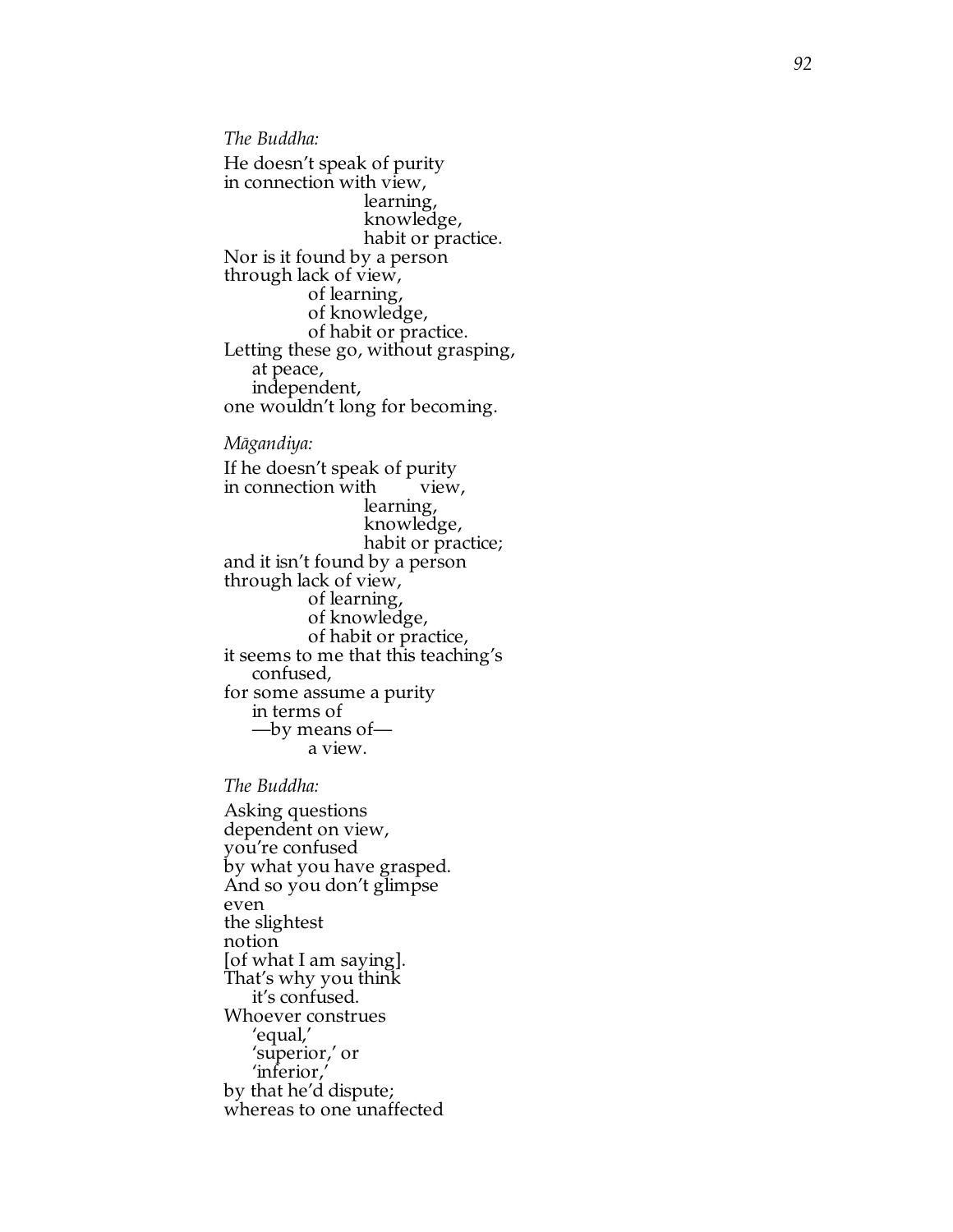*The Buddha:* He doesn't speak of purity in connection with view, learning, knowledge, habit or practice. Nor is it found by a person through lack of view, of learning, of knowledge, of habit or practice. Letting these go, without grasping, at peace, independent, one wouldn't long for becoming. *M›gandiya:*

If he doesn't speak of purity in connection with view, learning, knowledge, habit or practice ; and it isn't found by a person through lack of view, of learning, of knowledge, of habit or practice, it seems to me that this teaching's confused, for some assume a purity  $\equiv$ by means of $\equiv$ a view.

*The Buddha:*

Asking questions dependent on view, you're confused by what you have grasped. And so you don't glimpse even the slightest notion [of what I am saying]. That's why you think it's confused. Whoever construes 'equal,' 'superior,' or 'inferior,' by that he'd dispute; whereas to one unaffected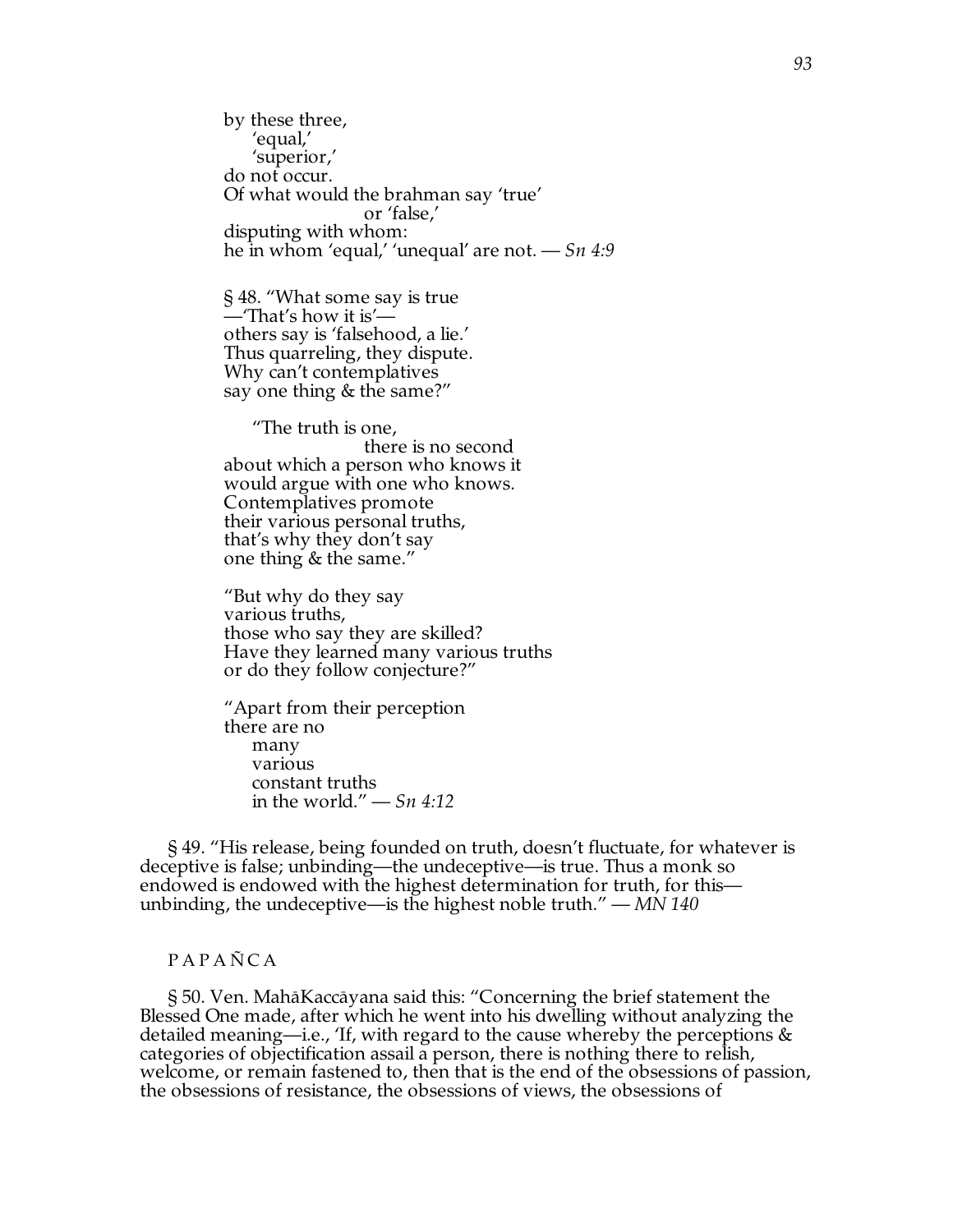by these three, 'equal,' 'superior,' do not occur. Of what would the brahman say 'true' or 'false,' disputing with whom: he in whom 'equal,' 'unequal' are not. — *Sn 4:9*

§ 48. "What some say is true —'That's how it is' others say is 'falsehood, a lie.' Thus quarreling, they dispute. Why can't contemplatives say one thing & the same?"

"The truth is one, there is no second about which a person who knows it would argue with one who knows. Contemplatives promote their various personal truths, that's why they don't say one thing & the same."

"But why do they say various truths, those who say they are skilled? Have they learned many various truths or do they follow conjecture?"

"Apart from their perception there are no many various constant truths in the world." — *Sn 4:12*

§ 49. "His release, being founded on truth, doesn't fluctuate, for whatever is deceptive is false; unbinding—the undeceptive—is true. Thus a monk so endowed is endowed with the highest determination for truth, for this unbinding, the undeceptive—is the highest noble truth." — *MN 140*

# **PAPAÑCA**

§ 50. Ven. MahāKaccāyana said this: "Concerning the brief statement the Blessed One made, after which he went into his dwelling without analyzing the detailed meaning—i.e., 'If, with regard to the cause whereby the perceptions  $\&$ categories of objectification assail a person, there is nothing there to relish, welcome, or remain fastened to, then that is the end of the obsessions of passion, the obsessions of resistance, the obsessions of views, the obsessions of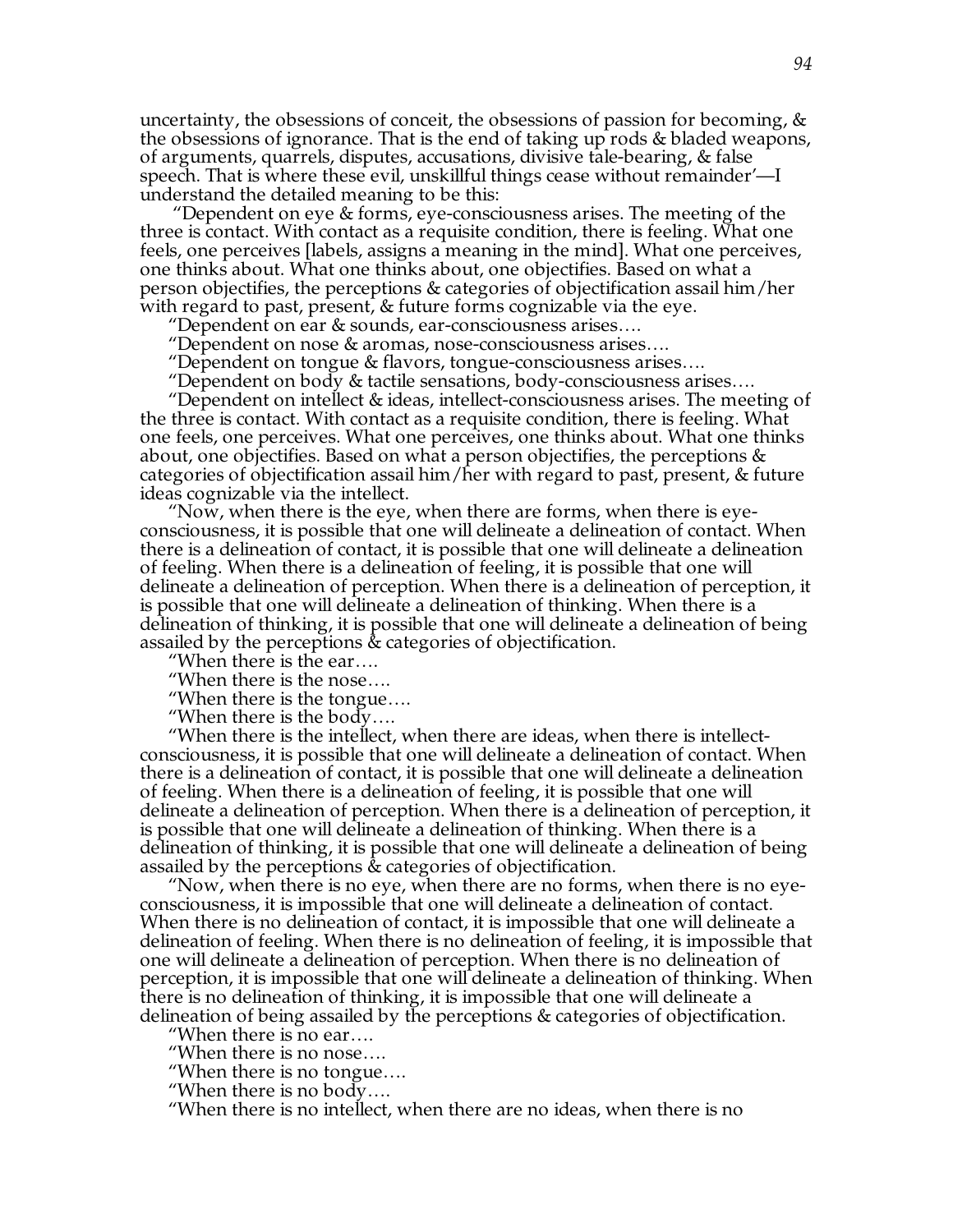uncertainty, the obsessions of conceit, the obsessions of passion for becoming,  $\&$ the obsessions of ignorance. That is the end of taking up rods & bladed weapons, of arguments, quarrels, disputes, accusations, divisive tale-bearing, & false speech. That is where these evil, unskillful things cease without remainder'—I understand the detailed meaning to be this:

 "Dependent on eye & forms, eye-consciousness arises. The meeting of the three is contact. With contact as a requisite condition, there is feeling. What one feels, one perceives [labels, assigns a meaning in the mind]. What one perceives, one thinks about. What one thinks about, one objectifies. Based on what a person objectifies, the perceptions & categories of objectification assail him/her with regard to past, present, & future forms cognizable via the eye.

"Dependent on ear & sounds, ear-consciousness arises….

"Dependent on nose & aromas, nose-consciousness arises….

"Dependent on tongue & flavors, tongue-consciousness arises….

"Dependent on body & tactile sensations, body-consciousness arises….

"Dependent on intellect & ideas, intellect-consciousness arises. The meeting of the three is contact. With contact as a requisite condition, there is feeling. What one feels, one perceives. What one perceives, one thinks about. What one thinks about, one objectifies. Based on what a person objectifies, the perceptions & categories of objectification assail him/her with regard to past, present, & future ideas cognizable via the intellect.

"Now, when there is the eye, when there are forms, when there is eyeconsciousness, it is possible that one will delineate a delineation of contact. When there is a delineation of contact, it is possible that one will delineate a delineation of feeling. When there is a delineation of feeling, it is possible that one will delineate a delineation of perception. When there is a delineation of perception, it is possible that one will delineate a delineation of thinking. When there is a delineation of thinking, it is possible that one will delineate a delineation of being assailed by the perceptions & categories of objectification.

"When there is the ear….

"When there is the nose….

"When there is the tongue….

"When there is the body….

"When there is the intellect, when there are ideas, when there is intellectconsciousness, it is possible that one will delineate a delineation of contact. When there is a delineation of contact, it is possible that one will delineate a delineation of feeling. When there is a delineation of feeling, it is possible that one will delineate a delineation of perception. When there is a delineation of perception, it is possible that one will delineate a delineation of thinking. When there is a delineation of thinking, it is possible that one will delineate a delineation of being assailed by the perceptions & categories of objectification.

"Now, when there is no eye, when there are no forms, when there is no eyeconsciousness, it is impossible that one will delineate a delineation of contact. When there is no delineation of contact, it is impossible that one will delineate a delineation of feeling. When there is no delineation of feeling, it is impossible that one will delineate a delineation of perception. When there is no delineation of perception, it is impossible that one will delineate a delineation of thinking. When there is no delineation of thinking, it is impossible that one will delineate a delineation of being assailed by the perceptions & categories of objectification.

"When there is no ear….

"When there is no nose….

"When there is no tongue….

"When there is no body….

"When there is no intellect, when there are no ideas, when there is no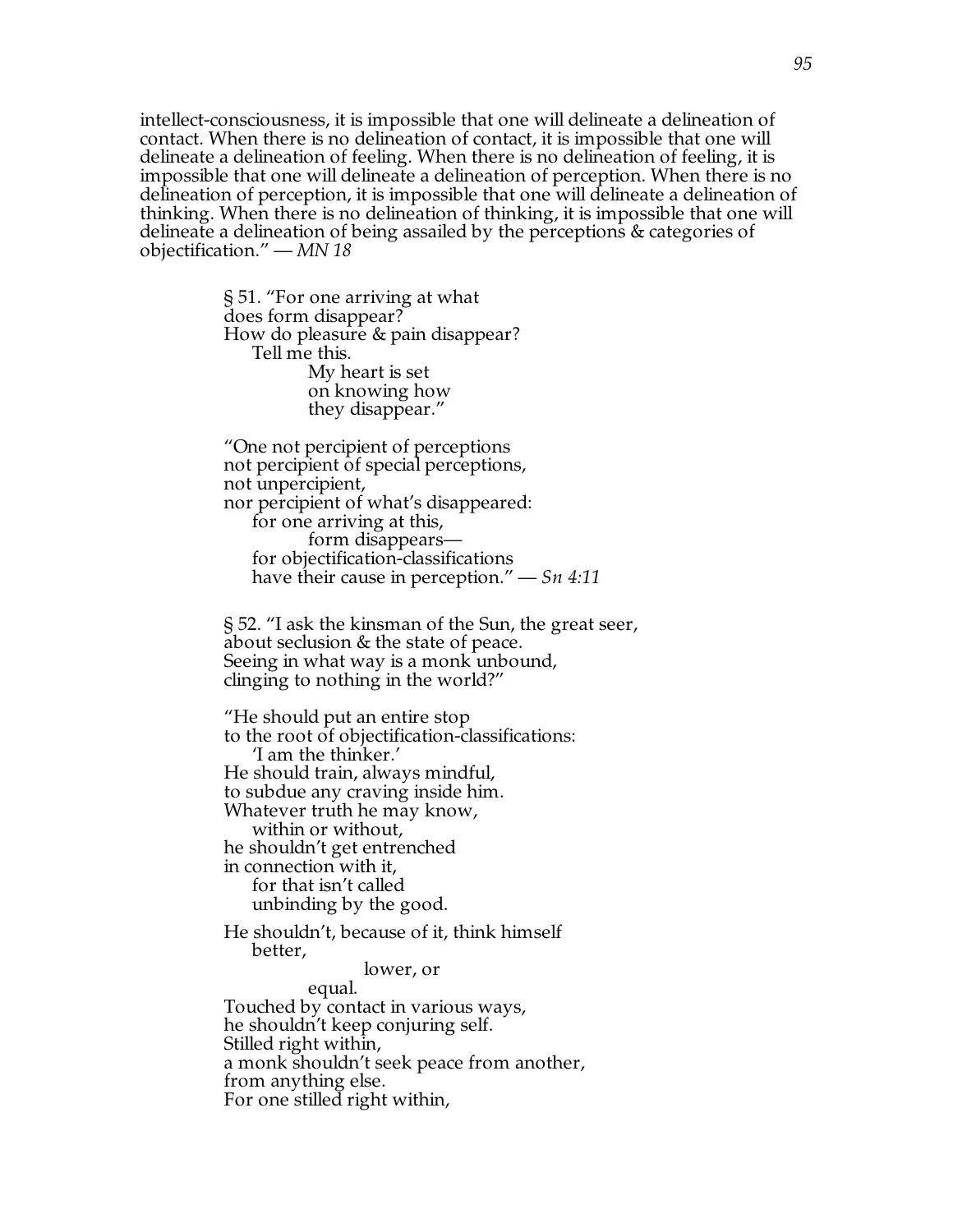intellect-consciousness, it is impossible that one will delineate a delineation of contact. When there is no delineation of contact, it is impossible that one will delineate a delineation of feeling. When there is no delineation of feeling, it is impossible that one will delineate a delineation of perception. When there is no delineation of perception, it is impossible that one will delineate a delineation of thinking. When there is no delineation of thinking, it is impossible that one will delineate a delineation of being assailed by the perceptions & categories of objectification." — *MN 18* 

> § 51. "For one arriving at what does form disappear? How do pleasure & pain disappear? Tell me this. My heart is set on knowing how they disappear."

"One not percipient of perceptions not percipient of special perceptions, not unpercipient, nor percipient of what's disappeared: for one arriving at this, form disappears for objectification-classifications have their cause in perception." — *Sn 4:11*

§ 52. "I ask the kinsman of the Sun, the great seer, about seclusion & the state of peace. Seeing in what way is a monk unbound, clinging to nothing in the world?"

"He should put an entire stop to the root of objectification-classifications: 'I am the thinker.' He should train, always mindful, to subdue any craving inside him. Whatever truth he may know, within or without, he shouldn't get entrenched in connection with it, for that isn't called unbinding by the good. He shouldn't, because of it, think himself better, lower, or equal. Touched by contact in various ways, he shouldn't keep conjuring self. Stilled right within, a monk shouldn't seek peace from another, from anything else.

For one stilled right within,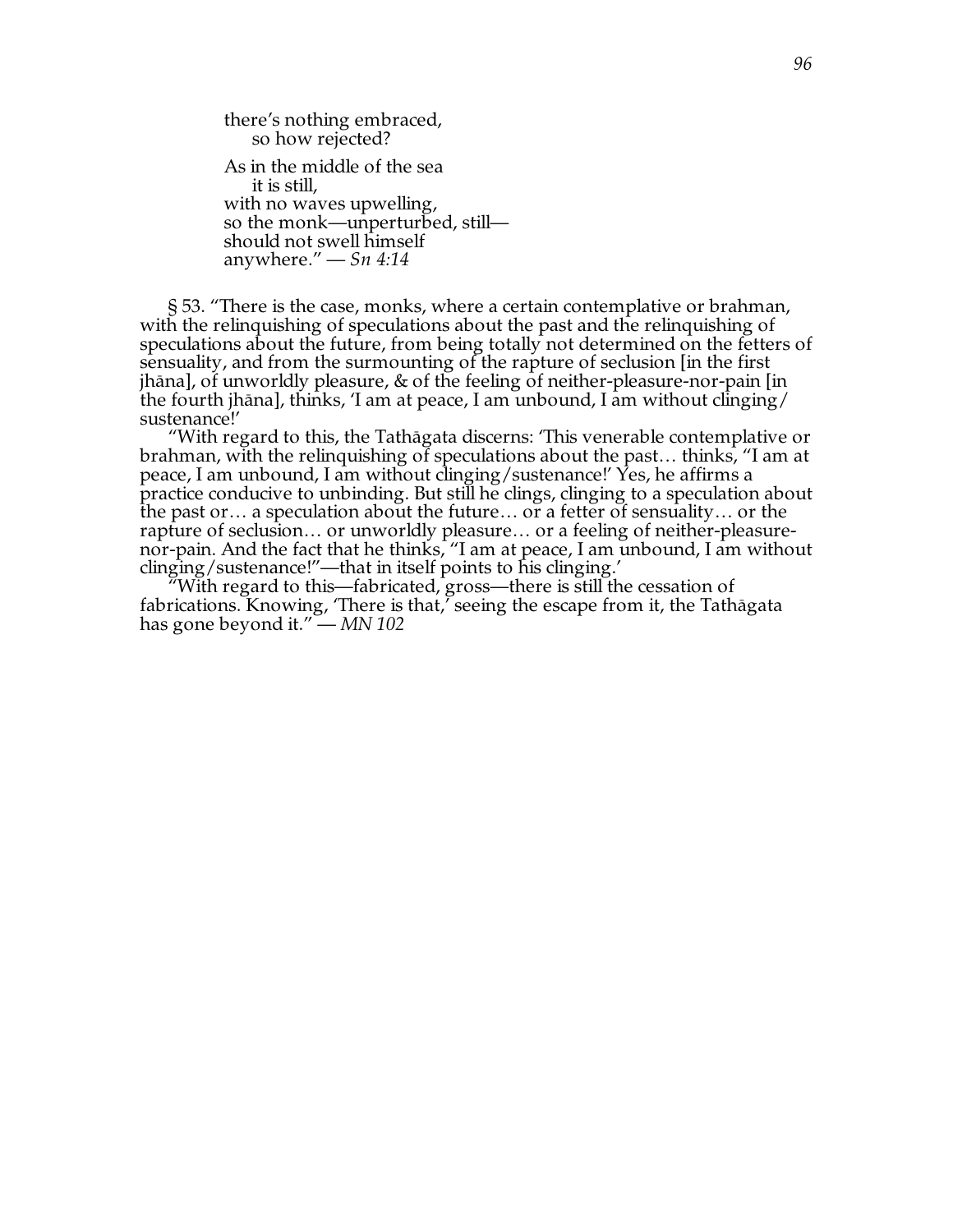there's nothing embraced, so how rejected? As in the middle of the sea it is still, with no waves upwelling,

so the monk—unperturbed, still should not swell himself anywhere." — *Sn 4:14*

§ 53. "There is the case, monks, where a certain contemplative or brahman, with the relinquishing of speculations about the past and the relinquishing of speculations about the future, from being totally not determined on the fetters of sensuality, and from the surmounting of the rapture of seclusion [in the first jhāna], of unworldly pleasure,  $\&$  of the feeling of neither-pleasure-nor-pain [in] the fourth jhāna], thinks, 'I am at peace, I am unbound, I am without clinging/ sustenance!'

"With regard to this, the Tathāgata discerns: 'This venerable contemplative or brahman, with the relinquishing of speculations about the past… thinks, "I am at peace, I am unbound, I am without clinging/sustenance!' Yes, he affirms a practice conducive to unbinding. But still he clings, clinging to a speculation about the past or… a speculation about the future… or a fetter of sensuality… or the rapture of seclusion… or unworldly pleasure… or a feeling of neither-pleasurenor-pain. And the fact that he thinks, "I am at peace, I am unbound, I am without clinging/sustenance!"—that in itself points to his clinging.'

"With regard to this—fabricated, gross—there is still the cessation of fabrications. Knowing, 'There is that,' seeing the escape from it, the Tathagata has gone beyond it." — *MN 102*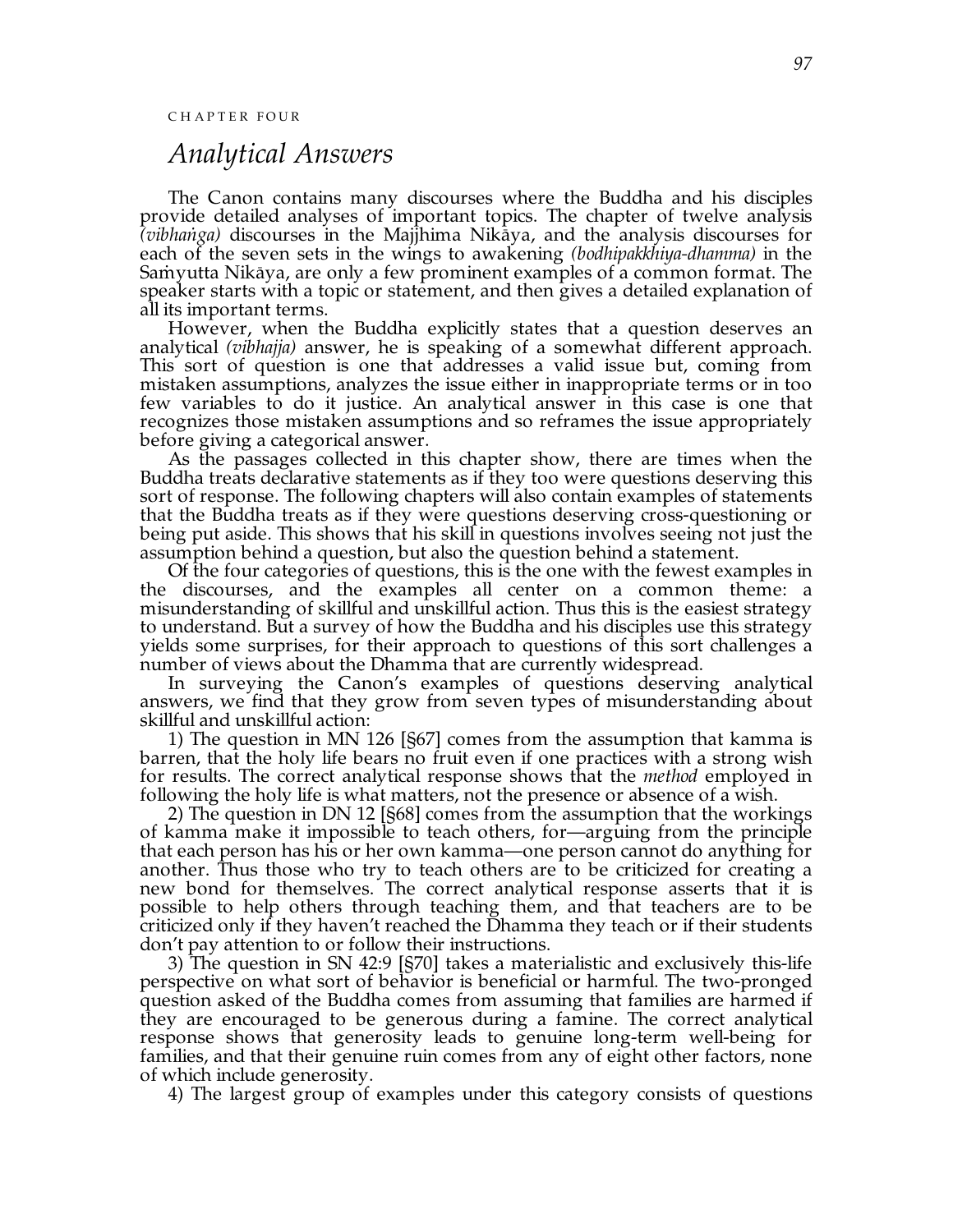# *Analytical Answers*

The Canon contains many discourses where the Buddha and his disciples provide detailed analyses of important topics. The chapter of twelve analysis *(vibhanga)* discourses in the Majjhima Nikaya, and the analysis discourses for each of the seven sets in the wings to awakening *(bodhipakkhiya-dhamma)* in the Samyutta Nikāya, are only a few prominent examples of a common format. The speaker starts with a topic or statement, and then gives a detailed explanation of all its important terms.

However, when the Buddha explicitly states that a question deserves an analytical *(vibhajja)* answer, he is speaking of a somewhat different approach. This sort of question is one that addresses a valid issue but, coming from mistaken assumptions, analyzes the issue either in inappropriate terms or in too few variables to do it justice. An analytical answer in this case is one that recognizes those mistaken assumptions and so reframes the issue appropriately before giving a categorical answer.

As the passages collected in this chapter show, there are times when the Buddha treats declarative statements as if they too were questions deserving this sort of response. The following chapters will also contain examples of statements that the Buddha treats as if they were questions deserving cross-questioning or being put aside. This shows that his skill in questions involves seeing not just the assumption behind a question, but also the question behind a statement.

Of the four categories of questions, this is the one with the fewest examples in the discourses, and the examples all center on a common theme: a misunderstanding of skillful and unskillful action. Thus this is the easiest strategy to understand. But a survey of how the Buddha and his disciples use this strategy yields some surprises, for their approach to questions of this sort challenges a number of views about the Dhamma that are currently widespread.

In surveying the Canon's examples of questions deserving analytical answers, we find that they grow from seven types of misunderstanding about skillful and unskillful action:

1) The question in MN 126 [§67] comes from the assumption that kamma is barren, that the holy life bears no fruit even if one practices with a strong wish for results. The correct analytical response shows that the *method* employed in following the holy life is what matters, not the presence or absence of a wish.

2) The question in DN 12 [§68] comes from the assumption that the workings of kamma make it impossible to teach others, for—arguing from the principle that each person has his or her own kamma—one person cannot do anything for another. Thus those who try to teach others are to be criticized for creating a new bond for themselves. The correct analytical response asserts that it is possible to help others through teaching them, and that teachers are to be criticized only if they haven't reached the Dhamma they teach or if their students don't pay attention to or follow their instructions.

3) The question in SN 42:9 [§70] takes a materialistic and exclusively this-life perspective on what sort of behavior is beneficial or harmful. The two-pronged question asked of the Buddha comes from assuming that families are harmed if they are encouraged to be generous during a famine. The correct analytical response shows that generosity leads to genuine long-term well-being for families, and that their genuine ruin comes from any of eight other factors, none of which include generosity.

4) The largest group of examples under this category consists of questions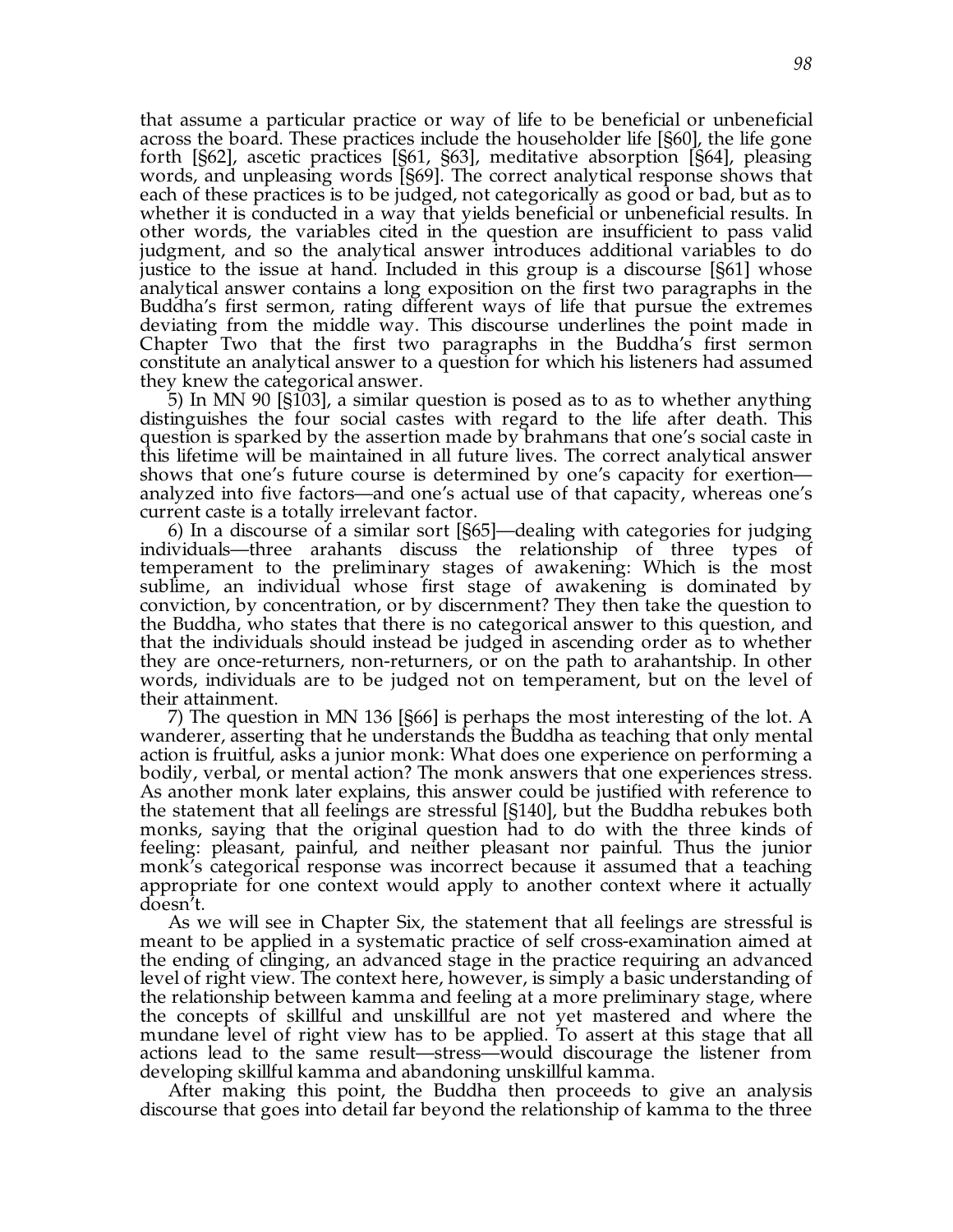that assume a particular practice or way of life to be beneficial or unbeneficial across the board. These practices include the householder life [§60], the life gone forth [§62], ascetic practices [§61, §63], meditative absorption [§64], pleasing words, and unpleasing words [§69]. The correct analytical response shows that each of these practices is to be judged, not categorically as good or bad, but as to whether it is conducted in a way that yields beneficial or unbeneficial results. In other words, the variables cited in the question are insufficient to pass valid judgment, and so the analytical answer introduces additional variables to do justice to the issue at hand. Included in this group is a discourse [§61] whose analytical answer contains a long exposition on the first two paragraphs in the Buddha's first sermon, rating different ways of life that pursue the extremes deviating from the middle way. This discourse underlines the point made in Chapter Two that the first two paragraphs in the Buddha's first sermon constitute an analytical answer to a question for which his listeners had assumed they knew the categorical answer.

5) In MN 90 [§103], a similar question is posed as to as to whether anything distinguishes the four social castes with regard to the life after death. This question is sparked by the assertion made by brahmans that one's social caste in this lifetime will be maintained in all future lives. The correct analytical answer shows that one's future course is determined by one's capacity for exertion analyzed into five factors—and one's actual use of that capacity, whereas one's current caste is a totally irrelevant factor.

6) In a discourse of a similar sort [§65]—dealing with categories for judging individuals—three arahants discuss the relationship of three types of temperament to the preliminary stages of awakening: Which is the most sublime, an individual whose first stage of awakening is dominated by conviction, by concentration, or by discernment? They then take the question to the Buddha, who states that there is no categorical answer to this question, and that the individuals should instead be judged in ascending order as to whether they are once-returners, non-returners, or on the path to arahantship. In other words, individuals are to be judged not on temperament, but on the level of their attainment.

7) The question in MN 136 [§66] is perhaps the most interesting of the lot. A wanderer, asserting that he understands the Buddha as teaching that only mental action is fruitful, asks a junior monk: What does one experience on performing a bodily, verbal, or mental action? The monk answers that one experiences stress. As another monk later explains, this answer could be justified with reference to the statement that all feelings are stressful [§140], but the Buddha rebukes both monks, saying that the original question had to do with the three kinds of feeling: pleasant, painful, and neither pleasant nor painful. Thus the junior monk's categorical response was incorrect because it assumed that a teaching appropriate for one context would apply to another context where it actually doesn't.

As we will see in Chapter Six, the statement that all feelings are stressful is meant to be applied in a systematic practice of self cross-examination aimed at the ending of clinging, an advanced stage in the practice requiring an advanced level of right view. The context here, however, is simply a basic understanding of the relationship between kamma and feeling at a more preliminary stage, where the concepts of skillful and unskillful are not yet mastered and where the mundane level of right view has to be applied. To assert at this stage that all actions lead to the same result—stress—would discourage the listener from developing skillful kamma and abandoning unskillful kamma.

After making this point, the Buddha then proceeds to give an analysis discourse that goes into detail far beyond the relationship of kamma to the three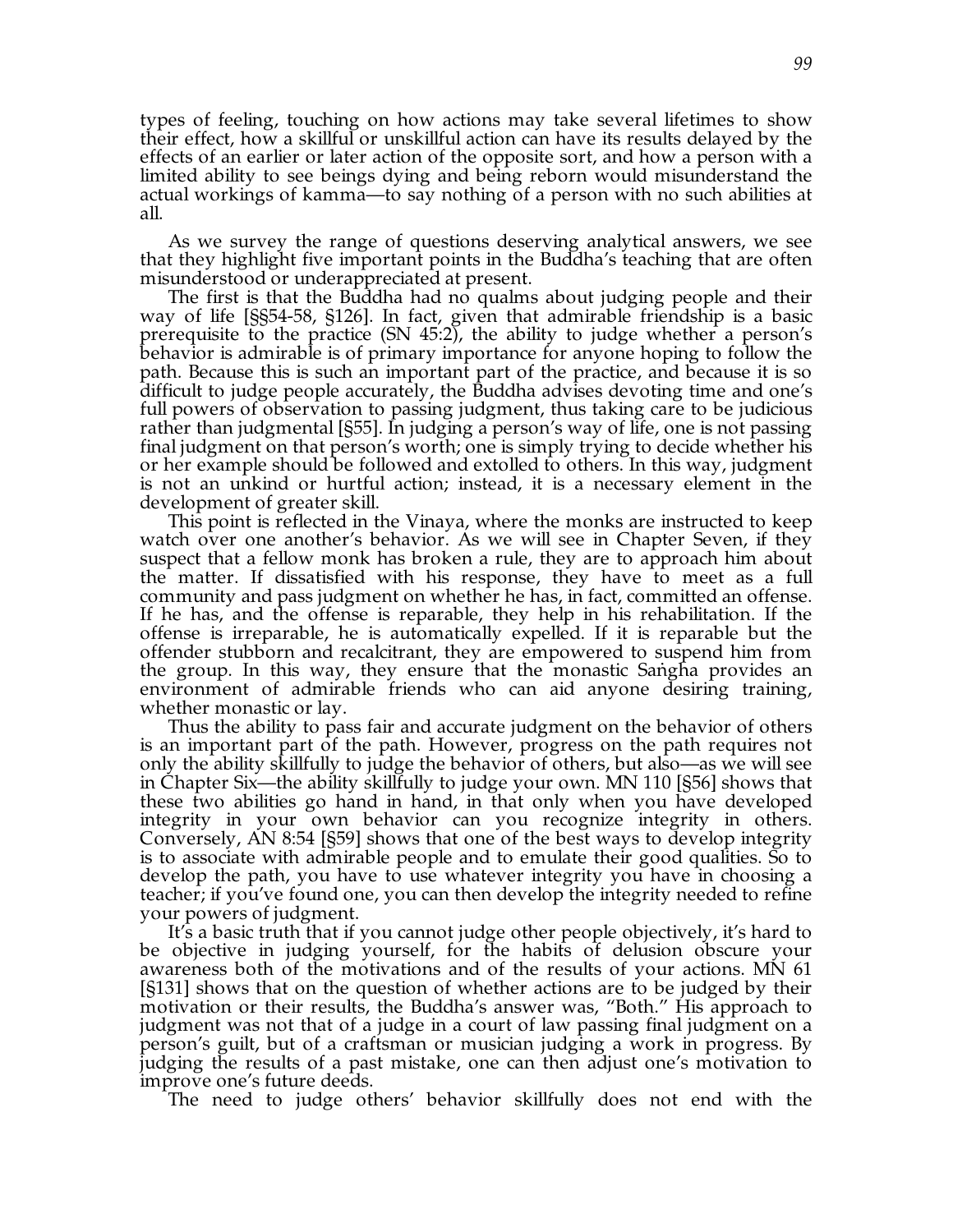types of feeling, touching on how actions may take several lifetimes to show their effect, how a skillful or unskillful action can have its results delayed by the effects of an earlier or later action of the opposite sort, and how a person with a limited ability to see beings dying and being reborn would misunderstand the actual workings of kamma—to say nothing of a person with no such abilities at all.

As we survey the range of questions deserving analytical answers, we see that they highlight five important points in the Buddha's teaching that are often misunderstood or underappreciated at present.

The first is that the Buddha had no qualms about judging people and their way of life [§§54-58, §126]. In fact, given that admirable friendship is a basic prerequisite to the practice (SN 45:2), the ability to judge whether a person's behavior is admirable is of primary importance for anyone hoping to follow the path. Because this is such an important part of the practice, and because it is so difficult to judge people accurately, the Buddha advises devoting time and one's full powers of observation to passing judgment, thus taking care to be judicious rather than judgmental [§55]. In judging a person's way of life, one is not passing final judgment on that person's worth; one is simply trying to decide whether his or her example should be followed and extolled to others. In this way, judgment is not an unkind or hurtful action; instead, it is a necessary element in the development of greater skill.

This point is reflected in the Vinaya, where the monks are instructed to keep watch over one another's behavior. As we will see in Chapter Seven, if they suspect that a fellow monk has broken a rule, they are to approach him about the matter. If dissatisfied with his response, they have to meet as a full community and pass judgment on whether he has, in fact, committed an offense. If he has, and the offense is reparable, they help in his rehabilitation. If the offense is irreparable, he is automatically expelled. If it is reparable but the offender stubborn and recalcitrant, they are empowered to suspend him from the group. In this way, they ensure that the monastic Sangha provides an environment of admirable friends who can aid anyone desiring training, whether monastic or lay.

Thus the ability to pass fair and accurate judgment on the behavior of others is an important part of the path. However, progress on the path requires not only the ability skillfully to judge the behavior of others, but also—as we will see in Chapter Six—the ability skillfully to judge your own. MN 110 [§56] shows that these two abilities go hand in hand, in that only when you have developed integrity in your own behavior can you recognize integrity in others. Conversely, AN 8:54 [§59] shows that one of the best ways to develop integrity is to associate with admirable people and to emulate their good qualities. So to develop the path, you have to use whatever integrity you have in choosing a teacher; if you've found one, you can then develop the integrity needed to refine your powers of judgment.

It's a basic truth that if you cannot judge other people objectively, it's hard to be objective in judging yourself, for the habits of delusion obscure your awareness both of the motivations and of the results of your actions. MN 61 [§131] shows that on the question of whether actions are to be judged by their motivation or their results, the Buddha's answer was, "Both." His approach to judgment was not that of a judge in a court of law passing final judgment on a person's guilt, but of a craftsman or musician judging a work in progress. By judging the results of a past mistake, one can then adjust one's motivation to improve one's future deeds.

The need to judge others' behavior skillfully does not end with the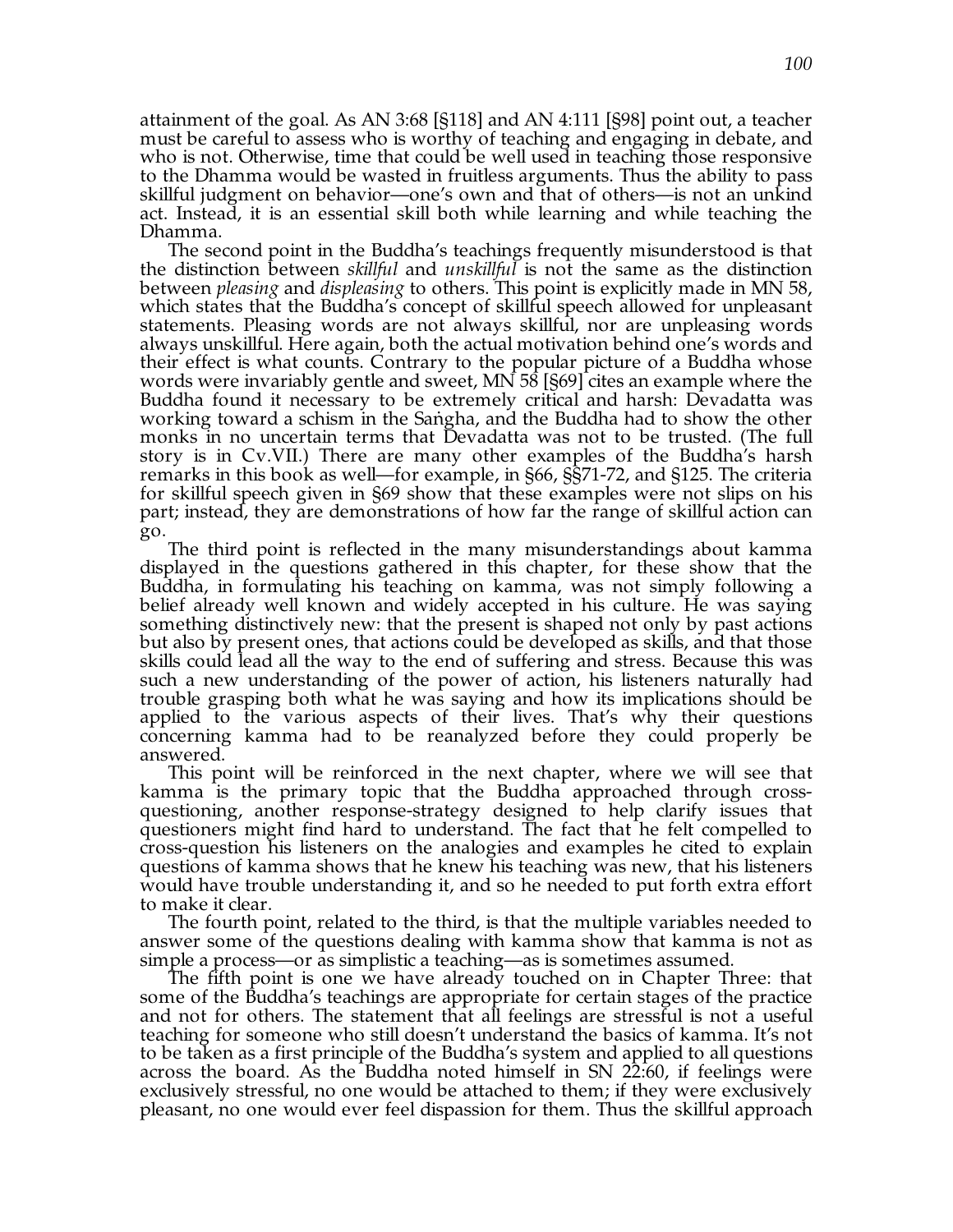attainment of the goal. As AN 3:68 [§118] and AN 4:111 [§98] point out, a teacher must be careful to assess who is worthy of teaching and engaging in debate, and who is not. Otherwise, time that could be well used in teaching those responsive to the Dhamma would be wasted in fruitless arguments. Thus the ability to pass skillful judgment on behavior—one's own and that of others—is not an unkind act. Instead, it is an essential skill both while learning and while teaching the Dhamma.

The second point in the Buddha's teachings frequently misunderstood is that the distinction between *skillful* and *unskillful* is not the same as the distinction between *pleasing* and *displeasing* to others. This point is explicitly made in MN 58, which states that the Buddha's concept of skillful speech allowed for unpleasant statements. Pleasing words are not always skillful, nor are unpleasing words always unskillful. Here again, both the actual motivation behind one's words and their effect is what counts. Contrary to the popular picture of a Buddha whose words were invariably gentle and sweet, MN 58 [§69] cites an example where the Buddha found it necessary to be extremely critical and harsh: Devadatta was working toward a schism in the Sangha, and the Buddha had to show the other monks in no uncertain terms that Devadatta was not to be trusted. (The full story is in Cv.VII.) There are many other examples of the Buddha's harsh remarks in this book as well—for example, in §66, §§71-72, and §125. The criteria for skillful speech given in §69 show that these examples were not slips on his part; instead, they are demonstrations of how far the range of skillful action can go.

The third point is reflected in the many misunderstandings about kamma displayed in the questions gathered in this chapter, for these show that the Buddha, in formulating his teaching on kamma, was not simply following a belief already well known and widely accepted in his culture. He was saying something distinctively new: that the present is shaped not only by past actions but also by present ones, that actions could be developed as skills, and that those skills could lead all the way to the end of suffering and stress. Because this was such a new understanding of the power of action, his listeners naturally had trouble grasping both what he was saying and how its implications should be applied to the various aspects of their lives. That's why their questions concerning kamma had to be reanalyzed before they could properly be answered.

This point will be reinforced in the next chapter, where we will see that kamma is the primary topic that the Buddha approached through crossquestioning, another response-strategy designed to help clarify issues that questioners might find hard to understand. The fact that he felt compelled to cross-question his listeners on the analogies and examples he cited to explain questions of kamma shows that he knew his teaching was new, that his listeners would have trouble understanding it, and so he needed to put forth extra effort to make it clear.

The fourth point, related to the third, is that the multiple variables needed to answer some of the questions dealing with kamma show that kamma is not as simple a process—or as simplistic a teaching—as is sometimes assumed.

The fifth point is one we have already touched on in Chapter Three: that some of the Buddha's teachings are appropriate for certain stages of the practice and not for others. The statement that all feelings are stressful is not a useful teaching for someone who still doesn't understand the basics of kamma. It's not to be taken as a first principle of the Buddha's system and applied to all questions across the board. As the Buddha noted himself in SN 22:60, if feelings were exclusively stressful, no one would be attached to them; if they were exclusively pleasant, no one would ever feel dispassion for them. Thus the skillful approach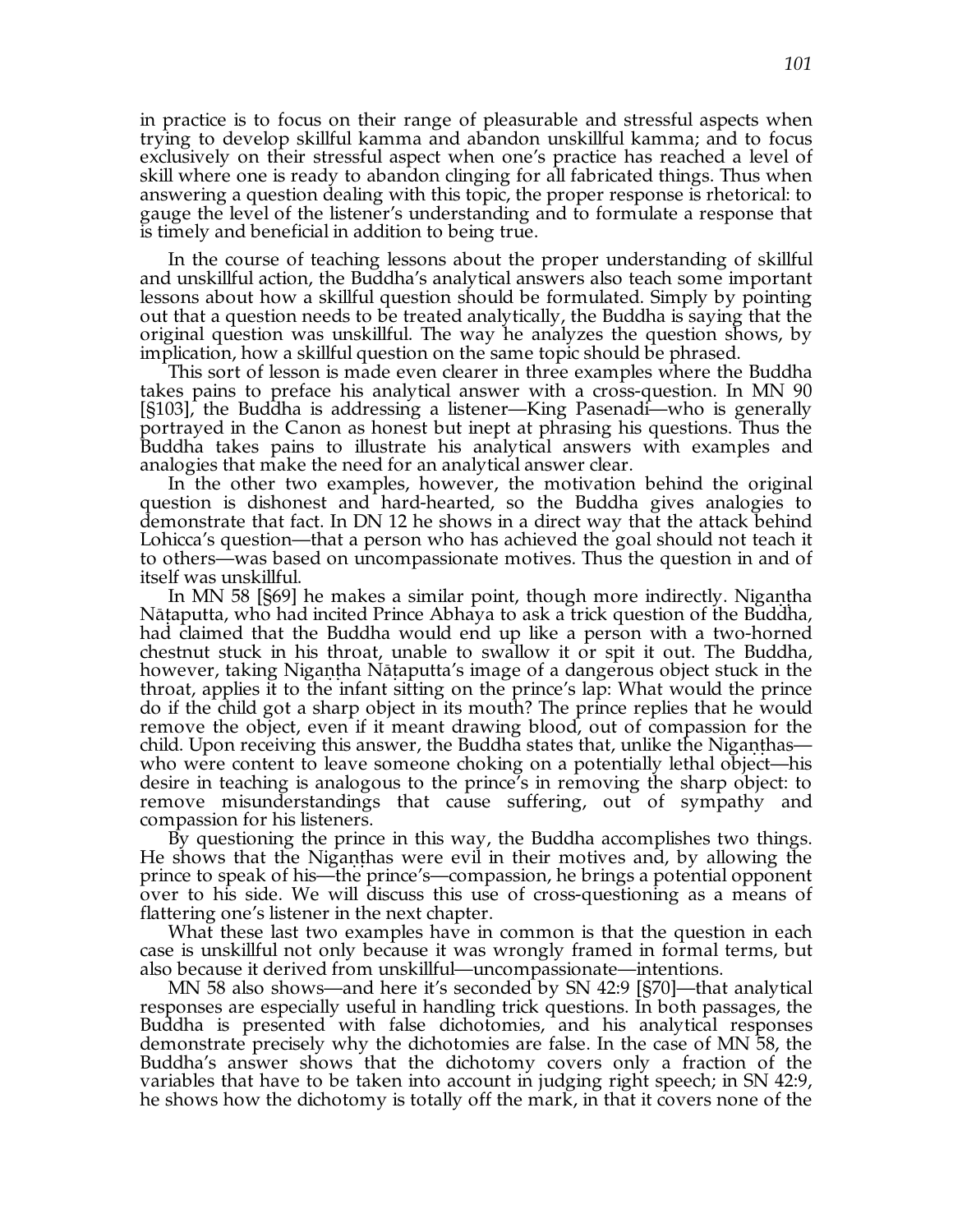in practice is to focus on their range of pleasurable and stressful aspects when trying to develop skillful kamma and abandon unskillful kamma; and to focus exclusively on their stressful aspect when one's practice has reached a level of skill where one is ready to abandon clinging for all fabricated things. Thus when answering a question dealing with this topic, the proper response is rhetorical: to gauge the level of the listener's understanding and to formulate a response that is timely and beneficial in addition to being true.

In the course of teaching lessons about the proper understanding of skillful and unskillful action, the Buddha's analytical answers also teach some important lessons about how a skillful question should be formulated. Simply by pointing out that a question needs to be treated analytically, the Buddha is saying that the original question was unskillful. The way he analyzes the question shows, by implication, how a skillful question on the same topic should be phrased.

This sort of lesson is made even clearer in three examples where the Buddha takes pains to preface his analytical answer with a cross-question. In MN 90 [§103], the Buddha is addressing a listener—King Pasenadi—who is generally portrayed in the Canon as honest but inept at phrasing his questions. Thus the Buddha takes pains to illustrate his analytical answers with examples and analogies that make the need for an analytical answer clear.

In the other two examples, however, the motivation behind the original question is dishonest and hard-hearted, so the Buddha gives analogies to demonstrate that fact. In DN 12 he shows in a direct way that the attack behind Lohicca's question—that a person who has achieved the goal should not teach it to others—was based on uncompassionate motives. Thus the question in and of itself was unskillful.

In MN 58 [§69] he makes a similar point, though more indirectly. Nigantha Nātaputta, who had incited Prince Abhaya to ask a trick question of the Buddha, had claimed that the Buddha would end up like a person with a two-horned chestnut stuck in his throat, unable to swallow it or spit it out. The Buddha, however, taking Nigantha Nātaputta's image of a dangerous object stuck in the throat, applies it to the infant sitting on the prince's lap: What would the prince do if the child got a sharp object in its mouth? The prince replies that he would remove the object, even if it meant drawing blood, out of compassion for the child. Upon receiving this answer, the Buddha states that, unlike the Niganthas who were content to leave someone choking on a potentially lethal object—his desire in teaching is analogous to the prince's in removing the sharp object: to remove misunderstandings that cause suffering, out of sympathy and compassion for his listeners.

By questioning the prince in this way, the Buddha accomplishes two things. He shows that the Niganthas were evil in their motives and, by allowing the prince to speak of his—the prince's—compassion, he brings a potential opponent over to his side. We will discuss this use of cross-questioning as a means of flattering one's listener in the next chapter.

What these last two examples have in common is that the question in each case is unskillful not only because it was wrongly framed in formal terms, but also because it derived from unskillful—uncompassionate—intentions.

MN 58 also shows—and here it's seconded by SN 42:9 [§70]—that analytical responses are especially useful in handling trick questions. In both passages, the Buddha is presented with false dichotomies, and his analytical responses demonstrate precisely why the dichotomies are false. In the case of MN 58, the Buddha's answer shows that the dichotomy covers only a fraction of the variables that have to be taken into account in judging right speech; in SN 42:9, he shows how the dichotomy is totally off the mark, in that it covers none of the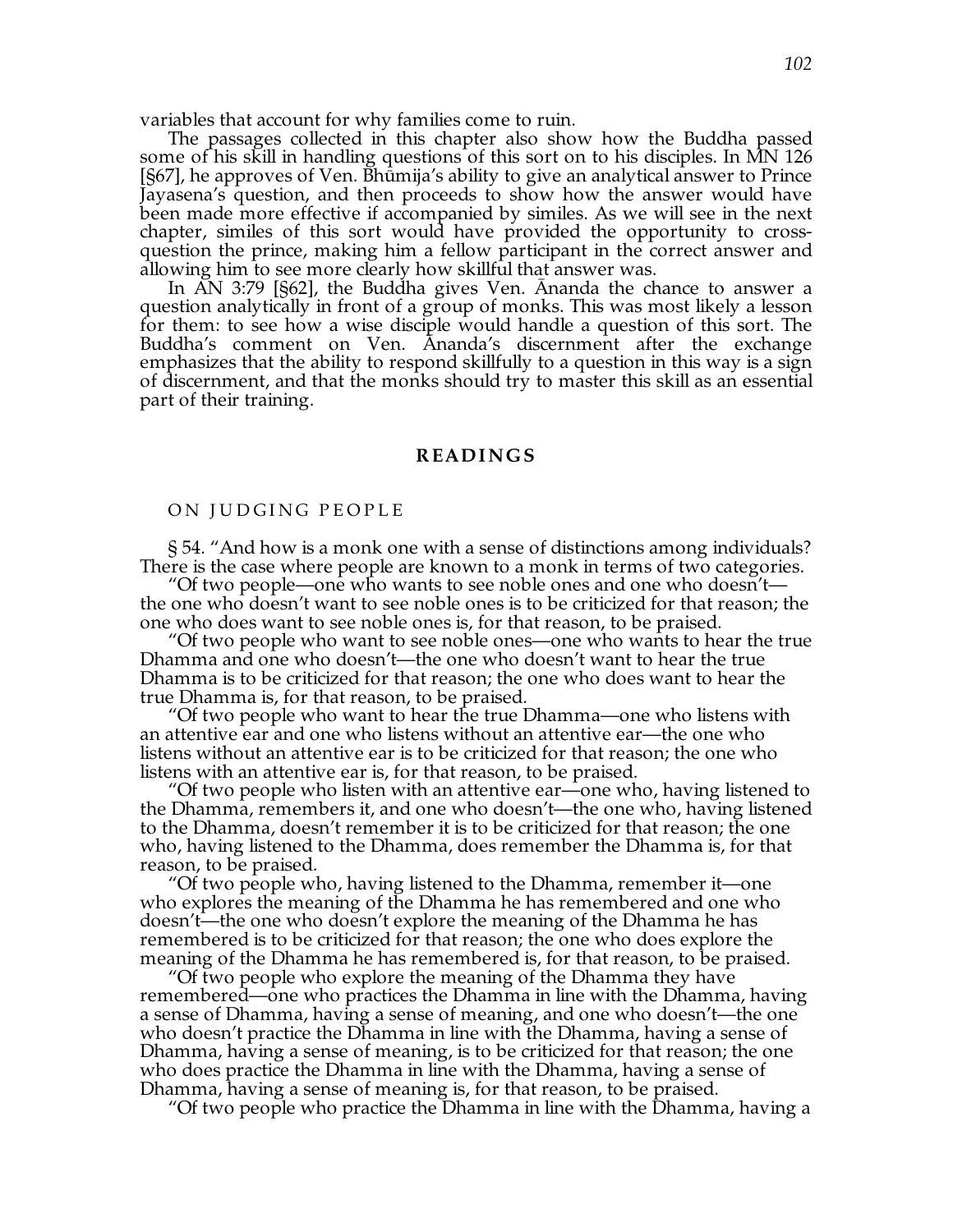variables that account for why families come to ruin.

The passages collected in this chapter also show how the Buddha passed some of his skill in handling questions of this sort on to his disciples. In MN 126 [§67], he approves of Ven. Bhūmija's ability to give an analytical answer to Prince Jayasena's question, and then proceeds to show how the answer would have been made more effective if accompanied by similes. As we will see in the next chapter, similes of this sort would have provided the opportunity to crossquestion the prince, making him a fellow participant in the correct answer and allowing him to see more clearly how skillful that answer was.

In AN 3:79 [§62], the Buddha gives Ven. Ananda the chance to answer a question analytically in front of a group of monks. This was most likely a lesson for them: to see how a wise disciple would handle a question of this sort. The Buddha's comment on Ven. Ananda's discernment after the exchange emphasizes that the ability to respond skillfully to a question in this way is a sign of discernment, and that the monks should try to master this skill as an essential part of their training.

#### **R EADI NGS**

#### ON JUDGING PEOPLE

§ 54. "And how is a monk one with a sense of distinctions among individuals? There is the case where people are known to a monk in terms of two categories.

"Of two people—one who wants to see noble ones and one who doesn't the one who doesn't want to see noble ones is to be criticized for that reason; the one who does want to see noble ones is, for that reason, to be praised.

"Of two people who want to see noble ones—one who wants to hear the true Dhamma and one who doesn't—the one who doesn't want to hear the true Dhamma is to be criticized for that reason; the one who does want to hear the true Dhamma is, for that reason, to be praised.

"Of two people who want to hear the true Dhamma—one who listens with an attentive ear and one who listens without an attentive ear—the one who listens without an attentive ear is to be criticized for that reason; the one who listens with an attentive ear is, for that reason, to be praised.

"Of two people who listen with an attentive ear—one who, having listened to the Dhamma, remembers it, and one who doesn't—the one who, having listened to the Dhamma, doesn't remember it is to be criticized for that reason; the one who, having listened to the Dhamma, does remember the Dhamma is, for that reason, to be praised.

"Of two people who, having listened to the Dhamma, remember it—one who explores the meaning of the Dhamma he has remembered and one who doesn't—the one who doesn't explore the meaning of the Dhamma he has remembered is to be criticized for that reason; the one who does explore the meaning of the Dhamma he has remembered is, for that reason, to be praised.

"Of two people who explore the meaning of the Dhamma they have remembered—one who practices the Dhamma in line with the Dhamma, having a sense of Dhamma, having a sense of meaning, and one who doesn't—the one who doesn't practice the Dhamma in line with the Dhamma, having a sense of Dhamma, having a sense of meaning, is to be criticized for that reason; the one who does practice the Dhamma in line with the Dhamma, having a sense of Dhamma, having a sense of meaning is, for that reason, to be praised.

"Of two people who practice the Dhamma in line with the Dhamma, having a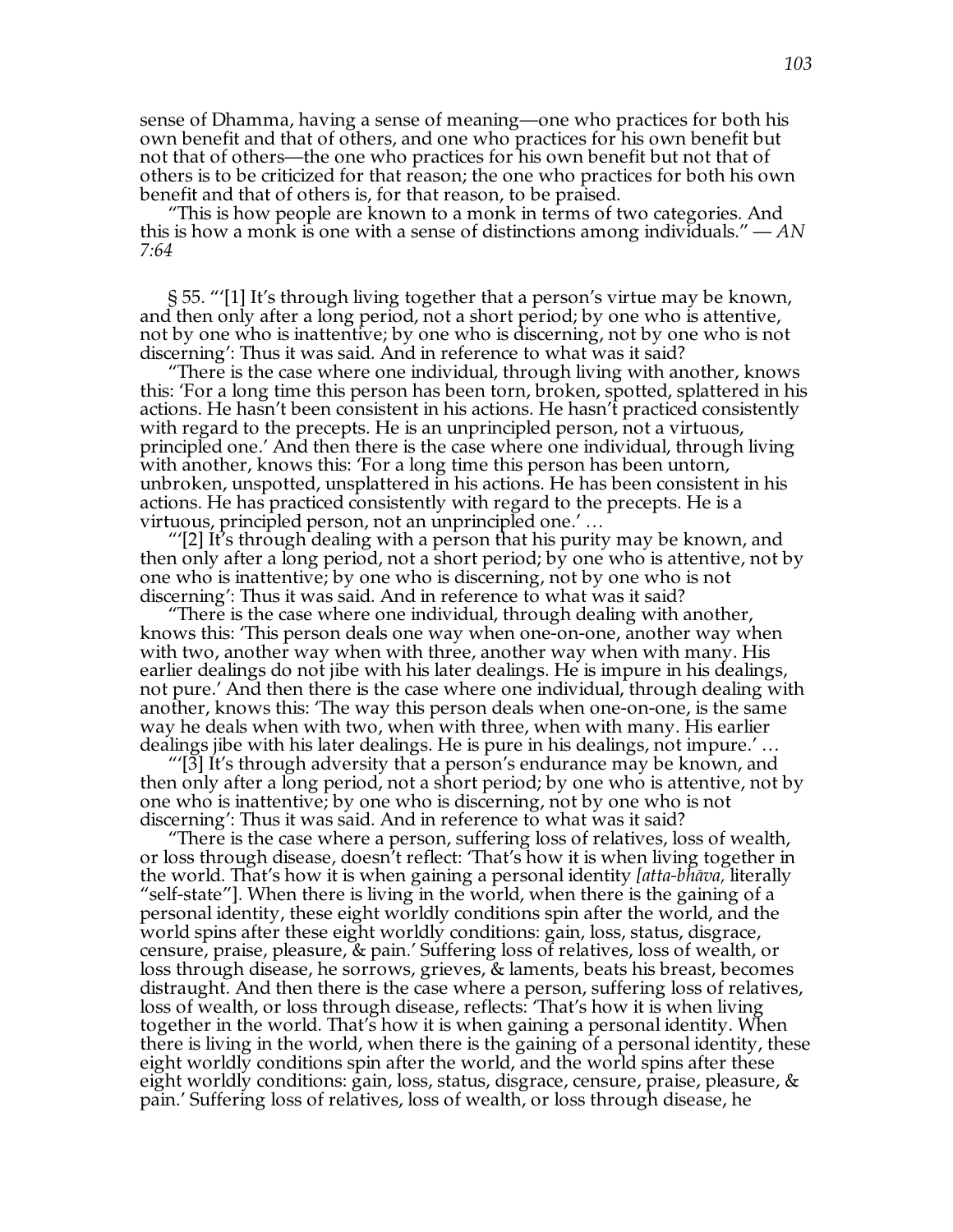sense of Dhamma, having a sense of meaning—one who practices for both his own benefit and that of others, and one who practices for his own benefit but not that of others—the one who practices for his own benefit but not that of others is to be criticized for that reason; the one who practices for both his own benefit and that of others is, for that reason, to be praised.

"This is how people are known to a monk in terms of two categories. And this is how a monk is one with a sense of distinctions among individuals." — *AN 7:64*

§ 55. "'[1] It's through living together that a person's virtue may be known, and then only after a long period, not a short period; by one who is attentive, not by one who is inattentive; by one who is discerning, not by one who is not discerning': Thus it was said. And in reference to what was it said?

"There is the case where one individual, through living with another, knows this: 'For a long time this person has been torn, broken, spotted, splattered in his actions. He hasn't been consistent in his actions. He hasn't practiced consistently with regard to the precepts. He is an unprincipled person, not a virtuous, principled one.' And then there is the case where one individual, through living with another, knows this: 'For a long time this person has been untorn, unbroken, unspotted, unsplattered in his actions. He has been consistent in his actions. He has practiced consistently with regard to the precepts. He is a virtuous, principled person, not an unprincipled one.' …

" $[2]$  It's through dealing with a person that his purity may be known, and then only after a long period, not a short period; by one who is attentive, not by one who is inattentive; by one who is discerning, not by one who is not discerning': Thus it was said. And in reference to what was it said?

"There is the case where one individual, through dealing with another, knows this: 'This person deals one way when one-on-one, another way when with two, another way when with three, another way when with many. His earlier dealings do not jibe with his later dealings. He is impure in his dealings, not pure.' And then there is the case where one individual, through dealing with another, knows this: 'The way this person deals when one-on-one, is the same way he deals when with two, when with three, when with many. His earlier dealings jibe with his later dealings. He is pure in his dealings, not impure.' …

"'[3] It's through adversity that a person's endurance may be known, and then only after a long period, not a short period; by one who is attentive, not by one who is inattentive; by one who is discerning, not by one who is not discerning': Thus it was said. And in reference to what was it said?

"There is the case where a person, suffering loss of relatives, loss of wealth, or loss through disease, doesn't reflect: 'That's how it is when living together in the world. That's how it is when gaining a personal identity *[atta-bhāva*, literally "self-state"]. When there is living in the world, when there is the gaining of a personal identity, these eight worldly conditions spin after the world, and the world spins after these eight worldly conditions: gain, loss, status, disgrace, censure, praise, pleasure, & pain.' Suffering loss of relatives, loss of wealth, or loss through disease, he sorrows, grieves, & laments, beats his breast, becomes distraught. And then there is the case where a person, suffering loss of relatives, loss of wealth, or loss through disease, reflects: 'That's how it is when living together in the world. That's how it is when gaining a personal identity. When there is living in the world, when there is the gaining of a personal identity, these eight worldly conditions spin after the world, and the world spins after these eight worldly conditions: gain, loss, status, disgrace, censure, praise, pleasure, & pain.' Suffering loss of relatives, loss of wealth, or loss through disease, he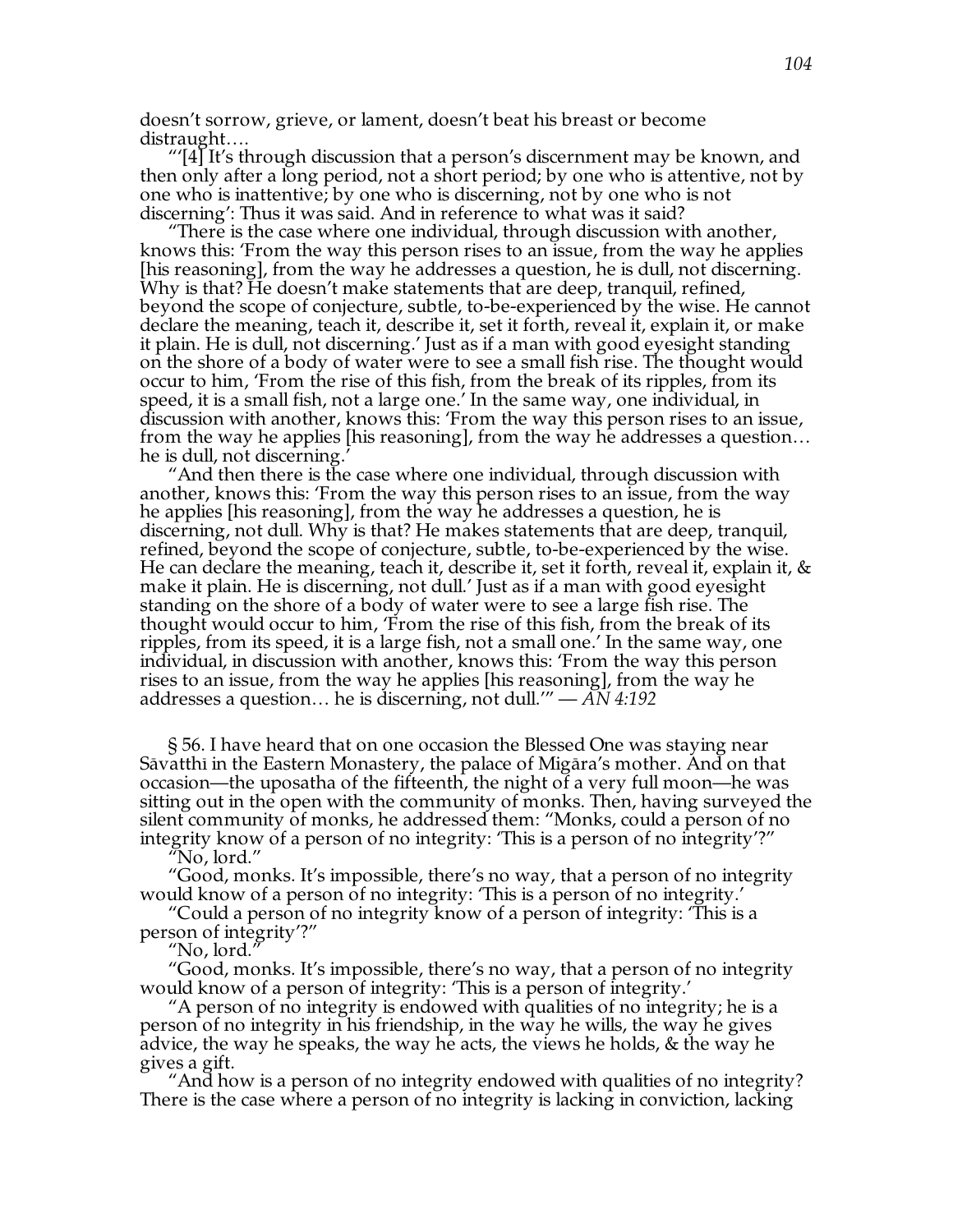doesn't sorrow, grieve, or lament, doesn't beat his breast or become distraught….

"'[4] It's through discussion that a person's discernment may be known, and then only after a long period, not a short period; by one who is attentive, not by one who is inattentive; by one who is discerning, not by one who is not discerning': Thus it was said. And in reference to what was it said?

"There is the case where one individual, through discussion with another, knows this: 'From the way this person rises to an issue, from the way he applies [his reasoning], from the way he addresses a question, he is dull, not discerning. Why is that? He doesn't make statements that are deep, tranquil, refined, beyond the scope of conjecture, subtle, to-be-experienced by the wise. He cannot declare the meaning, teach it, describe it, set it forth, reveal it, explain it, or make it plain. He is dull, not discerning.' Just as if a man with good eyesight standing on the shore of a body of water were to see a small fish rise. The thought would occur to him, 'From the rise of this fish, from the break of its ripples, from its speed, it is a small fish, not a large one.' In the same way, one individual, in discussion with another, knows this: 'From the way this person rises to an issue, from the way he applies [his reasoning], from the way he addresses a question… he is dull, not discerning.'

"And then there is the case where one individual, through discussion with another, knows this: 'From the way this person rises to an issue, from the way he applies [his reasoning], from the way he addresses a question, he is discerning, not dull. Why is that? He makes statements that are deep, tranquil, refined, beyond the scope of conjecture, subtle, to-be-experienced by the wise. He can declare the meaning, teach it, describe it, set it forth, reveal it, explain it,  $\&$ make it plain. He is discerning, not dull.' Just as if a man with good eyesight standing on the shore of a body of water were to see a large fish rise. The thought would occur to him, 'From the rise of this fish, from the break of its ripples, from its speed, it is a large fish, not a small one.' In the same way, one individual, in discussion with another, knows this: 'From the way this person rises to an issue, from the way he applies [his reasoning], from the way he addresses a question… he is discerning, not dull.'" — *AN 4:192*

§ 56. I have heard that on one occasion the Blessed One was staying near Savatthi in the Eastern Monastery, the palace of Migāra's mother. And on that occasion—the uposatha of the fifteenth, the night of a very full moon—he was sitting out in the open with the community of monks. Then, having surveyed the silent community of monks, he addressed them: "Monks, could a person of no integrity know of a person of no integrity: 'This is a person of no integrity'?"

"No, lord."

"Good, monks. It's impossible, there's no way, that a person of no integrity would know of a person of no integrity: 'This is a person of no integrity.'

"Could a person of no integrity know of a person of integrity: 'This is a person of integrity'?"

"No, lord."

"Good, monks. It's impossible, there's no way, that a person of no integrity would know of a person of integrity: 'This is a person of integrity.'

"A person of no integrity is endowed with qualities of no integrity; he is a person of no integrity in his friendship, in the way he wills, the way he gives advice, the way he speaks, the way he acts, the views he holds, & the way he gives a gift.

"And how is a person of no integrity endowed with qualities of no integrity? There is the case where a person of no integrity is lacking in conviction, lacking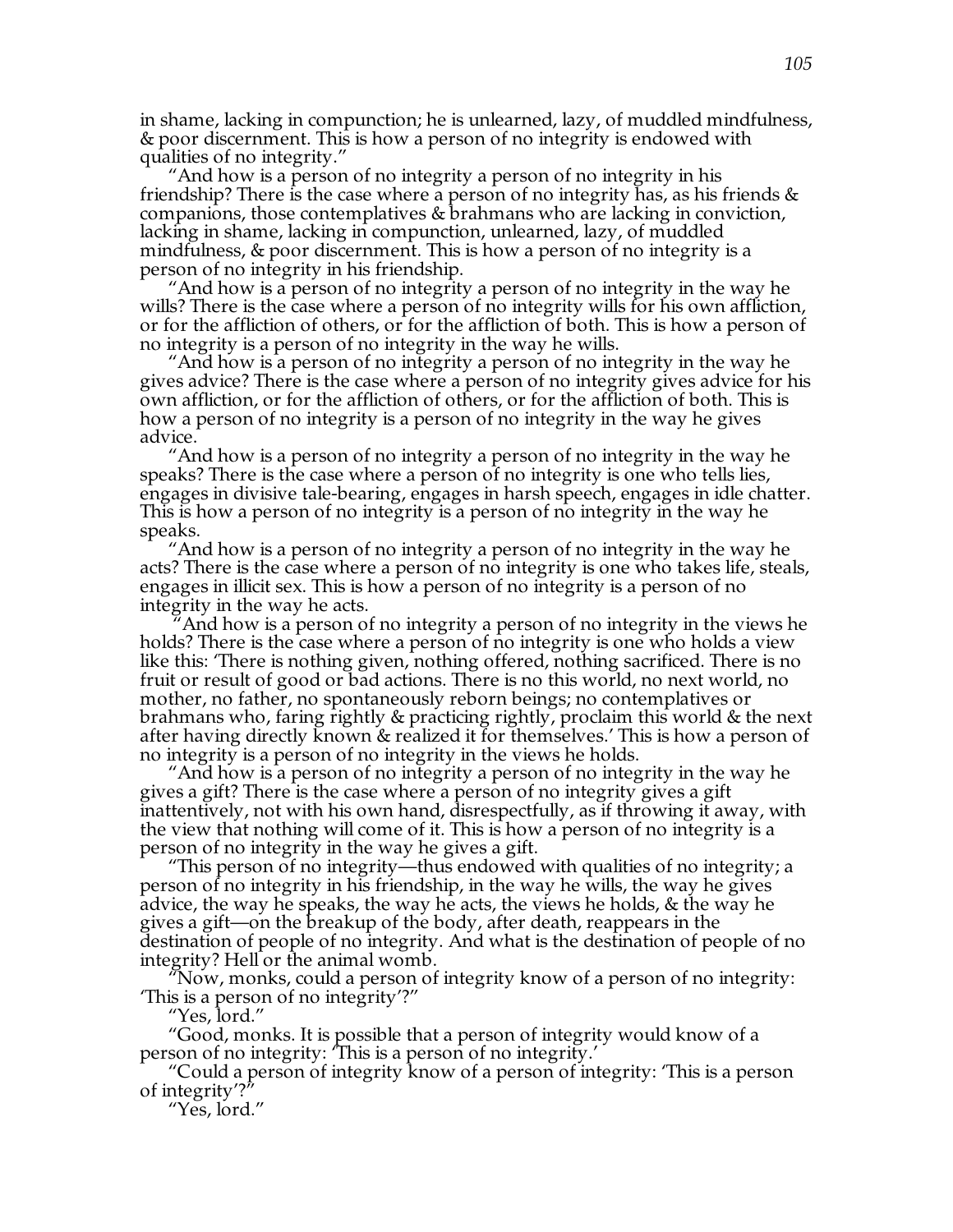in shame, lacking in compunction; he is unlearned, lazy, of muddled mindfulness, & poor discernment. This is how a person of no integrity is endowed with qualities of no integrity."

"And how is a person of no integrity a person of no integrity in his friendship? There is the case where a person of no integrity has, as his friends  $\&$ companions, those contemplatives & brahmans who are lacking in conviction, lacking in shame, lacking in compunction, unlearned, lazy, of muddled mindfulness, & poor discernment. This is how a person of no integrity is a person of no integrity in his friendship.

"And how is a person of no integrity a person of no integrity in the way he wills? There is the case where a person of no integrity wills for his own affliction, or for the affliction of others, or for the affliction of both. This is how a person of no integrity is a person of no integrity in the way he wills.

"And how is a person of no integrity a person of no integrity in the way he gives advice? There is the case where a person of no integrity gives advice for his own affliction, or for the affliction of others, or for the affliction of both. This is how a person of no integrity is a person of no integrity in the way he gives advice.

"And how is a person of no integrity a person of no integrity in the way he speaks? There is the case where a person of no integrity is one who tells lies, engages in divisive tale-bearing, engages in harsh speech, engages in idle chatter. This is how a person of no integrity is a person of no integrity in the way he speaks.

"And how is a person of no integrity a person of no integrity in the way he acts? There is the case where a person of no integrity is one who takes life, steals, engages in illicit sex. This is how a person of no integrity is a person of no integrity in the way he acts.

And how is a person of no integrity a person of no integrity in the views he holds? There is the case where a person of no integrity is one who holds a view like this: 'There is nothing given, nothing offered, nothing sacrificed. There is no fruit or result of good or bad actions. There is no this world, no next world, no mother, no father, no spontaneously reborn beings; no contemplatives or brahmans who, faring rightly & practicing rightly, proclaim this world & the next after having directly known & realized it for themselves.' This is how a person of no integrity is a person of no integrity in the views he holds.

"And how is a person of no integrity a person of no integrity in the way he gives a gift? There is the case where a person of no integrity gives a gift inattentively, not with his own hand, disrespectfully, as if throwing it away, with the view that nothing will come of it. This is how a person of no integrity is a person of no integrity in the way he gives a gift.

"This person of no integrity—thus endowed with qualities of no integrity; a person of no integrity in his friendship, in the way he wills, the way he gives advice, the way he speaks, the way he acts, the views he holds, & the way he gives a gift—on the breakup of the body, after death, reappears in the destination of people of no integrity. And what is the destination of people of no integrity? Hell or the animal womb.

"Now, monks, could a person of integrity know of a person of no integrity: 'This is a person of no integrity'?"

"Yes, lord."

"Good, monks. It is possible that a person of integrity would know of a person of no integrity: 'This is a person of no integrity.'

"Could a person of integrity know of a person of integrity: 'This is a person of integrity'?"

"Yes, lord."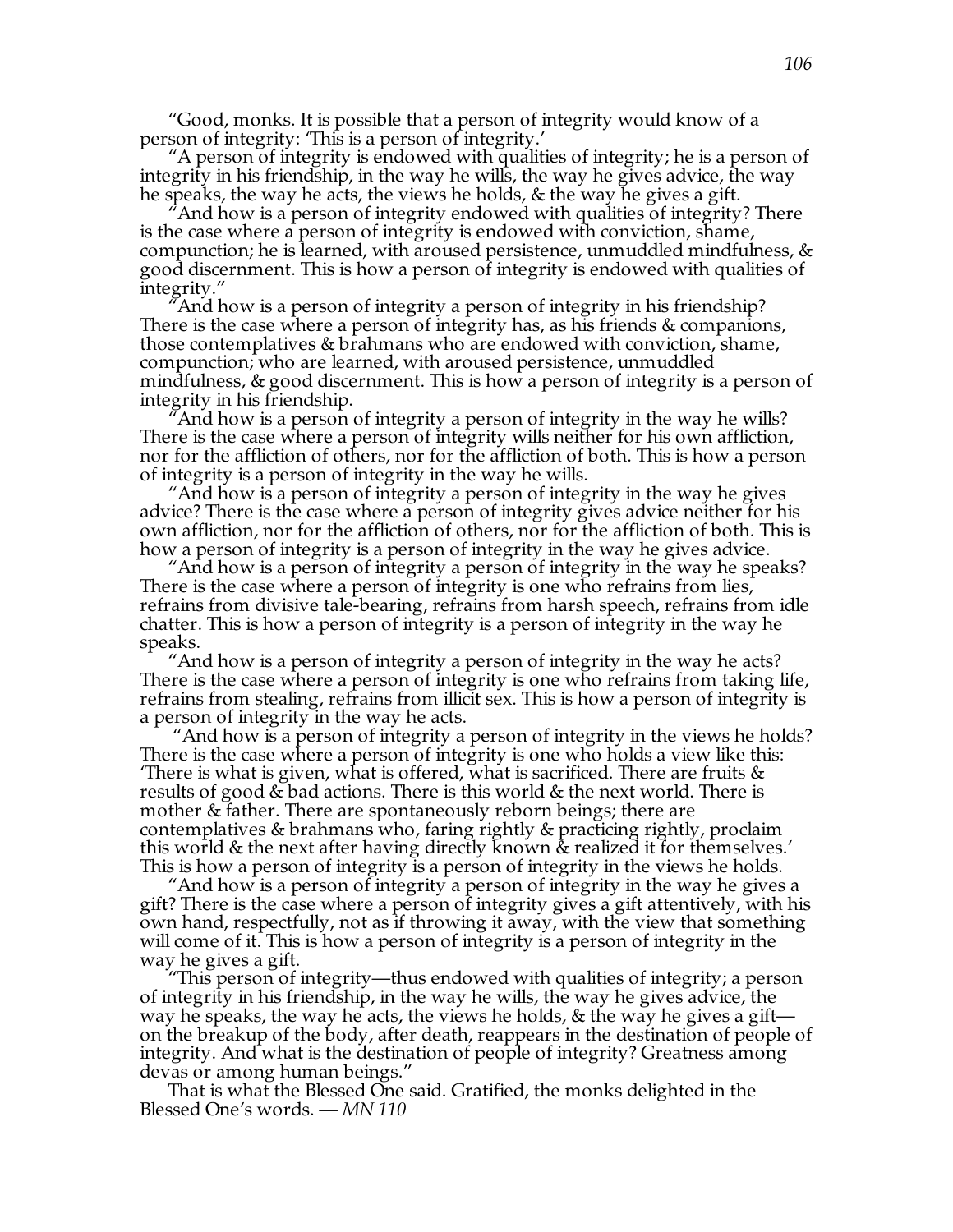"Good, monks. It is possible that a person of integrity would know of a person of integrity: 'This is a person of integrity.'

"A person of integrity is endowed with qualities of integrity; he is a person of integrity in his friendship, in the way he wills, the way he gives advice, the way he speaks, the way he acts, the views he holds, & the way he gives a gift.

And how is a person of integrity endowed with qualities of integrity? There is the case where a person of integrity is endowed with conviction, shame, compunction; he is learned, with aroused persistence, unmuddled mindfulness,  $\&$ good discernment. This is how a person of integrity is endowed with qualities of integrity."

And how is a person of integrity a person of integrity in his friendship? There is the case where a person of integrity has, as his friends & companions, those contemplatives & brahmans who are endowed with conviction, shame, compunction; who are learned, with aroused persistence, unmuddled mindfulness, & good discernment. This is how a person of integrity is a person of integrity in his friendship.

And how is a person of integrity a person of integrity in the way he wills? There is the case where a person of integrity wills neither for his own affliction, nor for the affliction of others, nor for the affliction of both. This is how a person of integrity is a person of integrity in the way he wills.

"And how is a person of integrity a person of integrity in the way he gives advice? There is the case where a person of integrity gives advice neither for his own affliction, nor for the affliction of others, nor for the affliction of both. This is how a person of integrity is a person of integrity in the way he gives advice.

"And how is a person of integrity a person of integrity in the way he speaks? There is the case where a person of integrity is one who refrains from lies, refrains from divisive tale-bearing, refrains from harsh speech, refrains from idle chatter. This is how a person of integrity is a person of integrity in the way he speaks.

"And how is a person of integrity a person of integrity in the way he acts? There is the case where a person of integrity is one who refrains from taking life, refrains from stealing, refrains from illicit sex. This is how a person of integrity is a person of integrity in the way he acts.

 "And how is a person of integrity a person of integrity in the views he holds? There is the case where a person of integrity is one who holds a view like this: There is what is given, what is offered, what is sacrificed. There are fruits  $\&$ results of good & bad actions. There is this world & the next world. There is mother & father. There are spontaneously reborn beings; there are contemplatives & brahmans who, faring rightly & practicing rightly, proclaim this world & the next after having directly known & realized it for themselves.' This is how a person of integrity is a person of integrity in the views he holds.

"And how is a person of integrity a person of integrity in the way he gives a gift? There is the case where a person of integrity gives a gift attentively, with his own hand, respectfully, not as if throwing it away, with the view that something will come of it. This is how a person of integrity is a person of integrity in the way he gives a gift.

"This person of integrity—thus endowed with qualities of integrity; a person of integrity in his friendship, in the way he wills, the way he gives advice, the<br>way he speaks, the way he acts, the views he holds, & the way he gives a gift on the breakup of the body, after death, reappears in the destination of people of integrity. And what is the destination of people of integrity? Greatness among devas or among human beings."

That is what the Blessed One said. Gratified, the monks delighted in the Blessed One's words. — *MN 110*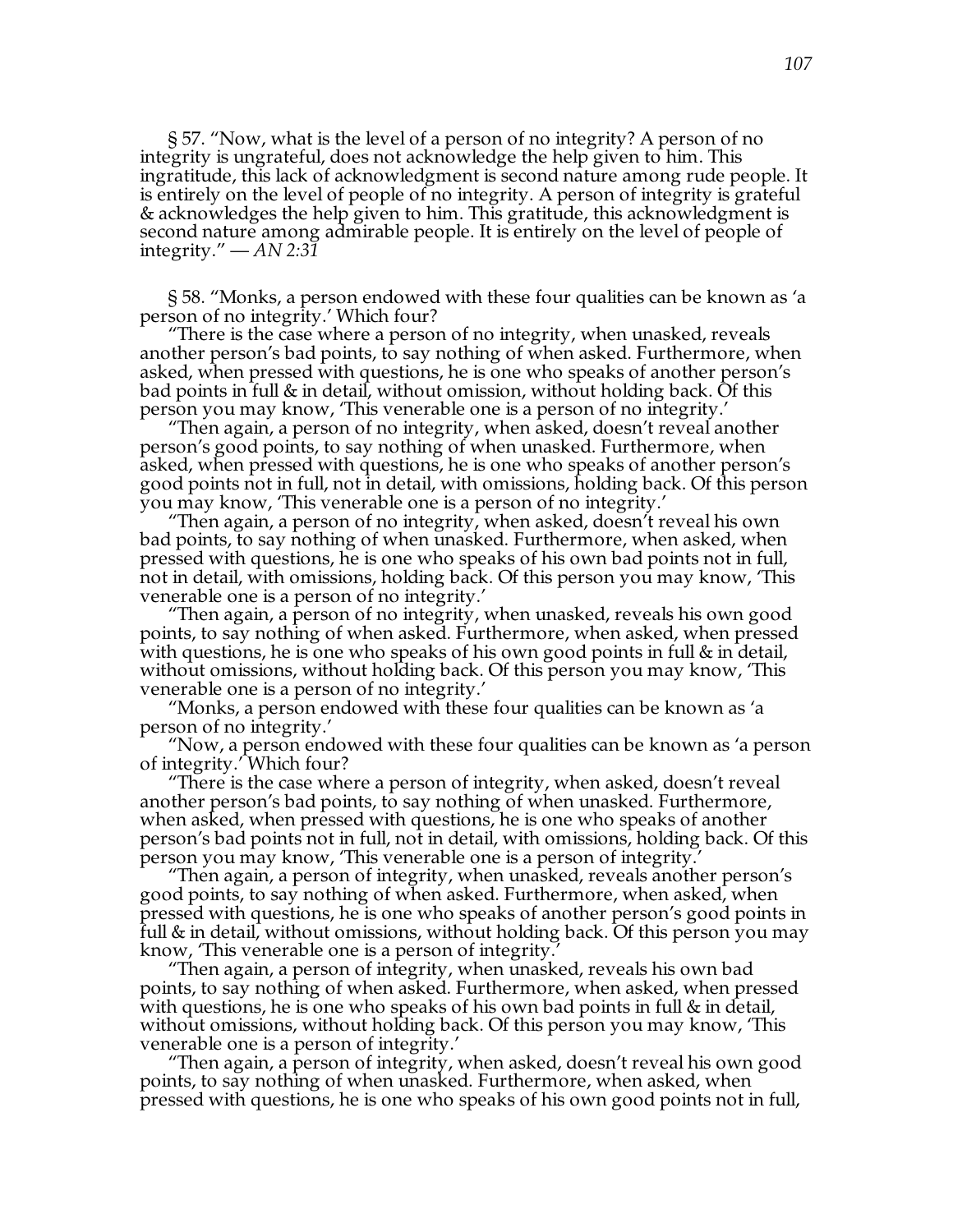§ 57. "Now, what is the level of a person of no integrity? A person of no integrity is ungrateful, does not acknowledge the help given to him. This ingratitude, this lack of acknowledgment is second nature among rude people. It is entirely on the level of people of no integrity. A person of integrity is grateful & acknowledges the help given to him. This gratitude, this acknowledgment is second nature among admirable people. It is entirely on the level of people of integrity." — *AN 2:31*

§ 58. "Monks, a person endowed with these four qualities can be known as 'a person of no integrity.' Which four?

"There is the case where a person of no integrity, when unasked, reveals another person's bad points, to say nothing of when asked. Furthermore, when asked, when pressed with questions, he is one who speaks of another person's bad points in full & in detail, without omission, without holding back. Of this person you may know, 'This venerable one is a person of no integrity.'

"Then again, a person of no integrity, when asked, doesn't reveal another person's good points, to say nothing of when unasked. Furthermore, when asked, when pressed with questions, he is one who speaks of another person's good points not in full, not in detail, with omissions, holding back. Of this person you may know, 'This venerable one is a person of no integrity.'

"Then again, a person of no integrity, when asked, doesn't reveal his own bad points, to say nothing of when unasked. Furthermore, when asked, when pressed with questions, he is one who speaks of his own bad points not in full, not in detail, with omissions, holding back. Of this person you may know, 'This venerable one is a person of no integrity.'

"Then again, a person of no integrity, when unasked, reveals his own good points, to say nothing of when asked. Furthermore, when asked, when pressed with questions, he is one who speaks of his own good points in full & in detail, without omissions, without holding back. Of this person you may know, 'This venerable one is a person of no integrity.'

"Monks, a person endowed with these four qualities can be known as 'a person of no integrity.'

"Now, a person endowed with these four qualities can be known as 'a person of integrity.' Which four?

"There is the case where a person of integrity, when asked, doesn't reveal another person's bad points, to say nothing of when unasked. Furthermore, when asked, when pressed with questions, he is one who speaks of another person's bad points not in full, not in detail, with omissions, holding back. Of this person you may know, 'This venerable one is a person of integrity.'

"Then again, a person of integrity, when unasked, reveals another person's good points, to say nothing of when asked. Furthermore, when asked, when pressed with questions, he is one who speaks of another person's good points in full & in detail, without omissions, without holding back. Of this person you may know, 'This venerable one is a person of integrity.'

"Then again, a person of integrity, when unasked, reveals his own bad points, to say nothing of when asked. Furthermore, when asked, when pressed with questions, he is one who speaks of his own bad points in full & in detail, without omissions, without holding back. Of this person you may know, 'This venerable one is a person of integrity.'

"Then again, a person of integrity, when asked, doesn't reveal his own good points, to say nothing of when unasked. Furthermore, when asked, when pressed with questions, he is one who speaks of his own good points not in full,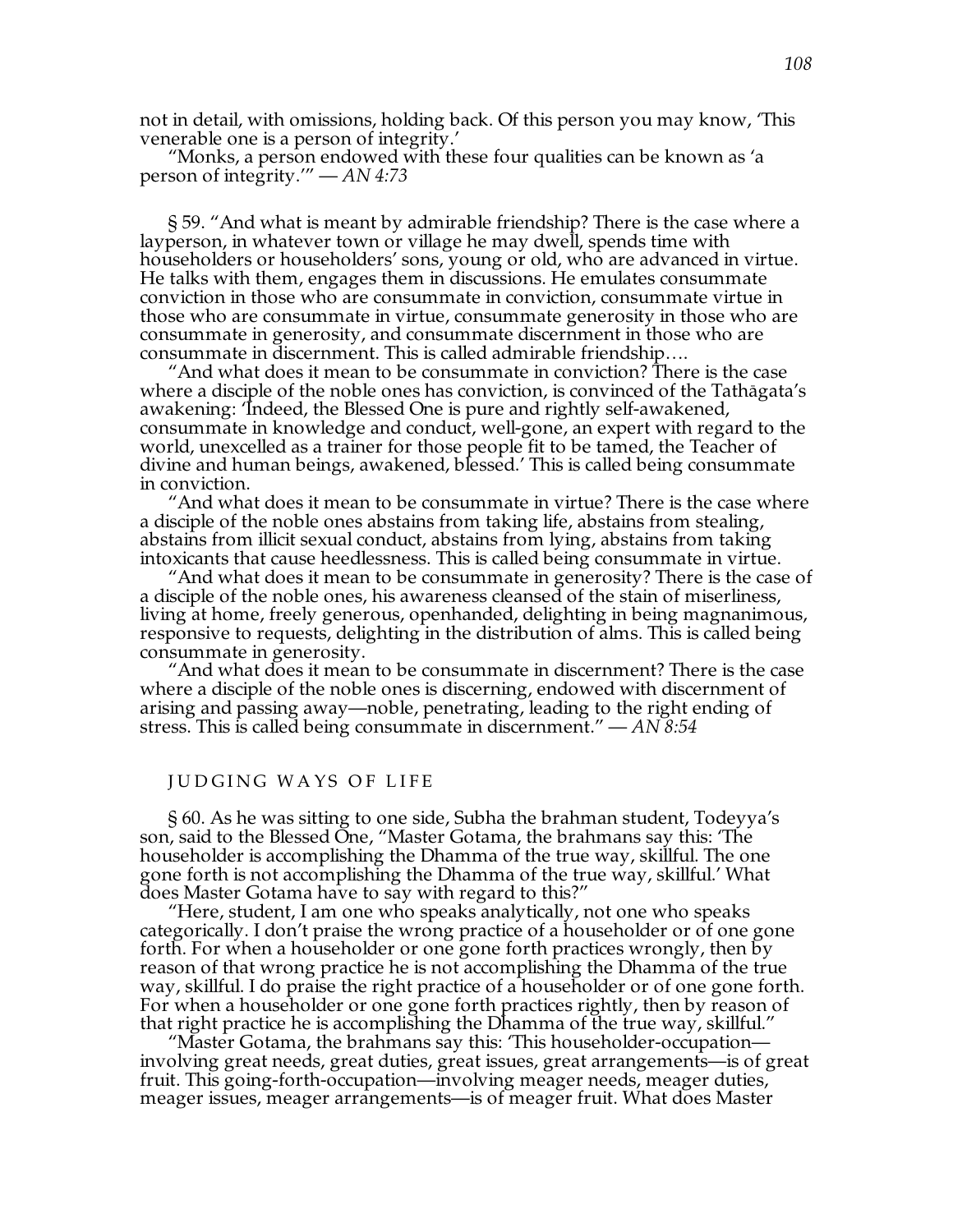not in detail, with omissions, holding back. Of this person you may know, 'This venerable one is a person of integrity.'

"Monks, a person endowed with these four qualities can be known as 'a person of integrity.'" — *AN 4:73*

§ 59. "And what is meant by admirable friendship? There is the case where a layperson, in whatever town or village he may dwell, spends time with householders or householders' sons, young or old, who are advanced in virtue. He talks with them, engages them in discussions. He emulates consummate conviction in those who are consummate in conviction, consummate virtue in those who are consummate in virtue, consummate generosity in those who are consummate in generosity, and consummate discernment in those who are consummate in discernment. This is called admirable friendship….

"And what does it mean to be consummate in conviction? There is the case where a disciple of the noble ones has conviction, is convinced of the Tathagata's awakening: 'Indeed, the Blessed One is pure and rightly self-awakened, consummate in knowledge and conduct, well-gone, an expert with regard to the world, unexcelled as a trainer for those people fit to be tamed, the Teacher of divine and human beings, awakened, blessed.' This is called being consummate in conviction.

"And what does it mean to be consummate in virtue? There is the case where a disciple of the noble ones abstains from taking life, abstains from stealing, abstains from illicit sexual conduct, abstains from lying, abstains from taking intoxicants that cause heedlessness. This is called being consummate in virtue.

"And what does it mean to be consummate in generosity? There is the case of a disciple of the noble ones, his awareness cleansed of the stain of miserliness, living at home, freely generous, openhanded, delighting in being magnanimous, responsive to requests, delighting in the distribution of alms. This is called being consummate in generosity.

"And what does it mean to be consummate in discernment? There is the case where a disciple of the noble ones is discerning, endowed with discernment of arising and passing away—noble, penetrating, leading to the right ending of stress. This is called being consummate in discernment." — *AN 8:54*

#### JUDGING WAYS OF LIFE

§ 60. As he was sitting to one side, Subha the brahman student, Todeyya's son, said to the Blessed One, "Master Gotama, the brahmans say this: 'The householder is accomplishing the Dhamma of the true way, skillful. The one gone forth is not accomplishing the Dhamma of the true way, skillful.' What does Master Gotama have to say with regard to this?"

"Here, student, I am one who speaks analytically, not one who speaks categorically. I don't praise the wrong practice of a householder or of one gone forth. For when a householder or one gone forth practices wrongly, then by reason of that wrong practice he is not accomplishing the Dhamma of the true way, skillful. I do praise the right practice of a householder or of one gone forth. For when a householder or one gone forth practices rightly, then by reason of that right practice he is accomplishing the Dhamma of the true way, skillful."

"Master Gotama, the brahmans say this: 'This householder-occupation involving great needs, great duties, great issues, great arrangements—is of great fruit. This going-forth-occupation—involving meager needs, meager duties, meager issues, meager arrangements—is of meager fruit. What does Master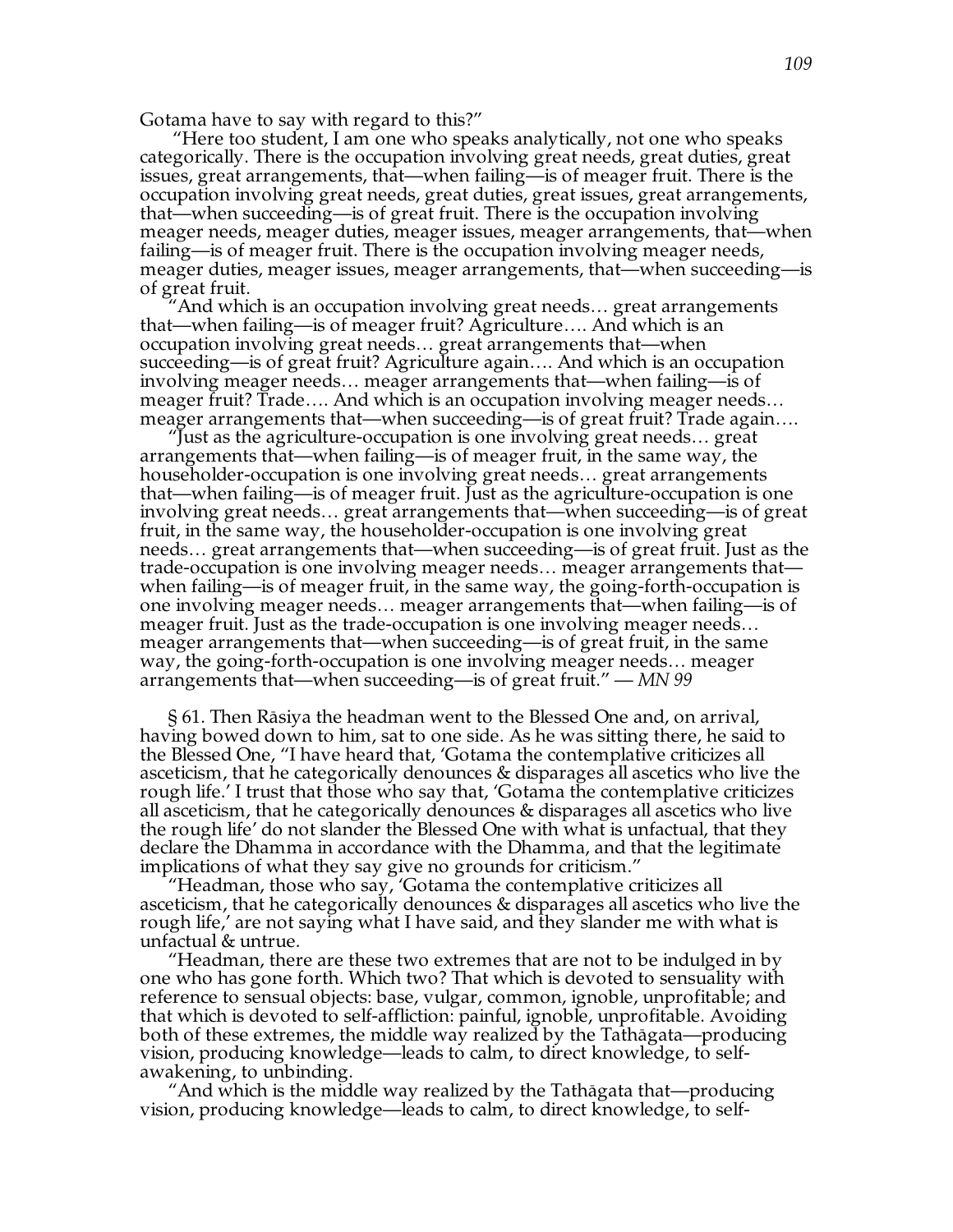Gotama have to say with regard to this?"

 "Here too student, I am one who speaks analytically, not one who speaks categorically. There is the occupation involving great needs, great duties, great issues, great arrangements, that—when failing—is of meager fruit. There is the occupation involving great needs, great duties, great issues, great arrangements, that—when succeeding—is of great fruit. There is the occupation involving meager needs, meager duties, meager issues, meager arrangements, that—when failing—is of meager fruit. There is the occupation involving meager needs, meager duties, meager issues, meager arrangements, that—when succeeding—is of great fruit.

"And which is an occupation involving great needs… great arrangements that—when failing—is of meager fruit? Agriculture…. And which is an occupation involving great needs… great arrangements that—when succeeding—is of great fruit? Agriculture again…. And which is an occupation involving meager needs… meager arrangements that—when failing—is of meager fruit? Trade…. And which is an occupation involving meager needs… meager arrangements that—when succeeding—is of great fruit? Trade again….

"Just as the agriculture-occupation is one involving great needs… great arrangements that—when failing—is of meager fruit, in the same way, the householder-occupation is one involving great needs… great arrangements that—when failing—is of meager fruit. Just as the agriculture-occupation is one involving great needs… great arrangements that—when succeeding—is of great fruit, in the same way, the householder-occupation is one involving great needs… great arrangements that—when succeeding—is of great fruit. Just as the trade-occupation is one involving meager needs… meager arrangements that when failing—is of meager fruit, in the same way, the going-forth-occupation is one involving meager needs… meager arrangements that—when failing—is of meager fruit. Just as the trade-occupation is one involving meager needs… meager arrangements that—when succeeding—is of great fruit, in the same way, the going-forth-occupation is one involving meager needs… meager arrangements that—when succeeding—is of great fruit." — *MN 99* 

 $\S 61$ . Then Rāsiya the headman went to the Blessed One and, on arrival, having bowed down to him, sat to one side. As he was sitting there, he said to the Blessed One, "I have heard that, 'Gotama the contemplative criticizes all asceticism, that he categorically denounces & disparages all ascetics who live the rough life.' I trust that those who say that, 'Gotama the contemplative criticizes all asceticism, that he categorically denounces & disparages all ascetics who live the rough life' do not slander the Blessed One with what is unfactual, that they declare the Dhamma in accordance with the Dhamma, and that the legitimate implications of what they say give no grounds for criticism."

"Headman, those who say, 'Gotama the contemplative criticizes all asceticism, that he categorically denounces & disparages all ascetics who live the rough life,' are not saying what I have said, and they slander me with what is unfactual & untrue.

"Headman, there are these two extremes that are not to be indulged in by one who has gone forth. Which two? That which is devoted to sensuality with reference to sensual objects: base, vulgar, common, ignoble, unprofitable; and that which is devoted to self-affliction: painful, ignoble, unprofitable. Avoiding both of these extremes, the middle way realized by the Tathāgata—producing vision, producing knowledge—leads to calm, to direct knowledge, to self- awakening, to unbinding.

"And which is the middle way realized by the Tathagata that—producing vision, producing knowledge—leads to calm, to direct knowledge, to self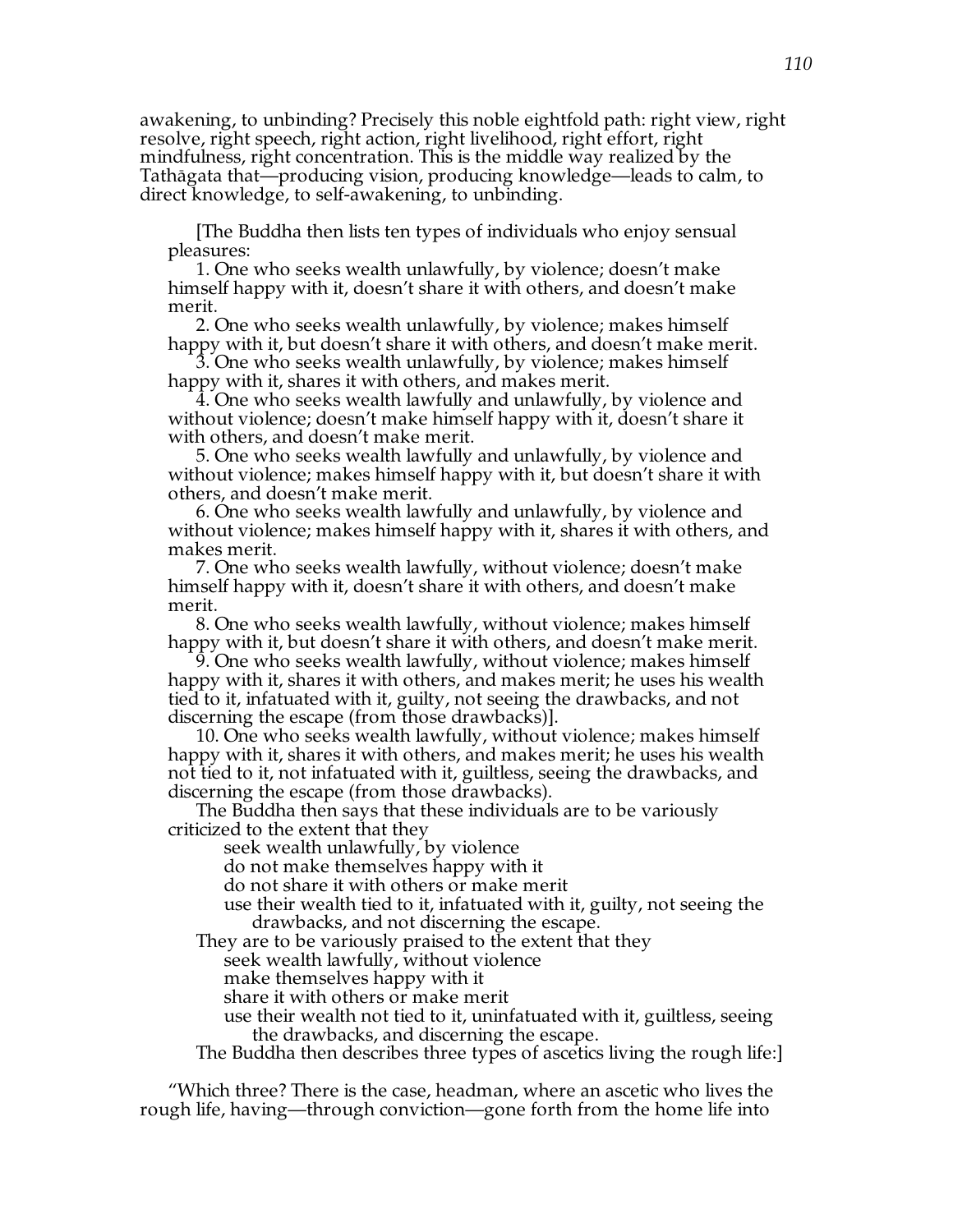awakening, to unbinding? Precisely this noble eightfold path: right view, right resolve, right speech, right action, right livelihood, right effort, right mindfulness, right concentration. This is the middle way realized by the Tathāgata that—producing vision, producing knowledge—leads to calm, to direct knowledge, to self-awakening, to unbinding.

[The Buddha then lists ten types of individuals who enjoy sensual pleasures:

1. One who seeks wealth unlawfully, by violence; doesn't make himself happy with it, doesn't share it with others, and doesn't make merit.

2. One who seeks wealth unlawfully, by violence; makes himself happy with it, but doesn't share it with others, and doesn't make merit.

3. One who seeks wealth unlawfully, by violence; makes himself happy with it, shares it with others, and makes merit.

4. One who seeks wealth lawfully and unlawfully, by violence and without violence; doesn't make himself happy with it, doesn't share it with others, and doesn't make merit.

5. One who seeks wealth lawfully and unlawfully, by violence and without violence; makes himself happy with it, but doesn't share it with others, and doesn't make merit.

6. One who seeks wealth lawfully and unlawfully, by violence and without violence; makes himself happy with it, shares it with others, and makes merit.

7. One who seeks wealth lawfully, without violence; doesn't make himself happy with it, doesn't share it with others, and doesn't make merit.

8. One who seeks wealth lawfully, without violence; makes himself happy with it, but doesn't share it with others, and doesn't make merit.

9. One who seeks wealth lawfully, without violence; makes himself happy with it, shares it with others, and makes merit; he uses his wealth tied to it, infatuated with it, guilty, not seeing the drawbacks, and not discerning the escape (from those drawbacks)].

10. One who seeks wealth lawfully, without violence; makes himself happy with it, shares it with others, and makes merit; he uses his wealth not tied to it, not infatuated with it, guiltless, seeing the drawbacks, and discerning the escape (from those drawbacks).

The Buddha then says that these individuals are to be variously criticized to the extent that they

seek wealth unlawfully, by violence

do not make themselves happy with it

do not share it with others or make merit

use their wealth tied to it, infatuated with it, guilty, not seeing the drawbacks, and not discerning the escape.

They are to be variously praised to the extent that they

seek wealth lawfully, without violence

make themselves happy with it

share it with others or make merit

use their wealth not tied to it, uninfatuated with it, guiltless, seeing the drawbacks, and discerning the escape.

The Buddha then describes three types of ascetics living the rough life:]

"Which three? There is the case, headman, where an ascetic who lives the rough life, having—through conviction—gone forth from the home life into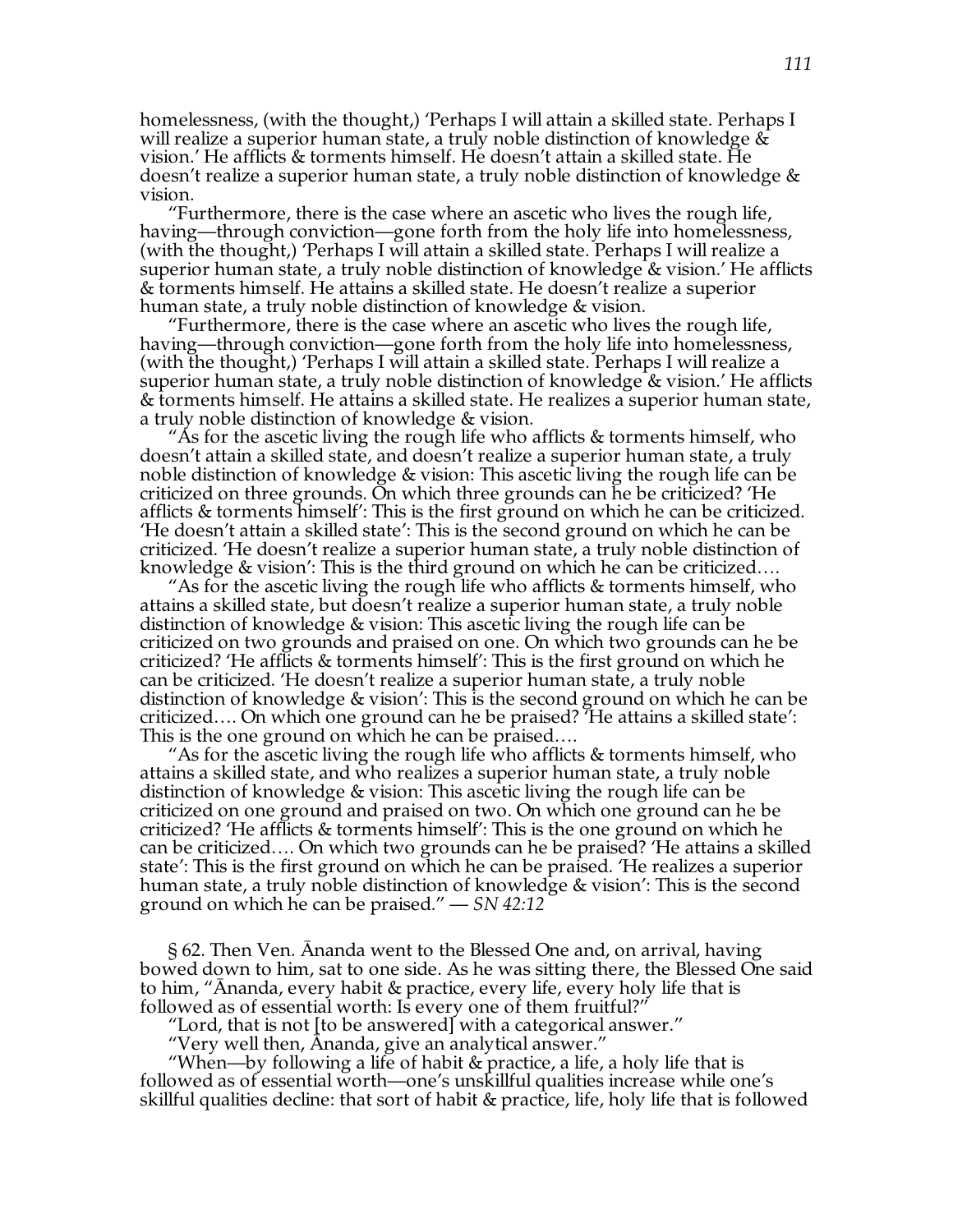homelessness, (with the thought,) 'Perhaps I will attain a skilled state. Perhaps I will realize a superior human state, a truly noble distinction of knowledge  $\&$ vision.' He afflicts & torments himself. He doesn't attain a skilled state. He doesn't realize a superior human state, a truly noble distinction of knowledge & vision.

"Furthermore, there is the case where an ascetic who lives the rough life, having—through conviction—gone forth from the holy life into homelessness, (with the thought,) 'Perhaps I will attain a skilled state. Perhaps I will realize a superior human state, a truly noble distinction of knowledge & vision.' He afflicts & torments himself. He attains a skilled state. He doesn't realize a superior human state, a truly noble distinction of knowledge & vision.

"Furthermore, there is the case where an ascetic who lives the rough life, having—through conviction—gone forth from the holy life into homelessness, (with the thought,) 'Perhaps I will attain a skilled state. Perhaps I will realize a superior human state, a truly noble distinction of knowledge & vision.' He afflicts & torments himself. He attains a skilled state. He realizes a superior human state, a truly noble distinction of knowledge & vision.

"As for the ascetic living the rough life who afflicts & torments himself, who doesn't attain a skilled state, and doesn't realize a superior human state, a truly noble distinction of knowledge & vision: This ascetic living the rough life can be criticized on three grounds. On which three grounds can he be criticized? 'He afflicts & torments himself': This is the first ground on which he can be criticized. 'He doesn't attain a skilled state': This is the second ground on which he can be criticized. 'He doesn't realize a superior human state, a truly noble distinction of knowledge & vision': This is the third ground on which he can be criticized….

"As for the ascetic living the rough life who afflicts & torments himself, who attains a skilled state, but doesn't realize a superior human state, a truly noble distinction of knowledge & vision: This ascetic living the rough life can be criticized on two grounds and praised on one. On which two grounds can he be criticized? 'He afflicts & torments himself': This is the first ground on which he can be criticized. 'He doesn't realize a superior human state, a truly noble distinction of knowledge & vision': This is the second ground on which he can be criticized…. On which one ground can he be praised? 'He attains a skilled state': This is the one ground on which he can be praised….

"As for the ascetic living the rough life who afflicts  $\&$  torments himself, who attains a skilled state, and who realizes a superior human state, a truly noble distinction of knowledge & vision: This ascetic living the rough life can be criticized on one ground and praised on two. On which one ground can he be criticized? 'He afflicts & torments himself': This is the one ground on which he can be criticized…. On which two grounds can he be praised? 'He attains a skilled state': This is the first ground on which he can be praised. 'He realizes a superior human state, a truly noble distinction of knowledge & vision': This is the second ground on which he can be praised." — *SN 42:12*

§ 62. Then Ven. Ananda went to the Blessed One and, on arrival, having bowed down to him, sat to one side. As he was sitting there, the Blessed One said to him, "Ananda, every habit & practice, every life, every holy life that is followed as of essential worth: Is every one of them fruitful?"

"Lord, that is not [to be answered] with a categorical answer."

"Very well then, Ananda, give an analytical answer."

"When—by following a life of habit & practice, a life, a holy life that is followed as of essential worth—one's unskillful qualities increase while one's skillful qualities decline: that sort of habit & practice, life, holy life that is followed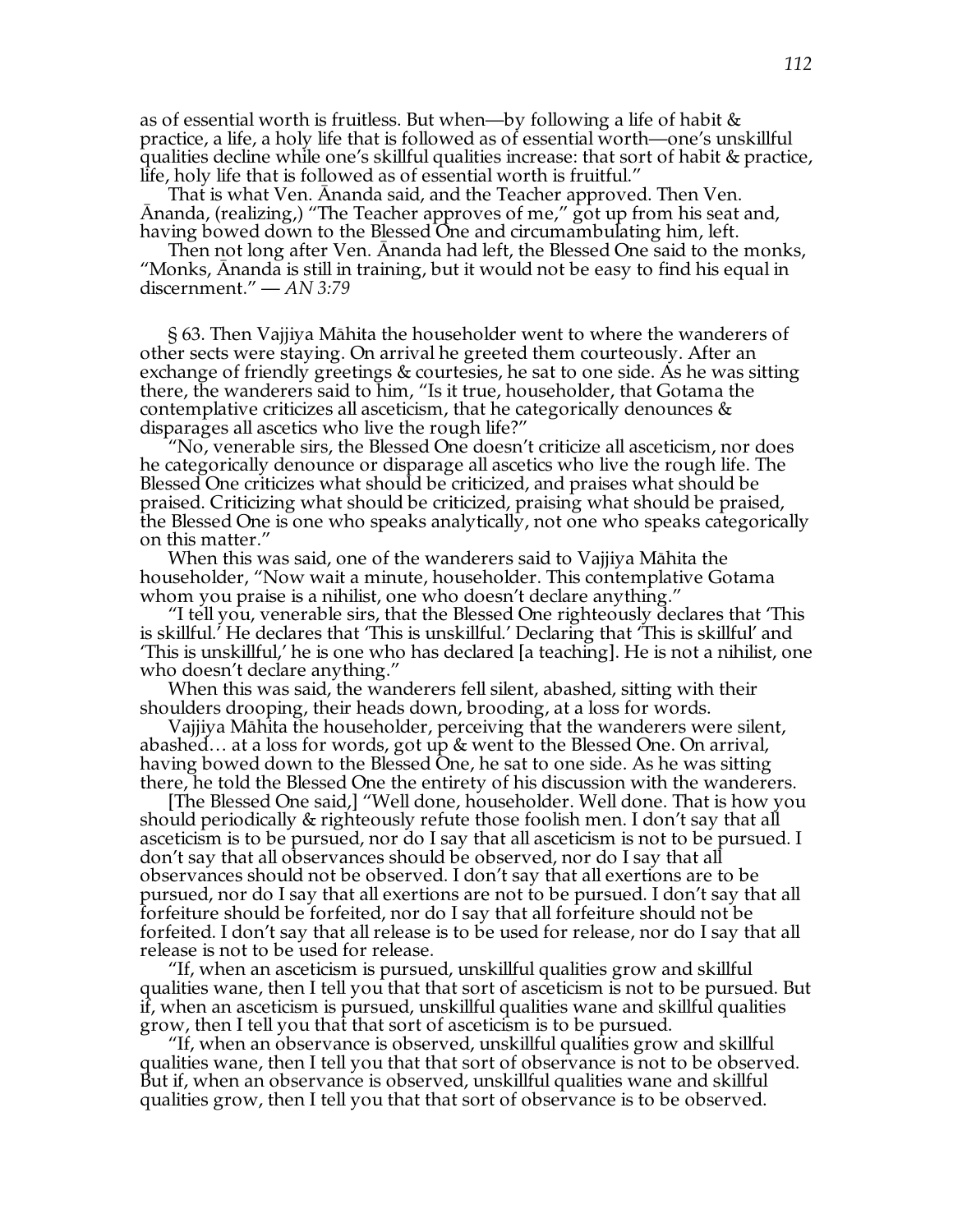as of essential worth is fruitless. But when—by following a life of habit & practice, a life, a holy life that is followed as of essential worth—one's unskillful qualities decline while one's skillful qualities increase: that sort of habit & practice, life, holy life that is followed as of essential worth is fruitful."

That is what Ven. Ananda said, and the Teacher approved. Then Ven. Ananda, (realizing,) "The Teacher approves of me," got up from his seat and, having bowed down to the Blessed One and circumambulating him, left.

Then not long after Ven. Ananda had left, the Blessed One said to the monks, "Monks, Ananda is still in training, but it would not be easy to find his equal in discernment." — *AN 3:79*

§ 63. Then Vajjiya Māhita the householder went to where the wanderers of other sects were staying. On arrival he greeted them courteously. After an exchange of friendly greetings & courtesies, he sat to one side. As he was sitting there, the wanderers said to him, "Is it true, householder, that Gotama the contemplative criticizes all asceticism, that he categorically denounces  $\&$ disparages all ascetics who live the rough life?"

"No, venerable sirs, the Blessed One doesn't criticize all asceticism, nor does he categorically denounce or disparage all ascetics who live the rough life. The Blessed One criticizes what should be criticized, and praises what should be praised. Criticizing what should be criticized, praising what should be praised, the Blessed One is one who speaks analytically, not one who speaks categorically on this matter."

When this was said, one of the wanderers said to Vajjiya Māhita the householder, "Now wait a minute, householder. This contemplative Gotama whom you praise is a nihilist, one who doesn't declare anything."

"I tell you, venerable sirs, that the Blessed One righteously declares that 'This is skillful.' He declares that 'This is unskillful.' Declaring that 'This is skillful' and 'This is unskillful,' he is one who has declared [a teaching]. He is not a nihilist, one who doesn't declare anything."

When this was said, the wanderers fell silent, abashed, sitting with their shoulders drooping, their heads down, brooding, at a loss for words.

Vajjiya Māhita the householder, perceiving that the wanderers were silent, abashed… at a loss for words, got up & went to the Blessed One. On arrival, having bowed down to the Blessed One, he sat to one side. As he was sitting there, he told the Blessed One the entirety of his discussion with the wanderers.

[The Blessed One said,] "Well done, householder. Well done. That is how you should periodically & righteously refute those foolish men. I don't say that all asceticism is to be pursued, nor do I say that all asceticism is not to be pursued. I don't say that all observances should be observed, nor do I say that all observances should not be observed. I don't say that all exertions are to be pursued, nor do I say that all exertions are not to be pursued. I don't say that all forfeiture should be forfeited, nor do I say that all forfeiture should not be forfeited. I don't say that all release is to be used for release, nor do I say that all release is not to be used for release.

"If, when an asceticism is pursued, unskillful qualities grow and skillful qualities wane, then I tell you that that sort of asceticism is not to be pursued. But if, when an asceticism is pursued, unskillful qualities wane and skillful qualities grow, then I tell you that that sort of asceticism is to be pursued.

"If, when an observance is observed, unskillful qualities grow and skillful qualities wane, then I tell you that that sort of observance is not to be observed. But if, when an observance is observed, unskillful qualities wane and skillful qualities grow, then I tell you that that sort of observance is to be observed.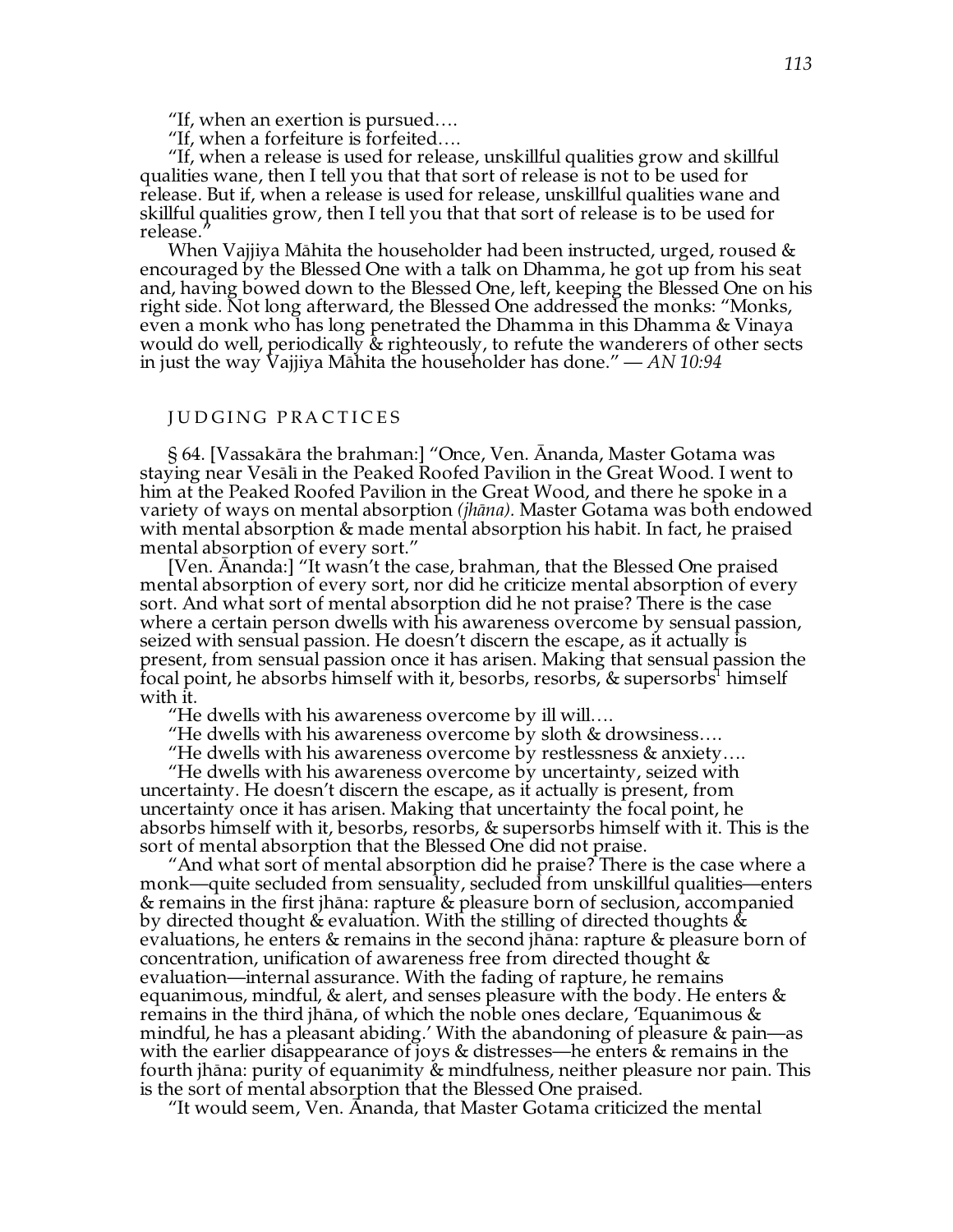"If, when an exertion is pursued….

"If, when a forfeiture is forfeited….

"If, when a release is used for release, unskillful qualities grow and skillful qualities wane, then I tell you that that sort of release is not to be used for release. But if, when a release is used for release, unskillful qualities wane and skillful qualities grow, then I tell you that that sort of release is to be used for release."

When Vajjiya Māhita the householder had been instructed, urged, roused  $\&$ encouraged by the Blessed One with a talk on Dhamma, he got up from his seat and, having bowed down to the Blessed One, left, keeping the Blessed One on his right side. Not long afterward, the Blessed One addressed the monks: "Monks, even a monk who has long penetrated the Dhamma in this Dhamma & Vinaya would do well, periodically & righteously, to refute the wanderers of other sects in just the way  $\bar{V}$ ajjiya Māhita the householder has done." — *AN* 10:94

## JUDGING PRACTICES

§ 64. [Vassakāra the brahman:] "Once, Ven. Ananda, Master Gotama was staying near Vesālī in the Peaked Roofed Pavilion in the Great Wood. I went to him at the Peaked Roofed Pavilion in the Great Wood, and there he spoke in a variety of ways on mental absorption *(jhāna)*. Master Gotama was both endowed with mental absorption & made mental absorption his habit. In fact, he praised mental absorption of every sort."

[Ven. Ananda:] "It wasn't the case, brahman, that the Blessed One praised mental absorption of every sort, nor did he criticize mental absorption of every sort. And what sort of mental absorption did he not praise? There is the case where a certain person dwells with his awareness overcome by sensual passion, seized with sensual passion. He doesn't discern the escape, as it actually is present, from sensual passion once it has arisen. Making that sensual passion the focal point, he absorbs himself with it, besorbs, resorbs,  $\&$  supersorbs $^1$  himself with it.

"He dwells with his awareness overcome by ill will….

"He dwells with his awareness overcome by sloth & drowsiness….

"He dwells with his awareness overcome by restlessness & anxiety….

"He dwells with his awareness overcome by uncertainty, seized with uncertainty. He doesn't discern the escape, as it actually is present, from uncertainty once it has arisen. Making that uncertainty the focal point, he absorbs himself with it, besorbs, resorbs, & supersorbs himself with it. This is the sort of mental absorption that the Blessed One did not praise.

"And what sort of mental absorption did he praise? There is the case where a monk—quite secluded from sensuality, secluded from unskillful qualities—enters  $\&$  remains in the first jhāna: rapture  $\&$  pleasure born of seclusion, accompanied by directed thought & evaluation. With the stilling of directed thoughts & evaluations, he enters  $\&$  remains in the second jhāna: rapture  $\&$  pleasure born of concentration, unification of awareness free from directed thought & evaluation—internal assurance. With the fading of rapture, he remains equanimous, mindful,  $\&$  alert, and senses pleasure with the body. He enters  $\&$ remains in the third jhana, of which the noble ones declare, 'Equanimous  $\&$ mindful, he has a pleasant abiding.' With the abandoning of pleasure & pain—as with the earlier disappearance of joys & distresses—he enters & remains in the fourth jhana: purity of equanimity & mindfulness, neither pleasure nor pain. This is the sort of mental absorption that the Blessed One praised.

"It would seem, Ven. Ananda, that Master Gotama criticized the mental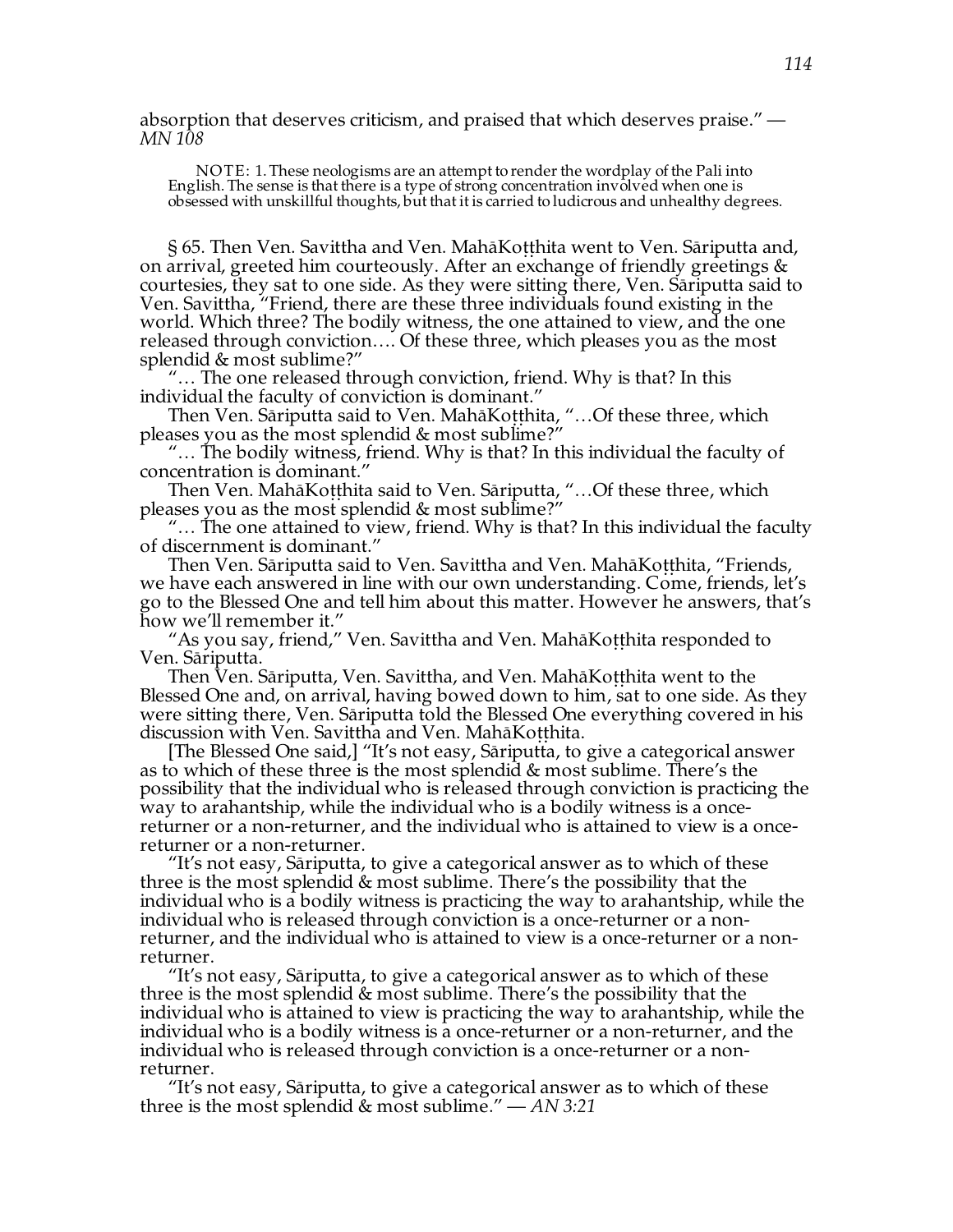absorption that deserves criticism, and praised that which deserves praise." — *MN 108*

NOTE: 1. These neologisms are an attempt to render the wordplay of the Pali into English. The sense is that there is a type of strong concentration involved when one is obsessed with unskillful thoughts, but that it is carried to ludicrous and unhealthy degrees.

§ 65. Then Ven. Savittha and Ven. MahāKotthita went to Ven. Sāriputta and, on arrival, greeted him courteously. After an exchange of friendly greetings & courtesies, they sat to one side. As they were sitting there, Ven. Sariputta said to Ven. Savittha, "Friend, there are these three individuals found existing in the world. Which three? The bodily witness, the one attained to view, and the one released through conviction…. Of these three, which pleases you as the most splendid & most sublime?"

"… The one released through conviction, friend. Why is that? In this individual the faculty of conviction is dominant."

Then Ven. Sariputta said to Ven. MahaKotthita, "...Of these three, which pleases you as the most splendid & most sublime?"

"… The bodily witness, friend. Why is that? In this individual the faculty of concentration is dominant."

Then Ven. MahāKoṭṭhita said to Ven. Sāriputta, "...Of these three, which pleases you as the most splendid & most sublime?"

"… The one attained to view, friend. Why is that? In this individual the faculty of discernment is dominant."

Then Ven. Sāriputta said to Ven. Savittha and Ven. MahāKotthita, "Friends, we have each answered in line with our own understanding. Come, friends, let's go to the Blessed One and tell him about this matter. However he answers, that's how we'll remember it."

"As you say, friend," Ven. Savittha and Ven. MahāKotthita responded to Ven. Sāriputta.

Then Ven. Sāriputta, Ven. Savittha, and Ven. MahāKotthita went to the Blessed One and, on arrival, having bowed down to him, sat to one side. As they were sitting there, Ven. Sariputta told the Blessed One everything covered in his discussion with Ven. Savittha and Ven. MahāKotthita.

[The Blessed One said,] "It's not easy, Sariputta, to give a categorical answer as to which of these three is the most splendid & most sublime. There's the possibility that the individual who is released through conviction is practicing the returner or a non-returner, and the individual who is attained to view is a once-<br>returner or a non-returner.

"It's not easy, Sariputta, to give a categorical answer as to which of these three is the most splendid & most sublime. There's the possibility that the individual who is a bodily witness is practicing the way to arahantship, while the individual who is released through conviction is a once-returner or a nonreturner, and the individual who is attained to view is a once-returner or a nonreturner.

"It's not easy, Sariputta, to give a categorical answer as to which of these three is the most splendid & most sublime. There's the possibility that the individual who is attained to view is practicing the way to arahantship, while the individual who is a bodily witness is a once-returner or a non-returner, and the individual who is released through conviction is a once-returner or a nonreturner.

"It's not easy, Sāriputta, to give a categorical answer as to which of these three is the most splendid & most sublime." — *AN 3:21*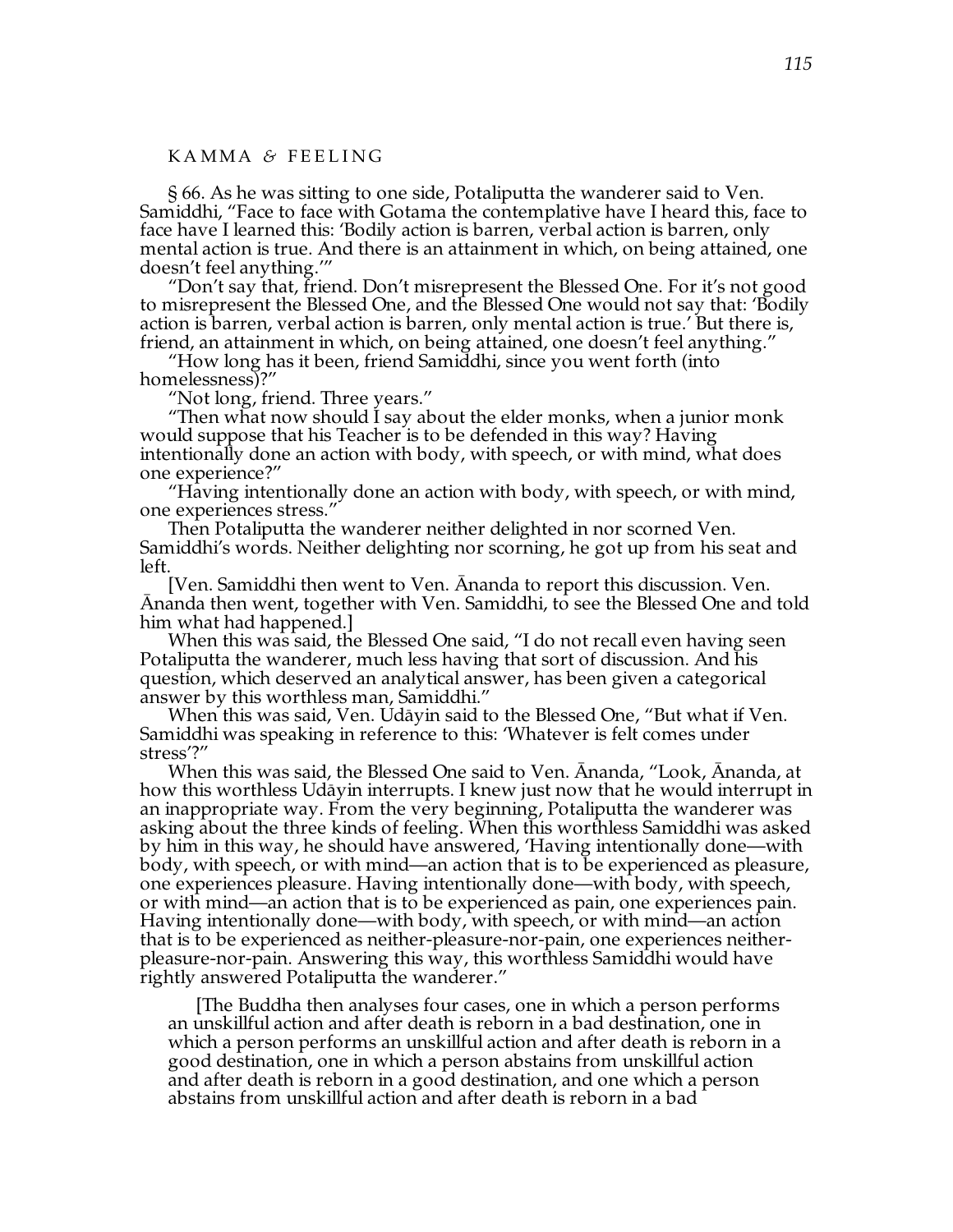## K A M M A *&* F E E L I N G

§ 66. As he was sitting to one side, Potaliputta the wanderer said to Ven. Samiddhi, "Face to face with Gotama the contemplative have I heard this, face to face have I learned this: 'Bodily action is barren, verbal action is barren, only mental action is true. And there is an attainment in which, on being attained, one doesn't feel anything.'"

"Don't say that, friend. Don't misrepresent the Blessed One. For it's not good to misrepresent the Blessed One, and the Blessed One would not say that: 'Bodily action is barren, verbal action is barren, only mental action is true.' But there is, friend, an attainment in which, on being attained, one doesn't feel anything."

"How long has it been, friend Samiddhi, since you went forth (into homelessness)?"

"Not long, friend. Three years."

"Then what now should I say about the elder monks, when a junior monk would suppose that his Teacher is to be defended in this way? Having intentionally done an action with body, with speech, or with mind, what does one experience?"

"Having intentionally done an action with body, with speech, or with mind, one experiences stress."

Then Potaliputta the wanderer neither delighted in nor scorned Ven. Samiddhi's words. Neither delighting nor scorning, he got up from his seat and left.

[Ven. Samiddhi then went to Ven. Ananda to report this discussion. Ven. finanda then went, together with Ven. Samiddhi, to see the Blessed One and told him what had happened.]

When this was said, the Blessed One said, "I do not recall even having seen Potaliputta the wanderer, much less having that sort of discussion. And his question, which deserved an analytical answer, has been given a categorical answer by this worthless man, Samiddhi."

When this was said, Ven. Udāyin said to the Blessed One, "But what if Ven. Samiddhi was speaking in reference to this: 'Whatever is felt comes under stress'?"

When this was said, the Blessed One said to Ven. Ananda, "Look, Ananda, at how this worthless Udayin interrupts. I knew just now that he would interrupt in an inappropriate way. From the very beginning, Potaliputta the wanderer was asking about the three kinds of feeling. When this worthless Samiddhi was asked by him in this way, he should have answered, 'Having intentionally done—with body, with speech, or with mind—an action that is to be experienced as pleasure, one experiences pleasure. Having intentionally done—with body, with speech, or with mind—an action that is to be experienced as pain, one experiences pain. Having intentionally done—with body, with speech, or with mind—an action that is to be experienced as neither-pleasure-nor-pain, one experiences neitherpleasure-nor-pain. Answering this way, this worthless Samiddhi would have rightly answered Potaliputta the wanderer."

[The Buddha then analyses four cases, one in which a person performs an unskillful action and after death is reborn in a bad destination, one in which a person performs an unskillful action and after death is reborn in a good destination, one in which a person abstains from unskillful action and after death is reborn in a good destination, and one which a person abstains from unskillful action and after death is reborn in a bad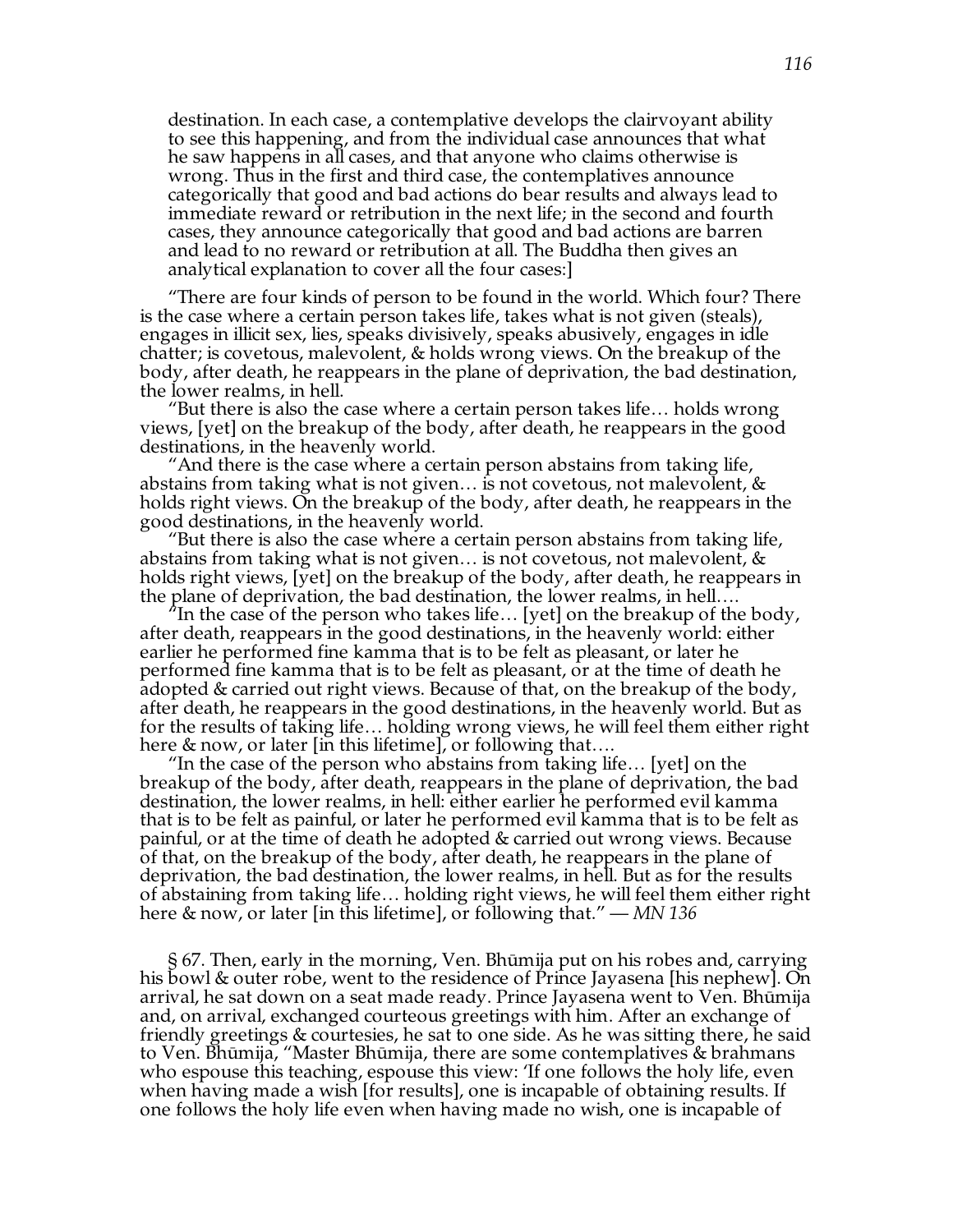destination. In each case, a contemplative develops the clairvoyant ability to see this happening, and from the individual case announces that what he saw happens in all cases, and that anyone who claims otherwise is wrong. Thus in the first and third case, the contemplatives announce categorically that good and bad actions do bear results and always lead to immediate reward or retribution in the next life; in the second and fourth cases, they announce categorically that good and bad actions are barren and lead to no reward or retribution at all. The Buddha then gives an analytical explanation to cover all the four cases:]

"There are four kinds of person to be found in the world. Which four? There is the case where a certain person takes life, takes what is not given (steals), engages in illicit sex, lies, speaks divisively, speaks abusively, engages in idle chatter; is covetous, malevolent, & holds wrong views. On the breakup of the body, after death, he reappears in the plane of deprivation, the bad destination, the lower realms, in hell.

"But there is also the case where a certain person takes life… holds wrong views, [yet] on the breakup of the body, after death, he reappears in the good destinations, in the heavenly world.

"And there is the case where a certain person abstains from taking life, abstains from taking what is not given… is not covetous, not malevolent, & holds right views. On the breakup of the body, after death, he reappears in the good destinations, in the heavenly world.

"But there is also the case where a certain person abstains from taking life, abstains from taking what is not given… is not covetous, not malevolent, & holds right views, [yet] on the breakup of the body, after death, he reappears in the plane of deprivation, the bad destination, the lower realms, in hell….

"In the case of the person who takes life… [yet] on the breakup of the body, after death, reappears in the good destinations, in the heavenly world: either earlier he performed fine kamma that is to be felt as pleasant, or later he performed fine kamma that is to be felt as pleasant, or at the time of death he adopted & carried out right views. Because of that, on the breakup of the body, after death, he reappears in the good destinations, in the heavenly world. But as for the results of taking life… holding wrong views, he will feel them either right here & now, or later [in this lifetime], or following that….

"In the case of the person who abstains from taking life… [yet] on the breakup of the body, after death, reappears in the plane of deprivation, the bad destination, the lower realms, in hell: either earlier he performed evil kamma that is to be felt as painful, or later he performed evil kamma that is to be felt as painful, or at the time of death he adopted & carried out wrong views. Because of that, on the breakup of the body, after death, he reappears in the plane of deprivation, the bad destination, the lower realms, in hell. But as for the results of abstaining from taking life… holding right views, he will feel them either right here & now, or later [in this lifetime], or following that." — *MN 136*

§ 67. Then, early in the morning, Ven. Bhūmija put on his robes and, carrying his bowl & outer robe, went to the residence of Prince Jayasena [his nephew]. On arrival, he sat down on a seat made ready. Prince Jayasena went to Ven. Bhūmija and, on arrival, exchanged courteous greetings with him. After an exchange of friendly greetings & courtesies, he sat to one side. As he was sitting there, he said to Ven. Bhūmija, "Master Bhūmija, there are some contemplatives & brahmans who espouse this teaching, espouse this view: 'If one follows the holy life, even when having made a wish [for results], one is incapable of obtaining results. If one follows the holy life even when having made no wish, one is incapable of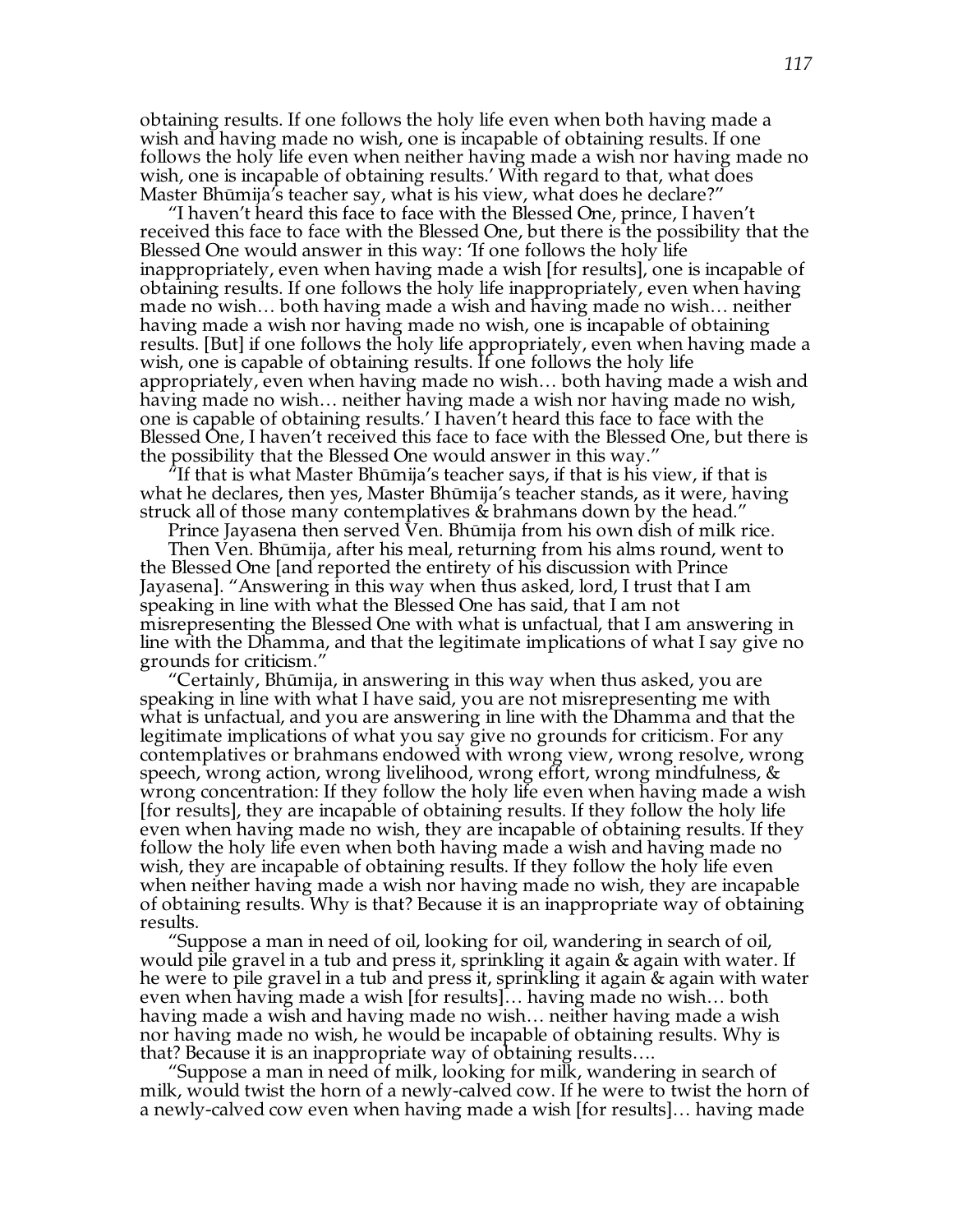obtaining results. If one follows the holy life even when both having made a wish and having made no wish, one is incapable of obtaining results. If one follows the holy life even when neither having made a wish nor having made no wish, one is incapable of obtaining results.' With regard to that, what does Master Bhūmija's teacher say, what is his view, what does he declare?"

"I haven't heard this face to face with the Blessed One, prince, I haven't received this face to face with the Blessed One, but there is the possibility that the Blessed One would answer in this way: 'If one follows the holy life inappropriately, even when having made a wish [for results], one is incapable of obtaining results. If one follows the holy life inappropriately, even when having made no wish… both having made a wish and having made no wish… neither having made a wish nor having made no wish, one is incapable of obtaining results. [But] if one follows the holy life appropriately, even when having made a wish, one is capable of obtaining results. If one follows the holy life appropriately, even when having made no wish… both having made a wish and having made no wish… neither having made a wish nor having made no wish, one is capable of obtaining results.' I haven't heard this face to face with the Blessed One, I haven't received this face to face with the Blessed One, but there is the possibility that the Blessed One would answer in this way."

'If that is what Master Bhūmija's teacher says, if that is his view, if that is what he declares, then yes, Master Bhūmija's teacher stands, as it were, having struck all of those many contemplatives & brahmans down by the head."

Prince Jayasena then served  $\bar{V}$ en. Bhūmija from his own dish of milk rice. Then Ven. Bhūmija, after his meal, returning from his alms round, went to

the Blessed One [and reported the entirety of his discussion with Prince Jayasena]. "Answering in this way when thus asked, lord, I trust that I am speaking in line with what the Blessed One has said, that I am not misrepresenting the Blessed One with what is unfactual, that I am answering in line with the Dhamma, and that the legitimate implications of what I say give no grounds for criticism."

"Certainly, Bhūmija, in answering in this way when thus asked, you are speaking in line with what I have said, you are not misrepresenting me with what is unfactual, and you are answering in line with the Dhamma and that the legitimate implications of what you say give no grounds for criticism. For any contemplatives or brahmans endowed with wrong view, wrong resolve, wrong speech, wrong action, wrong livelihood, wrong effort, wrong mindfulness, & wrong concentration: If they follow the holy life even when having made a wish [for results], they are incapable of obtaining results. If they follow the holy life even when having made no wish, they are incapable of obtaining results. If they follow the holy life even when both having made a wish and having made no wish, they are incapable of obtaining results. If they follow the holy life even when neither having made a wish nor having made no wish, they are incapable of obtaining results. Why is that? Because it is an inappropriate way of obtaining results.

"Suppose a man in need of oil, looking for oil, wandering in search of oil, would pile gravel in a tub and press it, sprinkling it again & again with water. If he were to pile gravel in a tub and press it, sprinkling it again & again with water even when having made a wish [for results]… having made no wish… both having made a wish and having made no wish… neither having made a wish nor having made no wish, he would be incapable of obtaining results. Why is that? Because it is an inappropriate way of obtaining results….

"Suppose a man in need of milk, looking for milk, wandering in search of milk, would twist the horn of a newly-calved cow. If he were to twist the horn of a newly-calved cow even when having made a wish [for results]… having made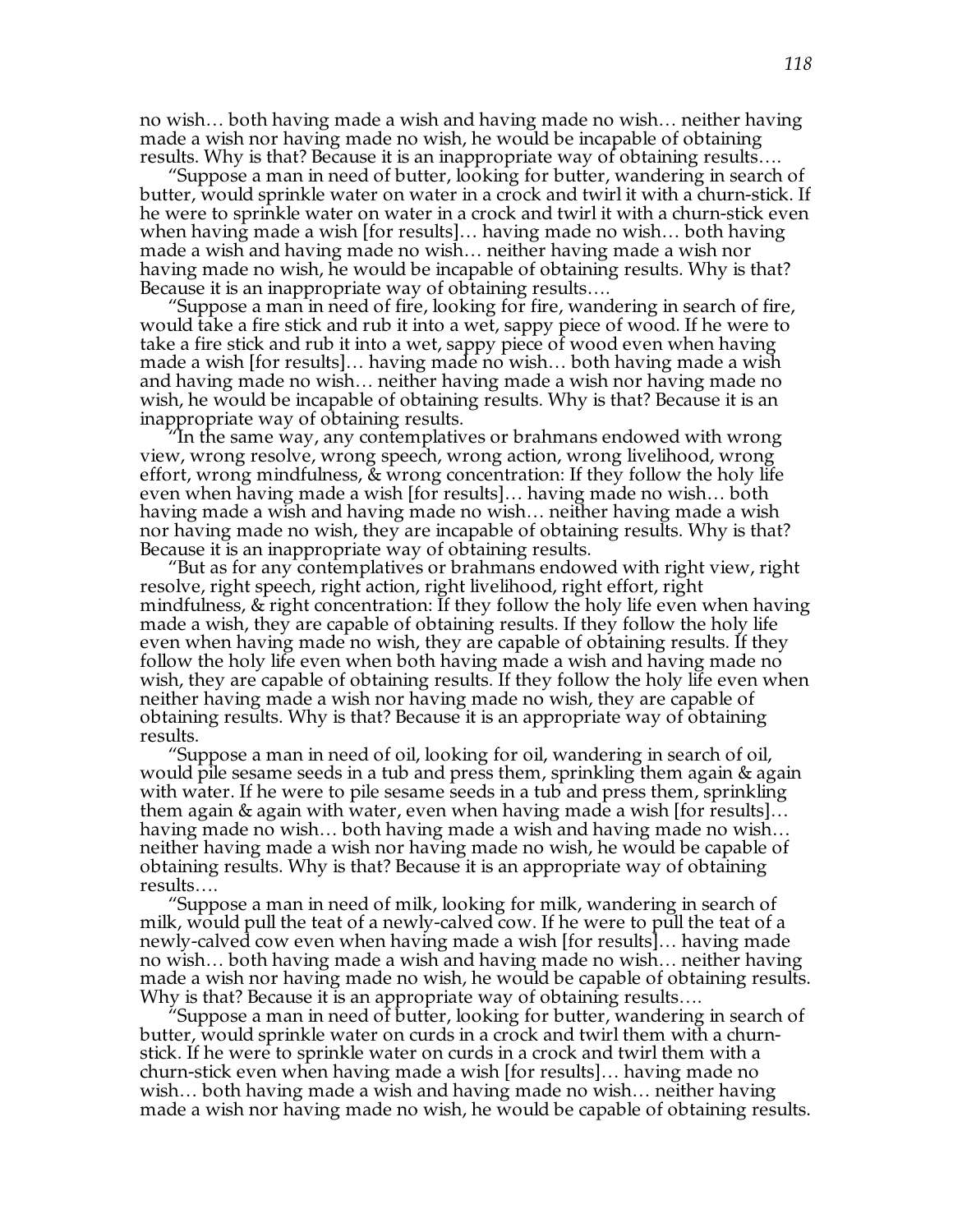no wish… both having made a wish and having made no wish… neither having made a wish nor having made no wish, he would be incapable of obtaining results. Why is that? Because it is an inappropriate way of obtaining results….

"Suppose a man in need of butter, looking for butter, wandering in search of butter, would sprinkle water on water in a crock and twirl it with a churn-stick. If he were to sprinkle water on water in a crock and twirl it with a churn-stick even when having made a wish [for results]… having made no wish… both having made a wish and having made no wish… neither having made a wish nor having made no wish, he would be incapable of obtaining results. Why is that? Because it is an inappropriate way of obtaining results….

"Suppose a man in need of fire, looking for fire, wandering in search of fire, would take a fire stick and rub it into a wet, sappy piece of wood. If he were to take a fire stick and rub it into a wet, sappy piece of wood even when having made a wish [for results]… having made no wish… both having made a wish and having made no wish… neither having made a wish nor having made no wish, he would be incapable of obtaining results. Why is that? Because it is an inappropriate way of obtaining results.

"In the same way, any contemplatives or brahmans endowed with wrong view, wrong resolve, wrong speech, wrong action, wrong livelihood, wrong effort, wrong mindfulness, & wrong concentration: If they follow the holy life even when having made a wish [for results]… having made no wish… both having made a wish and having made no wish… neither having made a wish nor having made no wish, they are incapable of obtaining results. Why is that? Because it is an inappropriate way of obtaining results.

"But as for any contemplatives or brahmans endowed with right view, right resolve, right speech, right action, right livelihood, right effort, right mindfulness, & right concentration: If they follow the holy life even when having made a wish, they are capable of obtaining results. If they follow the holy life even when having made no wish, they are capable of obtaining results. If they follow the holy life even when both having made a wish and having made no wish, they are capable of obtaining results. If they follow the holy life even when neither having made a wish nor having made no wish, they are capable of obtaining results. Why is that? Because it is an appropriate way of obtaining results.

"Suppose a man in need of oil, looking for oil, wandering in search of oil, would pile sesame seeds in a tub and press them, sprinkling them again & again with water. If he were to pile sesame seeds in a tub and press them, sprinkling them again & again with water, even when having made a wish [for results]… having made no wish… both having made a wish and having made no wish… neither having made a wish nor having made no wish, he would be capable of obtaining results. Why is that? Because it is an appropriate way of obtaining results….

"Suppose a man in need of milk, looking for milk, wandering in search of milk, would pull the teat of a newly-calved cow. If he were to pull the teat of a newly-calved cow even when having made a wish [for results]… having made no wish… both having made a wish and having made no wish… neither having made a wish nor having made no wish, he would be capable of obtaining results. Why is that? Because it is an appropriate way of obtaining results….

"Suppose a man in need of butter, looking for butter, wandering in search of butter, would sprinkle water on curds in a crock and twirl them with a churn- stick. If he were to sprinkle water on curds in a crock and twirl them with a churn-stick even when having made a wish [for results]… having made no wish… both having made a wish and having made no wish… neither having made a wish nor having made no wish, he would be capable of obtaining results.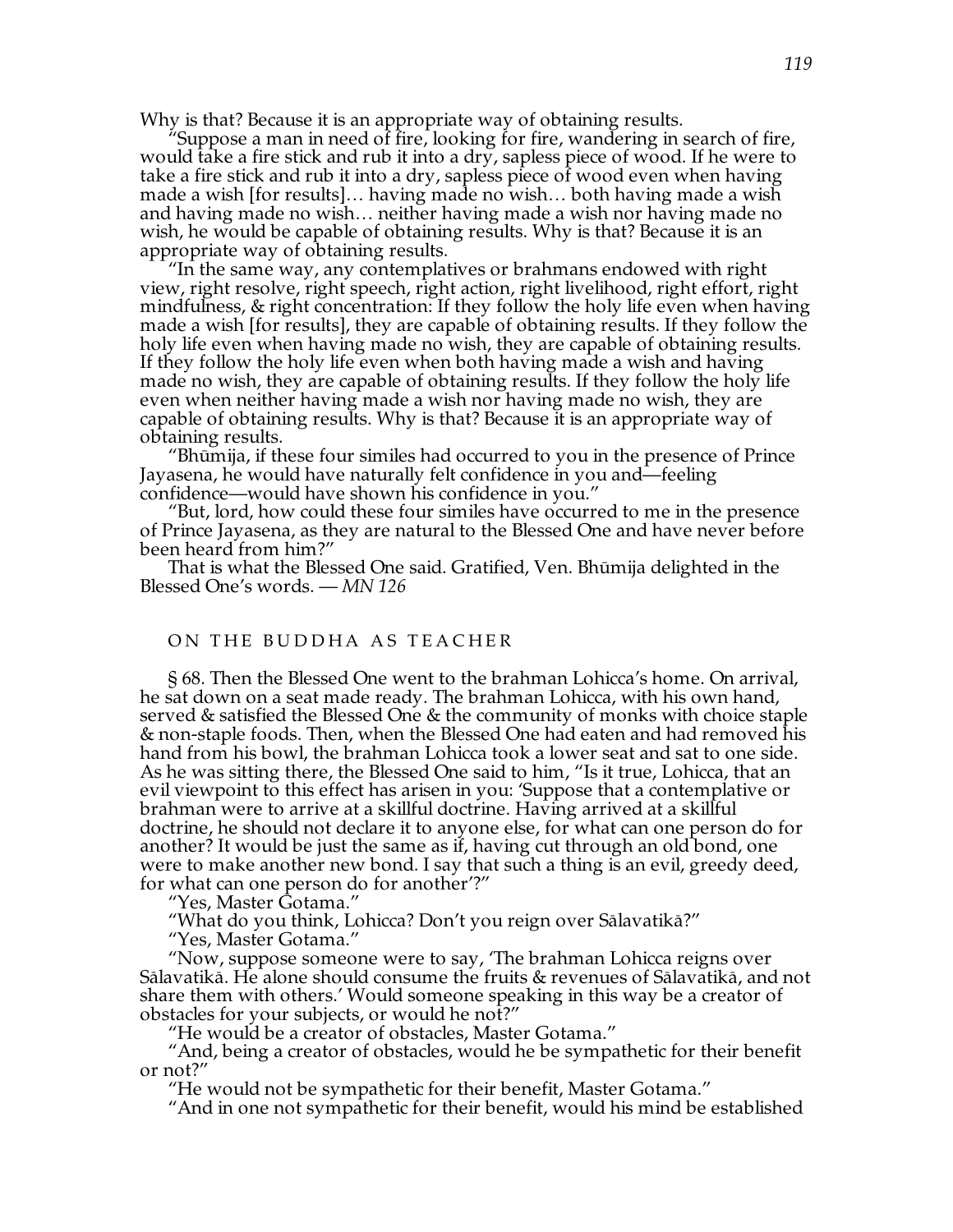Why is that? Because it is an appropriate way of obtaining results.

"Suppose a man in need of fire, looking for fire, wandering in search of fire, would take a fire stick and rub it into a dry, sapless piece of wood. If he were to take a fire stick and rub it into a dry, sapless piece of wood even when having made a wish [for results]… having made no wish… both having made a wish and having made no wish… neither having made a wish nor having made no wish, he would be capable of obtaining results. Why is that? Because it is an appropriate way of obtaining results.

"In the same way, any contemplatives or brahmans endowed with right view, right resolve, right speech, right action, right livelihood, right effort, right mindfulness, & right concentration: If they follow the holy life even when having made a wish [for results], they are capable of obtaining results. If they follow the holy life even when having made no wish, they are capable of obtaining results. If they follow the holy life even when both having made a wish and having made no wish, they are capable of obtaining results. If they follow the holy life even when neither having made a wish nor having made no wish, they are capable of obtaining results. Why is that? Because it is an appropriate way of obtaining results.

"Bhūmija, if these four similes had occurred to you in the presence of Prince Jayasena, he would have naturally felt confidence in you and—feeling confidence—would have shown his confidence in you."

"But, lord, how could these four similes have occurred to me in the presence of Prince Jayasena, as they are natural to the Blessed One and have never before been heard from him?"

That is what the Blessed One said. Gratified, Ven. Bhūmija delighted in the Blessed One's words. — *MN 126*

## ON THE BUDDHA AS TEACHER

§ 68. Then the Blessed One went to the brahman Lohicca's home. On arrival, he sat down on a seat made ready. The brahman Lohicca, with his own hand, served & satisfied the Blessed One & the community of monks with choice staple & non-staple foods. Then, when the Blessed One had eaten and had removed his hand from his bowl, the brahman Lohicca took a lower seat and sat to one side. As he was sitting there, the Blessed One said to him, "Is it true, Lohicca, that an evil viewpoint to this effect has arisen in you: 'Suppose that a contemplative or brahman were to arrive at a skillful doctrine. Having arrived at a skillful doctrine, he should not declare it to anyone else, for what can one person do for another? It would be just the same as if, having cut through an old bond, one were to make another new bond. I say that such a thing is an evil, greedy deed, for what can one person do for another'?"

"Yes, Master Gotama."

"What do you think, Lohicca? Don't you reign over Sālavatikā?"

"Yes, Master Gotama."

"Now, suppose someone were to say, 'The brahman Lohicca reigns over Sālavatikā. He alone should consume the fruits  $\&$  revenues of Sālavatikā, and not share them with others.' Would someone speaking in this way be a creator of obstacles for your subjects, or would he not?"

"He would be a creator of obstacles, Master Gotama."

"And, being a creator of obstacles, would he be sympathetic for their benefit or not?"

"He would not be sympathetic for their benefit, Master Gotama."

"And in one not sympathetic for their benefit, would his mind be established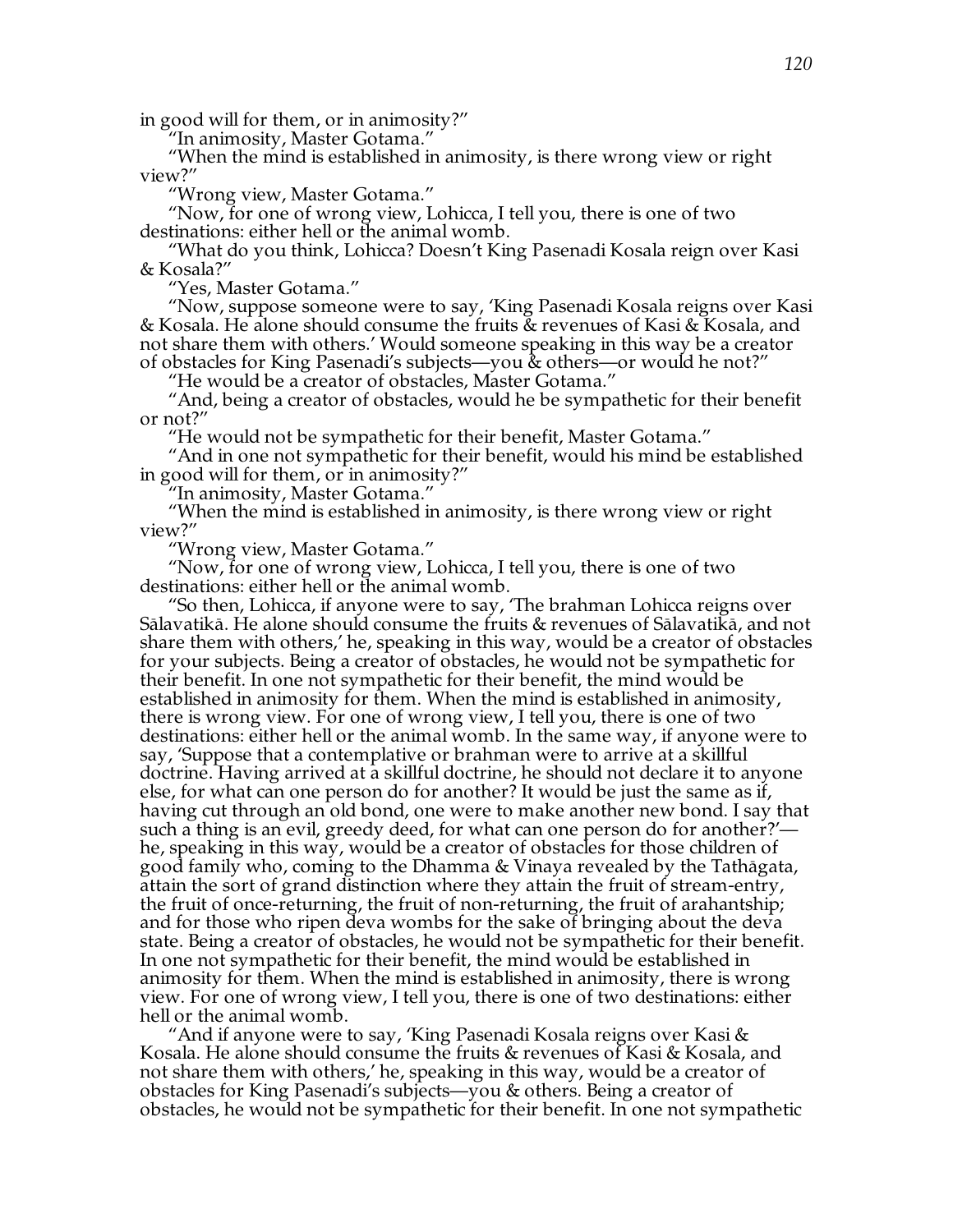in good will for them, or in animosity?"

"In animosity, Master Gotama."

"When the mind is established in animosity, is there wrong view or right view?"

"Wrong view, Master Gotama."

"Now, for one of wrong view, Lohicca, I tell you, there is one of two destinations: either hell or the animal womb.

"What do you think, Lohicca? Doesn't King Pasenadi Kosala reign over Kasi & Kosala?"

"Yes, Master Gotama."

"Now, suppose someone were to say, 'King Pasenadi Kosala reigns over Kasi & Kosala. He alone should consume the fruits & revenues of Kasi & Kosala, and not share them with others.' Would someone speaking in this way be a creator of obstacles for King Pasenadi's subjects—you & others—or would he not?"

"He would be a creator of obstacles, Master Gotama."

"And, being a creator of obstacles, would he be sympathetic for their benefit or not?"

"He would not be sympathetic for their benefit, Master Gotama."

"And in one not sympathetic for their benefit, would his mind be established in good will for them, or in animosity?"

"In animosity, Master Gotama."

"When the mind is established in animosity, is there wrong view or right view?"

"Wrong view, Master Gotama."

"Now, for one of wrong view, Lohicca, I tell you, there is one of two destinations: either hell or the animal womb.

"So then, Lohicca, if anyone were to say, 'The brahman Lohicca reigns over Sālavatikā. He alone should consume the fruits  $\&$  revenues of Sālavatikā, and not share them with others,' he, speaking in this way, would be a creator of obstacles for your subjects. Being a creator of obstacles, he would not be sympathetic for their benefit. In one not sympathetic for their benefit, the mind would be established in animosity for them. When the mind is established in animosity, there is wrong view. For one of wrong view, I tell you, there is one of two destinations: either hell or the animal womb. In the same way, if anyone were to say, 'Suppose that a contemplative or brahman were to arrive at a skillful doctrine. Having arrived at a skillful doctrine, he should not declare it to anyone else, for what can one person do for another? It would be just the same as if, having cut through an old bond, one were to make another new bond. I say that such a thing is an evil, greedy deed, for what can one person do for another?' he, speaking in this way, would be a creator of obstacles for those children of good family who, coming to the Dhamma & Vinaya revealed by the Tathāgata, attain the sort of grand distinction where they attain the fruit of stream-entry, the fruit of once-returning, the fruit of non-returning, the fruit of arahantship; and for those who ripen deva wombs for the sake of bringing about the deva state. Being a creator of obstacles, he would not be sympathetic for their benefit. In one not sympathetic for their benefit, the mind would be established in animosity for them. When the mind is established in animosity, there is wrong view. For one of wrong view, I tell you, there is one of two destinations: either hell or the animal womb.

"And if anyone were to say, 'King Pasenadi Kosala reigns over Kasi  $\&$ Kosala. He alone should consume the fruits & revenues of Kasi & Kosala, and not share them with others,' he, speaking in this way, would be a creator of obstacles for King Pasenadi's subjects—you & others. Being a creator of obstacles, he would not be sympathetic for their benefit. In one not sympathetic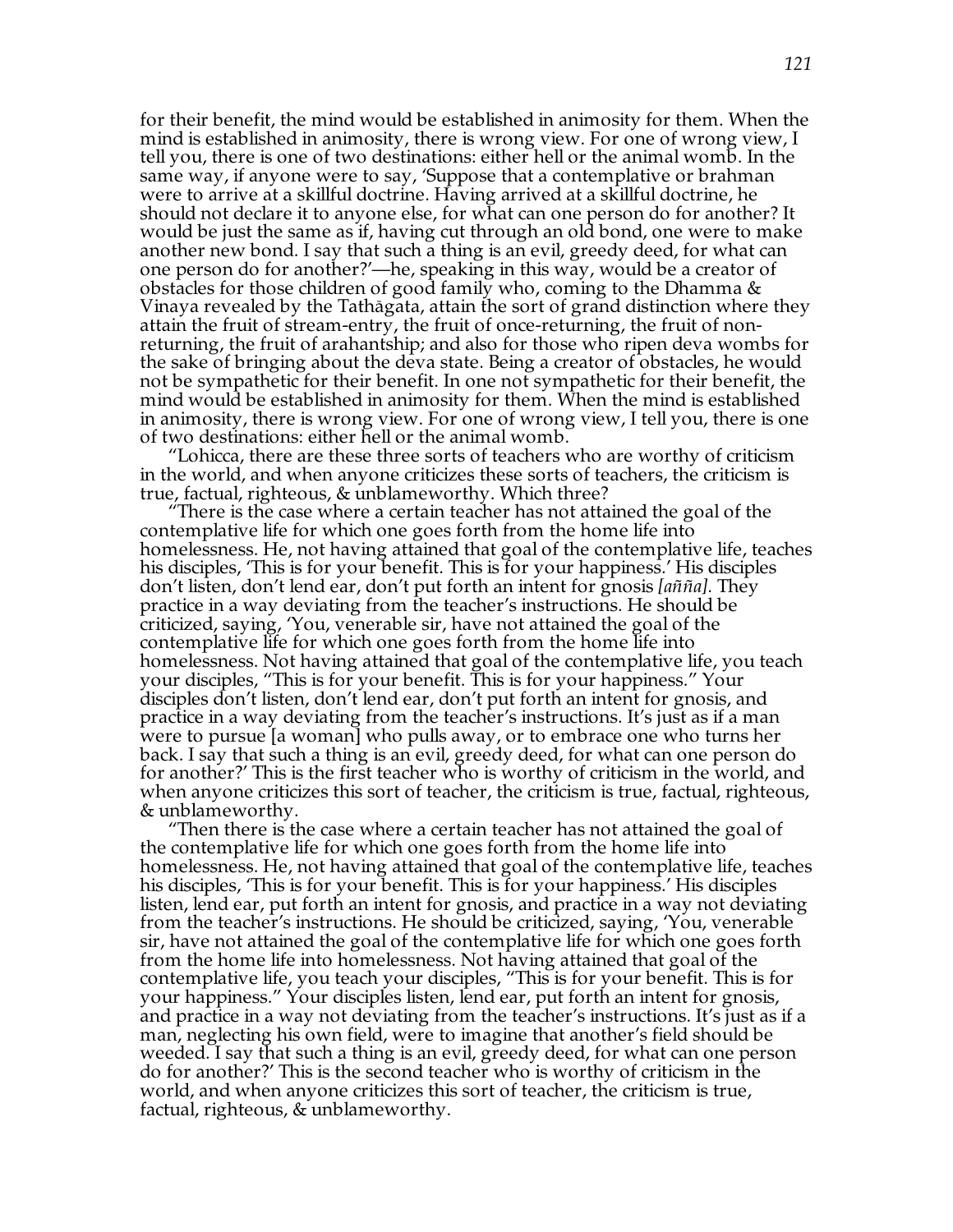for their benefit, the mind would be established in animosity for them. When the mind is established in animosity, there is wrong view. For one of wrong view, I tell you, there is one of two destinations: either hell or the animal womb. In the same way, if anyone were to say, 'Suppose that a contemplative or brahman were to arrive at a skillful doctrine. Having arrived at a skillful doctrine, he should not declare it to anyone else, for what can one person do for another? It would be just the same as if, having cut through an old bond, one were to make another new bond. I say that such a thing is an evil, greedy deed, for what can one person do for another?'—he, speaking in this way, would be a creator of obstacles for those children of good family who, coming to the Dhamma & Vinaya revealed by the Tathāgata, attain the sort of grand distinction where they attain the fruit of stream-entry, the fruit of once-returning, the fruit of nonreturning, the fruit of arahantship; and also for those who ripen deva wombs for the sake of bringing about the deva state. Being a creator of obstacles, he would not be sympathetic for their benefit. In one not sympathetic for their benefit, the mind would be established in animosity for them. When the mind is established in animosity, there is wrong view. For one of wrong view, I tell you, there is one of two destinations: either hell or the animal womb.

"Lohicca, there are these three sorts of teachers who are worthy of criticism in the world, and when anyone criticizes these sorts of teachers, the criticism is true, factual, righteous, & unblameworthy. Which three?

"There is the case where a certain teacher has not attained the goal of the contemplative life for which one goes forth from the home life into homelessness. He, not having attained that goal of the contemplative life, teaches his disciples, 'This is for your benefit. This is for your happiness.' His disciples don't listen, don't lend ear, don't put forth an intent for gnosis *[añña].* They practice in a way deviating from the teacher's instructions. He should be criticized, saying, 'You, venerable sir, have not attained the goal of the contemplative life for which one goes forth from the home life into homelessness. Not having attained that goal of the contemplative life, you teach your disciples, "This is for your benefit. This is for your happiness." Your disciples don't listen, don't lend ear, don't put forth an intent for gnosis, and practice in a way deviating from the teacher's instructions. It's just as if a man were to pursue [a woman] who pulls away, or to embrace one who turns her back. I say that such a thing is an evil, greedy deed, for what can one person do for another?' This is the first teacher who is worthy of criticism in the world, and when anyone criticizes this sort of teacher, the criticism is true, factual, righteous, & unblameworthy.

"Then there is the case where a certain teacher has not attained the goal of the contemplative life for which one goes forth from the home life into homelessness. He, not having attained that goal of the contemplative life, teaches his disciples, 'This is for your benefit. This is for your happiness.' His disciples listen, lend ear, put forth an intent for gnosis, and practice in a way not deviating from the teacher's instructions. He should be criticized, saying, 'You, venerable sir, have not attained the goal of the contemplative life for which one goes forth from the home life into homelessness. Not having attained that goal of the contemplative life, you teach your disciples, "This is for your benefit. This is for your happiness." Your disciples listen, lend ear, put forth an intent for gnosis, and practice in a way not deviating from the teacher's instructions. It's just as if a man, neglecting his own field, were to imagine that another's field should be weeded. I say that such a thing is an evil, greedy deed, for what can one person do for another?' This is the second teacher who is worthy of criticism in the world, and when anyone criticizes this sort of teacher, the criticism is true, factual, righteous, & unblameworthy.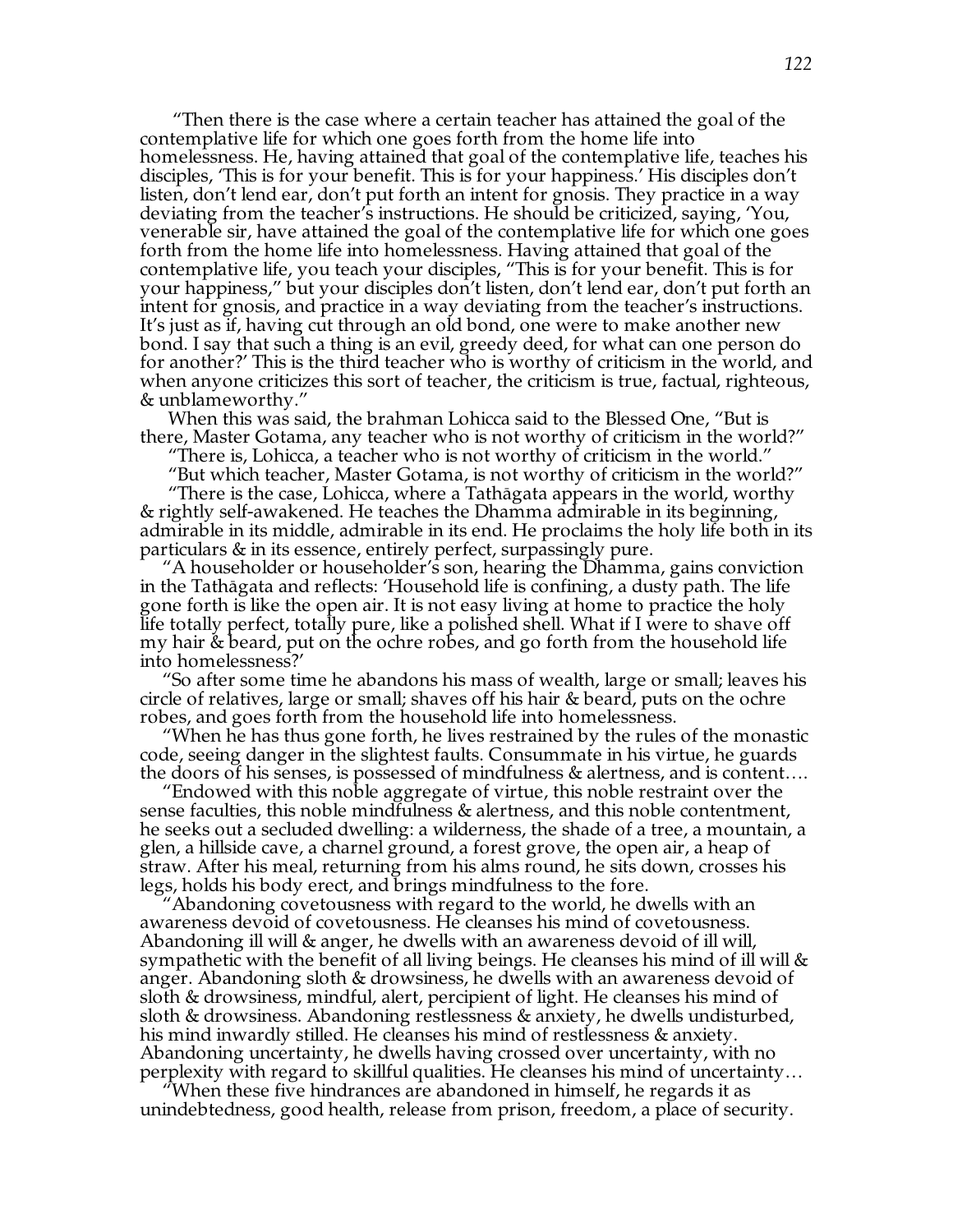"Then there is the case where a certain teacher has attained the goal of the contemplative life for which one goes forth from the home life into homelessness. He, having attained that goal of the contemplative life, teaches his disciples, 'This is for your benefit. This is for your happiness.' His disciples don't listen, don't lend ear, don't put forth an intent for gnosis. They practice in a way deviating from the teacher's instructions. He should be criticized, saying, 'You, venerable sir, have attained the goal of the contemplative life for which one goes forth from the home life into homelessness. Having attained that goal of the contemplative life, you teach your disciples, "This is for your benefit. This is for your happiness," but your disciples don't listen, don't lend ear, don't put forth an intent for gnosis, and practice in a way deviating from the teacher's instructions. It's just as if, having cut through an old bond, one were to make another new bond. I say that such a thing is an evil, greedy deed, for what can one person do for another?' This is the third teacher who is worthy of criticism in the world, and when anyone criticizes this sort of teacher, the criticism is true, factual, righteous, & unblameworthy."

When this was said, the brahman Lohicca said to the Blessed One, "But is there, Master Gotama, any teacher who is not worthy of criticism in the world?"

"There is, Lohicca, a teacher who is not worthy of criticism in the world."

"But which teacher, Master Gotama, is not worthy of criticism in the world?" "There is the case, Lohicca, where a Tathagata appears in the world, worthy

& rightly self-awakened. He teaches the Dhamma admirable in its beginning, admirable in its middle, admirable in its end. He proclaims the holy life both in its particulars & in its essence, entirely perfect, surpassingly pure.

"A householder or householder's son, hearing the Dhamma, gains conviction in the Tathāgata and reflects: 'Household life is confining, a dusty path. The life gone forth is like the open air. It is not easy living at home to practice the holy life totally perfect, totally pure, like a polished shell. What if I were to shave off my hair & beard, put on the ochre robes, and go forth from the household life into homelessness?'

"So after some time he abandons his mass of wealth, large or small; leaves his circle of relatives, large or small; shaves off his hair & beard, puts on the ochre robes, and goes forth from the household life into homelessness.

"When he has thus gone forth, he lives restrained by the rules of the monastic code, seeing danger in the slightest faults. Consummate in his virtue, he guards the doors of his senses, is possessed of mindfulness & alertness, and is content….

"Endowed with this noble aggregate of virtue, this noble restraint over the sense faculties, this noble mindfulness & alertness, and this noble contentment, he seeks out a secluded dwelling: a wilderness, the shade of a tree, a mountain, a glen, a hillside cave, a charnel ground, a forest grove, the open air, a heap of straw. After his meal, returning from his alms round, he sits down, crosses his legs, holds his body erect, and brings mindfulness to the fore.

"Abandoning covetousness with regard to the world, he dwells with an awareness devoid of covetousness. He cleanses his mind of covetousness. Abandoning ill will & anger, he dwells with an awareness devoid of ill will, sympathetic with the benefit of all living beings. He cleanses his mind of ill will & anger. Abandoning sloth & drowsiness, he dwells with an awareness devoid of sloth & drowsiness, mindful, alert, percipient of light. He cleanses his mind of sloth & drowsiness. Abandoning restlessness & anxiety, he dwells undisturbed, his mind inwardly stilled. He cleanses his mind of restlessness & anxiety. Abandoning uncertainty, he dwells having crossed over uncertainty, with no perplexity with regard to skillful qualities. He cleanses his mind of uncertainty…

"When these five hindrances are abandoned in himself, he regards it as unindebtedness, good health, release from prison, freedom, a place of security.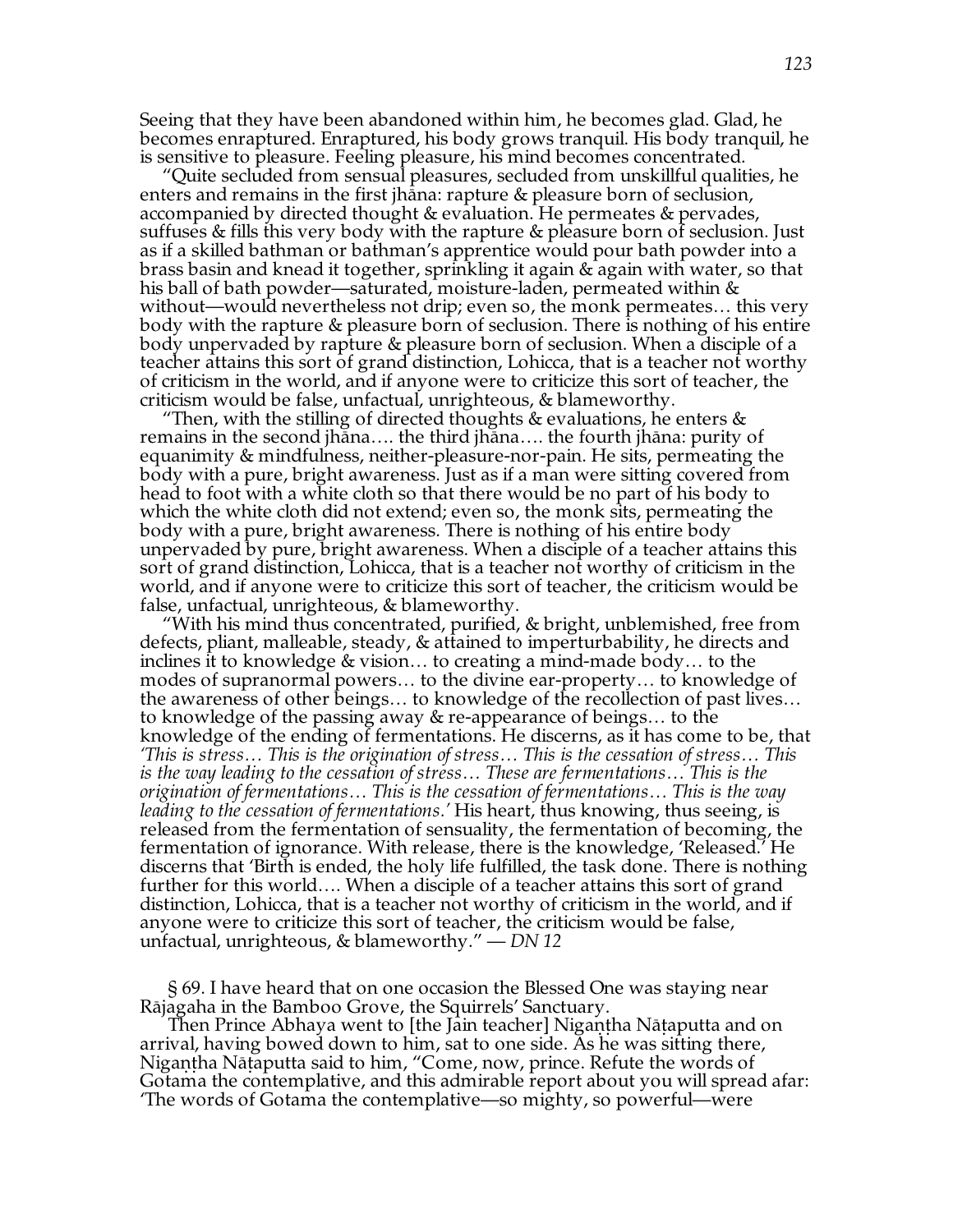Seeing that they have been abandoned within him, he becomes glad. Glad, he becomes enraptured. Enraptured, his body grows tranquil. His body tranquil, he is sensitive to pleasure. Feeling pleasure, his mind becomes concentrated.

"Quite secluded from sensual pleasures, secluded from unskillful qualities, he enters and remains in the first jhana: rapture & pleasure born of seclusion, accompanied by directed thought & evaluation. He permeates & pervades, suffuses & fills this very body with the rapture & pleasure born of seclusion. Just as if a skilled bathman or bathman's apprentice would pour bath powder into a brass basin and knead it together, sprinkling it again & again with water, so that his ball of bath powder—saturated, moisture-laden, permeated within & without—would nevertheless not drip; even so, the monk permeates… this very body with the rapture & pleasure born of seclusion. There is nothing of his entire body unpervaded by rapture & pleasure born of seclusion. When a disciple of a teacher attains this sort of grand distinction, Lohicca, that is a teacher not worthy of criticism in the world, and if anyone were to criticize this sort of teacher, the criticism would be false, unfactual, unrighteous, & blameworthy.

"Then, with the stilling of directed thoughts & evaluations, he enters & remains in the second jhāna…. the third jhāna…. the fourth jhāna: purity of equanimity & mindfulness, neither-pleasure-nor-pain. He sits, permeating the body with a pure, bright awareness. Just as if a man were sitting covered from head to foot with a white cloth so that there would be no part of his body to which the white cloth did not extend; even so, the monk sits, permeating the body with a pure, bright awareness. There is nothing of his entire body unpervaded by pure, bright awareness. When a disciple of a teacher attains this sort of grand distinction, Lohicca, that is a teacher not worthy of criticism in the world, and if anyone were to criticize this sort of teacher, the criticism would be false, unfactual, unrighteous, & blameworthy.

"With his mind thus concentrated, purified, & bright, unblemished, free from defects, pliant, malleable, steady, & attained to imperturbability, he directs and inclines it to knowledge & vision… to creating a mind-made body… to the modes of supranormal powers… to the divine ear-property… to knowledge of the awareness of other beings… to knowledge of the recollection of past lives… to knowledge of the passing away & re-appearance of beings… to the knowledge of the ending of fermentations. He discerns, as it has come to be, that *'This is stress… This is the origination of stress… This is the cessation of stress… This is the way leading to the cessation of stress... These are fermentations... This is the origination of fermentations… This is the cessation of fermentations… This is the way leading to the cessation of fermentations.'* His heart, thus knowing, thus seeing, is released from the fermentation of sensuality, the fermentation of becoming, the fermentation of ignorance. With release, there is the knowledge, 'Released.' He discerns that 'Birth is ended, the holy life fulfilled, the task done. There is nothing further for this world…. When a disciple of a teacher attains this sort of grand distinction, Lohicca, that is a teacher not worthy of criticism in the world, and if anyone were to criticize this sort of teacher, the criticism would be false, unfactual, unrighteous, & blameworthy." — *DN 12*

§ 69. I have heard that on one occasion the Blessed One was staying near Rājagaha in the Bamboo Grove, the Squirrels' Sanctuary.

Then Prince Abhaya went to [the Jain teacher] Nigantha Nātaputta and on arrival, having bowed down to him, sat to one side. As he was sitting there, Nigantha Nātaputta said to him, "Come, now, prince. Refute the words of Gotama the contemplative, and this admirable report about you will spread afar: 'The words of Gotama the contemplative—so mighty, so powerful—were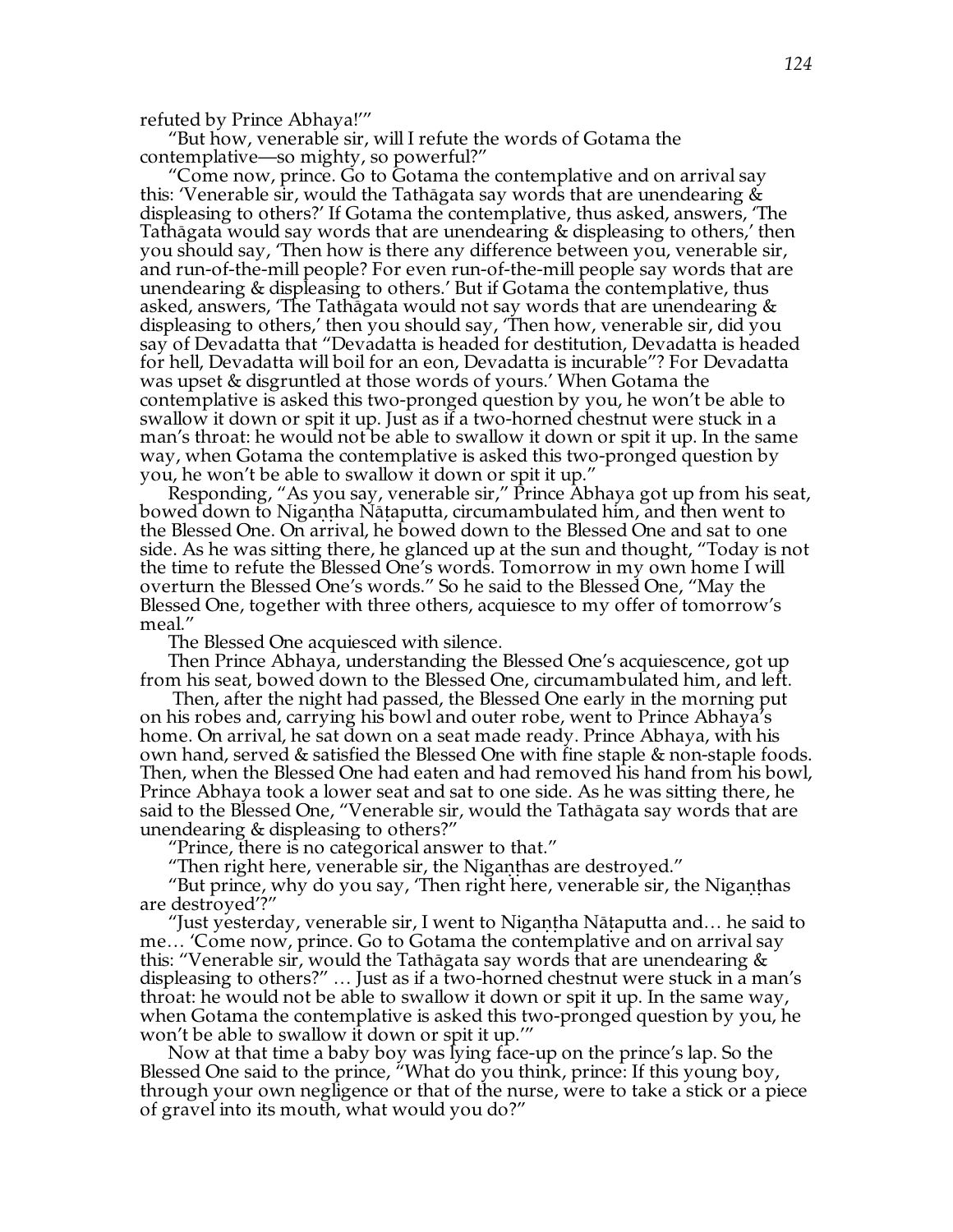refuted by Prince Abhaya!'"

"But how, venerable sir, will I refute the words of Gotama the contemplative—so mighty, so powerful?"

"Come now, prince. Go to Gotama the contemplative and on arrival say this: 'Venerable sir, would the Tathagata say words that are unendearing  $\&$ displeasing to others?' If Gotama the contemplative, thus asked, answers, 'The Tathāgata would say words that are unendearing & displeasing to others,' then you should say, 'Then how is there any difference between you, venerable sir, and run-of-the-mill people? For even run-of-the-mill people say words that are unendearing & displeasing to others.' But if Gotama the contemplative, thus asked, answers, The Tathāgata would not say words that are unendearing  $\&$ displeasing to others,' then you should say, 'Then how, venerable sir, did you say of Devadatta that "Devadatta is headed for destitution, Devadatta is headed for hell, Devadatta will boil for an eon, Devadatta is incurable"? For Devadatta was upset & disgruntled at those words of yours.' When Gotama the contemplative is asked this two-pronged question by you, he won't be able to swallow it down or spit it up. Just as if a two-horned chestnut were stuck in a man's throat: he would not be able to swallow it down or spit it up. In the same way, when Gotama the contemplative is asked this two-pronged question by you, he won't be able to swallow it down or spit it up."

Responding, "As you say, venerable sir," Prince Abhaya got up from his seat, bowed down to Nigantha Nātaputta, circumambulated him, and then went to the Blessed One. On arrival, he bowed down to the Blessed One and sat to one side. As he was sitting there, he glanced up at the sun and thought, "Today is not the time to refute the Blessed One's words. Tomorrow in my own home I will overturn the Blessed One's words." So he said to the Blessed One, "May the Blessed One, together with three others, acquiesce to my offer of tomorrow's meal."

The Blessed One acquiesced with silence.

Then Prince Abhaya, understanding the Blessed One's acquiescence, got up from his seat, bowed down to the Blessed One, circumambulated him, and left.

 Then, after the night had passed, the Blessed One early in the morning put on his robes and, carrying his bowl and outer robe, went to Prince Abhaya's home. On arrival, he sat down on a seat made ready. Prince Abhaya, with his own hand, served & satisfied the Blessed One with fine staple & non-staple foods. Then, when the Blessed One had eaten and had removed his hand from his bowl, Prince Abhaya took a lower seat and sat to one side. As he was sitting there, he said to the Blessed One, "Venerable sir, would the Tathagata say words that are unendearing & displeasing to others?"

"Prince, there is no categorical answer to that."

"Then right here, venerable sir, the Niganthas are destroyed."

"But prince, why do you say, 'Then right here, venerable sir, the Niganthas are destroyed'?"

"Just yesterday, venerable sir, I went to Nigantha Nātaputta and... he said to me… 'Come now, prince. Go to Gotama the contemplative and on arrival say this: "Venerable sir, would the Tathagata say words that are unendearing  $\&$ displeasing to others?" … Just as if a two-horned chestnut were stuck in a man's throat: he would not be able to swallow it down or spit it up. In the same way, when Gotama the contemplative is asked this two-pronged question by you, he won't be able to swallow it down or spit it up.'"

Now at that time a baby boy was lying face-up on the prince's lap. So the Blessed One said to the prince, "What do you think, prince: If this young boy, through your own negligence or that of the nurse, were to take a stick or a piece of gravel into its mouth, what would you do?"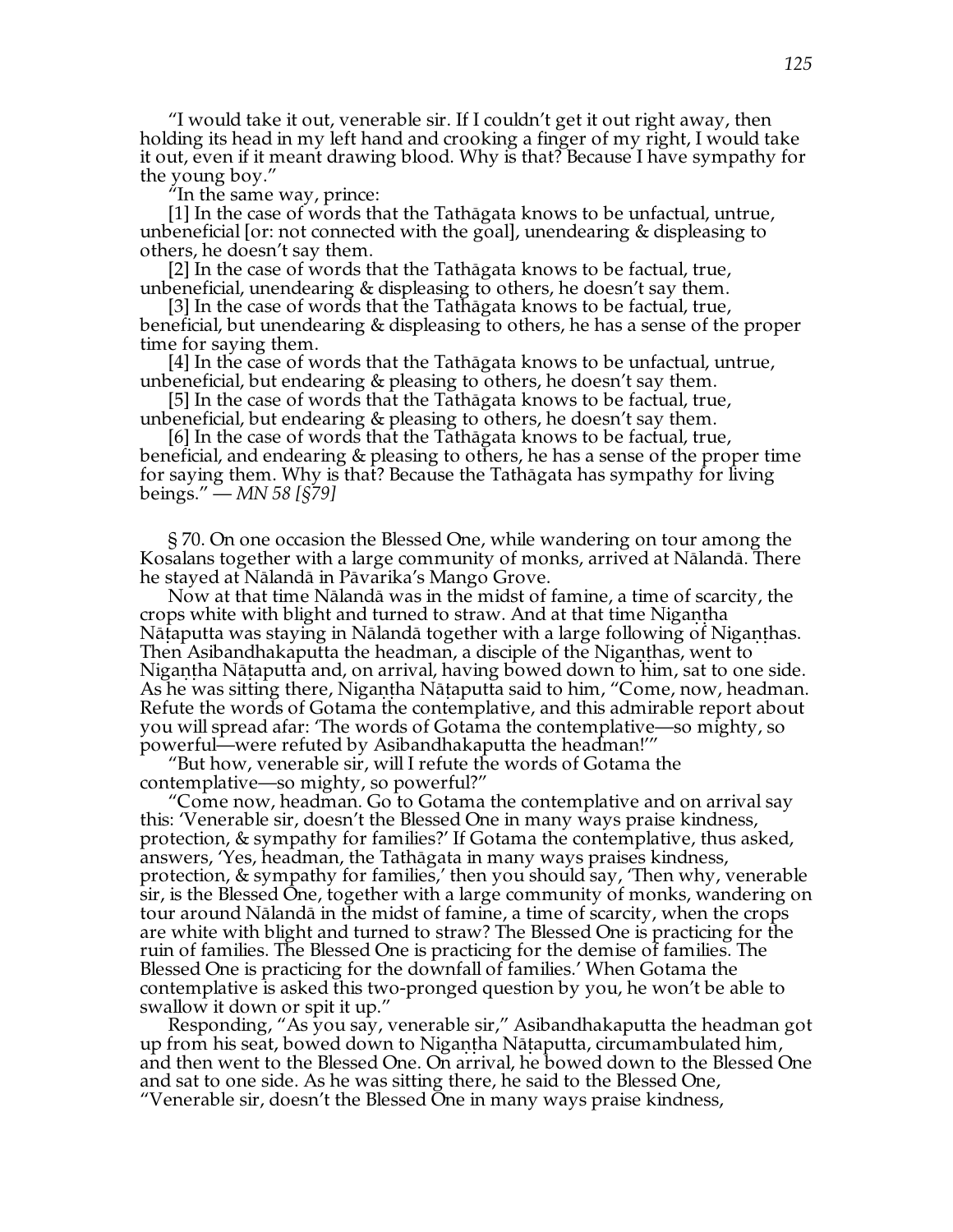"I would take it out, venerable sir. If I couldn't get it out right away, then holding its head in my left hand and crooking a finger of my right, I would take it out, even if it meant drawing blood. Why is that? Because I have sympathy for the young boy."

"In the same way, prince:

[1] In the case of words that the Tath $\bar{a}$ gata knows to be unfactual, untrue, unbeneficial [or: not connected with the goal], unendearing & displeasing to others, he doesn't say them.

[2] In the case of words that the Tath $a$ gata knows to be factual, true, unbeneficial, unendearing & displeasing to others, he doesn't say them.

[3] In the case of words that the Tathagata knows to be factual, true, beneficial, but unendearing & displeasing to others, he has a sense of the proper time for saying them.

[4] In the case of words that the Tathagata knows to be unfactual, untrue, unbeneficial, but endearing & pleasing to others, he doesn't say them.

[5] In the case of words that the Tathagata knows to be factual, true, unbeneficial, but endearing & pleasing to others, he doesn't say them.

[6] In the case of words that the Tath $\bar{a}$ gata knows to be factual, true, beneficial, and endearing & pleasing to others, he has a sense of the proper time for saying them. Why is that? Because the Tathagata has sympathy for living beings." — *MN 58 [§79]*

§ 70. On one occasion the Blessed One, while wandering on tour among the Kosalans together with a large community of monks, arrived at Nālandā. There he stayed at Nālandā in Pāvarika's Mango Grove.

Now at that time Nalanda was in the midst of famine, a time of scarcity, the crops white with blight and turned to straw. And at that time Nigantha Nātaputta was staying in Nālandā together with a large following of Niganthas. Then Asibandhakaputta the headman, a disciple of the Niganthas, went to Nigantha Nātaputta and, on arrival, having bowed down to him, sat to one side. As he was sitting there, Nigaṇṭha Nāṭaputta said to him, "Come, now, headman. Refute the words of Gotama the contemplative, and this admirable report about you will spread afar: 'The words of Gotama the contemplative—so mighty, so powerful—were refuted by Asibandhakaputta the headman!'"

"But how, venerable sir, will I refute the words of Gotama the contemplative—so mighty, so powerful?"

"Come now, headman. Go to Gotama the contemplative and on arrival say this: 'Venerable sir, doesn't the Blessed One in many ways praise kindness, protection, & sympathy for families?' If Gotama the contemplative, thus asked, answers, 'Yes, headman, the Tathāgata in many ways praises kindness, protection, & sympathy for families,' then you should say, 'Then why, venerable sir, is the Blessed One, together with a large community of monks, wandering on tour around Nalanda in the midst of famine, a time of scarcity, when the crops are white with blight and turned to straw? The Blessed One is practicing for the ruin of families. The Blessed One is practicing for the demise of families. The Blessed One is practicing for the downfall of families.' When Gotama the contemplative is asked this two-pronged question by you, he won't be able to swallow it down or spit it up."

Responding, "As you say, venerable sir," Asibandhakaputta the headman got up from his seat, bowed down to Nigantha Nātaputta, circumambulated him, and then went to the Blessed One. On arrival, he bowed down to the Blessed One and sat to one side. As he was sitting there, he said to the Blessed One, "Venerable sir, doesn't the Blessed One in many ways praise kindness,